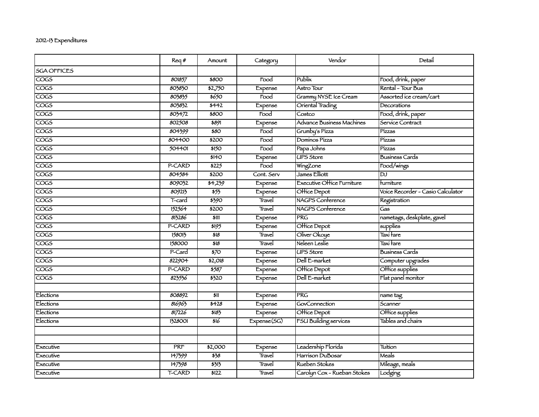## 2012-13 Expenditures

|                         | Req#    | Amount             | Category          | Vendor                            | Detail                               |
|-------------------------|---------|--------------------|-------------------|-----------------------------------|--------------------------------------|
| <b>SGA OFFICES</b>      |         |                    |                   |                                   |                                      |
| $\overline{\cos}$       | 801857  | \$800              | Food              | Publix                            | Food, drink, paper                   |
| <b>COGS</b>             | 803830  | $\frac{1}{2}$ ,750 | Expense           | Astro Tour                        | Rental - Tour Bus                    |
| <b>COGS</b>             | 803835  | \$650              | Food              | Grammy NYSE Ice Cream             | Assorted ice cream/cart              |
| $\overline{\text{COS}}$ | 803832  | 5442               | Expense           | Oriental Trading                  | Decorations                          |
| cocs                    | 803472  | \$800              | $\overline{1000}$ | Costco                            | Food, drink, paper                   |
| cocs                    | 802508  | \$891              | Expense           | Advance Business Machines         | Service Contract                     |
| <b>COGS</b>             | 804399  | \$80               | Food              | Grumby's Pizza                    | Pízzas                               |
| $\overline{\text{COS}}$ | 804400  | \$200              | Food              | Dominos Pizza                     | Pízzas                               |
| $\overline{\text{COS}}$ | 504401  | \$150              | Food              | Papa Johns                        | Pízzas                               |
| $\overline{\text{COS}}$ |         | \$140              | Expense           | <b>UPS Store</b>                  | <b>Business Cards</b>                |
| $\overline{\text{COS}}$ | P-CARD  | \$225              | $\overline{1000}$ | WingZone                          | Food/wings                           |
| <b>COGS</b>             | 804584  | \$200              | Cont. Serv        | James Elliott                     | $\overline{\mathsf{D}^{\mathsf{J}}}$ |
| $\overline{\text{COS}}$ | 809032  | 54,239             | Expense           | <b>Executive Office Furniture</b> | furniture                            |
| $\overline{\text{COS}}$ | 809213  | $\frac{1}{55}$     | Expense           | Office Depot                      | Voice Recorder - Casio Calculator    |
| $\overline{\text{COS}}$ | T-card  | \$390              | <b>Travel</b>     | NAGPS Conference                  | Registration                         |
| $\overline{\text{COS}}$ | 152564  | \$200              | Travel            | <b>NAGPS Conference</b>           | Gas                                  |
| <b>COGS</b>             | 813286  | \$111              | Expense           | <b>PRG</b>                        | nametags, deskplate, gavel           |
| cocs                    | P-CARD  | 5195               | Expense           | Office Depot                      | supplies                             |
| $\overline{\text{COS}}$ | 158013  | 518                | <b>Travel</b>     | Oliver Okoye                      | Taxí fare                            |
| $\overline{\cos}$       | 158000  | 518                | Travel            | Neleen Leslie                     | Taxí fare                            |
| <b>COGS</b>             | P-Card  | 570                | Expense           | <b>UPS Store</b>                  | <b>Business Cards</b>                |
| COGS                    | 822904  | \$2,018            | Expense           | Dell E-market                     | Computer upgrades                    |
| cocs                    | P-CARD  | \$587              | Expense           | Office Depot                      | Office supplies                      |
| $\overline{\cos}$       | 823536  | \$320              | Expense           | Dell E-market                     | Flat panel monitor                   |
|                         |         |                    |                   |                                   |                                      |
| Elections               | 808892  | \$11               | Expense           | PRG                               | name tag                             |
| Elections               | 816963  | 5428               | Expense           | GovConnection                     | Scanner                              |
| Elections               | 817226  | \$183              | Expense           | Office Depot                      | Office supplies                      |
| Elections               | 1328001 | \$16               | Expense(SG)       | <b>FSU Building services</b>      | Tables and chairs                    |
|                         |         |                    |                   |                                   |                                      |
|                         |         |                    |                   |                                   |                                      |
| Executive               | PRF     | \$2,000            | Expense           | Leadership Florida                | Tuition                              |
| Executive               | 147399  | 538                | Travel            | Harrison DuBosar                  | <b>Meals</b>                         |
| Executive               | 147398  | 3313               | Travel            | Rueben Stokes                     | Mileage, meals                       |
| Executive               | T-CARD  | 5122               | Travel            | Carolyn Cox - Rueban Stokes       | Lodging                              |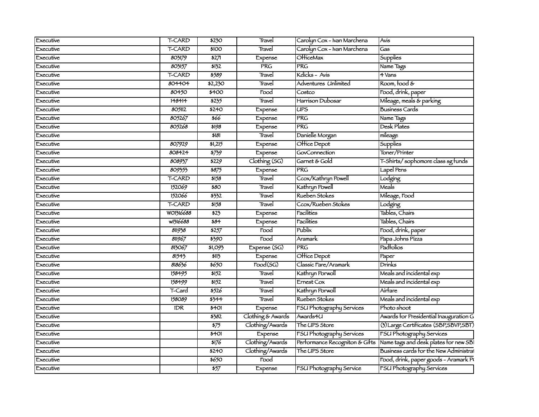| Executive | T-CARD        | \$230                     | Travel                | Carolyn Cox - Ivan Marchena    | Avis                                    |
|-----------|---------------|---------------------------|-----------------------|--------------------------------|-----------------------------------------|
| Executive | T-CARD        | \$100                     | Travel                | Carolyn Cox - Ivan Marchena    | Gas                                     |
| Executive | 803179        | 527                       | Expense               | <b>OHiceMax</b>                | Supplies                                |
| Executive | 803157        | \$132                     | <b>PRG</b>            | <b>PRG</b>                     | Name Tags                               |
| Executive | <b>T-CARD</b> | \$589                     | Travel                | Kdicks - Avis                  | 4 Vans                                  |
| Executive | 804404        | \$2,230                   | Travel                | Adventures Unlimited           | Room, food $\&$                         |
| Executive | 80450         | \$400                     | Food                  | Costco                         | Food, drink, paper                      |
| Executive | 148414        | 5235                      | Travel                | Harríson Dubosar               | Mileage, meals & parking                |
| Executive | 805112        | \$240                     | Expense               | UPS                            | <b>Business Cards</b>                   |
| Executive | 805267        | \$66                      | Expense               | <b>PRG</b>                     | Name Tags                               |
| Executive | 805268        | \$198                     | Expense               | <b>PRG</b>                     | Desk Plates                             |
| Executive |               | \$181                     | Travel                | Danielle Morgan                | mileage                                 |
| Executive | 807929        | \$1,215                   | Expense               | Office Depot                   | <b>Supplies</b>                         |
| Executive | 808424        | 5759                      | Expense               | GovConnection                  | Toner/Printer                           |
| Executive | 808937        | \$229                     | Clothing (SG)         | Garnet & Gold                  | T-Shirts/sophomore class sg funds       |
| Executive | 809353        | 5875                      | Expense               | <b>PRG</b>                     | Lapel Pens                              |
| Executive | T-CARD        | \$158                     | Travel                | Ccox/Kathryn Powell            | Lodging                                 |
| Executive | 152069        | \$80                      | Travel                | Kathryn Powell                 | Meals                                   |
| Executive | 152066        | 5332                      | Travel                | Rueben Stokes                  | Mileage, Food                           |
| Executive | <b>T-CARD</b> | 5158                      | Travel                | Ccox/Rueben Stokes             | Lodging                                 |
| Executive | WO1316688     | \$25                      | Expense               | Facilities                     | Tables, Chairs                          |
| Executive | w1316688      | 584                       | Expense               | Facilities                     | Tables, Chairs                          |
| Executive | 811938        | 5257                      | $\overline{F}$ ood    | Publix                         | Food, drink, paper                      |
| Executive | 811967        | \$390                     | Food                  | Aramark                        | Papa Johns Pizza                        |
| Executive | 813067        | \$1,093                   | Expense (SG)          | <b>PRG</b>                     | Padfolios                               |
| Executive | 81545         | \$11                      | Expense               | Office Depot                   | Paper                                   |
| Executive | 818636        | \$650                     | $\overline{Food(SG)}$ | Classic Fare/Aramark           | Drinks                                  |
| Executive | 158495        | 5152                      | Travel                | Kathryn Porwoll                | Meals and incidental exp                |
| Executive | 158499        | 3152                      | Travel                | $E$ rnest Cox                  | Meals and incidental exp                |
| Executive | T-Card        | 5526                      | Travel                | Kathryn Porwoll                | Airfare                                 |
| Executive | 158089        | 3344                      | Travel                | Rueben Stokes                  | Meals and incidental exp                |
| Executive | <b>IDR</b>    | \$401                     | Expense               | FSU Photography Services       | Photo shoot                             |
| Executive |               | \$382                     | Clothing & Awards     | Awards4U                       | Awards for Presidential Inauguration G  |
| Executive |               | 575                       | Clothing/Awards       | The UPS Store                  | (3) Large Certificates (SBP, SBVP, SBT) |
| Executive |               | \$401                     | Expense               | FSU Photography Services       | FSU Photography Services                |
| Executive |               | \$176                     | Clothing/Awards       | Performance Recogniton & Gifts | Name tags and desk plates for new SBI   |
| Executive |               | \$240                     | Clothing/Awards       | The UPS Store                  | Business cards for the New Administral  |
| Executive |               | \$650                     | Food                  |                                | Food, drink, paper goods - Aramark P    |
| Executive |               | $\overline{\frac{1}{57}}$ | Expense               | FSU Photography Service        | FSU Photography Services                |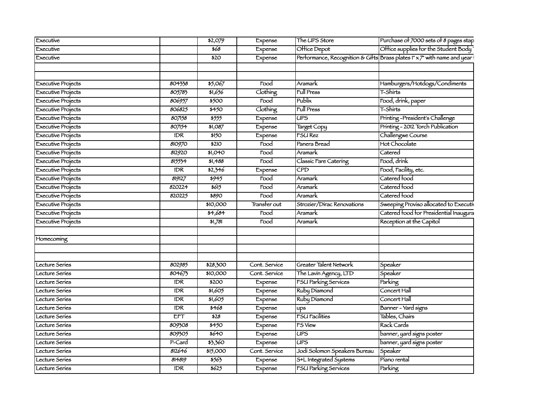| Executive                 |                  | \$2,079          | Expense                  | The UPS Store                       | Purchase of 7000 sets of 8 pages stap                                    |
|---------------------------|------------------|------------------|--------------------------|-------------------------------------|--------------------------------------------------------------------------|
| Executive                 |                  | \$68             | Expense                  | Office Depot                        | Office supplies for the Student Body                                     |
| Executive                 |                  | \$20             | Expense                  |                                     | Performance, Recognition & Gifts Brass plates 1" x 7" with name and year |
|                           |                  |                  |                          |                                     |                                                                          |
|                           |                  |                  |                          |                                     |                                                                          |
| Executive Projects        | 804338           | \$5,067          | Food                     | Aramark                             | Hamburgers/Hotdogs/Condiments                                            |
| <b>Executive Projects</b> | 805783           | \$1,656          | <b>Clothing</b>          | <b>Full Press</b>                   | T-Shirts                                                                 |
| <b>Executive Projects</b> | 806957           | 5500             | Food                     | Publix                              | Food, drink, paper                                                       |
| <b>Executive Projects</b> | 806825           | $\frac{1}{5450}$ | Clothing                 | <b>Full Press</b>                   | T-Shirts                                                                 |
| <b>Executive Projects</b> | 807158           | 5555             | Expense                  | <b>UPS</b>                          | Printing-President's Challenge                                           |
| <b>Executive Projects</b> | 807154           | \$1,087          | Expense                  | Target Copy                         | Printing - 2012 Torch Publication                                        |
| <b>Executive Projects</b> | IDR              | \$150            | Expense                  | <b>FSURez</b>                       | Challengwe Course                                                        |
| <b>Executive Projects</b> | 810970           | \$210            | Food                     | Panera Bread                        | Hot Chocolate                                                            |
| <b>Executive Projects</b> | 812920           | \$1,040          | Food                     | Aramark                             | Catered                                                                  |
| <b>Executive Projects</b> | $81555 +$        | \$1,488          | Food                     | Classic Fare Catering               | Food, drink                                                              |
| <b>Executive Projects</b> | IDR.             | \$2,346          | Expense                  | CPD                                 | Food, Facility, etc.                                                     |
| <b>Executive Projects</b> | 819127           | 5945             | Food                     | Aramark                             | Catered food                                                             |
| <b>Executive Projects</b> | 820224           | 5615             | Food                     | Aramark                             | Catered food                                                             |
| <b>Executive Projects</b> | 820225           | \$890            | $\overline{\text{Food}}$ | Aramark                             | Catered food                                                             |
| <b>Executive Projects</b> |                  | \$10,000         | Transter out             | Strozier/Dirac Renovations          | Sweeping Proviso allocated to Executiv                                   |
| <b>Executive Projects</b> |                  | 34,684           | Food                     | Aramark                             | Catered food for Presidential Inaugura                                   |
| <b>Executive Projects</b> |                  | 51,781           | Food                     | Aramark                             | Reception at the Capitol                                                 |
|                           |                  |                  |                          |                                     |                                                                          |
| Homecoming                |                  |                  |                          |                                     |                                                                          |
|                           |                  |                  |                          |                                     |                                                                          |
|                           |                  |                  |                          |                                     |                                                                          |
| Lecture Series            | 802985           | \$28,300         | Cont. Service            | Greater Talent Network              | Speaker                                                                  |
| Lecture Series            | 804673           | \$10,000         | Cont. Service            | The Lavin Agency, LTD               | Speaker                                                                  |
| Lecture Series            | <b>IDR</b>       | 5200             | Expense                  | <b>FSU Parking Services</b>         | <b>Parking</b>                                                           |
| Lecture Series            | IDR              | 51,605           | Expense                  | Ruby Diamond                        | Concert Hall                                                             |
| Lecture Series            | IDR              | 51,605           | Expense                  | Ruby Diamond                        | Concert Hall                                                             |
| Lecture Series            | IDR              | 5468             | Expense                  | ups                                 | Banner - Yard signs                                                      |
| Lecture Series            | ETT              | \$28             | Expense                  | FSU Facilities                      | Tables, Chairs                                                           |
| Lecture Series            | 809308           | 5450             | Expense                  | <b>FS View</b>                      | Rack Cards                                                               |
| Lecture Series            | 809305           | 5640             | Expense                  | <b>UPS</b>                          | banner, yard signs poster                                                |
| Lecture Series            | P-Card           | \$3,360          | Expense                  | <b>UPS</b>                          | banner, yard signs poster                                                |
| Lecture Series            | 812646           | \$15,000         | Cont. Service            | Jodi Solomon Speakers Bureau        | Speaker                                                                  |
| Lecture Series            | 814819           | 3563             | Expense                  | S <sup>+</sup> L Integrated Systems | Píano rental                                                             |
| Lecture Series            | $\overline{IDR}$ | 5625             | Expense                  | FSU Parking Services                | Parking                                                                  |
|                           |                  |                  |                          |                                     |                                                                          |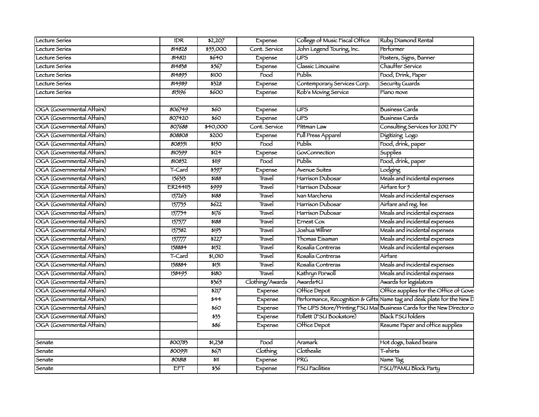| Lecture Series             | <b>IDR</b> | \$2,207         | Expense           | College of Music Fiscal Office | Ruby Diamond Rental                                                    |
|----------------------------|------------|-----------------|-------------------|--------------------------------|------------------------------------------------------------------------|
| ecture Series              | 814828     | \$55,000        | Cont. Service     | John Legend Touring, Inc.      | Performer                                                              |
| Lecture Series             | 814821     | 5640            | Expense           | UPS                            | Posters, Signs, Banner                                                 |
| Lecture Series             | 814838     | 5567            | Expense           | Classic Limousine              | Chauffer Service                                                       |
| <b>Lecture Series</b>      | 814895     | \$100           | $\overline{1000}$ | Publix                         | Food, Drink, Paper                                                     |
| ccture Series              | 814989     | 5328            | Expense           | Contemporary Services Corp.    | Security Guards                                                        |
| ecture Series              | 815196     | \$600           | Expense           | Rob's Moving Service           | Píano move                                                             |
|                            |            |                 |                   |                                |                                                                        |
| OGA (Governmental Affairs) | 806749     | \$60            | Expense           | <b>UPS</b>                     | Business Cards                                                         |
| OGA (Governmental Affairs) | 807420     | 560             | Expense           | <b>UPS</b>                     | <b>Business Cards</b>                                                  |
| OGA (Governmental Affairs) | 807688     | \$40,000        | Cont. Service     | Pittman Law                    | Consulting Services for 2012 FY                                        |
| OGA (Governmental Affairs) | 808808     | \$200           | Expense           | Full Press Apparel             | Digitizing Logo                                                        |
| OGA (Governmental Affairs) | 808551     | \$150           | Food              | Publix                         | Food, drink, paper                                                     |
| OGA (Governmental Affairs) | 810399     | \$124           | Expense           | GovConnection                  | <b>Supplies</b>                                                        |
| OGA (Governmental Affairs) | 810852     | 5119            | $\overline{Food}$ | Publix                         | Food, drink, paper                                                     |
| OGA (Governmental Affairs) | T-Card     | 5597            | Expense           | <b>Avenue Suites</b>           | Lodging                                                                |
| OGA (Governmental Affairs) | 156313     | \$188           | Travel            | Harrison Dubosar               | Meals and incidental expenses                                          |
| OGA (Governmental Affairs) | ER244113   | 5999            | Travel            | Harrison Dubosar               | Airfare for 5                                                          |
| OGA (Governmental Affairs) | 157263     | \$188           | Travel            | Ivan Marchena                  | Meals and incidental expenses                                          |
| OGA (Governmental Affairs) | 157735     | 5622            | Travel            | Harrison Dubosar               | Airfare and reg. fee                                                   |
| OGA (Governmental Affairs) | 157754     | 5176            | <b>Travel</b>     | Harrison Dubosar               | Meals and incidental expenses                                          |
| OGA (Governmental Affairs) | 157577     | \$188           | Travel            | Ernest Cox                     | Meals and incidental expenses                                          |
| OGA (Governmental Affairs) | 157582     | 5193            | Travel            | Joshua Willner                 | Meals and incidental expenses                                          |
| OGA (Governmental Affairs) | 157777     | 5227            | Travel            | Thomas Eisaman                 | Meals and incidental expenses                                          |
| OGA (Governmental Affairs) | 158884     | 5152            | Travel            | Rosalía Contreras              | Meals and incidental expenses                                          |
| OGA (Governmental Affairs) | T-Card     | 51,010          | Travel            | Rosalía Contreras              | Airfare                                                                |
| OGA (Governmental Affairs) | 158884     | 5151            | Travel            | Rosalía Contreras              | Meals and incidental expenses                                          |
| OGA (Governmental Affairs) | 158495     | \$180           | Travel            | Kathryn Porwoll                | Meals and incidental expenses                                          |
| OGA (Governmental Affairs) |            | 3565            | Clothing/Awards   | Awards4U                       | Awards for legislators                                                 |
| OGA (Governmental Affairs) |            | 5217            | Expense           | Office Depot                   | Office supplies for the Office of Govel                                |
| OGA (Governmental Affairs) |            | \$44            | Expense           |                                | Performance, Recognition & Gifts Name tag and desk plate for the New D |
| OGA (Governmental Affairs) |            | \$60            | Expense           |                                | The UPS Store/Printing FSU Mai Business Cards for the New Director of  |
| OGA (Governmental Affairs) |            | \$33            | Expense           | Follett (FSU Bookstore)        | <b>Black FSU folders</b>                                               |
| OGA (Governmental Affairs) |            | \$86            | Expense           | Office Depot                   | Resume Paper and office supplies                                       |
|                            |            |                 |                   |                                |                                                                        |
| Senate                     | 800783     | 51,238          | Food              | Aramark                        | Hot dogs, baked beans                                                  |
| Senate                     | 800991     | $\frac{1}{567}$ | Clothing          | Clotheslie                     | T-shirts                                                               |
| Senate                     | 801818     | \$11            | Expense           | PRG                            | Name Tag                                                               |
| Senate                     | EFT        | \$36            | Expense           | <b>FSU Facilities</b>          | FSU/FAMU Block Party                                                   |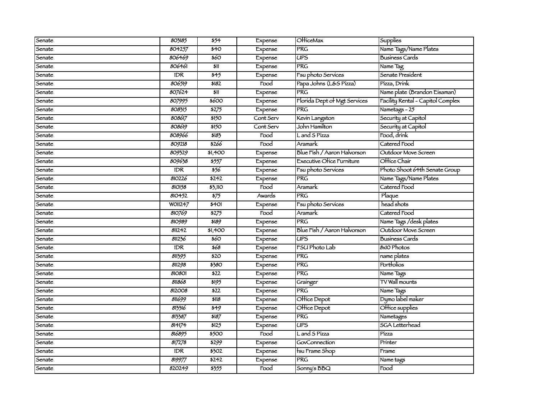| Senate | 803185         | \$54                      | Expense            | <b>OfficeMax</b>                 | Supplies                          |
|--------|----------------|---------------------------|--------------------|----------------------------------|-----------------------------------|
| Senate | 804257         | \$40                      | Expense            | PRG                              | Name Tags/Name Plates             |
| Senate | 806469         | \$60                      | Expense            | $\overline{UPS}$                 | <b>Business Cards</b>             |
| Senate | 806461         | \$11                      | Expense            | <b>PRG</b>                       | Name Tag                          |
| Senate | <b>IDR</b>     | $\overline{\frac{1}{2}}$  | Expense            | Fsu photo Services               | Senate President                  |
| Senate | 806519         | 5182                      | Food               | Papa Johns (L&S Pízza)           | Pízza, Drínk                      |
| Senate | 807624         | \$11                      | Expense            | PRG                              | Name plate (Brandon Eisaman)      |
| Senate | 807995         | \$600                     | Expense            | Florida Dept of Mgt Services     | Facility Rental - Capitol Complex |
| Senate | 808315         | \$275                     | Expense            | <b>PRG</b>                       | Nametags $-25$                    |
| Senate | 808617         | \$150                     | Cont Serv          | Kevin Langston                   | Security at Capitol               |
| Senate | 808619         | \$150                     | Cont Serv          | John Hamilton                    | Security at Capitol               |
| Senate | 808966         | 5183                      | Food               | L and S Pízza                    | Food, drink                       |
| Senate | 809218         | \$266                     | Food               | Aramark                          | Catered Food                      |
| Senate | 809329         | \$1,400                   | Expense            | Blue Fish / Aaron Halvorson      | Outdoor Move Screen               |
| Senate | 809638         | 5557                      | Expense            | <b>Executive Ofice Furniture</b> | Office Chair                      |
| Senate | <b>IDR</b>     | 556                       | Expense            | Fsu photo Services               | Photo Shoot 64th Senate Group     |
| Senate | 810226         | \$242                     | Expense            | PRG                              | Name Tags/Name Plates             |
| Senate | 810158         | 53,110                    | Food               | Aramark                          | Catered Food                      |
| Senate | 810452         | 575                       | Awards             | <b>PRG</b>                       | Plaque                            |
| Senate | <b>WOII247</b> | \$401                     | Expense            | Fsu photo Services               | head shots                        |
| Senate | 810769         | \$275                     | Food               | Aramark                          | Catered Food                      |
| Senate | 810989         | \$189                     | Expense            | <b>PRG</b>                       | Name Tags / desk plates           |
| Senate | 811242         | \$1,400                   | Expense            | Blue Fish / Aaron Halvorson      | Outdoor Move Screen               |
| Senate | 811236         | 560                       | Expense            | <b>UPS</b>                       | Busíness Cards                    |
| Senate | <b>IDR</b>     | \$68                      | Expense            | <b>FSU Photo Lab</b>             | 8x10 Photos                       |
| Senate | 811395         | \$20                      | Expense            | <b>PRG</b>                       | name plates                       |
| Senate | 8112.98        | \$380                     | Expense            | <b>PRG</b>                       | Portfolios                        |
| Senate | 810801         | \$22                      | Expense            | <b>PRG</b>                       | Name Tags                         |
| Senate | 811868         | 5195                      | Expense            | Grainger                         | <b>TV Wall mounts</b>             |
| Senate | 812008         | \$22                      | Expense            | PRG                              | Name Tags                         |
| Senate | 811699         | \$118                     | Expense            | Office Depot                     | Dymo label maker                  |
| Senate | 813316         | $\overline{\mathbf{549}}$ | Expense            | Office Depot                     | Office supplies                   |
| Senate | 813387         | 5187                      | Expense            | $\overline{\text{PRG}}$          | Nametages                         |
| Senate | 814174         | \$125                     | Expense            | UPS                              | <b>SGA</b> Letterhead             |
| Senate | 816895         | 5500                      | $\overline{F}$ ood | L and S Pizza                    | Pízza                             |
| Senate | 817278         | \$299                     | Expense            | GovConnection                    | Printer                           |
| Senate | IDR            | 5502                      | Expense            | tsu Frame Shop                   | Frame                             |
| Senate | 819977         | \$242                     | Expense            | <b>PRG</b>                       | Name tags                         |
| Senate | 820249         | \$355                     | Food               | Sonny's BBQ                      | Food                              |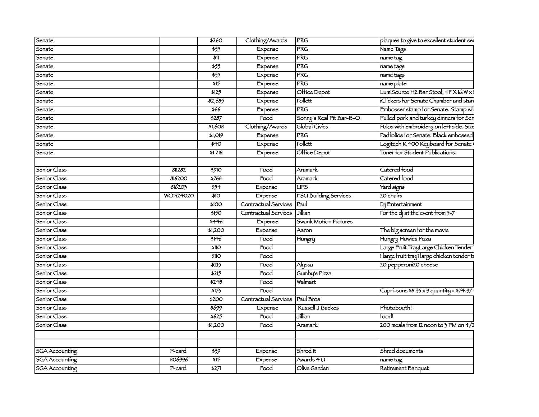| Senate                |           | 5260              | Clothing/Awards                  | <b>PRG</b>               | plaques to give to excellent student ser        |
|-----------------------|-----------|-------------------|----------------------------------|--------------------------|-------------------------------------------------|
| Senate                |           | 555               | Expense                          | <b>PRG</b>               | Name Tags                                       |
| Senate                |           | \$11              | Expense                          | <b>PRG</b>               | name tag                                        |
| Senate                |           | $\frac{1}{55}$    | Expense                          | <b>PRG</b>               | name tags                                       |
| Senate                |           | $\frac{1}{555}$   | Expense                          | <b>PRG</b>               | name tags                                       |
| Senate                |           | $\overline{315}$  | Expense                          | <b>PRG</b>               | name plate                                      |
| Senate                |           | 5125              | Expense                          | Office Depot             | LumiSource H2 Bar Stool, 41" X 16:W x 1         |
| Senate                |           | \$2,685           | Expense                          | Follett                  | iClickers for Senate Chamber and stan           |
| Senate                |           | \$66              | Expense                          | <b>PRG</b>               | Embosser stamp for Senate. Stamp wil            |
| Senate                |           | 5287              | $\overline{r}$ ood               | Sonny's Real Pit Bar-B-Q | Pulled pork and turkey dinners for Sen          |
| Senate                |           | 51,608            | Clothing/Awards                  | Global Civics            | Polos with embroidery on left side. Size        |
| Senate                |           | \$1,019           | Expense                          | <b>PRG</b>               | Padrolios for Senate. Black embossed            |
| Senate                |           | $\overline{540}$  | Expense                          | Follett                  | Logitech K 400 Keyboard for Senate              |
| Senate                |           | \$1,218           | Expense                          | Office Depot             | Toner for Student Publications.                 |
|                       |           |                   |                                  |                          |                                                 |
| Senior Class          | 811282    | 5910              | Food                             | Aramark                  | Catered food                                    |
| Senior Class          | 816200    | \$768             | Food                             | <b>Aramark</b>           | Catered food                                    |
| Senior Class          | 816203    | 554               | Expense                          | <b>UPS</b>               | Yard signs                                      |
| Senior Class          | WO1324020 | $\overline{310}$  | Expense                          | FSU Building Services    | 20 chairs                                       |
| Senior Class          |           | \$100             | Contractual Services             | Paul                     | Di Entertainment                                |
| Senior Class          |           | \$150             | Contractual Services             | Jillian                  | For the $d$ j at the event from $5-7$           |
| Senior Class          |           | 5446              | Expense                          | Swank Motion Pictures    |                                                 |
| Senior Class          |           | \$1,200           | Expense                          | Aaron                    | The big screen for the movie                    |
| Senior Class          |           | 5146              | Food                             | Hungry                   | Hungry Howies Pizza                             |
| Senior Class          |           | \$110             | Food                             |                          | Large Fruit TrayLarge Chicken Tender            |
| Senior Class          |           | \$110             | $\overline{r}$ ood               |                          | 1 large fruit tray! large chicken tender tr     |
| Senior Class          |           | 5215              | Food                             | Alyssa                   | 20 pepperoni20 cheese                           |
| Senior Class          |           | $\overline{3215}$ | $\overline{F}$ ood               | Gumby's Pízza            |                                                 |
| Senior Class          |           | 5248              | $\overline{r}$ ood               | Walmart                  |                                                 |
| Senior Class          |           | 5175              | $\overline{\mathrm{Food}}$       |                          | Capri-suns $$8.33 \times 9$ quantity = $$74.97$ |
| Senior Class          |           | \$200             | Contractual Services   Paul Bros |                          |                                                 |
| Senior Class          |           | 5699              | Expense                          | Russell J Backes         | Photobooth!                                     |
| Seníor Class          |           | 5625              | $\overline{F}$ ood               | Jillian                  | Food!                                           |
| Senior Class          |           | \$1,200           | Food                             | <b>Aramark</b>           | 200 meals from 12 noon to 3 PM on 4/2           |
|                       |           |                   |                                  |                          |                                                 |
|                       |           |                   |                                  |                          |                                                 |
| <b>SGA</b> Accounting | P-card    | 539               | Expense                          | Shred It                 | Shred documents                                 |
| <b>SGA</b> Accounting | 806996    | $\overline{315}$  | Expense                          | Awards $4U$              | name tag                                        |
| <b>SGA</b> Accounting | P-card    | 327               | $\overline{1000}$                | Olive Garden             | Retirement Banquet                              |
|                       |           |                   |                                  |                          |                                                 |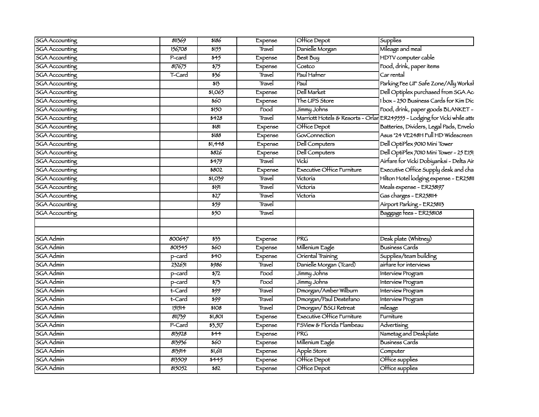| <b>SGA</b> Accounting | 811369           | \$186                       | Expense           | Office Depot                      | $5$ upplies                                                               |
|-----------------------|------------------|-----------------------------|-------------------|-----------------------------------|---------------------------------------------------------------------------|
| <b>SGA</b> Accounting | 156708           | 5155                        | Travel            | Danielle Morgan                   | Mileage and meal                                                          |
| <b>SGA</b> Accounting | P-card           | $\overline{\frac{1}{2}}$    | Expense           | <b>Best Buy</b>                   | HDTV computer cable                                                       |
| <b>SGA</b> Accounting | 817675           | $\frac{1}{575}$             | Expense           | Costco                            | Food, drink, paper items                                                  |
| <b>SGA</b> Accounting | T-Card           | 356                         | Travel            | Paul Hafner                       | Car rental                                                                |
| <b>SGA</b> Accounting |                  | \$13                        | Travel            | Faul                              | Parking Fee UF Safe Zone/Ally Worksl                                      |
| <b>SGA</b> Accounting |                  | 51,065                      | Expense           | Dell Market                       | Dell Optiplex purchased from SGA Ac                                       |
| <b>SGA</b> Accounting |                  | \$60                        | Expense           | The UPS Store                     | 1 box - 250 Business Cards for Kim Dic                                    |
| <b>SGA</b> Accounting |                  | \$150                       | Food              | Jimmy Johns                       | Food, drink, paper goods BLANKET -                                        |
| <b>SGA</b> Accounting |                  | \$428                       | Travel            |                                   | Marriott Hotels & Resorts - Orlar ER249555 - Lodging for Vicki while atte |
| <b>SGA</b> Accounting |                  | 5181                        | Expense           | Office Depot                      | Batteries, Dividers, Legal Pads, Envelo                                   |
| <b>SGA</b> Accounting |                  | \$188                       | Expense           | GovConnection                     | Asus "24 VE248H Full HD Widescreen                                        |
| <b>SGA</b> Accounting |                  | \$1,448                     | Expense           | <b>Dell Computers</b>             | Dell OptíPlex 9010 Míní Tower                                             |
| <b>SGA</b> Accounting |                  | \$826                       | Expense           | <b>Dell Computers</b>             | Dell OptíPlex 7010 Míní Tower - 25 E151                                   |
| <b>SGA</b> Accounting |                  | 5479                        | Travel            | Vicki                             | Airfare for Vicki Dobiyanksi - Delta Air                                  |
| <b>SGA</b> Accounting |                  | \$802                       | Expense           | Executive Office Furniture        | Executive Office Supply desk and cha                                      |
| <b>SGA</b> Accounting |                  | 51,039                      | Travel            | Victoria                          | Hilton Hotel lodging expense - ER25811                                    |
| <b>SGA</b> Accounting |                  | \$191                       | Travel            | Victoria                          | Meals expense - ER258197                                                  |
| <b>SGA</b> Accounting |                  | 527                         | Travel            | Victoria                          | Gas charges - ER258114                                                    |
| <b>SGA</b> Accounting |                  | 559                         | Travel            |                                   | Airport Parking - ER258113                                                |
| <b>SGA</b> Accounting |                  | 550                         | Travel            |                                   | Baggage fees - ER258108                                                   |
| <b>SGA Admin</b>      |                  |                             |                   | <b>PRG</b>                        | Desk plate (Whitney)                                                      |
| <b>SGA Admin</b>      | 800647<br>801545 | 333<br>560                  | Expense           | Millenium Eagle                   | <b>Business Cards</b>                                                     |
| <b>SGA</b> Admin      |                  |                             | Expense           | Oriental Training                 | Supplies/team building                                                    |
| <b>SGA Admin</b>      | p-card<br>232651 | \$40<br>\$986               | Expense<br>Travel | Danielle Morgan (Tcard)           | airfare for interviews                                                    |
| SGA Admin             |                  | $\frac{1}{2}$               | Food              | Jimmy Johns                       |                                                                           |
| <b>SGA Admin</b>      | p-card           | $\overline{\frac{575}{}}$   | Food              | Jimmy Johns                       | Interview Program                                                         |
| <b>SGA Admin</b>      | p-card<br>t-Card |                             | Travel            | Dmorgan/Amber Wilburn             | Interview Program<br>Interview Program                                    |
| <b>SGA Admin</b>      | t-Card           | 599<br>$\frac{1}{599}$      | Travel            | Dmorgan/Paul Desterano            | Interview Program                                                         |
| <b>SGA Admin</b>      | 151514           | \$108                       | Travel            | Dmorgan/BSU Retreat               |                                                                           |
| <b>SGA Admin</b>      | 811739           | 51,801                      |                   | <b>Executive Office Furniture</b> | mileage<br>Furniture                                                      |
| <b>SGA Admin</b>      | P-Card           | 35,517                      | Expense           | FSView & Florida Flambeau         | Advertising                                                               |
| <b>SGA Admin</b>      |                  | $\overline{\overline{544}}$ | Expense           | <b>PRG</b>                        |                                                                           |
| <b>SGA Admin</b>      | 813928           | \$60                        | Expense           |                                   | Nametag and Deskplate                                                     |
| <b>SGA Admin</b>      | 813936           |                             | Expense           | Millenium Eagle                   | <b>Business Cards</b>                                                     |
|                       | 813914           | 51,611                      | Expense           | Apple Store                       | Computer                                                                  |
| <b>SGA Admin</b>      | 813509           | \$445                       | Expense           | Office Depot                      | Office supplies                                                           |
| <b>SGA Admin</b>      | 815052           | \$82                        | Expense           | Office Depot                      | Office supplies                                                           |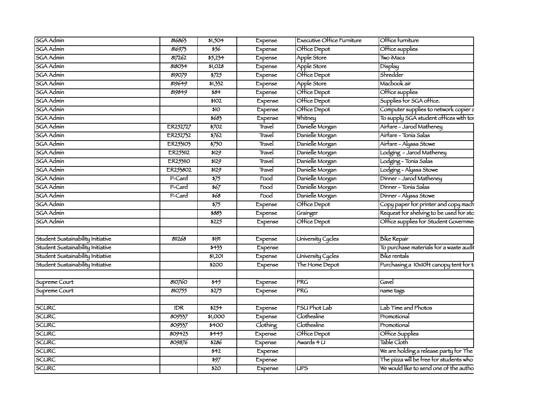| <b>SGA Admin</b>                  | 816863   | \$1,504         | Expense  | Executive Office Furniture | Office furniture                                    |
|-----------------------------------|----------|-----------------|----------|----------------------------|-----------------------------------------------------|
| <b>SGA Admin</b>                  | 816975   | 556             | Expense  | Office Depot               | Office supplies                                     |
| <b>SGA Admin</b>                  | 817262   | 55,234          | Expense  | Apple Store                | Two iMacs                                           |
| SGA Admin                         | 818034   | \$1,028         | Expense  | Apple Store                | Display                                             |
| SGA Admin                         | 819079   | 5725            | Expense  | Office Depot               | Shredder                                            |
| <b>SGA Admin</b>                  | 819649   | 51,332          | Expense  | Apple Store                | Macbook air                                         |
| <b>SGA Admin</b>                  | 819849   | 584             | Expense  | Office Depot               | Office supplies                                     |
| <b>SGA Admin</b>                  |          | \$102           | Expense  | Office Depot               | Supplies for SGA office.                            |
| <b>SGA Admin</b>                  |          | \$10            | Expense  | Office Depot               | Computer supplies to network copier a               |
| <b>SGA Admin</b>                  |          | 5683            | Expense  | Whitney                    | To supply SGA student offices with tor              |
| <b>SGA Admin</b>                  | ER252727 | 5702            | Travel   | Danielle Morgan            | Airfare - Jarod Matheney                            |
| <b>SGA Admin</b>                  | ER252732 | 5762            | Travel   | Danielle Morgan            | Airfare - Tonia Salas                               |
| <b>SGA Admin</b>                  | ER253103 | 5750            | Travel   | Danielle Morgan            | Airfare - Alyssa Stowe                              |
| <b>SGA Admin</b>                  | ER253112 | 5129            | Travel   | Danielle Morgan            | Lodging - Jarod Matheney                            |
| <b>SGA Admin</b>                  | ER253110 | 5129            | Travel   | Danielle Morgan            | Lodging - Tonia Salas                               |
| <b>SGA Admin</b>                  | ER253802 | 5129            | Travel   | Danielle Morgan            | Lodging - Alyssa Stowe                              |
| <b>SGA Admin</b>                  | P-Card   | $\frac{1}{575}$ | Food     | Danielle Morgan            | Dinner - Jarod Matheney                             |
| <b>SGA Admin</b>                  | P-Card   | 567             | Food     | Danielle Morgan            | Dinner - Tonia Salas                                |
| <b>SGA Admin</b>                  | P-Card   | 568             | Food     | Danielle Morgan            | Dinner - Alyssa Stowe                               |
| <b>SGA Admin</b>                  |          | $\frac{1}{575}$ | Expense  | Office Depot               | Copy paper for printer and copy mach                |
| <b>SGA Admin</b>                  |          | \$883           | Expense  | Grainger                   | Request for shelving to be used for sto             |
| <b>SGA</b> Admin                  |          | \$225           | Expense  | Office Depot               | Office supplies for Student Governmer               |
|                                   |          |                 |          |                            |                                                     |
| Student Sustainability Initiative | 811268   | 5191            | Expense  | <b>University Cycles</b>   | <b>Bike Repair</b>                                  |
| Student Sustainability Initiative |          | $\frac{1}{1}$   | Expense  |                            | To purchase materials for a waste audi              |
| Student Sustainability Initiative |          | 51,201          | Expense  | <b>University Cycles</b>   | Bike rentals                                        |
| Student Sustainability Initiative |          | \$200           | Expense  | The Home Depot             | Purchasing a 10x10 <sup>t</sup> t canopy tent for t |
|                                   |          |                 |          |                            |                                                     |
| Supreme Court                     | 810760   | 545             | Expense  | <b>PRG</b>                 | Gavel                                               |
| Supreme Court                     | 810755   | 5275            | Expense  | <b>PRG</b>                 | name tags                                           |
|                                   |          |                 |          |                            |                                                     |
| <b>SCURC</b>                      | IDR.     | 5254            | Expense  | <b>FSU Phot Lab</b>        | Lab Time and Photos                                 |
| <b>SCURC</b>                      | 809337   | 51,000          | Expense  | Clothesline                | Promotional                                         |
| <b>SCURC</b>                      | 809337   | $\frac{1}{100}$ | Clothing | Clothesline                | Promotional                                         |
| <b>SCURC</b>                      | 809423   | $\frac{1}{1}$   | Expense  | Office Depot               | Office Supplies                                     |
| <b>SCURC</b>                      | 809876   | \$286           | Expense  | Awards 4 U                 | Table Cloth                                         |
| <b>SCURC</b>                      |          | 542             | Expense  |                            | We are holding a release party for The              |
| <b>SCURC</b>                      |          | \$97            | Expense  |                            | The pizza will be free for students who             |
| <b>SCURC</b>                      |          | \$20            | Expense  | <b>UPS</b>                 | We would like to send one of the autho              |
|                                   |          |                 |          |                            |                                                     |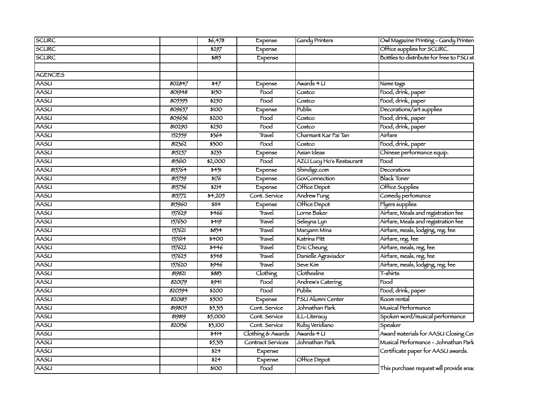| SCURC           |        | 56,478                      | Expense             | Gandy Printers           | Owl Magazine Printing - Gandy Printen    |
|-----------------|--------|-----------------------------|---------------------|--------------------------|------------------------------------------|
| <b>SCURC</b>    |        | 5297                        | Expense             |                          | Office supplies for SCURC.               |
| <b>SCURC</b>    |        | \$815                       | Expense             |                          | Bottles to distribute for free to FSU st |
|                 |        |                             |                     |                          |                                          |
| <b>AGENCIES</b> |        |                             |                     |                          |                                          |
| AASU            | 802847 | 547                         | Expense             | Awards 4 U               | Name tags                                |
| <b>AASU</b>     | 801948 | \$150                       | Food                | Costco                   | Food, drink, paper                       |
| <b>AASU</b>     | 805593 | $\overline{\$250}$          | $\overline{F}$ ood  | Costco                   | Food, drink, paper                       |
| <b>AASU</b>     | 809657 | $\frac{1}{100}$             | Expense             | Publix                   | Decorations/art supplies                 |
| <b>AASU</b>     | 809656 | 5200                        | $\overline{1}$      | Costco                   | Food, drink, paper                       |
| <b>AASU</b>     | 810290 | $\overline{\frac{1}{2250}}$ | $\overline{1}$      | Costco                   | Food, drink, paper                       |
| <b>AASU</b>     | 152559 | 5364                        | Travel              | Charmant Kar Faí Tan     | Airfare                                  |
| <b>AASU</b>     | 812362 | \$300                       | Food                | Costco                   | Food, drink, paper                       |
| <b>AASU</b>     | 815257 | 5233                        | Expense             | Asian Ideas              | Chinese performance equip.               |
| <b>AASU</b>     | 815610 | \$2,000                     | $\overline{1000}$   | AZU Lucy Ho's Restaurant | $\overline{\text{Food}}$                 |
| <b>AASU</b>     | 815764 | 5431                        | Expense             | Shindigz.com             | Decorations                              |
| <b>AASU</b>     | 815759 | \$176                       | Expense             | GovConnection            | <b>Black Toner</b>                       |
| <b>AASU</b>     | 815756 | $\overline{3214}$           | Expense             | Office Depot             | Office Supplies                          |
| <b>AASU</b>     | 815772 | 54,205                      | Cont. Service       | Andrew Fung              | Comedy perfomance                        |
| <b>AASU</b>     | 815960 | 5114                        | Expense             | Office Depot             | Flyers supplies                          |
| <b>AASU</b>     | 157629 | \$466                       | Travel              | Lorne Baker              | Airfare, Meals and registration ree      |
| <b>AASU</b>     | 157630 | 5419                        | Travel              | Seleyna Lyn              | Airfare, Meals and registration ree      |
| <b>AASU</b>     | 157621 | $583 +$                     | Travel              | Maryann Mina             | Airtare, meals, lodging, reg. fee        |
| <b>AASU</b>     | 157614 | $\frac{1}{100}$             | Travel              | Katrina Pitt             | Airtare, reg. fee                        |
| <b>AASU</b>     | 157622 | 5446                        | Travel              | Eric Cheung              | Airfare, meals, reg. fee                 |
| <b>AASU</b>     | 157625 | 5548                        | Travel              | Danielle Agraviador      | Airfare, meals, reg. fee                 |
| <b>AASU</b>     | 157620 | 5946                        | Travel              | Seve Kim                 | Airfare, meals, lodging, reg. fee        |
| <b>AASU</b>     | 819821 | \$883                       | <b>Clothing</b>     | Clothesline              | T-shirts                                 |
| <b>AASU</b>     | 820179 | 5941                        | $\overline{1}$ food | Andrew's Catering        | $\overline{F}$ ood                       |
| <b>AASU</b>     | 820594 | \$200                       | $\overline{1000}$   | Publix                   | Food, drink, paper                       |
| <b>AASU</b>     | 820185 | \$500                       | Expense             | FSU Alumni Center        | Room rental                              |
| <b>AASU</b>     | 819805 | 55,315                      | Cont. Service       | Johnathan Park           | Musical Performance                      |
| <b>AASU</b>     | 819819 | \$5,000                     | Cont. Service       | iLL-Literacy             | Spoken word/musical performance          |
| <b>AASU</b>     | 820136 | 53,100                      | Cont. Service       | Ruby Veridiano           | Speaker                                  |
| <b>AASU</b>     |        | 5414                        | Clothing & Awards   | Awards 4 U               | Award materials for AASU Closing Cer     |
| <b>AASU</b>     |        | 55,315                      | Contract Services   | Johnathan Park           | Musical Performance - Johnathan Park     |
| <b>AASU</b>     |        | \$24                        | Expense             |                          | Certificate paper for AASU awards.       |
| <b>AASU</b>     |        | 524                         | Expense             | Office Depot             |                                          |
| <b>AASU</b>     |        | \$100                       | $\overline{1000}$   |                          | This purchase request will provide snac  |
|                 |        |                             |                     |                          |                                          |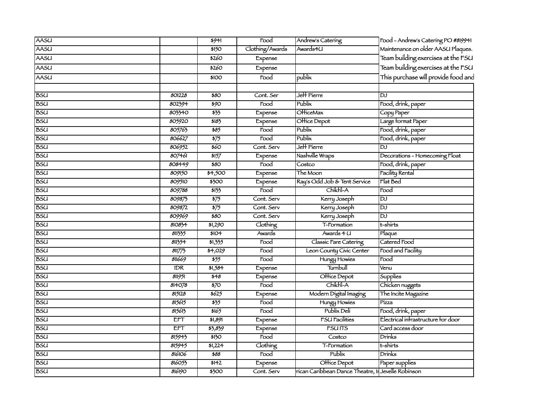| Food - Andrew's Catering PO #819941<br>AASU<br>Andrew's Catering<br>5941<br>$\overline{1}$                         |  |
|--------------------------------------------------------------------------------------------------------------------|--|
| Maintenance on older AASU Plaques.<br>AASU<br>Clothing/Awards<br>Awards4U<br>\$150                                 |  |
| Team building exercises at the FSU<br>AASU<br>\$260<br>Expense                                                     |  |
| Team building exercises at the FSU<br><b>AASU</b><br>\$260<br>Expense                                              |  |
| This purchase will provide food and<br>publix<br>AASU<br>Food<br>\$100                                             |  |
|                                                                                                                    |  |
| <b>BSU</b><br>Jeff Pierre<br>801228<br>$\overline{$80}$<br>וסן<br>Cont. Ser                                        |  |
| Publix<br><b>BSU</b><br>Food, drink, paper<br>802394<br>\$90<br>Food                                               |  |
| <b>BSU</b><br>$\frac{1}{55}$<br><b>OHiceMax</b><br>803340<br>Copy Paper<br>Expense                                 |  |
| <b>BSU</b><br>805920<br>5183<br>Office Depot<br>Large format Paper<br>Expense                                      |  |
| <b>BSU</b><br>Publix<br>Food, drink, paper<br>805763<br>585<br>Food                                                |  |
| Publix<br>Food, drink, paper<br><b>BSU</b><br>806627<br>$\frac{1}{575}$<br>$\overline{r}$ ood                      |  |
| Jeff Pierre<br>806952<br>\$60<br><b>BSU</b><br>Cont. Serv<br><b>DJ</b>                                             |  |
| <b>BSU</b><br>807461<br>3157<br>Nashville Wraps<br>Decorations - Homecoming Float<br>Expense                       |  |
| Food, drink, paper<br>$\overline{$}80$<br><b>BSU</b><br>808449<br>Food<br>Costco                                   |  |
| <b>BSU</b><br>The Moon<br><b>Facility Rental</b><br>809150<br>\$4,500<br>Expense                                   |  |
| Flat Bed<br><b>BSU</b><br>\$300<br>Ray's Odd Job & Tent Service<br>809510<br>Expense                               |  |
| Chikfil-A<br><b>BSU</b><br>809788<br>5133<br>Food<br>Food                                                          |  |
| <b>BSU</b><br>$\frac{1}{575}$<br>עסן<br>809875<br>Kerry Joseph<br>Cont. Serv                                       |  |
| <b>BSU</b><br>$\frac{1}{575}$<br>809872<br>Cont. Serv<br>Kerry Joseph<br>$\overline{D}$                            |  |
| <b>BSU</b><br>$\overline{\mathtt{D}^{\text{\tiny J}}}$<br>809969<br>$\overline{$80}$<br>Kerry Joseph<br>Cont. Serv |  |
| <b>BSU</b><br>51,290<br>Clothing<br>t-shirts<br>810834<br>T-Formation                                              |  |
| <b>BSU</b><br>811335<br>\$104<br>Awards 4 U<br><b>Awards</b><br>Plaque                                             |  |
| <b>BSU</b><br>Catered Food<br>811354<br>51,335<br>Food<br>Classic Fare Catering                                    |  |
| <b>BSU</b><br>$\frac{1}{1}$ ,029<br>Leon County Civic Center<br>Food and Facility<br>811775<br>Food                |  |
| 811669<br>$\frac{1}{555}$<br><b>BSU</b><br>$\overline{Food}$<br>Hungy Howies<br>$\overline{Food}$                  |  |
| Turnbull<br><b>BSU</b><br>IDR<br>\$1,584<br>Expense<br>Venu                                                        |  |
| <b>BSU</b><br>Office Depot<br>548<br>Supplies<br>811951<br>Expense                                                 |  |
| Chikfil-A<br><b>BSU</b><br>$\overline{570}$<br>Chicken nuggets<br>814078<br>$\overline{1000}$                      |  |
| Modern Digital Imaging<br><b>BSU</b><br>5625<br>The Incite Magazine<br>815128<br>Expense                           |  |
| $\frac{1}{55}$<br><b>BSU</b><br>815615<br>Hungy Howies<br>Pízza<br>Food                                            |  |
| Publix Deli<br>Food, drink, paper<br>5165<br><b>BSU</b><br>815613<br>Food                                          |  |
| Electrical infrastructure for door<br><b>FSU Facilities</b><br><b>BSU</b><br><b>EFT</b><br>\$1,891<br>Expense      |  |
| Card access door<br><b>BSU</b><br>\$3,839<br><b>FSUITS</b><br>ETT<br>Expense                                       |  |
| <b>BSU</b><br>$\overline{\frac{150}{20}}$<br>Drinks<br>815943<br>$\overline{1000}$<br>Costco                       |  |
| <b>BSU</b><br>815945<br>51,224<br>Clothing<br>t-shirts<br>T-Formation                                              |  |
| Publix<br><b>BSU</b><br>816106<br>588<br>$\overline{\text{Food}}$<br>Drínks                                        |  |
| <b>BSU</b><br>Office Depot<br>816053<br>\$142<br>Paper supplies<br>Expense                                         |  |
| rican Caribbean Dance Theatre, In Jevelle Robinson<br><b>BSU</b><br>816190<br>\$300<br>Cont. Serv                  |  |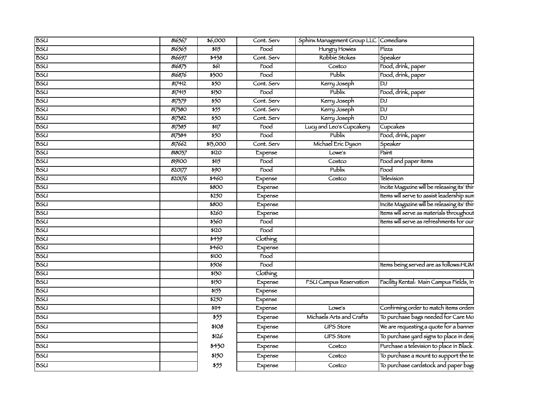| 816567 | \$6,000                        | Cont. Serv               |                    | Sphinx Management Group LLC Comedians |                                                                                    |
|--------|--------------------------------|--------------------------|--------------------|---------------------------------------|------------------------------------------------------------------------------------|
| 816565 | \$115                          |                          | Food               | <b>Hungry Howies</b>                  | Mzza                                                                               |
| 816697 | 5438                           | Cont. Serv               |                    | Robbie Stokes                         | $\frac{1}{\sqrt{2}}$                                                               |
| 816875 |                                | $\overline{\text{Food}}$ |                    | Costco                                | Food, drink, paper                                                                 |
| 816876 | $\frac{1}{500}$                | $\overline{Food}$        |                    | Publix                                | Food, drink, paper                                                                 |
| 817412 |                                | Cont. Serv               |                    | Kerry Joseph                          |                                                                                    |
| 817415 | \$130                          | Food                     |                    | $\frac{1}{2}$ Publix                  | Food, drink, paper                                                                 |
| 817579 |                                | Cont. Serv               |                    | Kerry Joseph                          |                                                                                    |
| 817380 |                                | Cont. Serv               |                    | $\frac{6}{\text{Kerry Joseph}}$       |                                                                                    |
| 817382 | $\overline{\frac{$50}$         | Cont. Serv               |                    | Kerry Joseph                          |                                                                                    |
| 817385 | $\overline{\hspace{1.5cm}117}$ | $\overline{food}$        |                    |                                       |                                                                                    |
| 817384 | $\overline{\frac{1}{50}}$      | $\overline{$ Food        |                    | Publix <sup>1</sup>                   | Cupcakes<br>Food, drink, paper<br>Speaker                                          |
| 817662 | \$13,000                       | Cont. Serv               |                    | Michael Eric Dyson                    |                                                                                    |
| 818037 | $\overline{\$120}$             | Expense                  |                    | Lowe's                                | Paint                                                                              |
| 819100 | $\frac{1}{15}$                 | $\frac{1}{100}$          |                    | $\overline{\text{Costco}}$            | Food and paper items                                                               |
| 820177 | $\overline{\ast 90}$           |                          | $\overline{Food}$  | <b>Publix</b>                         |                                                                                    |
| 820176 | \$460                          | Expense                  |                    | Costco                                | Television                                                                         |
|        | $\overline{$800}$              |                          | Expense            |                                       | Incite Magazine will be releasing its' thin                                        |
|        | $\overline{\$250}$             |                          | Expense            |                                       | Items will serve to assist leadership sum                                          |
|        | \$800                          |                          | Expense            |                                       | Incite Magazine will be releasing its' thin                                        |
|        | $\frac{1}{260}$                |                          | Expense            |                                       | Items will serve as materials throughout                                           |
|        | $\frac{1}{5560}$               | Food                     |                    |                                       | Items will serve as refreshments for our                                           |
|        | $\overline{\text{ }120}$       |                          | $\overline{F}$ ood |                                       |                                                                                    |
|        | $\frac{1}{1}$                  | Clothing                 |                    |                                       |                                                                                    |
|        | $\frac{1}{1}$                  |                          | Expense            |                                       |                                                                                    |
|        | \$100                          | $\overline{$ Food        |                    |                                       |                                                                                    |
|        | \$506                          | Food                     |                    |                                       | Items being served are as follows: HUM                                             |
|        | $\frac{1}{150}$                | Clothing                 |                    |                                       |                                                                                    |
|        | $\frac{1}{150}$                |                          | Expense            |                                       | FSU Campus Reservation Facility Rental: Main Campus Fields, In                     |
|        | $\frac{1}{155}$                | Expense                  |                    |                                       |                                                                                    |
|        | $\overline{\$250}$             | Expense                  |                    |                                       |                                                                                    |
|        | \$114                          | Expense                  |                    | Lowe's                                | Confirming order to match items order                                              |
|        |                                |                          | Expense            | Michaels Arts and Crafts              | To purchase bags needed for Care Mo                                                |
|        | \$108                          |                          | Expense            | <b>UPS Store</b>                      | We are requesting a quote for a banner                                             |
|        | \$126                          |                          | Expense            | <b>UPS Store</b>                      |                                                                                    |
|        |                                |                          |                    |                                       | To purchase yard signs to place in desi<br>Purchase a television to place in Black |
|        | \$430                          | Expense                  |                    | Costco                                |                                                                                    |
|        | \$150                          |                          | Expense            | Costco                                | To purchase a mount to support the te                                              |
|        | \$55                           |                          | Expense            | Costco                                | To purchase cardstock and paper bags                                               |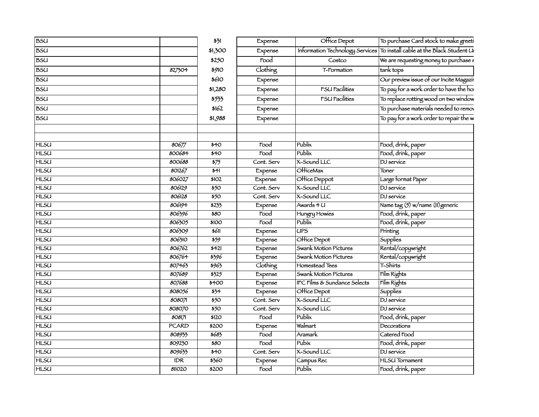| <b>B</b> SU |                  | 531                        | Expense            | Office Depot                            | To purchase Card stock to make greeti                                    |
|-------------|------------------|----------------------------|--------------------|-----------------------------------------|--------------------------------------------------------------------------|
| <b>BSU</b>  |                  | \$1,300                    | Expense            |                                         | Information Technology Services To install cable at the Black Student Un |
| <b>BSU</b>  |                  | \$250                      | Food               | Costco                                  | We are requesting money to purchase s                                    |
| <b>BSU</b>  | 827304           | \$910                      | Clothing           | T-Formation                             | tank tops                                                                |
| <b>BSU</b>  |                  | \$610                      | Expense            |                                         | Our preview issue of our Incite Magazir                                  |
| <b>BSU</b>  |                  | \$1,280                    | Expense            | <b>FSU Facilities</b>                   | To pay for a work order to have the ho                                   |
| <b>BSU</b>  |                  | \$533                      | Expense            | <b>FSU Facilities</b>                   | To replace rotting wood on two window                                    |
| <b>BSU</b>  |                  | \$162                      | Expense            |                                         | To purchase materials needed to remov                                    |
| <b>BSU</b>  |                  | \$1,988                    | Expense            |                                         | To pay for a work order to repair the w                                  |
|             |                  |                            |                    |                                         |                                                                          |
|             |                  |                            |                    |                                         |                                                                          |
| <b>HLSU</b> | 80677            | $\overline{40}$            | Food               | Publix                                  | Food, drink, paper                                                       |
| <b>HLSU</b> | 800684           | $\overline{40}$            | Food               | Publix                                  | Food, drink, paper                                                       |
| <b>HLSU</b> | 800688           | $\frac{1}{575}$            | Cont. Serv         | X-Sound LLC                             | DJ service                                                               |
| <b>HLSU</b> | 801267           | $\overline{341}$           | Expense            | <b>O</b> HiceMax                        | Toner                                                                    |
| <b>HLSU</b> | 806027           | \$102                      | Expense            | Office Deppot                           | Large format Paper                                                       |
| <b>HLSU</b> | 806129           | $\overline{\frac{1}{50}}$  | Cont. Serv         | X-Sound LLC                             | DJ service                                                               |
| <b>HLSU</b> | 806128           | $\overline{\frac{1}{50}}$  | Cont. Serv         | X-Sound LLC                             | DJ service                                                               |
| <b>HLSU</b> | 806194           | 5233                       | Expense            | Awards 4 U                              | Name tag (5) w/name (11) generic                                         |
| <b>HLSU</b> | 806396           | $\overline{\$80}$          | Food               | Hungry Howies                           | Food, drink, paper                                                       |
| <b>HLSU</b> | 806305           | \$100                      | Food               | Publix                                  | Food, drink, paper                                                       |
| <b>HLSU</b> | 806309           | $\overline{\frac{1}{60}}$  | Expense            | <b>UPS</b>                              | Printing                                                                 |
| <b>HLSU</b> | 806310           | $\frac{1}{559}$            | Expense            | Office Depot                            | Supplies                                                                 |
| <b>HLSU</b> | 806762           | $\overline{5421}$          | Expense            | Swank Motion Pictures                   | Rental/copywright                                                        |
| <b>HLSU</b> | 806764           | 5396                       | Expense            | Swank Motion Pictures                   | Rental/copywright                                                        |
| <b>HLSU</b> | 807463           | 5963                       | Clothing           | Homestead Tees                          | T-Shirts                                                                 |
| <b>HLSU</b> | 807689           | 3325                       | Expense            | Swank Motion Pictures                   | Film Rights                                                              |
| <b>HLSU</b> | 807688           | $\overline{\ast 400}$      | Expense            | <b>IFC Films &amp; Sundance Selects</b> | Film Rights                                                              |
| <b>HLSU</b> | 808056           | $\frac{1}{5}$              | Expense            | Office Depot                            | <b>Supplies</b>                                                          |
| <b>HLSU</b> | 808071           | $\overline{\frac{1}{250}}$ | Cont. Serv         | X-Sound LLC                             | DJ service                                                               |
| <b>HLSU</b> | 808070           | $\overline{550}$           | Cont. Serv         | X-Sound LLC                             | DJ service                                                               |
| <b>HLSU</b> | 808171           | \$120                      | $\overline{1000}$  | Publix                                  | Food, drink, paper                                                       |
| <b>HLSU</b> | <b>PCARD</b>     | 5200                       | Expense            | Walmart                                 | Decorations                                                              |
| <b>HLSU</b> | 808933           | 5683                       | $\overline{food}$  | Aramark                                 | Catered Food                                                             |
| <b>HLSU</b> | 809230           | \$80                       | Food               | Pubix                                   | Food, drink, paper                                                       |
| <b>HLSU</b> | 809633           | \$40                       | Cont. Serv         | X-Sound LLC                             | DJ service                                                               |
| <b>HLSU</b> | $\overline{IDR}$ | 5560                       | Expense            | Campus Rec                              | <b>HLSU</b> Tornament                                                    |
| <b>HLSU</b> | 811020           | 5200                       | $\overline{F}$ ood | Publix                                  | Food, drink, paper                                                       |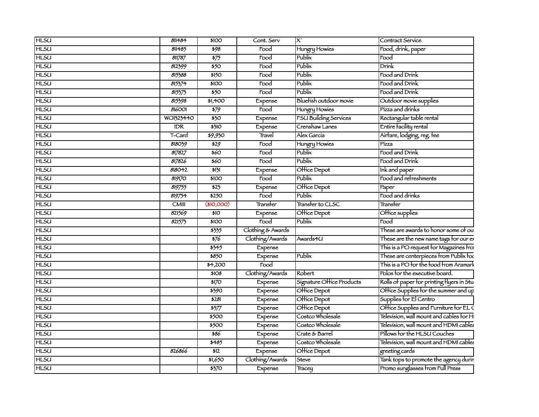| <b>HLSU</b> | 811484       | \$100                       | Cont. Serv        | lx                           | Contract Service                          |
|-------------|--------------|-----------------------------|-------------------|------------------------------|-------------------------------------------|
| <b>HLSU</b> | 811485       | \$98                        | Food              | Hungry Howies                | Food, drink, paper                        |
| <b>HLSU</b> | 811787       | $\frac{1}{575}$             | Food              | Publix                       | Food                                      |
| <b>HLSU</b> | 812399       | $\overline{\frac{1}{250}}$  | Food              | Publix                       | $\overline{\text{Drínk}}$                 |
| <b>HLSU</b> | 815388       | \$150                       | Food              | Pubix                        | Food and Drink                            |
| <b>HLSU</b> | 815374       | \$100                       | Food              | Publix                       | Food and Drink                            |
| <b>HLSU</b> | 815373       | \$50                        | Food              | Publix                       | Food and Drink                            |
| <b>HLSU</b> | 815398       | \$1,400                     | Expense           | Bluefish outdoor movie       | Outdoor movie supplies                    |
| <b>HLSU</b> | 816001       | $\frac{1}{579}$             | Food              | Hungry Howies                | Pízza and drínks                          |
| <b>HLSU</b> | WO1323440    | $\overline{350}$            | Expense           | <b>FSU Building Services</b> | Rectangular table rental                  |
| <b>HLSU</b> | IDR          | $\frac{1}{5}$               | Expense           | Crenshaw Lanes               | Entire facility rental                    |
| <b>HLSU</b> | T-Card       | \$9,930                     | Travel            | Alex García                  | Airfare, lodging, reg. fee                |
| <b>HLSU</b> | 818039       | 529                         | Food              | Hungry Howies                | Pízza                                     |
| <b>HLSU</b> | 817827       | $\overline{\frac{1}{60}}$   | Food              | Publix                       | Food and Drink                            |
| <b>HLSU</b> | 817826       | $\overline{\frac{60}{250}}$ | Food              | Publix                       | Food and Drink                            |
| <b>HLSU</b> | 818042       | 5131                        | Expense           | Office Depot                 | Ink and paper                             |
| <b>HLSU</b> | 819170       | \$100                       | Food              | Publix                       | Food and refreshments                     |
| <b>HLSU</b> | 819755       | \$25                        | Expense           | Office Depot                 | Paper                                     |
| <b>HLSU</b> | 819754       | \$250                       | Food              | Publix                       | Food and drinks                           |
| <b>HLSU</b> | <b>CMIII</b> | (\$10,000)                  | Transter          | Transfer to CLSC             | Transter                                  |
| <b>HLSU</b> | 821569       | \$10                        | Expense           | Office Depot                 | Office supplies                           |
| <b>HLSU</b> | 821575       | \$100                       | Food              | Publix                       | $ \bar{r}_{ood} $                         |
| <b>HLSU</b> |              | 5355                        | Clothing & Awards |                              | These are awards to honor some of ou      |
| <b>HLSU</b> |              | 576                         | Clothing/Awards   | Awards4U                     | These are the new name tags for our ex    |
| <b>HLSU</b> |              | 5345                        | Expense           |                              | This is a PO request for Magazines from   |
| <b>HLSU</b> |              | \$850                       | Expense           | Publix                       | These are centerpieces from Publix for    |
| <b>HLSU</b> |              | \$4,200                     | Food              |                              | This is a PO for the food from Aramark    |
| <b>HLSU</b> |              | \$108                       | Clothing/Awards   | Robert                       | Polos for the executive board.            |
| <b>HLSU</b> |              | 5170                        | Expense           | Signature Office Products    | Rolls of paper for printing flyers in Stu |
| <b>HLSU</b> |              | \$390                       | Expense           | Office Depot                 | Office Supplies for the summer and up     |
| <b>HLSU</b> |              | \$281                       | Expense           | Office Depot                 | Supplies for El Centro                    |
| <b>HLSU</b> |              | $\frac{1}{577}$             | Expense           | Office Depot                 | Office Supplies and Furniture for ELC     |
| <b>HLSU</b> |              | \$500                       | Expense           | Costco Wholesale             | Television, wall mount and cables for HI  |
| <b>HLSU</b> |              | \$500                       | Expense           | Costco Wholesale             | Television, wall mount and HDMI cables    |
| <b>HLSU</b> |              | \$86                        | Expense           | Crate & Barrel               | Pillows for the HLSU Couches              |
| <b>HLSU</b> |              | 5485                        | Expense           | Costco Wholesale             | Television, wall mount and HDMI cables    |
| <b>HLSU</b> | 826866       | 512                         | Expense           | Office Depot                 | greeting cards                            |
| <b>HLSU</b> |              | $\frac{1}{51,650}$          | Clothing/Awards   | Steve                        | Tank tops to promote the agency durin     |
| <b>HLSU</b> |              | 3370                        | Expense           | Tracey                       | Promo sunglasses from Full Press          |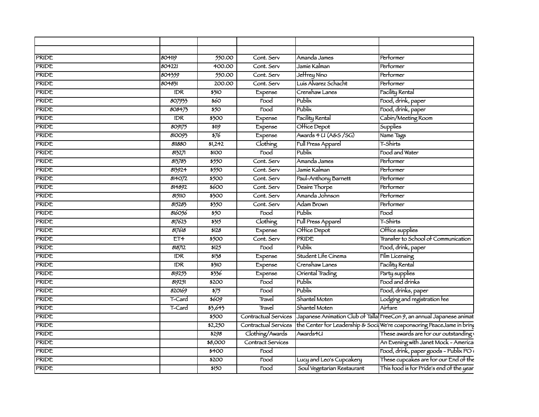| PRIDE        | 80419            | 550.00                     | Cont. Serv                 | Amanda James               | Performer                                                                                   |
|--------------|------------------|----------------------------|----------------------------|----------------------------|---------------------------------------------------------------------------------------------|
| PRIDE        | 804221           | 400.00                     | Cont. Serv                 | Jamie Kalman               | Performer                                                                                   |
| PRIDE        | 804359           | 550.00                     | Cont. Serv                 | Jeffrey Níno               | Performer                                                                                   |
| PRIDE        | 804831           | 200.00                     | Cont. Serv                 | Luís Alvarez Schacht       | Performer                                                                                   |
| <b>PRIDE</b> | IDR              | \$310                      | Expense                    | Crenshaw Lanes             | <b>Facility Rental</b>                                                                      |
| PRIDE        | 807933           | \$60                       | $\overline{\mathrm{Food}}$ | Publix                     | Food, drink, paper                                                                          |
| <b>PRIDE</b> | 808473           | \$50                       | Food                       | ublix                      | Food, drink, paper                                                                          |
| PRIDE        | $\overline{IDR}$ | \$300                      | Expense                    | Facility Rental            | Cabin/Meeting Room                                                                          |
| PRIDE        | 809175           | \$119                      | Expense                    | Office Depot               | Supplies                                                                                    |
| PRIDE        | 810093           | $\overline{\frac{1}{276}}$ | Expense                    | Awards 4 U (A&S /SG)       | Name Tags                                                                                   |
| PRIDE        | 811880           | 51,242                     | Clothing                   | <b>Full Press Apparel</b>  | $\tau$ -Shirts                                                                              |
| PRIDE        | 8132/1           | \$100                      | $\overline{1000}$          | $\overline{\text{ublix}}$  | Food and Water                                                                              |
| <b>PRIDE</b> | 813783           | \$550                      | Cont. Serv                 | Amanda James               | Performer                                                                                   |
| PRIDE        | 813924           | \$550                      | Cont. Serv                 | Jamie Kalman               | Performer                                                                                   |
| PRIDE        | 814072           | 5500                       | Cont. Serv                 | Paul-Anthony Barnett       | Performer                                                                                   |
| <b>PRIDE</b> | 814892           | \$600                      | Cont. Serv                 | Desire Thorpe              | Performer                                                                                   |
| PRIDE        | 815110           | \$300                      | Cont. Serv                 | Amanda Johnson             | Performer                                                                                   |
| PRIDE        | 815283           | \$350                      | Cont. Serv                 | Adam Brown                 | Performer                                                                                   |
| PRIDE        | 816056           | 850 I                      | Food                       | ublix                      | $\overline{\text{Food}}$                                                                    |
| PRIDE        | 817623           | \$315                      | Clothing                   | Full Press Apparel         | $\tau$ -Shirts                                                                              |
| PRIDE        | 817618           | \$128                      | Expense                    | $\sqrt{OH}$ ice Depot      | Office supplies                                                                             |
| PRIDE        | ET4              | \$500                      | Cont. Serv                 | <b>PRIDE</b>               | Transfer to School of Communication                                                         |
| PRIDE        | 818712           | \$125                      | $\overline{\text{Food}}$   | Publix                     | Food, drink, paper                                                                          |
| PRIDE        | $\overline{DR}$  | \$138                      | Expense                    | Student Life Cinema        | <b>Film Licensing</b>                                                                       |
| <b>PRIDE</b> | IDR              | \$310                      | Expense                    | Crenshaw Lanes             | <b>Facility Rental</b>                                                                      |
| PRIDE        | 819255           | \$336                      | Expense                    | Oriental Trading           | Party supplies                                                                              |
| PRIDE        | 819251           | \$200                      | $\overline{Food}$          | Publix                     | Food and drinks                                                                             |
| <b>PRIDE</b> | 820169           | 575                        | Food                       | Publix                     | Food, drinks, paper                                                                         |
| PRIDE        | T-Card           | 5609                       | Travel                     | Shantel Moten              | Lodging and registration fee                                                                |
| PRIDE        | T-Card           | 53,643                     | Travel                     | Shantel Moten              | Airtare                                                                                     |
| <b>PRIDE</b> |                  | \$500                      |                            |                            | Contractual Services Japanese Animation Club of Talla FreeCon 9, an annual Japanese animat  |
| <b>PRIDE</b> |                  | \$2,250                    |                            |                            | Contractual Services the Center for Leadership & Soci We're cosponsoring PeaceJame in bring |
| PRIDE        |                  | \$298                      | Clothing/Awards            | Awards4U                   | These awards are for our outstanding                                                        |
| PRIDE        |                  | \$8,000                    | Contract Services          |                            | An Evening with Janet Mock - America                                                        |
| PRIDE        |                  | \$400                      | Food                       |                            | Food, drink, paper goods - Publix PO;                                                       |
| PRIDE        |                  | \$200                      | Food                       | Lucy and Leo's Cupcakery   | These cupcakes are for our End of the                                                       |
| PRIDE        |                  | \$150                      | Food                       | Soul Vegetarian Restaurant | This food is for Pride's end of the year                                                    |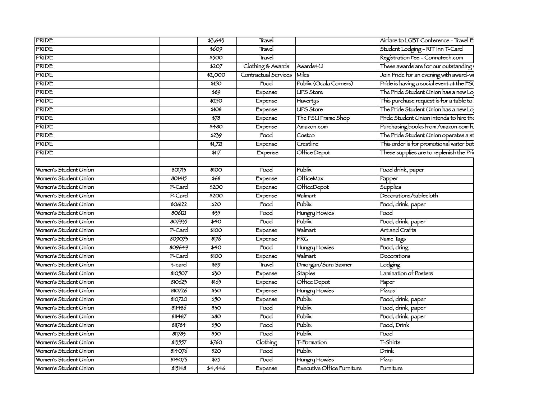| <b>PRIDE</b>          |          | 53,643                     | Travel                     |                            | Airfare to LGBT Conference - Travel E     |
|-----------------------|----------|----------------------------|----------------------------|----------------------------|-------------------------------------------|
| <b>PRIDE</b>          |          | 5609                       | Travel                     |                            | Student Lodging - RIT Inn T-Card          |
| <b>PRIDE</b>          |          | \$500                      | Travel                     |                            | Registration Fee - Connatech.com          |
| <b>PRIDE</b>          |          | $\frac{1}{207}$            | Clothing & Awards Awards4U |                            | These awards are for our outstanding      |
| <b>PRIDE</b>          |          | \$2,000                    | Contractual Services Miles |                            | Join Pride for an evening with award-wi   |
| <b>PRIDE</b>          |          | \$150                      | $\overline{Food}$          | Publix (Ocala Corners)     | Pride is having a social event at the FSC |
| <b>PRIDE</b>          |          | \$89                       | Expense                    | <b>UPS Store</b>           | The Pride Student Union has a new Lo      |
| <b>PRIDE</b>          |          | \$250                      | Expense                    | Havertys                   | This purchase request is for a table to   |
| <b>PRIDE</b>          |          | \$108                      | Expense                    | <b>UPS Store</b>           | The Pride Student Union has a new Lo      |
| <b>PRIDE</b>          |          | $\frac{1}{578}$            | Expense                    | The FSU Frame Shop         | Pride Student Union intends to hire the   |
| <b>PRIDE</b>          |          | \$480                      | Expense                    | Amazon.com                 | Purchasing books from Amazon.com Fc       |
| <b>PRIDE</b>          |          | 5239                       | $\overline{F}$ ood         | Costco                     | The Pride Student Union operates a st     |
| <b>PRIDE</b>          |          | $\overline{51,721}$        | Expense                    | <b>Crestline</b>           | This order is for promotional water bot   |
| <b>PRIDE</b>          |          | \$117                      | Expense                    | Office Depot               | These supplies are to replenish the Prix  |
|                       |          |                            |                            |                            |                                           |
| Women's Student Union | 801713   | \$100                      | Food                       | $T$ Publix                 | Food drink, paper                         |
| Women's Student Union | 801415   | \$68                       | Expense                    | <b>O</b> HiceMax           |                                           |
| Women's Student Union | $P-Card$ | $\frac{1}{200}$            | Expense                    | OfficeDepot                | Papper<br>Supplies                        |
| Women's Student Union | P-Card   | \$200                      | Expense                    | Walmart                    | Decorations/tablecloth                    |
| Women's Student Union | 806122   | $\overline{520}$           | $\frac{1}{3}$              | Publix                     | Food, drink, paper                        |
| Women's Student Union | 806121   | 335                        | $\overline{r}$ ood         | Hungry Howies              | Food                                      |
| Women's Student Union | 807935   | \$40                       | $\overline{1000}$          | Publix                     | Food, drink, paper                        |
| Women's Student Union | $P-Card$ | $\overline{100}$           | Expense                    | Valmart                    | Art and Crafts                            |
| Women's Student Union | 809075   | \$176                      | Expense                    |                            | Name Tags                                 |
| Women's Student Union | 809649   | \$40                       | $\overline{F}$ ood         | Hungry Howies              | Food, dring                               |
| Women's Student Union | P-Card   | \$100                      | Expense                    | Valmart                    | Decorations                               |
| Women's Student Union | t-card   | 589                        | Travel                     | Dmorgan/Sara Saxner        | Lodging                                   |
| Women's Student Union | 810507   | \$30                       | Expense                    | <b>Staples</b>             | Lamination of Posters                     |
| Women's Student Union | 810623   | 5165                       | Expense                    | Office Depot               | Paper                                     |
| Women's Student Union | 810726   | \$30                       | Expense                    | Hungry Howies              | Pízzas                                    |
| Women's Student Union | 810720   | $\overline{\frac{1}{250}}$ | Expense                    | ublix                      | Food, drink, paper                        |
| Women's Student Union | 811486   | \$30                       | $\overline{1000}$          |                            | Food, drink, paper                        |
| Women's Student Union | 811487   | 580                        | $\overline{F}$ ood         | Publix                     | Food, drink, paper                        |
| Women's Student Union | 811784   | $\overline{\frac{1}{50}}$  | $\overline{F}$ ood         | Publix                     | Food, Drink                               |
| Women's Student Union | 81783    | \$50                       | Food                       | <b>Publix</b>              | Food                                      |
| Women's Student Union | 813557   | 5760                       | Clothing                   | -Formation                 | -Shirts                                   |
| Women's Student Union | 814076   | \$20                       | $\overline{F}$ ood         | Publix                     | $\sqrt{Drink}$                            |
| Women's Student Union | 814075   | 525                        | $\overline{Food}$          | Hungry Howies              | Pízza                                     |
| Women's Student Union | 815148   | 34,446                     | Expense                    | Executive Office Furniture | Furniture                                 |
|                       |          |                            |                            |                            |                                           |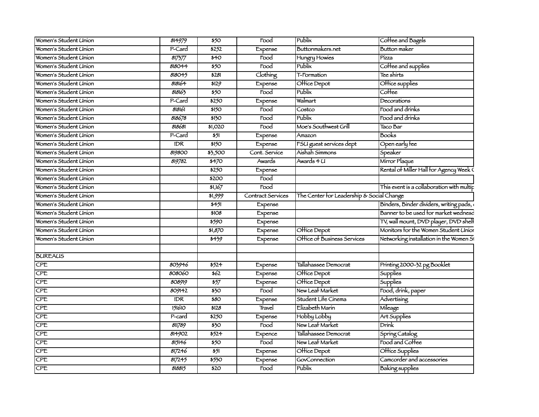| Women's Student Union | 814979     | \$50          | Food              | Publix                                    | Coffee and Bagels                         |
|-----------------------|------------|---------------|-------------------|-------------------------------------------|-------------------------------------------|
| Women's Student Union | P-Card     | 5252          | Expense           | Buttonmakers.net                          | Button maker                              |
| Women's Student Union | 817577     | \$40          | Food              | Hungry Howies                             | Pízza                                     |
| Women's Student Union | 818044     | \$50          | Food              | Publix                                    | Coffee and supplies                       |
| Women's Student Union | 818045     | 5281          | Clothing          | <b>T-Formation</b>                        | Tee shirts                                |
| Women's Student Union | 818164     | \$129         | Expense           | Office Depot                              | Office supplies                           |
| Women's Student Union | 818163     | \$50          | Food              | Publix                                    | Coffee                                    |
| Women's Student Union | P-Card     | \$250         | Expense           | Walmart                                   | Decorations                               |
| Women's Student Union | 818161     | \$150         | Food              | Costco                                    | Food and drinks                           |
| Women's Student Union | 818678     | \$130         | Food              | Publix                                    | Food and drinks                           |
| Women's Student Union | 818681     | \$1,020       | Food              | Moe's Southwest Grill                     | Taco Bar                                  |
| Women's Student Union | P-Card     | \$51          | Expense           | Amazon                                    | Books                                     |
| Women's Student Union | IDR.       | \$150         | Expense           | <b>FSU</b> guest services dept            | Open early fee                            |
| Women's Student Union | 819800     | \$3,500       | Cont. Service     | Aishah Simmons                            | Speaker                                   |
| Women's Student Union | 819782     | $\frac{1}{1}$ | Awards            | Awards 4 U                                | Mirror Plaque                             |
| Women's Student Union |            | \$250         | Expense           |                                           | Rental of Miller Hall for Agency Week C   |
| Women's Student Union |            | \$200         | Food              |                                           |                                           |
| Women's Student Union |            | \$1,167       | Food              |                                           | This event is a collaboration with multip |
| Women's Student Union |            | 51,999        | Contract Services | The Center for Leadership & Social Change |                                           |
| Women's Student Union |            | $\frac{1}{2}$ | Expense           |                                           | Binders, Binder dividers, writing pads,   |
| Women's Student Union |            | \$108         | Expense           |                                           | Banner to be used for market wednesd      |
| Women's Student Union |            | 5590          | Expense           |                                           | TV, wall mount, DVD player, DVD shell     |
| Women's Student Union |            | \$1,870       | Expense           | Office Depot                              | Monitors for the Women Student Unior      |
| Women's Student Union |            | 5439          | Expense           | Office of Business Services               | Networking installation in the Women Si   |
|                       |            |               |                   |                                           |                                           |
| <b>BUREAUS</b>        |            |               |                   |                                           |                                           |
| CPE                   | 803946     | \$524         | Expense           | Tallahassee Democrat                      | Printing 2000-32 pg Booklet               |
| <b>CPE</b>            | 808060     | \$62          | Expense           | Office Depot                              | Supplies                                  |
| CPE                   | 808919     | \$57          | Expense           | Office Depot                              | Supplies                                  |
| <b>CPE</b>            | 809142     | \$30          | Food              | New Leaf Market                           | Food, drink, paper                        |
| CPE                   | <b>IDR</b> | \$80          | Expense           | Student Life Cinema                       | Advertising                               |
| CPE                   | 151610     | \$128         | Travel            | Elizabeth Marin                           | Mileage                                   |
| CPE                   | P-card     | \$250         | Expense           | Hobby Lobby                               | Art Supplies                              |
| CPE                   | 811789     | \$30          | Food              | New Leaf Market                           | $\overline{\text{Drink}}$                 |
| CPE                   | 814902     | 5524          | Expence           | Tallahassee Democrat                      | Spring Catalog                            |
| CPE                   | 815146     | \$50          | Food              | New Leaf Market                           | Food and Coffee                           |
| CPE                   | 817246     | \$51          | Expense           | Office Depot                              | Office Supplies                           |
| <b>CPE</b>            | 817245     | 5550          | Expense           | GovConnection                             | Camcorder and accessories                 |
| CPE                   | 818815     | \$20          | Food              | Publix                                    | Baking supplies                           |
|                       |            |               |                   |                                           |                                           |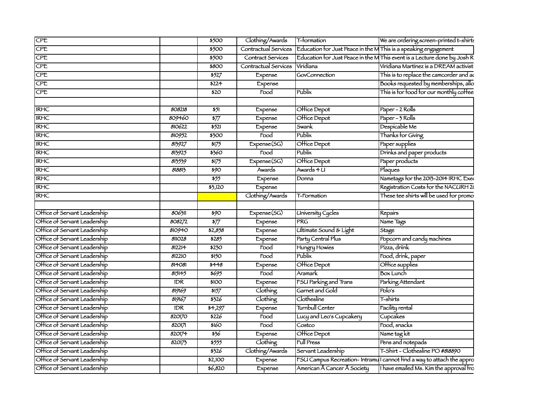| CPE                          |        | \$500                     | Clothing/Awards T-formation    |                                                                                       | We are ordering screen-printed t-shirts                                  |
|------------------------------|--------|---------------------------|--------------------------------|---------------------------------------------------------------------------------------|--------------------------------------------------------------------------|
| CPE                          |        | \$500                     |                                | Contractual Services   Education for Just Peace in the MThis is a speaking engagement |                                                                          |
| CPE                          |        | \$500                     | Contract Services              |                                                                                       | Education for Just Peace in the M This event is a Lecture done by Josh R |
| CPE                          |        | \$800                     | Contractual Services Viridiana |                                                                                       | Viridiana Martinez is a DREAM activist                                   |
| <b>CPE</b>                   |        | 5527                      | Expense                        | GovConnection                                                                         | This is to replace the camcorder and ad                                  |
| $\overline{\text{CPE}}$      |        | \$224                     | Expense                        |                                                                                       | Books requested by memberships, allo                                     |
| CPE                          |        | \$20                      | Food                           | Publix                                                                                | This is for food for our monthly coffee                                  |
|                              |        |                           |                                |                                                                                       |                                                                          |
| <b>IRHC</b>                  | 808218 | \$51                      | Expense                        | <b>Office Depot</b>                                                                   | Paper - 2 Rolls                                                          |
| <b>IRHC</b>                  | 809460 | $\overline{\frac{577}{}}$ | Expense                        | <b>Office Depot</b>                                                                   | Paper - 3 Rolls                                                          |
| <b>IRHC</b>                  | 810622 | \$521                     | Expense                        | Swank                                                                                 | Despicable Me                                                            |
| <b>IRHC</b>                  | 810952 | \$300                     | Food                           | Publix                                                                                | Thanks for Giving                                                        |
| <b>IRHC</b>                  | 813927 | \$175                     | Expense(SG)                    | <b>Office Depot</b>                                                                   | Paper supplies                                                           |
| <b>IRHC</b>                  | 813925 | 5560                      | $\overline{1000}$              | Publix                                                                                | Drinks and paper products                                                |
| <b>IRHC</b>                  | 813539 | \$175                     | Expense(SG)                    | Office Depot                                                                          | Paper products                                                           |
| <b>IRHC</b>                  | 818813 | \$90                      | Awards                         | Awards 4 U                                                                            | Plaques                                                                  |
| <b>IRHC</b>                  |        | \$55                      | Expense                        | Donna                                                                                 | Nametags for the 2013-2014 IRHC Exer                                     |
| <b>IRHC</b>                  |        | $\frac{1}{5,120}$         | Expense                        |                                                                                       | Registration Costs for the NACURH 20                                     |
| <b>IRHC</b>                  |        |                           | Clothing/Awards                | T-Formation                                                                           | These tee shirts will be used for promo                                  |
|                              |        |                           |                                |                                                                                       |                                                                          |
| Office of Servant Leadership | 806311 | 390                       | Expense(SG)                    | <b>University Cycles</b>                                                              | Repairs                                                                  |
| Office of Servant Leadership | 808272 | \$77                      | Expense                        | <b>PRG</b>                                                                            | Name Tags                                                                |
| Office of Servant Leadership | 810940 | \$2,858                   | Expense                        | Ultimate Sound & Light                                                                | Stage                                                                    |
| Office of Servant Leadership | 811028 | 5285                      | Expense                        | Party Central Plus                                                                    | Popcorn and candy machines                                               |
| Office of Servant Leadership | 812214 | \$230                     | $\overline{\text{food}}$       | Hungry Howies                                                                         | Pízza, driink                                                            |
| Office of Servant Leadership | 812210 | \$150                     | Food                           | Publix                                                                                | Food, drink, paper                                                       |
| Office of Servant Leadership | 814081 | \$448                     | Expense                        | <b>Office Depot</b>                                                                   | Office supplies                                                          |
| Office of Servant Leadership | 815145 | 5695                      | $\overline{$ Food              | Aramark                                                                               | <b>Box Lunch</b>                                                         |
| Office of Servant Leadership | IDR    | \$100                     | Expense                        | <b>FSU Parking and Trans</b>                                                          | Parking Attendant                                                        |
| Office of Servant Leadership | 819169 | \$157                     | Clothing                       | Garnet and Gold                                                                       | Polo's                                                                   |
| Office of Servant Leadership | 819167 | \$326                     | Clothing                       | Clothesline                                                                           | T-shirts                                                                 |
| Office of Servant Leadership | IDR.   | \$4,297                   | Expense                        | Turnbull Center                                                                       | <b>Facility rental</b>                                                   |
| Office of Servant Leadership | 820170 | 5226                      | $\overline{\mathrm{Food}}$     | Lucy and Leo's Cupcakery                                                              | $l$ Cupcakes                                                             |
| Office of Servant Leadership | 820171 | 5160                      | $\overline{$ Food              | Costco                                                                                | Food, snacks                                                             |
| Office of Servant Leadership | 820174 | \$36                      | Expense                        | <b>Office Depot</b>                                                                   | Name tag kit                                                             |
| Office of Servant Leadership | 820175 |                           | Clothing                       | <b>Full Press</b>                                                                     | Pens and notepads                                                        |
| Office of Servant Leadership |        | 5555                      |                                |                                                                                       | T-Shirt - Clothesline PO #818890                                         |
|                              |        | \$326                     | Clothing/Awards                | Servant Leadership                                                                    |                                                                          |
| Office of Servant Leadership |        | \$2,100                   | Expense                        |                                                                                       | FSU Campus Recreation-Intramul cannot find a way to attach the appro     |
| Office of Servant Leadership |        | 56,820                    | Expense                        | American  Cancer  Society                                                             | Thave emailed Ms. Kim the approval fro                                   |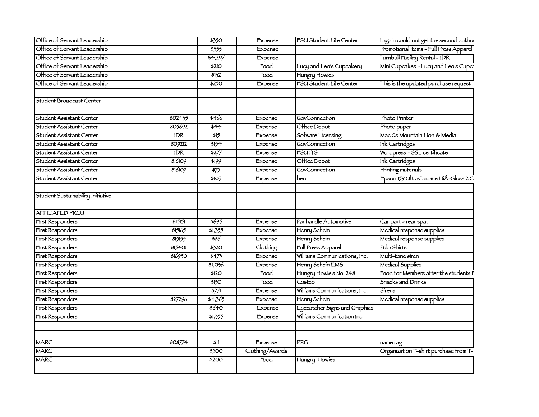| Office of Servant Leadership      |        | \$350                       | Expense                    | <b>FSU Student Life Center</b> | I again could not get the second author |
|-----------------------------------|--------|-----------------------------|----------------------------|--------------------------------|-----------------------------------------|
| Office of Servant Leadership      |        | \$555                       | Expense                    |                                | Promotional items - Full Press Apparel  |
| Office of Servant Leadership      |        | \$4,297                     | Expense                    |                                | Turnbull Facility Rental - IDR          |
| Office of Servant Leadership      |        | \$210                       | $\overline{\mathrm{Food}}$ | Lucy and Leo's Cupcakery       | Mini Cupcakes - Lucy and Leo's Cupca    |
| Office of Servant Leadership      |        | 5132                        | $\overline{\text{Food}}$   | Hungry Howies                  |                                         |
| Office of Servant Leadership      |        | $\overline{\frac{1}{2250}}$ | Expense                    | FSU Student Life Center        | This is the updated purchase request    |
|                                   |        |                             |                            |                                |                                         |
| Student Broadcast Center          |        |                             |                            |                                |                                         |
| Student Assistant Center          | 802435 | \$466                       | Expense                    | GovConnection                  | Photo Printer                           |
| Student Assistant Center          | 805692 | \$44                        | Expense                    | Office Depot                   | Photo paper                             |
| Student Assistant Center          | IDR    | 515                         | Expense                    | Sofware Licensing              | Mac Os Mountain Lion & Media            |
| Student Assistant Center          | 809212 | \$154                       | Expense                    | GovConnection                  | Ink Cartridges                          |
| Student Assistant Center          | IDR    | \$277                       | Expense                    | <b>FSUITS</b>                  | Wordpress - SSL certificate             |
| Student Assistant Center          | 816109 | \$199                       | Expense                    | <b>Office Depot</b>            | Ink Cartridges                          |
| Student Assistant Center          | 816107 | \$75                        | Expense                    | GovConnection                  | Printing materials                      |
| Student Assistant Center          |        | \$103                       | Expense                    | ben                            | Epson 159 UltraChrome HiÂ-Gloss 2 O     |
| Student Sustainability Initiative |        |                             |                            |                                |                                         |
|                                   |        |                             |                            |                                |                                         |
| <b>AFFILIATED PROJ</b>            |        |                             |                            |                                |                                         |
| First Responders                  | 815151 | 5695                        | Expense                    | Panhandle Automotive           | Car part - rear spat                    |
| <b>First Responders</b>           | 815165 | 51,355                      | Expense                    | Henry Schein                   | Medical response supplies               |
| First Responders                  | 815155 | \$86                        | Expense                    | Henry Schein                   | Medical response supplies               |
| First Responders                  | 815401 | \$320                       | Clothing                   | <b>Full Press Apparel</b>      | Polo Shirts                             |
| <b>First Responders</b>           | 816950 | \$473                       | Expense                    | Williams Communications, Inc.  | Multi-tone siren                        |
| First Responders                  |        | \$1,036                     | Expense                    | Henry Schein EMS               | Medical Supplies                        |
| First Responders                  |        | \$120                       | Food                       | Hungry Howie's No. 248         | Food for Members after the students F   |
| <b>First Responders</b>           |        | \$130                       | $\overline{\mathrm{Food}}$ | $\overline{\text{Costco}}$     | Snacks and Drinks                       |
| <b>First Responders</b>           |        | $\frac{1}{577}$             | Expense                    | Williams Communications, Inc.  | Sírens                                  |
| First Responders                  | 827296 | 54,363                      | Expense                    | Henry Schein                   | Medical response supplies               |
| First Responders                  |        | \$640                       | Expense                    | Eyecatcher Signs and Graphics  |                                         |
| First Responders                  |        | 51,355                      | Expense                    | Williams Communication Inc.    |                                         |
|                                   |        |                             |                            |                                |                                         |
|                                   |        |                             |                            |                                |                                         |
| <b>MARC</b>                       | 808774 | \$11                        | Expense                    | PRG                            | name tag                                |
| <b>MARC</b>                       |        | \$500                       | Clothing/Awards            |                                | Organization T-shirt purchase from T-1  |
| <b>MARC</b>                       |        | \$200                       | Food                       | Hungry Howies                  |                                         |
|                                   |        |                             |                            |                                |                                         |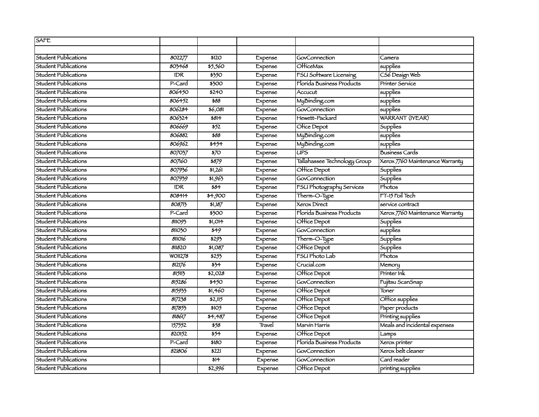| SAFE                        |            |                           |         |                               |                                 |
|-----------------------------|------------|---------------------------|---------|-------------------------------|---------------------------------|
|                             |            |                           |         |                               |                                 |
| Student Publications        | 802277     | \$120                     | Expense | <b>GovConnection</b>          | Camera                          |
| Student Publications        | 803468     | \$5,560                   | Expense | OfficeMax                     | $ $ supplies                    |
| Student Publications        | <b>IDR</b> | \$350                     | Expense | <b>FSU Software Licensing</b> | CS6 Design Web                  |
| Student Publications        | P-Card     | \$300                     | Expense | Florida Business Products     | <b>Printer Service</b>          |
| Student Publications        | 806450     | \$240                     | Expense | Accucut                       | supplies                        |
| <b>Student Publications</b> | 806452     | \$88                      | Expense | MyBinding.com                 | supplies                        |
| Student Publications        | 806284     | 56,081                    | Expense | GovConnection                 | supplies                        |
| Student Publications        | 806324     | $581 +$                   | Expense | Hewett-Packard                | <b>WARRANT (IYEAR)</b>          |
| Student Publications        | 806669     | $\frac{1}{52}$            | Expense | Ofice Depot                   | Supplies                        |
| <b>Student Publications</b> | 806882     | \$88                      | Expense | MyBinding.com                 | supplies                        |
| Student Publications        | 806962     | $\frac{1}{1}$             | Expense | MyBinding.com                 | supplies                        |
| Student Publications        | 807037     | $\overline{570}$          | Expense | UPS                           | <b>Business Cards</b>           |
| Student Publications        | 807160     | 5879                      | Expense | Tallahassee Technology Group  | Xerox 7760 Maintenance Warranty |
| Student Publications        | 807936     | 51,261                    | Expense | Office Depot                  | Supplies                        |
| Student Publications        | 807939     | $\sqrt[3]{365}$           | Expense | GovConnection                 | Supplies                        |
| Student Publications        | <b>IDR</b> | \$84                      | Expense | FSU Photography Services      | Photos                          |
| Student Publications        | 808414     | \$4,900                   | Expense | Therm-O-Type                  | FT-15 Foil Tech                 |
| <b>Student Publications</b> | 808713     | 51,187                    | Expense | Xerox Direct                  | service contract                |
| <b>Student Publications</b> | P-Card     | $\frac{1}{500}$           | Expense | Florida Business Products     | Xerox 7760 Maintenance Warranty |
| Student Publications        | 811093     | 51,014                    | Expense | Office Depot                  | Supplies                        |
| Student Publications        | 811030     | 549                       | Expense | GovConnection                 | $l$ supplies                    |
| Student Publications        | 811016     | \$293                     | Expense | Therm-O-Type                  | Supplies                        |
| Student Publications        | 811820     | \$1,087                   | Expense | Office Depot                  | Supplies                        |
| Student Publications        | WO11278    | 5257                      | Expense | FSU Photo Lab                 | Photos                          |
| Student Publications        | 812176     | $\frac{1}{5}$             | Expense | Crucial.com                   | Memory                          |
| Student Publications        | 815113     | $\frac{1}{2}$ ,028        | Expense | Office Depot                  | Printer Ink                     |
| Student Publications        | 815286     | $\frac{4}{5450}$          | Expense | GovConnection                 | Fujitsu ScanSnap                |
| Student Publications        | 815933     | \$1,460                   | Expense | Office Depot                  | Toner                           |
| Student Publications        | 817238     | \$2,115                   | Expense | Office Depot                  | Office supplies                 |
| Student Publications        | 817855     | \$105                     | Expense | Office Depot                  | Paper products                  |
| Student Publications        | 818617     | 34,487                    | Expense | Office Depot                  | Printing supplies               |
| Student Publications        | 157552     | 558                       | Travel  | Marvin Harris                 | Meals and incidental expenses   |
| <b>Student Publications</b> | 820152     | $\overline{\frac{1}{57}}$ | Expense | Office Depot                  | Lamps                           |
| <b>Student Publications</b> | P-Card     | \$180                     | Expense | Florida Business Products     | Xerox printer                   |
| Student Publications        | 821806     | \$221                     | Expense | GovConnection                 | Xerox belt cleaner              |
| Student Publications        |            | \$14                      | Expense | GovConnection                 | Card reader                     |
| Student Publications        |            | \$2,996                   | Expense | Office Depot                  | printing supplies               |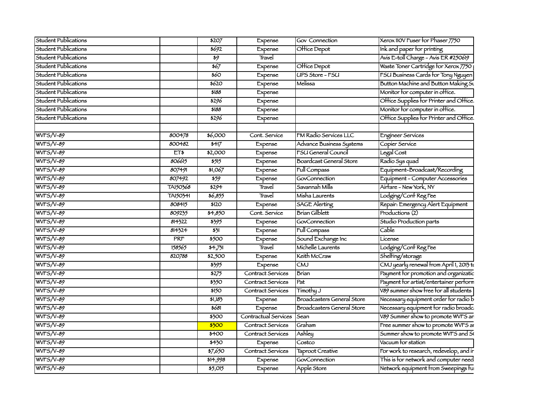| Student Publications | \$207                               | Expense                     | Gov Connection                                  | Xerox 110V Fuser for Phaser 7750                                             |
|----------------------|-------------------------------------|-----------------------------|-------------------------------------------------|------------------------------------------------------------------------------|
| Student Publications | 5692                                | Expense                     | Office Depot                                    | Ink and paper for printing                                                   |
| Student Publications | $\overline{30}$                     | $Tr$ avel                   |                                                 | Avis E-toll Charge - Avis ER #250619                                         |
| Student Publications | $\frac{1}{67}$                      | Expense                     | <b>Office Depot</b>                             | Waste Toner Cartridge for Xerox 7750                                         |
| Student Publications | $\overline{\frac{1}{60}}$           | Expense                     | UPS Store - FSU                                 | FSU Business Cards for Tony Nguyen                                           |
| Student Publications | $\frac{1}{6620}$                    | Expense                     |                                                 | Button Machine and Button Making Su                                          |
| Student Publications | \$188                               | Expense                     |                                                 | Monitor for computer in office.                                              |
| Student Publications | 5296                                | Expense                     |                                                 | Office Supplies for Printer and Office.                                      |
| Student Publications | 5188                                | Expense                     |                                                 | Monitor for computer in office.                                              |
| Student Publications | 5296                                | Expense                     |                                                 | Office Supplies for Printer and Office.                                      |
|                      |                                     |                             |                                                 |                                                                              |
| $WFS/V-89$           | 800478<br>\$6,000                   | Cont. Service               | M Radio Services LLC                            | Engineer Services                                                            |
| <b>WFS/V-89</b>      | 800482<br>$\overline{\frac{1}{12}}$ | Expense                     | dvance Business Systems                         | Copier Service                                                               |
| WFS/V-89             | ET\$<br>\$2,000                     | Expense                     | $\overline{\phantom{a}}$<br>'SU General Council | $\overline{\phantom{a}}$ Legal Cost                                          |
| <b>WFS/V-89</b>      | 806615<br>$\frac{1}{5515}$          | Expense                     | Boardcast General Store                         | i<br> <br>  Equípment-Broadcast/Recording<br>  Equípment-Broadcast/Recording |
| $WFS/V-89$           | 807491<br>\$1,067                   | Expense                     |                                                 |                                                                              |
| $WFS/V-89$           | 807492<br>$\frac{1}{559}$           | $\frac{1}{\text{Expense}}$  | Full Compass<br>  GovConnection                 | Equipment - Computer Accessories                                             |
| $WFS/V-89$           | TA150368<br>$\frac{1}{2294}$        | $\frac{1}{\text{Travel}}$   | Savannah Mills                                  | Airtare - New York, NY                                                       |
| WVFS/V-89            | TA150341<br>$\frac{1}{66,855}$      | Travel                      | Misha Laurents                                  |                                                                              |
| WFS/V-89             | 808415<br>\$120                     | Expense                     | SAGE Alerting                                   | Lodging/Cont Reg Fee<br>Repair: Emergency Alert Equipment<br>Productions (2) |
| <b>WFS/V-89</b>      | 809235<br>$\frac{1}{64,850}$        | Cont. Service               | Brian Gilblett                                  |                                                                              |
| WFS/V-89             | 814322<br>$\frac{1}{5595}$          | Expense                     | GovConnection                                   | Studio Production parts                                                      |
| $WFS/V-89$           | 814324<br>$\frac{1}{5}$             | Expense                     | Full Compass                                    | Cable                                                                        |
| $WFS/V-89$           | PRT<br>$\frac{1}{500}$              | $E$ $x$ $p$ $e$ $n$ $s$ $e$ | Sound Exchange Inc                              | License                                                                      |
| $WFS/V-89$           | 158565<br>54,731                    | $\overline{T}$ Fravel       | Michelle Laurents                               | Lodging/Cont Reg Fee                                                         |
| <b>WFS/V-89</b>      | 820788<br>$\frac{1}{2,500}$         | Expense                     | Keith McCraw                                    | Shelfing/storage                                                             |
| <b>WF5/V-89</b>      | $\frac{1}{5595}$                    | Expense                     |                                                 | $\overline{\text{CMJ}}$ yearly renewal from April 1, 2013 to                 |
| <b>WFS/V-89</b>      | $\frac{1}{2275}$                    | Contract Services           |                                                 | Payment for promotion and organizatic                                        |
| $WFS/V-89$           | $\overline{\frac{1}{550}}$          | Contract Services           |                                                 | Payment for artist/entertainer perform                                       |
| $WFS/V-89$           | $\overline{\frac{150}{2}}$          | Contract Services           | Timothu J                                       | V89 summer show free for all students                                        |
| $WFS/V-89$           | 51,183                              | Expense                     | Broadcasters General Store                      | Necessary equipment order for radio $\frac{1}{100}$                          |
| <b>WFS/V-89</b>      | 5681                                | Expense                     | <b>Broadcasters General Store</b>               | Necessary equipment for radio broadc                                         |
| <b>WFS/V-89</b>      | $\frac{1}{500}$                     | Contractual Services Sean   |                                                 | V89 Summer show to promote WVFS an                                           |
| <b>WFS/V-89</b>      | 5500                                | Contract Services Graham    |                                                 | Free summer show to promote WVFS an                                          |
| $WFS/V-89$           | $\frac{1}{1}$ \$400                 | Contract Services   Ashley  |                                                 | Summer show to promote WVFS and So                                           |
| $WFS/V-89$           | $\frac{1}{1}$ \$430                 | Expense                     | Costco                                          | $\overline{\big $ Vacuum for station                                         |
| $WFS/V-89$           | $\frac{1}{57,650}$                  | Contract Services           | Taproot Creative                                | -<br> For work to research, redevelop, and ir                                |
| WFS/V-89             | 514,998                             | Expense                     | GovConnection                                   | This is for network and computer need                                        |
| $WFS/V-89$           | 55,015                              | $\frac{1}{\text{Expense}}$  | Apple Store                                     | Network equipment from Sweepings fu                                          |
|                      |                                     |                             |                                                 |                                                                              |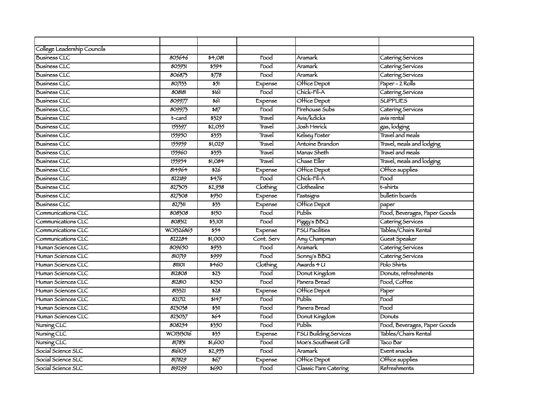| College Leadership Councils |           |               |            |                              |                              |
|-----------------------------|-----------|---------------|------------|------------------------------|------------------------------|
| <b>Business CLC</b>         | 805646    | \$4,081       | Food       | Aramark                      | Catering Services            |
| <b>Business CLC</b>         | 805931    | 5594          | Food       | Aramark                      | Catering Services            |
| <b>Business CLC</b>         | 806875    | $\sqrt{5778}$ | Food       | Aramark                      | Catering Services            |
| <b>Business CLC</b>         | 807133    | 551           | Expense    | Office Depot                 | Paper - 2 Rolls              |
| <b>Business CLC</b>         | 808181    | \$161         | Food       | Chick-Fil-A                  | Catering Services            |
| <b>Business CLC</b>         | 809977    | \$61          | Expense    | Office Depot                 | <b>SUPPLIES</b>              |
| <b>Business CLC</b>         | 809975    | 587           | Food       | Fírehouse Subs               | Catering Services            |
| <b>Business CLC</b>         | t-card    | 3329          | Travel     | Avis/kdicks                  | avis rental                  |
| <b>Business CLC</b>         | 153397    | \$2,035       | Travel     | Josh Hmrick                  | gas, lodging                 |
| <b>Business CLC</b>         | 155950    | 5353          | Travel     | Kelsey Foster                | Travel and meals             |
| <b>Business CLC</b>         | 155959    | \$1,029       | Travel     | Antoine Brandon              | Travel, meals and lodging    |
| <b>Business CLC</b>         | 155960    | 3557          | Travel     | Manav Sheth                  | <b>Travel and meals</b>      |
| <b>Business CLC</b>         | 155954    | \$1,084       | Travel     | Chase Eller                  | Travel, meals and lodging    |
| <b>Business CLC</b>         | 814964    | \$26          | Expense    | Office Depot                 | Office supplies              |
| <b>Business CLC</b>         | 822189    | 5476          | Food       | Chick-Fil-A                  | Food                         |
| <b>Business CLC</b>         | 827303    | \$2,958       | Clothing   | Clothesline                  | t-shirts                     |
| <b>Business CLC</b>         | 827508    | \$930         | Expense    | Fastsigns                    | bulletin boards              |
| <b>Business CLC</b>         | 827311    | 533           | Expense    | Office Depot                 | paper                        |
| Communications CLC          | 808308    | \$150         | Food       | Publix                       | Food, Beverages, Paper Goods |
| Communications CLC          | 808312    | 35,101        | Food       | Piggy's BBQ                  | Catering Services            |
| Communications CLC          | WO1326865 | 554           | Expense    | <b>FSU Facilities</b>        | Tables/Chairs Rental         |
| Communications CLC          | 822284    | \$1,000       | Cont. Serv | Amy Champman                 | Guest Speaker                |
| Human Sciences CLC          | 809650    | \$933         | Food       | Aramark                      | Catering Services            |
| Human Sciences CLC          | 810719    | \$999         | Food       | Sonny's BBQ                  | Catering Services            |
| Human Sciences CLC          | 811101    | \$460         | Clothing   | Awards 4 U                   | Polo Shirts                  |
| Human Sciences CLC          | 812808    | 523           | Food       | Donut Kingdom                | Donuts, refreshments         |
| Human Sciences CLC          | 812810    | \$230         | Food       | Panera Bread                 | Food, Coffee                 |
| Human Sciences CLC          | 813321    | \$28          | Expense    | Office Depot                 | Paper                        |
| Human Sciences CLC          | 821712    | 5147          | Food       | Publix                       | Food                         |
| Human Sciences CLC          | 823038    | 5311          | Food       | Panera Bread                 | Food                         |
| Human Sciences CLC          | 823037    | 564           | Food       | Donut Kingdom                | Donuts                       |
| Nursing CLC                 | 808254    | \$350         | Food       | Publix                       | Food, Beverages, Paper Goods |
| Nursing CLC                 | WO1313016 | 535           | Expense    | <b>FSU Building Services</b> | Tables/Chairs Rental         |
| Nursing CLC                 | 817831    | \$1,600       | Food       | Moe's Southwest Grill        | Taco Bar                     |
| Social Science SLC          | 816105    | \$2,953       | Food       | Aramark                      | Event snacks                 |
| Social Science SLC          | 817829    | 567           | Expense    | Office Depot                 | Office supplies              |
| Social Science SLC          | 819299    | \$690         | Food       | Classic Fare Catering        | <b>Refreshments</b>          |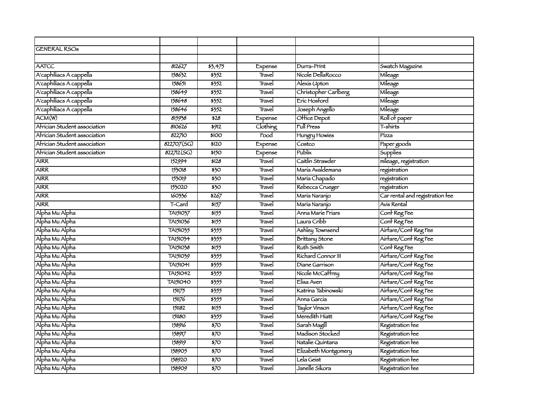| <b>GENERAL RSOs</b>          |                 |                  |                   |                       |                                 |
|------------------------------|-----------------|------------------|-------------------|-----------------------|---------------------------------|
|                              |                 |                  |                   |                       |                                 |
| <b>AATCC</b>                 | 812627          | 35,475           |                   | Durra-Print           | Swatch Magazine                 |
|                              |                 | 5352             | Expense<br>Travel | Nícole DellaRocco     |                                 |
| A'caphiliacs A cappella      | 158632          |                  |                   |                       | Mileage                         |
| A'caphiliacs A cappella      | 158651          | 5352             | Travel            | Alexis Upton          | Mileage                         |
| A'caphiliacs A cappella      | 158649          | 5352             | Travel            | Christopher Carlberg  | Mileage                         |
| A'caphiliacs A cappella      | 158648          | 5352             | Travel            | Eric Hosford          | Mileage                         |
| A'caphiliacs A cappella      | 158646          | 5352             | Travel            | Joseph Angello        | Mileage                         |
| ACM(W)                       | 815938          | \$28             | Expense           | Office Depot          | Roll of paper                   |
| Afrícian Student association | 810626          | 5912             | Clothing          | Full Press            | T-shirts                        |
| Africian Student association | 822710          | \$100            | Food              | Hungry Howies         | Pízza                           |
| Africian Student association | 822707(SG)      | \$120            | Expense           | Costco                | Paper goods                     |
| Africian Student association | 822712(SG)      | \$150            | Expense           | Publix                | Supplies                        |
| <b>AIRR</b>                  | 152994          | \$128            | Travel            | Caitlin Strawder      | mileage, registration           |
| <b>AIRR</b>                  | 153018          | $\overline{350}$ | Travel            | María Avaldemana      | registration                    |
| <b>AIRR</b>                  | 153019          | $\overline{350}$ | Travel            | María Chapado         | registration                    |
| <b>AIRR</b>                  | 153020          | $\overline{350}$ | Travel            | Rebecca Crueger       | registration                    |
| <b>AIRR</b>                  | 160336          | $\frac{1}{2}$    | Travel            | María Naranjo         | Car rental and registration fee |
| <b>AIRR</b>                  | T-Card          | 5157             | Travel            | María Naranjo         | Avis Rental                     |
| Alpha Mu Alpha               | TA151037        | 5155             | Travel            | Anna Maríe Fríars     | Conf Reg Fee                    |
| Alpha Mu Alpha               | TA151036        | 5155             | Travel            | Laura Cribb           | Conf Reg Fee                    |
| Alpha Mu Alpha               | TA151035        | \$355            | Travel            | Ashley Townsend       | Airfare/Conf Reg Fee            |
| Alpha Mu Alpha               | TA151034        | \$355            | Travel            | <b>Brittany Stone</b> | Airfare/Conf Reg Fee            |
| Alpha Mu Alpha               | TA151038        | 5155             | Travel            | <b>Ruth Smith</b>     | Conf Reg Fee                    |
| Alpha Mu Alpha               | TA151039        | 5355             | Travel            | Richard Connor III    | Airfare/Conf Reg Fee            |
| Alpha Mu Alpha               | <b>TA151041</b> | 3555             | Travel            | Díane Garríson        | Airfare/Conf Reg Fee            |
| Alpha Mu Alpha               | TA151042        | \$355            | Travel            | Nicole McCaffrey      | Airfare/Conf Reg Fee            |
| Alpha Mu Alpha               | <b>TA151040</b> | 5355             | Travel            | Elísa Aven            | Airtare/Cont Reg Fee            |
| Alpha Mu Alpha               | 151175          | \$355            | Travel            | Katrina Tabinowski    | Airfare/Conf Reg Fee            |
| Alpha Mu Alpha               | 151176          | 5355             | Travel            | Anna García           | Airfare/Conf Reg Fee            |
| Alpha Mu Alpha               | 151182          | 5155             | Travel            | Taylor Vinson         | Airfare/Conf Reg Fee            |
| Alpha Mu Alpha               | 151180          | \$355            | Travel            | Meredith Hiatt        | Airfare/Conf Reg Fee            |
| Alpha Mu Alpha               | 158916          | $\overline{570}$ | Travel            | Sarah Magill          | Registration fee                |
| Alpha Mu Alpha               | 158917          | $\overline{570}$ | Travel            | Madison Stocked       | Registration fee                |
| Alpha Mu Alpha               | 158919          | $\overline{570}$ | Travel            | Natalie Quintana      | Registration fee                |
| Alpha Mu Alpha               | 158905          | $\overline{570}$ | Travel            | Elizabeth Montgomery  | Registration fee                |
| Alpha Mu Alpha               | 158920          | $\frac{1}{2}$    | Travel            | Lela Geíst            | Registration fee                |
| Alpha Mu Alpha               | 158909          | $\overline{370}$ | Travel            | Janelle Síkora        | Registration fee                |
|                              |                 |                  |                   |                       |                                 |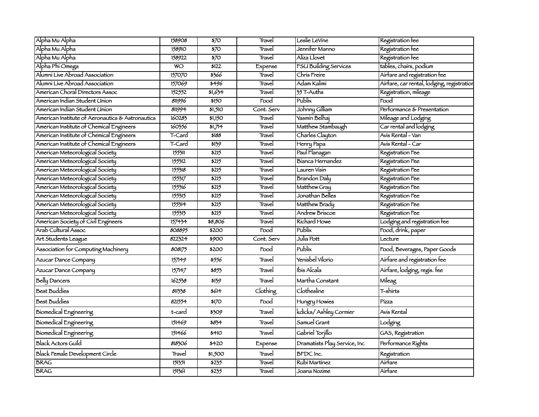| Alpha Mu Alpha                                   | 158908          | $\overline{570}$   | Travel     | Leslie LeVine                | Registration fee                           |
|--------------------------------------------------|-----------------|--------------------|------------|------------------------------|--------------------------------------------|
| Alpha Mu Alpha                                   | 158910          | $\overline{570}$   | Travel     | Jenní <del>l</del> er Manno  | Registration fee                           |
| Alpha Mu Alpha                                   | 158922          | $\overline{570}$   | Travel     | Aliza Llovet                 | Registration fee                           |
| Alpha Phi Omega                                  | $\overline{WO}$ | 5122               | Expense    | <b>FSU Building Services</b> | tables, chairs, podium                     |
| Alumni Live Abroad Association                   | 157070          | \$366              | Travel     | Chris Freire                 | Airfare and registration fee               |
| Alumni Live Abroad Association                   | 157069          | \$496              | Travel     | Adam Kalimi                  | Airfare, car rental, lodging, registratior |
| American Choral Directors Assoc                  | 152552          | 51,634             | Travel     | 35 T-Auths                   | Registration, mileage                      |
| American Indian Student Union                    | 811996          | \$150              | Food       | Publix                       | Food                                       |
| American Indian Student Union                    | 811994          | $\frac{1}{51,510}$ | Cont. Serv | Johnny Gilliam               | Performance & Presentation                 |
| American Institute of Aeronautics & Astronautics | 160283          | 51,150             | Travel     | Yasmin Belhaj                | Mileage and Lodging                        |
| American Institute of Chemical Engineers         | 160356          | \$1,714            | Travel     | Matthew Stambaugh            | Car rental and lodging                     |
| American Institute of Chemical Engineers         | T-Card          | \$188              | Travel     | Charles Clayton              | Avis Rental - Van                          |
| American Institute of Chemical Engineers         | T-Card          | 5139               | Travel     | Henry Papa                   | Avis Rental - Car                          |
| American Meteorological Society                  | 155311          | \$215              | Travel     | Paul Flanagan                | Registration Fee                           |
| American Meteorological Society                  | 155312          | \$215              | Travel     | Bíanca Hernandez             | Registration Fee                           |
| American Meteorological Society                  | 155318          | \$215              | Travel     | Lauren Visin                 | Registration Fee                           |
| American Meteorological Society                  | 155317          | \$215              | Travel     | <b>Brandon Daly</b>          | Registration Fee                           |
| American Meteorological Society                  | 155316          | \$215              | Travel     | Matthew Gray                 | Registration Fee                           |
| American Meteorological Society                  | 155315          | \$215              | Travel     | Jonathan Belles              | Registration Fee                           |
| American Meteorological Society                  | 155314          | 5215               | Travel     | Matthew Brady                | Registration Fee                           |
| American Meteorological Society                  | 155313          | 5215               | Travel     | Andrew Briscoe               | Registration Fee                           |
| American Society of Civil Engineers              | 157434          | \$8,806            | Travel     | <b>Richard Howe</b>          | Lodging and registration fee               |
| Arab Cultural Assoc                              | 808895          | \$200              | Food       | Publix                       | Food, drink, paper                         |
| Art Students League                              | 822324          | 5900               | Cont. Serv | Julía Pott                   | Lecture                                    |
| Association for Computing Machinery              | 808175          | \$200              | Food       | Publix                       | Food, Beverages, Paper Goods               |
| Azucar Dance Company                             | 157149          | \$556              | Travel     | Yenisbel Vilorio             | Airfare and registration fee               |
| Azucar Dance Company                             | 157147          | \$853              | Travel     | Ibis Alcala                  | Airfare, lodging, regis. fee               |
| <b>Belly Dancers</b>                             | 162538          | \$139              | Travel     | Martha Constant              | Mileag                                     |
| <b>Best Buddies</b>                              | 811338          | \$614              | Clothing   | Clothesline                  | T-shirts                                   |
| <b>Best Buddies</b>                              | 821554          | \$170              | Food       | Hungry Howies                | Pízza                                      |
| <b>Biomedical Engineering</b>                    | t-card          | \$309              | Travel     | kdicks/ Ashley Cormier       | Avis Rental                                |
| <b>Biomedical Engineering</b>                    | 151469          | \$834              | Travel     | Samuel Grant                 | Lodging                                    |
| <b>Biomedical Engineering</b>                    | 151466          | \$410              | Travel     | Gabriel Torjillo             | GAS, Registration                          |
| <b>Black Actors Guild</b>                        | 818306          | \$420              | Expense    | Dramatists Play Service, Inc | Performance Rights                         |
| Black Female Development Circle                  | Travel          | \$1,500            | Travel     | <b>BFDC</b> Inc.             | Registration                               |
| <b>BRAG</b>                                      | 151551          | 5235               | Travel     | Rubi Martinez                | Airfare                                    |
| <b>BRAG</b>                                      | 151361          | 5235               | Travel     | Joana Nozíme                 | Airfare                                    |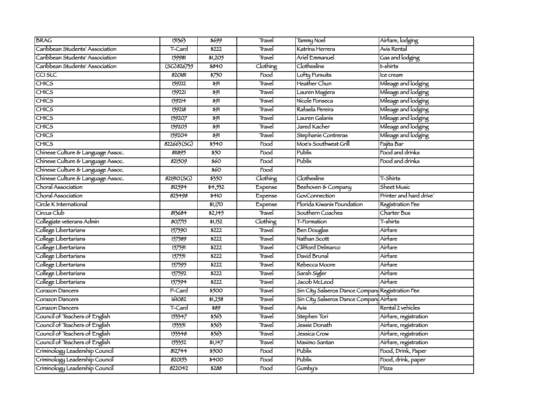| <b>BRAG</b>                       | 151363              | \$699                      | Travel   | <b>Tammy Noel</b>                                | Airfare, lodging        |
|-----------------------------------|---------------------|----------------------------|----------|--------------------------------------------------|-------------------------|
| Caribbean Students' Association   | T-Card              | \$222                      | Travel   | Katrina Herrera                                  | Avis Rental             |
| Caribbean Students' Association   | 159981              | \$1,205                    | Travel   | <b>Ariel Emmanuel</b>                            | Gas and lodging         |
| Caribbean Students' Association   | $\sqrt{(SG)826755}$ | <b>\$840</b>               | Clothing | Clothesline                                      | t-shirts                |
| casic                             | 820181              | $\frac{1}{5750}$           | Food     | Lofty Pursuits                                   | Ice cream               |
| <b>CHICS</b>                      | 159212              | 591                        | Travel   | Heather Chun                                     | Mileage and lodging     |
| <b>CHICS</b>                      | 159221              | $\overline{\frac{1}{2}}$   | Travel   | Lauren Magiera                                   | Mileage and lodging     |
| <b>CHICS</b>                      | 159214              | $\overline{591}$           | Travel   | Nicole Fonseca                                   | Mileage and lodging     |
| <b>CHICS</b>                      | 159218              | $\overline{391}$           | Travel   | Rafaela Pereira                                  | Mileage and lodging     |
| <b>CHICS</b>                      | 159207              | $\overline{\frac{1}{2}}$   | Travel   | Lauren Galanís                                   | Mileage and lodging     |
| <b>CHICS</b>                      | 159205              | $\overline{\frac{1}{2}}$   | Travel   | Jared Kacher                                     | Mileage and lodging     |
| <b>CHICS</b>                      | 159204              | 591                        | Travel   | Stephanie Contreras                              | Mileage and lodging     |
| <b>CHICS</b>                      | 822663(SG)          | 5540                       | Food     | Moe's Southwest Grill                            | Fajita Bar              |
| Chinese Culture & Language Assoc. | 811895              | 550                        | Food     | Publix                                           | Food and drinks         |
| Chinese Culture & Language Assoc. | 821509              | $\overline{\frac{1}{260}}$ | Food     | Publix                                           | Food and drinks         |
| Chinese Culture & Language Assoc. |                     | \$60                       | Food     |                                                  |                         |
| Chinese Culture & Language Assoc. | 821910(SG)          | \$350                      | Clothing | Clothesline                                      | T-Shirts                |
| Choral Association                | 812594              | 54,552                     | Expense  | Beehoven & Company                               | Sheet Music             |
| Choral Association                | 823498              | $\frac{44}{0}$             | Expense  | GovConnection                                    | Printer and hard drive' |
| Circle K International            |                     | \$1,170                    | Expense  | Florida Kiwanis Foundation                       | Registration Fee        |
| Círcus Club                       | 813684              | \$2,145                    | Travel   | Southern Coaches                                 | Charter Bus             |
| Collegiate veterans Admin         | 807715              | \$1,132                    | Clothing | T-Formation                                      | T-shirts                |
| College Libertarians              | 157590              | $\frac{1}{2222}$           | Travel   | Ben Douglas                                      | Airfare                 |
| College Libertarians              | 157589              | 5222                       | Travel   | Nathan Scott                                     | Airfare                 |
| College Libertarians              | 157591              | \$222                      | Travel   | Clifford Delmarco                                | Airfare                 |
| College Libertarians              | 157551              | \$222                      | Travel   | David Brunal                                     | Airfare                 |
| College Libertarians              | 157595              | $\sqrt{3222}$              | Travel   | Rebecca Moore                                    | Airfare                 |
| College Libertarians              | 157592              | $\frac{1}{222}$            | Travel   | Sarah Sigler                                     | Airfare                 |
| College Libertarians              | 157594              | $\frac{1}{222}$            | Travel   | Jacob McLeod                                     | Airfare                 |
| Corazon Dancers                   | P-Card              | \$500                      | Travel   | Sin City Salseros Dance Company Registration Fee |                         |
| Corazon Dancers                   | 161082              | 51,258                     | Travel   | Sin City Salseros Dance Company Airfare          |                         |
| Corazon Dancers                   | T-Card              | \$89                       | Travel   | Avis                                             | Rental 2 vehicles       |
| Council of Teachers of English    | 153347              | 3563                       | Travel   | Stephen Tori                                     | Airfare, registration   |
| Council of Teachers of English    | 153351              | 5563                       | Travel   | Jessie Donath                                    | Airfare, registration   |
| Council of Teachers of English    | 153348              | 5563                       | Travel   | Jessica Crow                                     | Airfare, registration   |
| Council of Teachers of English    | 153352              | 51,147                     | Travel   | Maximo Santan                                    | Airfare, registration   |
| Criminology Leadership Council    | 812744              | \$500                      | Food     | Publix                                           | Food, Drink, Paper      |
| Criminology Leadership Council    | 820153              | \$400                      | Food     | Publix                                           | Food, drink, paper      |
| Criminology Leadership Council    | 822042              | \$288                      | Food     | Gumby's                                          | Pízza                   |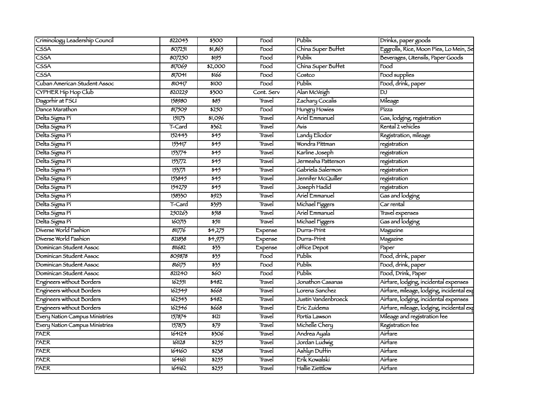| Criminology Leadership Council | 822043 | \$300                      | Food       | Publix              | Drinks, paper goods                       |
|--------------------------------|--------|----------------------------|------------|---------------------|-------------------------------------------|
| <b>CSSA</b>                    | 807251 | 51,865                     | Food       | China Super Buffet  | Eggrolls, Rice, Moon Pies, Lo Mein, Se    |
| CSSA                           | 807250 | 5195                       | Food       | Publix              | Beverages, Utensils, Paper Goods          |
| $\overline{\text{CSSA}}$       | 817069 | \$2,000                    | Food       | China Super Buffet  | $\mathsf{Food}$                           |
| $\overline{\text{CSSA}}$       | 817041 | \$166                      | Food       | Costco              | Food supplies                             |
| Cuban American Student Assoc   | 810417 | \$100                      | Food       | Publix              | Food, drink, paper                        |
| CYPHER Hip Hop Club            | 820229 | \$300                      | Cont. Serv | Alan McVeigh        | DJ                                        |
| Dagorhir at FSU                | 158980 | 585                        | Travel     | Zachary Cocalis     | Mileage                                   |
| Dance Marathon                 | 817509 | 5250                       | Food       | Hungry Howies       | Pízza                                     |
| Delta Sigma Pi                 | 151173 | \$1,096                    | Travel     | Ariel Emmanuel      | Gas, lodging, registration                |
| Delta Sigma Pi                 | T-Card | 3562                       | Travel     | Avis                | Rental 2 vehicles                         |
| Delta Sigma Pi                 | 152443 | \$45                       | Travel     | Landy Eliodor       | Registration, mileage                     |
| Delta Sigma Pi                 | 153417 | $\overline{545}$           | Travel     | Wondra Pittman      | $r$ egístration                           |
| Delta Sigma Pi                 | 153774 | $\overline{\frac{1}{2}}$   | Travel     | Karline Joseph      | registration                              |
| Delta Sigma Pi                 | 153772 | \$45                       | Travel     | Jermesha Patterson  | registration                              |
| Delta Sigma Pi                 | 15377  | $\frac{1}{545}$            | Travel     | Gabriela Salermon   | registration                              |
| Delta Sigma Pi                 | 153845 | 545                        | Travel     | Jennifer McQuiller  | registration                              |
| Delta Sigma Pi                 | 154279 | 545                        | Travel     | Joseph Hadid        | registration                              |
| Delta Sigma Pi                 | 158330 | 5923                       | Travel     | Ariel Emmanuel      | Gas and lodging                           |
| Delta Sigma Pi                 | T-Card | \$393                      | Travel     | Michael Figgers     | Car rental                                |
| Delta Sigma Pi                 | 250263 | 5518                       | Travel     | Ariel Emmanuel      | Travel expenses                           |
| Delta Sigma Pi                 | 160713 | 5511                       | Travel     | Michael Figgers     | Gas and lodging                           |
| Diverse World Fashion          | 81776  | 54,275                     | Expense    | Durra-Print         | Magazine                                  |
| Diverse World Fashion          | 821838 | 34,975                     | Expense    | Durra-Print         | Magazine                                  |
| Dominican Student Assoc        | 811682 | $\overline{33}$            | Expense    | office Depot        | Paper                                     |
| Dominican Student Assoc        | 809878 | 535                        | Food       | Publix              | Food, drink, paper                        |
| Dominican Student Assoc        | 816175 | $\frac{1}{55}$             | Food       | Publix              | Food, drink, paper                        |
| Dominican Student Assoc        | 821240 | $\overline{\frac{60}{20}}$ | Food       | <b>Publix</b>       | Food, Drink, Paper                        |
| Engineers without Borders      | 162551 | 5482                       | Travel     | Jonathon Casanas    | Airfare, lodging, incidental expenses     |
| Engineers without Borders      | 162549 | \$668                      | Travel     | Lorena Sanchez      | Airfare, mileage, lodging, incidental exp |
| Engineers without Borders      | 162543 | 5482                       | Travel     | Justín Vandenbroeck | Airfare, lodging, incidental expenses     |
| Engineers without Borders      | 162546 | \$668                      | Travel     | Eric Zuidema        | Airfare, mileage, lodging, incidental exp |
| Every Nation Campus Ministries | 157874 | \$121                      | Travel     | Portía Lawson       | Mileage and registration fee              |
| Every Nation Campus Ministries | 157875 | 579                        | Travel     | Michelle Chery      | Registration fee                          |
| <b>FAER</b>                    | 164124 | \$306                      | Travel     | Andrea Ayala        | Airfare                                   |
| <b>FAER</b>                    | 161128 | \$255                      | Travel     | Jordan Ludwig       | Airfare                                   |
| <b>FAER</b>                    | 164160 | 5238                       | Travel     | Ashlyn Duffín       | Airfare                                   |
| FAER                           | 164161 | 5255                       | Travel     | Erik Kowalski       | Airfare                                   |
| <b>FAER</b>                    | 164162 | 5255                       | Travel     | Hallie Ziettlow     | Airfare                                   |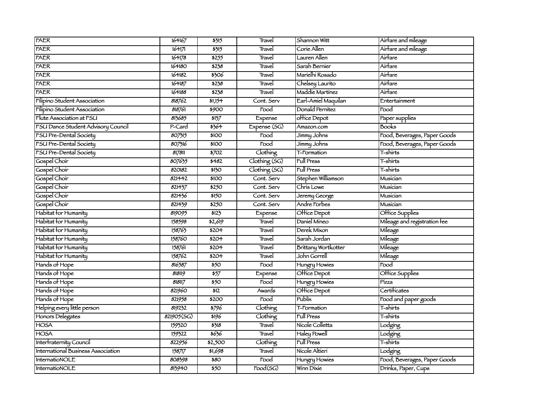| <b>FAER</b>                        | 164167     | 5315                      | Travel                | Shannon Witt        | Airfare and mileage          |
|------------------------------------|------------|---------------------------|-----------------------|---------------------|------------------------------|
| FAER                               | 164171     | 5315                      | Travel                | Corie Allen         | Airfare and mileage          |
| <b>FAER</b>                        | 164178     | 5255                      | Travel                | Lauren Allen        | Airfare                      |
| <b>FAER</b>                        | 164180     | 5238                      | Travel                | Sarah Bernier       | Airfare                      |
| <b>FAER</b>                        | 164182     | \$306                     | Travel                | Marielhi Rosado     | Airfare                      |
| <b>FAER</b>                        | 164187     | 5238                      | Travel                | Chelsey Laurito     | Airfare                      |
| <b>FAER</b>                        | 164188     | \$238                     | Travel                | Maddie Martinez     | Airfare                      |
| Filipino Student Association       | 818762     | 51,154                    | Cont. Serv            | Earl-Amiel Maquilan | Entertainment                |
| Filipino Student Association       | 818761     | \$900                     | Food                  | Donald Pernitez     | Food                         |
| Flute Association at FSU           | 813685     | 3137                      | Expense               | office Depot        | Paper supplies               |
| FSU Dance Student Advisory Council | P-Card     | 5364                      | Expense (SG)          | Amazon.com          | <b>Books</b>                 |
| FSU Pre-Dental Society             | 807315     | \$100                     | Food                  | Jimmy Johns         | Food, Beverages, Paper Goods |
| FSU Pre-Dental Society             | 807316     | \$100                     | Food                  | Jimmy Johns         | Food, Beverages, Paper Goods |
| <b>FSU Pre-Dental Society</b>      | 817811     | 5702                      | Clothing              | T-Formation         | T-shirts                     |
| Gospel Choir                       | 807635     | \$482                     | Clothing (SG)         | Full Press          | T-shirts                     |
| Gospel Choir                       | 820182     | \$130                     | Clothing (SG)         | <b>Full Press</b>   | T-shirts                     |
| Gospel Choir                       | 821442     | \$100                     | Cont. Serv            | Stephen Williamson  | Musician                     |
| Gospel Choir                       | 821437     | 5250                      | Cont. Serv            | Chris Lowe          | Musician                     |
| Gospel Choir                       | 821436     | \$150                     | Cont. Serv            | Jeremy George       | Musician                     |
| Gospel Choir                       | 821439     | 5250                      | Cont. Serv            | Andre Forbes        | Musician                     |
| Habitat for Humanity               | 819095     | 5123                      | Expense               | Office Depot        | Office Supplies              |
| Habitat for Humanity               | 158598     | \$2,619                   | Travel                | Daniel Mineo        | Mileage and registration fee |
| Habitat for Humanity               | 158763     | 5204                      | Travel                | Derek Mixon         | Mileage                      |
| Habitat for Humanity               | 158760     | \$204                     | Travel                | Sarah Jordan        | Mileage                      |
| Habitat for Humanity               | 158761     | \$204                     | Travel                | Brittany Wortkotter | Mileage                      |
| Habitat for Humanity               | 158762     | \$204                     | Travel                | John Gorrell        | Mileage                      |
| Hands of Hope                      | 816587     | 550                       | Food                  | Hungry Howies       | $\overline{\mathrm{Food}}$   |
| Hands of Hope                      | 818119     | $\overline{\frac{1}{57}}$ | Expense               | Office Depot        | Office Supplies              |
| Hands of Hope                      | 818117     | $\overline{550}$          | Food                  | Hungry Howies       | Pízza                        |
| Hands of Hope                      | 821960     | $\overline{512}$          | Awards                | Office Depot        | Certificates                 |
| Hands of Hope                      | 821958     | \$200                     | Food                  | Publix              | Food and paper goods         |
| Helping every little person        | 819232     | 5796                      | Clothing              | T-Formation         | T-shirts                     |
| Honors Delegates                   | 821905(SG) | \$196                     | Clothing              | Full Press          | T-shirts                     |
| <b>HOSA</b>                        | 159320     | 3318                      | Travel                | Nícole Colletta     | Lodging                      |
| <b>HOSA</b>                        | 159322     | \$636                     | Travel                | <b>Haley Powell</b> | Lodging                      |
| Interfraternity Council            | 822956     | \$2,500                   | Clothing              | <b>Full Press</b>   | T-shirts                     |
| International Business Association | 158717     | 51,698                    | Travel                | Nicole Altieri      | Lodging                      |
| InternatioNOLE                     | 808398     | \$80                      | Food                  | Hungry Howies       | Food, Beverages, Paper Goods |
| InternatioNOLE                     | 813940     | $\overline{550}$          | $\overline{Food(SG)}$ | Winn Dixie          | Drinks, Paper, Cups          |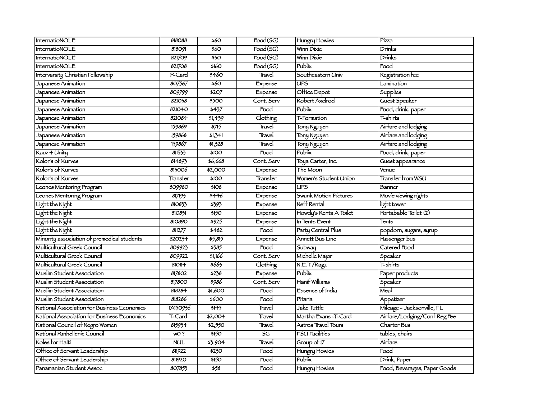| InternatioNOLE                              | 818088     | 560              | $\overline{Food(SG)}$ | Hungry Howies          | Pízza                        |
|---------------------------------------------|------------|------------------|-----------------------|------------------------|------------------------------|
| InternatioNOLE                              | 818091     | \$60             | $\overline{Food(SG)}$ | Winn Dixie             | Drínks                       |
| InternatioNOLE                              | 821709     | $\overline{350}$ | $\overline{Food(SG)}$ | Winn Dixie             | Drinks                       |
| InternatioNOLE                              | 821708     | 5160             | $\overline{Food}(SG)$ | Publix                 | Food                         |
| Intervarsity Christian Fellowship           | P-Card     | \$460            | Travel                | Southeastern Univ      | Registration fee             |
| Japanese Animation                          | 807567     | 560              | Expense               | <b>UPS</b>             | Lamination                   |
| Japanese Animation                          | 809799     | \$207            | Expense               | Office Depot           | Supplies                     |
| Japanese Animation                          | 821038     | \$500            | Cont. Serv            | Robert Axelrod         | Guest Speaker                |
| Japanese Animation                          | 821040     | $\frac{1}{1}$    | Food                  | Publix                 | Food, drink, paper           |
| Japanese Animation                          | 821084     | 51,439           | Clothing              | T-Formation            | T-shirts                     |
| Japanese Animation                          | 159869     | 5715             | Travel                | Tony Nguyen            | Airfare and lodging          |
| Japanese Animation                          | 159868     | 31,341           | Travel                | Tony Nguyen            | Airfare and lodging          |
| Japanese Animation                          | 159867     | 51,328           | Travel                | Tony Nguyen            | Airfare and lodging          |
| Kauz 4 Unity                                | 811333     | \$100            | Food                  | <b>Publix</b>          | Food, drink, paper           |
| Kolor's of Kurves                           | 814893     | \$6,668          | Cont. Serv            | Toya Carter, Inc.      | Guest appearance             |
| Kolor's of Kurves                           | 813006     | \$2,000          | Expense               | The Moon               | Venue                        |
| Kolor's of Kurves                           | Transter   | \$100            | Transfer              | Women's Student Union  | <b>Transfer from WSU</b>     |
| Leones Mentoring Program                    | 809980     | \$108            | Expense               | UPS                    | Banner                       |
| Leones Mentoring Program                    | 817193     | \$446            | Expense               | Swank Motion Pictures  | Movie viewing rights         |
| Light the Night                             | 810833     | \$393            | Expense               | Neff Rental            | light tower                  |
| Light the Night                             | 810831     | \$150            | Expense               | Howdy's Renta A Toilet | Portabable Toilet (2)        |
| Light the Night                             | 810890     | 5925             | Expense               | In Tents Event         | Tents                        |
| Light the Night                             | 811277     | 5482             | Food                  | Party Central Plus     | popdorn, sugars, syrup       |
| Minority association of premedical students | 820234     | 55,815           | Expense               | Annett Bus Line        | Passenger bus                |
| Multicultural Greek Council                 | 809923     | 5385             | Food                  | <b>Subway</b>          | Catered Food                 |
| Multicultural Greek Council                 | 809922     | 51,166           | Cont. Serv            | Michelle Major         | Speaker                      |
| Multicultural Greek Council                 | 810114     | 5663             | Clothing              | N.E.T./Ragz            | T-shirts                     |
| Muslim Student Association                  | 817802     | 3238             | Expense               | Publix                 | Paper products               |
| Muslim Student Association                  | 817800     | \$986            | Cont. Serv            | Hanif Williams         | Speaker                      |
| Muslim Student Association                  | 818284     | 51,600           | Food                  | Essence of India       | Meal                         |
| Muslim Student Association                  | 818286     | \$600            | Food                  | Pitaria                | Appetizer                    |
| National Association for Business Economics | TA150936   | \$145            | Travel                | Jake Tuttle            | Mileage - Jacksonville, FL   |
| National Association for Business Economics | T-Card     | \$2,004          | Travel                | Martha Evans -T-Card   | Airtare/Lodging/Cont Reg Fee |
| National Council of Negro Women             | 815934     | 52,550           | Travel                | Astros Travel Tours    | Charter Bus                  |
| National Panhellenic Council                | wO?        | \$150            | 5G                    | FSU Facilities         | tables, chairs               |
| Noles for Haiti                             | <b>NUL</b> | \$3,904          | Travel                | Group of $17$          | Airfare                      |
| Office of Servant Leadership                | 811922     | 5230             | Food                  | Hungry Howies          | Food                         |
| Office of Servant Leadership                | 811920     | \$150            | Food                  | Publix                 | Drink, Paper                 |
| Panamanian Student Assoc                    | 807853     | 558              | Food                  | Hungry Howies          | Food, Beverages, Paper Goods |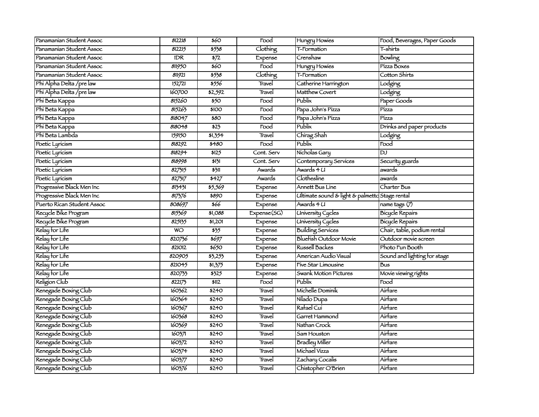| Panamanian Student Assoc   | 812218         | \$60                        |                    |                                                |                              |
|----------------------------|----------------|-----------------------------|--------------------|------------------------------------------------|------------------------------|
|                            |                |                             | Food               | Hungry Howies                                  | Food, Beverages, Paper Goods |
| Panamanian Student Assoc   | 812215         | 5538                        | Clothing           | T-Formation                                    | T-shirts                     |
| Panamanian Student Assoc   | <b>IDR</b>     | $\sqrt{572}$                | Expense            | Crenshaw                                       | Bowling                      |
| Panamanian Student Assoc   | 811950         | $\overline{\frac{60}{250}}$ | $\overline{F}$ ood | Hungry Howies                                  | Pízza Boxes                  |
| Panamanian Student Assoc   | 81921          | 5538                        | Clothing           | T-Formation                                    | Cotton Shirts                |
| Phi Alpha Delta / pre law  | 152721         | 5556                        | Travel             | Catherine Harrington                           | Lodging                      |
| Phi Alpha Delta / pre law  | 160700         | \$2,592                     | Travel             | Matthew Covert                                 | Lodging                      |
| Phi Beta Kappa             | 815260         | 550                         | Food               | Publix                                         | Paper Goods                  |
| Phi Beta Kappa             | 815263         | \$100                       | Food               | Papa John's Pízza                              | Pízza                        |
| Phi Beta Kappa             | 818047         | \$80                        | Food               | Papa John's Pizza                              | Pízza                        |
| Phi Beta Kappa             | 818048         | $\overline{523}$            | Food               | Publix                                         | Drinks and paper products    |
| Phi Beta Lambda            | 159150         | \$1,354                     | Travel             | Chirag Shah                                    | Lodging                      |
| Poetic Lyricism            | 818292         | \$480                       | Food               | Publix                                         | Food                         |
| Poetic Lyricism            | 818294         | \$125                       | Cont. Serv         | Nicholas Gary                                  | $\overline{D}$               |
| Poetic Lyricism            | 818998         | 5131                        | Cont. Serv         | Contemporary Services                          | Security guards              |
| Poetic Lyricism            | 827315         | 5311                        | Awards             | Awards 4 U                                     | awards                       |
| Poetic Lyricism            | 827317         | 5427                        | Awards             | Clothesline                                    | awards                       |
| Progressive Black Men Inc  | 813431         | \$5,569                     | Expense            | Annett Bus Line                                | Charter Bus                  |
| Progressive Black Men Inc  | 817376         | \$890                       | Expense            | Ultimate sound & light & palmettd Stage rental |                              |
| Puerto Rican Student Assoc | 808697         | \$66                        | Expense            | Awards 4 U                                     | name tags $\overline{(\%)}$  |
| Recycle Bike Program       | 815369         | \$1,088                     | Expense(SG)        | <b>University Cycles</b>                       | <b>Bicycle Repairs</b>       |
| Recycle Bike Program       | 825135         | 51,201                      | Expense            | University Cycles                              | <b>Bicycle Repairs</b>       |
| Relay for Life             | $\overline{w}$ | 535                         | Expense            | Building Services                              | Chair, table, podium rental  |
| Relay for Life             | 820736         | 5697                        | Expense            | <b>Bluefish Outdoor Movie</b>                  | Outdoor movie screen         |
| Relay for Life             | 821012         | \$650                       | Expense            | Russell Backes                                 | Photo Fun Booth              |
| Relay for Life             | 820905         | 53,255                      | Expense            | American Audio Visual                          | Sound and lighting for stage |
| Relay for Life             | 821045         | \$1,375                     | Expense            | Fíve Star Limousine                            | <b>Bus</b>                   |
| Relay for Life             | 820733         | 5325                        | Expense            | Swank Motion Pictures                          | Movie viewing rights         |
| Religion Club              | 822173         | \$112                       | Food               | Publix                                         | Food                         |
| Renegade Boxing Club       | 160362         | \$240                       | Travel             | Michelle Dominik                               | Airfare                      |
| Renegade Boxing Club       | 160364         | \$240                       | Travel             | Nílado Dupa                                    | Aír <del>f</del> are         |
| Renegade Boxing Club       | 160367         | \$240                       | Travel             | Rafael Cuí                                     | Airfare                      |
| Renegade Boxing Club       | 160368         | \$240                       | Travel             | Garret Hammond                                 | Airfare                      |
| Renegade Boxing Club       | 160369         | \$240                       | Travel             | Nathan Crock                                   | Airfare                      |
| Renegade Boxing Club       | 1603/1         | \$240                       | Travel             | Sam Houston                                    | Airfare                      |
| Renegade Boxing Club       | 160372         | \$240                       | Travel             | Bradley Miller                                 | Airfare                      |
| Renegade Boxing Club       | 160374         | \$240                       | Travel             | Michael Vizza                                  | Airfare                      |
| Renegade Boxing Club       | 160377         | \$240                       | Travel             | Zachary Cocalis                                | Airfare                      |
| Renegade Boxing Club       | 160376         | \$240                       | Travel             | Chistopher O'Brien                             | Airfare                      |
|                            |                |                             |                    |                                                |                              |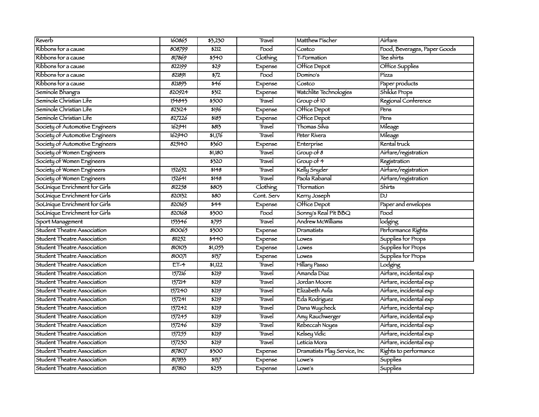| Reverb                             | 160865 | \$3,230                    | Travel             | Matthew Fischer              | Airfare                      |
|------------------------------------|--------|----------------------------|--------------------|------------------------------|------------------------------|
| Ríbbons for a cause                | 808799 | \$212                      | Food               | Costco                       | Food, Beverages, Paper Goods |
| Ribbons for a cause                | 817869 | 5540                       | Clothing           | T-Formation                  | Tee shirts                   |
| Ribbons for a cause                | 822199 | 529                        | Expense            | Office Depot                 | Office Supplies              |
| Ribbons for a cause                | 821891 | $\frac{1}{2}$              | $\overline{F}$ ood | Domino's                     | Pízza                        |
| Ribbons for a cause                | 821893 | $\overline{\frac{1}{546}}$ | Expense            | Costco                       | Paper products               |
| Seminole Bhangra                   | 820924 | 5312                       | Expense            | Watchlite Technologies       | Shikke Props                 |
| Seminole Christian Life            | 154843 | \$500                      | Travel             | Group of 10                  | Regional Conference          |
| Seminole Christian Life            | 823124 | 5196                       | Expense            | Office Depot                 | Pens                         |
| Seminole Christian Life            | 827226 | \$185                      | Expense            | Office Depot                 | Pens                         |
| Society of Automotive Engineers    | 162941 | \$813                      | Travel             | Thomas Silva                 | Mileage                      |
| Society of Automotive Engineers    | 162940 | \$1,176                    | Travel             | Peter Rívera                 | Mileage                      |
| Society of Automotive Engineers    | 825140 | \$360                      | Expense            | Enterprise                   | Rental truck                 |
| Society of Women Engineers         |        | \$1,180                    | Travel             | $Group\,of\,8$               | Airfare/registration         |
| Society of Women Engineers         |        | \$320                      | Travel             | Group of 4                   | Registration                 |
| Society of Women Engineers         | 152652 | \$148                      | Travel             | Kelly Snyder                 | Airfare/registration         |
| Society of Women Engineers         | 152641 | \$148                      | Travel             | Paola Rabanal                | Airtare/registration         |
| SoUnique Enrichment for Girls      | 812258 | \$803                      | Clothing           | Ttormation                   | Shirts                       |
| SoUnique Enrichment for Girls      | 820132 | \$80                       | Cont. Serv         | Kerry Joseph                 | <b>DJ</b>                    |
| SoUnique Enrichment for Girls      | 820165 | $\frac{1}{1}$              | Expense            | Office Depot                 | Paper and envelopes          |
| SoUnique Enrichment for Girls      | 820168 | \$300                      | Food               | Sonny's Real Pit BBQ         | Food                         |
| Sport Management                   | 153346 | $\frac{1}{5795}$           | Travel             | Andrew McWilliams            | lodging                      |
| Student Theatre Association        | 810065 | \$300                      | Expense            | Dramatists                   | Performance Rights           |
| Student Theatre Association        | 811252 | \$440                      | Expense            | Lowes                        | Supplies for Props           |
| Student Theatre Association        | 810103 | \$1,055                    | Expense            | Lowes                        | Supplies for Props           |
| Student Theatre Association        | 810071 | 5137                       | Expense            | Lowes                        | Supplies for Props           |
| Student Theatre Association        | $ET-4$ | \$1,122                    | Travel             | Hillary Passo                | Lodging                      |
| <b>Student Theatre Association</b> | 157216 | \$219                      | Travel             | Amanda Díaz                  | Airfare, incidental exp      |
| Student Theatre Association        | 157214 | 5219                       | Travel             | Jordan Moore                 | Airfare, incidental exp      |
| Student Theatre Association        | 157240 | 5219                       | Travel             | Elizabeth Avila              | Airfare, incidental exp      |
| Student Theatre Association        | 157241 | 5219                       | Travel             | Eda Rodríguez                | Airfare, incidental exp      |
| Student Theatre Association        | 157242 | 5219                       | Travel             | Dana Wuycheck                | Airfare, incidental exp      |
| Student Theatre Association        | 157245 | 5219                       | Travel             | Amy Rauchwerger              | Airfare, incidental exp      |
| Student Theatre Association        | 157246 | \$219                      | Travel             | Rebeccah Noyes               | Airfare, incidental exp      |
| Student Theatre Association        | 157255 | 5219                       | Travel             | Kelsey Vidic                 | Airfare, incidental exp      |
| Student Theatre Association        | 157250 | \$219                      | Travel             | Letícía Mora                 | Airfare, incidental exp      |
| Student Theatre Association        | 817807 | \$300                      | Expense            | Dramatists Play Service, Inc | Rights to performance        |
| Student Theatre Association        | 817833 | 5137                       | Expense            | Lowe's                       | <b>Supplies</b>              |
| Student Theatre Association        | 817810 | 5253                       | Expense            | Lowe's                       | <b>Supplies</b>              |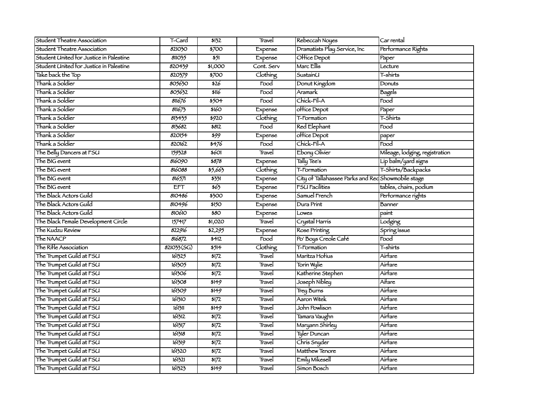| Student Theatre Association             | T-Card     | \$132                    | Travel             | Rebeccah Noyes                                     | Car rental                     |
|-----------------------------------------|------------|--------------------------|--------------------|----------------------------------------------------|--------------------------------|
| Student Theatre Association             | 821030     | \$700                    | Expense            | Dramatists Play Service, Inc                       | Performance Rights             |
| Student United for Justice in Palestine | 811035     | $\frac{5}{1}$            | Expense            | Office Depot                                       | $\overline{\mathsf{P}}$ aper   |
| Student United for Justice in Palestine | 820439     | \$1,000                  | Cont. Serv         | Marc Ellis                                         | Lecture                        |
| Take back the Top                       | 820379     | \$700                    | Clothing           | SustainU                                           | T-shirts                       |
| Thank a Soldier                         | 805630     | \$26                     | Food               | Donut Kingdom                                      | Donuts                         |
| Thank a Soldier                         | 805632     | \$116                    | Food               | Aramark                                            | Bagels                         |
| Thank a Soldier                         | 811676     | 5504                     | $\overline{F}$ ood | Chick-Fil-A                                        | Food                           |
| Thank a Soldier                         | 811673     | 5160                     | Expense            | office Depot                                       | Paper                          |
| Thank a Soldier                         | 813435     | 5920                     | Clothing           | <b>T-Formation</b>                                 | T-Shirts                       |
| Thank a Soldier                         | 813682     | 5812                     | $\overline{F}$ ood | <b>Red Elephant</b>                                | Food                           |
| Thank a Soldier                         | 820154     | \$99                     | Expense            | office Depot                                       | paper                          |
| Thank a Soldier                         | 820162     | 5476                     | Food               | Chick-Fil-A                                        | Food                           |
| The Belly Dancers at FSU                | 159328     | 5601                     | Travel             | Ebony Olivier                                      | Mileage, lodging, registration |
| The BIG event                           | 816090     | 5878                     | Expense            | Tally Tee's                                        | Lip balm/yard signs            |
| The BIG event                           | 816088     | \$5,663                  | Clothing           | T-Formation                                        | T-Shirts/Backpacks             |
| The BIG event                           | 816571     | 5331                     | Expense            | City of Tallahassee Parks and Rec Showmobile stage |                                |
| The BIG event                           | <b>EFT</b> | $\frac{1}{565}$          | Expense            | FSU Facilities                                     | tables, chairs, podium         |
| The Black Actors Guild                  | 810486     | \$300                    | Expense            | Samuel French                                      | Performance rights             |
| The Black Actors Guild                  | 810496     | \$150                    | Expense            | Dura Print                                         | Banner                         |
| The Black Actors Guild                  | 810610     | 580                      | Expense            | Lowes                                              | paint                          |
| The Black Female Development Circle     | 157417     | \$1,020                  | Travel             | Crystal Harris                                     | Lodging                        |
| The Kudzu Review                        | 822916     | \$2,295                  | Expense            | Rose Printing                                      | Spring Issue                   |
| The NAACP                               | 816872     | $\overline{3412}$        | Food               | Po' Boys Creole Café                               | Food                           |
| The Rifle Association                   | 821033(SG) | 5514                     | Clothing           | T-Formation                                        | T-shirts                       |
| The Trumpet Guild at FSU                | 161325     | $\overline{\frac{1}{2}}$ | Travel             | Maritza Hofius                                     | Airfare                        |
| The Trumpet Guild at FSU                | 161305     | 5172                     | Travel             | Torin Wylie                                        | Airfare                        |
| The Trumpet Guild at FSU                | 161306     | 5172                     | Travel             | Katherine Stephen                                  | Airfare                        |
| The Trumpet Guild at FSU                | 161308     | 5149                     | Travel             | Joseph Nibley                                      | Aifare                         |
| The Trumpet Guild at FSU                | 161309     | 5149                     | Travel             | <b>Trey Burns</b>                                  | Airfare                        |
| The Trumpet Guild at FSU                | 161310     | $\sqrt{5172}$            | Travel             | Aaron Witek                                        | Airfare                        |
| The Trumpet Guild at FSU                | 161311     | 5149                     | Travel             | John Powlison                                      | Airfare                        |
| The Trumpet Guild at FSU                | 161312     | $\frac{1}{1}$            | Travel             | Tamara Vaughn                                      | Airfare                        |
| The Trumpet Guild at FSU                | 161317     | $\overline{\frac{1}{2}}$ | Travel             | Maryann Shirley                                    | Airfare                        |
| The Trumpet Guild at FSU                | 161318     | 5172                     | Travel             | Tyler Duncan                                       | Airfare                        |
| The Trumpet Guild at FSU                | 161319     | 5172                     | Travel             | Chris Snyder                                       | Airfare                        |
| The Trumpet Guild at FSU                | 161320     | 5172                     | Travel             | Matthew Tenore                                     | Airfare                        |
| The Trumpet Guild at FSU                | 161321     | 5172                     | Travel             | <b>Emily Mikesell</b>                              | Airfare                        |
| The Trumpet Guild at FSU                | 161323     | 5149                     | Travel             | Simon Bosch                                        | Airfare                        |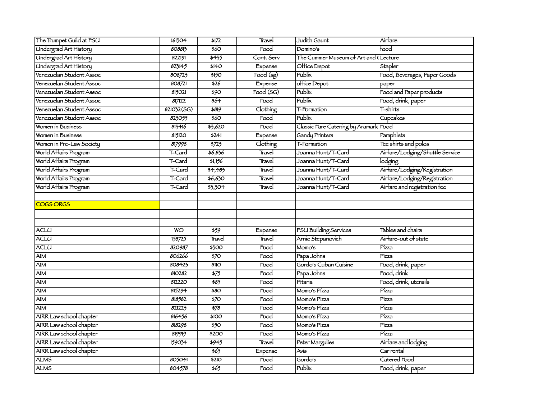| The Trumpet Guild at FSU     | 161304     | 5172                        | Travel                        | Judith Gaunt                          | Airfare                         |
|------------------------------|------------|-----------------------------|-------------------------------|---------------------------------------|---------------------------------|
| <b>Undergrad Art History</b> | 808813     | \$60                        | Food                          | Domino's                              | food                            |
| <b>Undergrad Art History</b> | 822191     | 5435                        | Cont. Serv                    | The Cummer Museum of Art and (Lecture |                                 |
| <b>Undergrad Art History</b> | 823145     | \$140                       | Expense                       | Office Depot                          | Stapler                         |
| Venezuelan Student Assoc     | 808723     | \$150                       | $\overline{\text{Food (sg)}}$ | Publix                                | Food, Beverages, Paper Goods    |
| Venezuelan Student Assoc     | 808721     | \$26                        | Expense                       | office Depot                          | paper                           |
| Venezuelan Student Assoc     | 815021     | $\overline{\frac{1}{2}90}$  | $\overline{1}$ food $(SG)$    | Publix                                | Food and Paper products         |
| Venezuelan Student Assoc     | 817122     | \$64                        | Food                          | Publix                                | Food, drink, paper              |
| Venezuelan Student Assoc     | 821032(SG) | \$819                       | Clothing                      | T-Formation                           | T-shirts                        |
| Venezuelan Student Assoc     | 823055     | $\overline{\frac{60}{250}}$ | Food                          | Publix                                | Cupcakes                        |
| Women in Business            | 813416     | \$3,620                     | Food                          | Classic Fare Catering by Aramark Food |                                 |
| Women in Business            | 815120     | \$241                       | Expense                       | Gandy Printers                        | Pamphlets                       |
| Women in Pre-Law Society     | 817998     | 5723                        | Clothing                      | T-Formation                           | Tee shirts and polos            |
| World Affairs Program        | T-Card     | \$6,836                     | Travel                        | Joanna Hunt/T-Card                    | Airfare/Lodging/Shuttle Service |
| World Affairs Program        | T-Card     | \$1,156                     | Travel                        | Joanna Hunt/T-Card                    | lodging                         |
| World Affairs Program        | T-Card     | 34,483                      | Travel                        | Joanna Hunt/T-Card                    | Airfare/Lodging/Registration    |
| World Affairs Program        | T-Card     | \$6,630                     | Travel                        | Joanna Hunt/T-Card                    | Airfare/Lodging/Registration    |
| World Affairs Program        | T-Card     | 33,304                      | Travel                        | Joanna Hunt/T-Card                    | Airfare and registration fee    |
|                              |            |                             |                               |                                       |                                 |
| <b>COGS ORGS</b>             |            |                             |                               |                                       |                                 |
|                              |            |                             |                               |                                       |                                 |
|                              |            |                             |                               |                                       |                                 |
| <b>ACLU</b>                  | <b>WO</b>  | \$59                        | Expense                       | <b>FSU Building Services</b>          | Tables and chairs               |
| <b>ACLU</b>                  | 158725     | Travel                      | Travel                        | Arnie Stepanovich                     | Airtare-out of state            |
| <b>ACLU</b>                  | 820987     | \$300                       | Food                          | Momo's                                | Pízza                           |
| $\overline{AM}$              | 806266     | $\overline{570}$            | Food                          | Papa Johns                            | Pízza                           |
| <b>AIM</b>                   | 808423     | <b>\$110</b>                | Food                          | Gordo's Cuban Cuisine                 | Food, drink, paper              |
| <b>AIM</b>                   | 810282     | $\frac{1}{575}$             | Food                          | Papa Johns                            | Food, drink                     |
| AIM                          | 812220     | 585                         | Food                          | Pitaria                               | Food, drink, utensils           |
| $\overline{AM}$              | 815294     | 580                         | Food                          | Momo's Pízza                          | Pízza                           |
| AIM                          | 818582     | $\overline{570}$            | Food                          | Momo's Pízza                          | Pízza                           |
| AIM                          | 821223     | $\sqrt{578}$                | Food                          | Momo's Pizza                          | Pízza                           |
| AIRR Law school chapter      | 816456     | \$100                       | Food                          | Momo's Pizza                          | Pízza                           |
| AIRR Law school chapter      | 818298     | 550                         | Food                          | Momo's Pizza                          | Pízza                           |
| AIRR Law school chapter      | 819919     | \$200                       | Food                          | Momo's Pizza                          | Pízza                           |
| AIRR Law school chapter      | 159034     | 5945                        | Travel                        | Peter Margulies                       | Airfare and lodging             |
| AIRR Law school chapter      |            | 565                         | Expense                       | Avis                                  | Car rental                      |
| <b>ALMS</b>                  | 805041     | \$210                       | Food                          | Gordo's                               | Catered Food                    |
| <b>ALMS</b>                  | 804578     | 565                         | Food                          | Publix                                | Food, drink, paper              |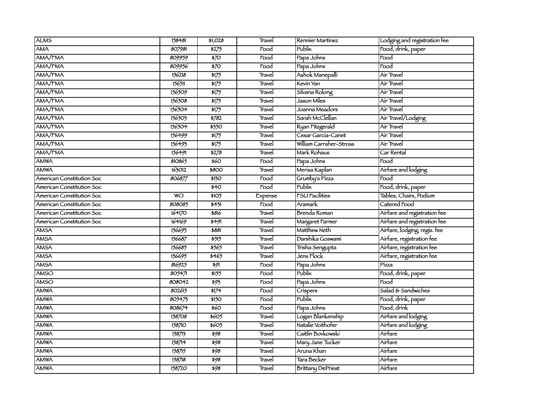| <b>ALMS</b>               | 158481    | 51,028                   | Travel  | Rennier Martinez         | Lodging and registration fee |
|---------------------------|-----------|--------------------------|---------|--------------------------|------------------------------|
| <b>AMA</b>                | 807981    | 5275                     | Food    | Publix                   | Food, drink, paper           |
| AMA/FMA                   | 809959    | $\overline{570}$         | Food    | Papa Johns               | Food                         |
| AMA/FMA                   | 809956    | $\overline{370}$         | Food    | Papa Johns               | Food                         |
| AMA/FMA                   | 156218    | $\frac{1}{1}$            | Travel  | Ashok Manepalli          | Air Travel                   |
| AMA/FMA                   | 156511    | $\frac{1}{1}$            | Travel  | Kevin Yan                | Aír Travel                   |
| AMA/FMA                   | 156509    | \$175                    | Travel  | Silvana Rolong           | Air Travel                   |
| AMA/FMA                   | 156508    | $\frac{1}{1}$            | Travel  | Jason Míles              | Air Travel                   |
| AMA/FMA                   | 156504    | $\frac{1}{1}$            | Travel  | Joanna Meadors           | Aír Travel                   |
| AMA/FMA                   | 156503    | $\frac{1}{5782}$         | Travel  | Sarah McClellan          | Air Travel/Lodging           |
| AMA/FMA                   | 156504    | 5350                     | Travel  | Ryan Fitzgerald          | Air Travel                   |
| AMA/FMA                   | 156499    | 5175                     | Travel  | Cesar García-Canet       | Air Travel                   |
| AMA/FMA                   | 156493    | $\frac{1}{1}$            | Travel  | William Carraher-Stross  | Aír Travel                   |
| AMA/FMA                   | 156491    | 5278                     | Travel  | Mark Rohaus              | Car Rental                   |
| <b>AMWA</b>               | 810865    | \$60                     | Food    | Papa Johns               | Food                         |
| <b>AMWA</b>               | 163012    | 5800                     | Travel  | Merisa Kaplan            | Airfare and lodging          |
| American Constitution Soc | 806877    | \$130                    | Food    | Grumby's Pizza           | Food                         |
| American Constitution Soc |           | \$40                     | Food    | Publix                   | Food, drink, paper           |
| American Constitution Soc | <b>WO</b> | \$105                    | Expense | <b>FSU Facilities</b>    | Tables, Chairs, Podium       |
| American Constitution Soc | 808085    | 5431                     | Food    | Aramark                  | Catered Food                 |
| American Constitution Soc | 164170    | \$816                    | Travel  | Brenda Roman             | Airfare and registration fee |
| American Constitution Soc | 164169    | 5491                     | Travel  | Margaret Farmer          | Airtare and registration fee |
| <b>AMSA</b>               | 156693    | \$881                    | Travel  | Matthew Neth             | Airfare, lodging, regis. fee |
| <b>AMSA</b>               | 156687    | 5515                     | Travel  | Darshika Goswami         | Airfare, registration fee    |
| <b>AMSA</b>               | 156685    | 5565                     | Travel  | Trisha Sengupta          | Airfare, registration fee    |
| <b>AMSA</b>               | 156695    | \$465                    | Travel  | Jens Flock               | Airfare, registration fee    |
| <b>AMSA</b>               | 816925    | $\overline{\frac{1}{2}}$ | Food    | Papa Johns               | Pízza                        |
| <b>AMSO</b>               | 80547     | 3155                     | Food    | Publix                   | Food, drink, paper           |
| <b>AMSO</b>               | 808042    | \$93                     | Food    | Papa Johns               | $\overline{\text{Food}}$     |
| <b>AMWA</b>               | 802615    | 5174                     | Food    | Crispers                 | Salad & Sandwiches           |
| <b>AMWA</b>               | 805475    | \$150                    | Food    | Publix                   | Food, drink, paper           |
| <b>AMWA</b>               | 808674    | \$60                     | Food    | Papa Johns               | Food, drink                  |
| <b>AMWA</b>               | 158708    | \$605                    | Travel  | Logan Blankenship        | Airfare and lodging          |
| <b>AMWA</b>               | 158710    | \$605                    | Travel  | Natalie Voithofer        | Airfare and lodging          |
| <b>AMWA</b>               | 158713    | \$98                     | Travel  | Caitlín Bovkowskí        | Airfare                      |
| <b>AMWA</b>               | 158714    | 598                      | Travel  | Mary Jane Tucker         | Air <del>f</del> are         |
| <b>AMWA</b>               | 158715    | \$98                     | Travel  | Aruna Khan               | Airfare                      |
| <b>AMWA</b>               | 158718    | \$98                     | Travel  | Tara Becker              | Airfare                      |
| <b>AMWA</b>               | 158720    | \$98                     | Travel  | <b>Brittany DePriest</b> | Airfare                      |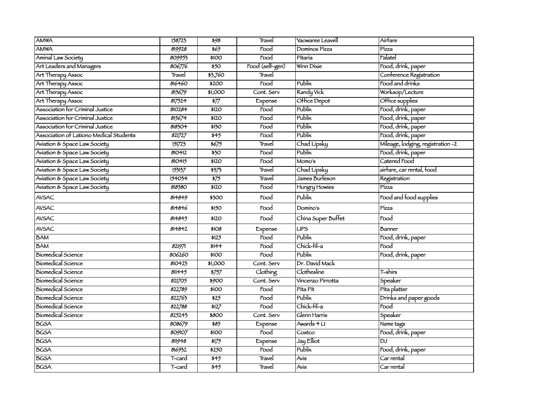| <b>AMWA</b>                             | 158723 | 598              | Travel          | Yaowaree Leavell   | Airfare                           |
|-----------------------------------------|--------|------------------|-----------------|--------------------|-----------------------------------|
| <b>AMWA</b>                             | 819928 | 565              | Food            | Dominos Pizza      | Pízza                             |
| Aminal Law Society                      | 809953 | \$100            | Food            | Pítaría            | Falatel                           |
| Art Leaders and Managers                | 806776 | $\overline{550}$ | Food (self-gen) | Winn Dixie         | Food, drink, paper                |
| Art Therapy Assoc                       | Travel | \$3,760          | Travel          |                    | Conference Registration           |
| Art Therapy Assoc                       | 816460 | \$200            | Food            | Publix             | Food and drinks                   |
| Art Therapy Assoc                       | 815679 | \$1,000          | Cont. Serv      | Randy Vick         | Worksop/Lecture                   |
| Art Therapy Assoc                       | 817524 | $\frac{1}{577}$  | Expense         | Office Depot       | Office supplies                   |
| Association for Criminal Justice        | 810284 | \$120            | Food            | Publix             | Food, drink, paper                |
| Association for Criminal Justice        | 815674 | \$120            | Food            | Publix             | Food, drink, paper                |
| Association for Criminal Justice        | 818304 | \$130            | Food            | Publix             | Food, drink, paper                |
| Association of Lationo Medical Students | 821727 | 545              | Food            | Publix             | Food, drink, paper                |
| Aviation & Space Law Society            | 151723 | 5675             | Travel          | Chad Lipsky        | Mileage, lodging, registration -2 |
| Aviation & Space Law Society            | 810412 | $\overline{350}$ | Food            | Publix             | Food, drink, paper                |
| Aviation & Space Law Society            | 810415 | \$120            | Food            | Momo's             | Catered Food                      |
| Aviation & Space Law Society            | 153137 | 3373             | Travel          | Chad Lipsky        | airfare, car rental, food         |
| Aviation & Space Law Society            | 154034 | $\frac{1}{575}$  | Travel          | James Burleson     | Registration                      |
| Aviation & Space Law Society            | 818580 | \$120            | Food            | Hungry Howies      | Pízza                             |
| <b>AVSAC</b>                            | 814849 | \$300            | Food            | Publix             | Food and food supplies            |
| <b>AVSAC</b>                            | 814846 | \$150            | Food            | Domino's           | Pízza                             |
| <b>AVSAC</b>                            | 814845 | \$120            | Food            | China Super Buffet | Food                              |
| AVSAC                                   | 814842 | \$108            | Expense         | <b>UPS</b>         | Banner                            |
| <b>BAM</b>                              |        | \$125            | Food            | Publix             | Food, drink, paper                |
| <b>BAM</b>                              | 821971 | \$144            | Food            | Chick-fil-a        | Food                              |
| Biomedical Science                      | 806260 | \$100            | Food            | Publix             | Food, drink, paper                |
| <b>Biomedical Science</b>               | 810423 | \$1,000          | Cont. Serv      | Dr. David Mack     |                                   |
| <b>Biomedical Science</b>               | 811445 | $\frac{1}{5757}$ | Clothing        | Clothesline        | T-shirs                           |
| <b>Biomedical Science</b>               | 821705 | \$900            | Cont. Serv      | Vincenzo Pirrotta  | Speaker                           |
| <b>Biomedical Science</b>               | 822789 | \$100            | Food            | Pita Pit           | Pita platter                      |
| <b>Biomedical Science</b>               | 822763 | \$25             | Food            | Publix             | Drinks and paper goods            |
| <b>Biomedical Science</b>               | 822788 | \$127            | Food            | Chick-fil-a        | Food                              |
| <b>Biomedical Science</b>               | 825243 | \$800            | Cont. Serv      | Glenn Harris       | Speaker                           |
| <b>BGSA</b>                             | 808679 | \$85             | Expense         | Awards 4 U         | Name tags                         |
| <b>BGSA</b>                             | 809107 | \$100            | Food            | Costco             | Food, drink, paper                |
| <b>BGSA</b>                             | 811948 | 5175             | Expense         | Jay Elliot         | <b>DJ</b>                         |
| <b>BGSA</b>                             | 816932 | \$250            | Food            | Publix             | Food, drink, paper                |
| <b>BGSA</b>                             | T-card | \$45             | Travel          | Avís               | Car rental                        |
| <b>BGSA</b>                             | T-card | 545              | Travel          | Avis               | Car rental                        |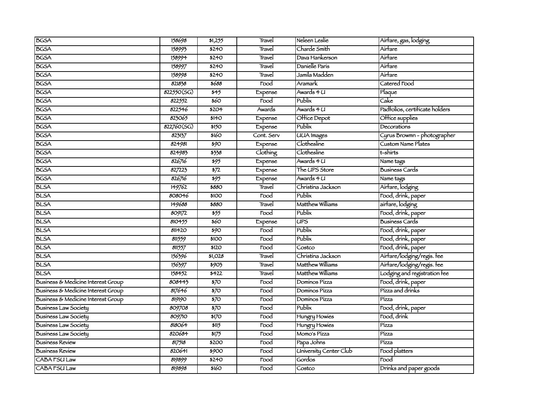| <b>BGSA</b>                        | 158698     | 51,255                     | Travel                   | Neleen Leslie          | Airtare, gas, lodging          |
|------------------------------------|------------|----------------------------|--------------------------|------------------------|--------------------------------|
| <b>BGSA</b>                        | 158993     | \$240                      | Travel                   | Charde Smith           | Airfare                        |
| <b>BGSA</b>                        | 158994     | <b>\$240</b>               | Travel                   | Dava Hankerson         | Airfare                        |
| <b>BGSA</b>                        | 158997     | <b>\$240</b>               | Travel                   | Danielle Paris         | Airfare                        |
| <b>BGSA</b>                        | 158998     | \$240                      | Travel                   | Jamila Madden          | Airfare                        |
| <b>BGSA</b>                        | 821838     | \$688                      | Food                     | Aramark                | Catered Food                   |
| <b>BGSA</b>                        | 822550(SG) | $\overline{345}$           | Expense                  | Awards 4 U             | Plaque                         |
| <b>BGSA</b>                        | 822552     | 560                        | $\overline{Food}$        | Publix                 | Cake                           |
| <b>BGSA</b>                        | 822546     | \$204                      | Awards                   | Awards 4 U             | Padfolios, certificate holders |
| <b>BGSA</b>                        | 823065     | \$140                      | Expense                  | Office Depot           | Office supplies                |
| <b>BGSA</b>                        | 822760(SG) | \$150                      | Expense                  | Publix                 | Decorations                    |
| <b>BGSA</b>                        | 823137     | \$160                      | Cont. Serv               | <b>UUA</b> Images      | Cyrus Browmn - photographer    |
| <b>BGSA</b>                        | 824981     | 590                        | Expense                  | Clothesline            | <b>Custom Name Plates</b>      |
| <b>BGSA</b>                        | 824983     | \$338                      | Clothing                 | Clothesline            | t-shirts                       |
| <b>BGSA</b>                        | 826716     | 595                        | Expense                  | Awards 4 U             | Name tags                      |
| <b>BGSA</b>                        | 827223     | $\overline{\frac{1}{2}}$   | Expense                  | The UPS Store          | <b>Business Cards</b>          |
| <b>BGSA</b>                        | 826716     | 595                        | Expense                  | Awards 4 U             | Name tags                      |
| <b>BLSA</b>                        | 149762     | \$880                      | Travel                   | Christina Jackson      | Airfare, lodging               |
| <b>BLSA</b>                        | 808046     | \$100                      | Food                     | Publix                 | Food, drink, paper             |
| <b>BLSA</b>                        | 149688     | \$880                      | Travel                   | Matthew Williams       | airfare, lodging               |
| <b>BLSA</b>                        | 809172     | 555                        | $\overline{F}$ ood       | Publix                 | Food, drink, paper             |
| <b>BLSA</b>                        | 810455     | 560                        | Expense                  | UPS                    | <b>Business Cards</b>          |
| <b>BLSA</b>                        | 811420     | $\overline{\frac{1}{290}}$ | Food                     | Publix                 | Food, drink, paper             |
| <b>BLSA</b>                        | 811559     | \$100                      | Food                     | Publix                 | Food, drink, paper             |
| <b>BLSA</b>                        | 811557     | \$120                      | Food                     | Costco                 | Food, drink, paper             |
| <b>BLSA</b>                        | 156396     | \$1,028                    | Travel                   | Christina Jackson      | Airfare/lodging/regis.fee      |
| <b>BLSA</b>                        | 156397     | 5903                       | Travel                   | Matthew Williams       | Airfare/lodging/regis.fee      |
| <b>BLSA</b>                        | 158452     | \$422                      | Travel                   | Matthew Williams       | Lodging and registration fee   |
| Business & Medicine Interest Group | 808443     | $\overline{570}$           | Food                     | Dominos Pizza          | Food, drink, paper             |
| Business & Medicine Interest Group | 817646     | 570                        | $\overline{\text{Food}}$ | Dominos Pizza          | Pízza and drínks               |
| Business & Medicine Interest Group | 819190     | $\overline{570}$           | Food                     | Dominos Pizza          | Pízza                          |
| <b>Business Law Society</b>        | 809708     | $\overline{570}$           | Food                     | Publix                 | Food, drink, paper             |
| <b>Business Law Society</b>        | 809710     | 5170                       | Food                     | Hungry Howies          | Food, drínk                    |
| <b>Business Law Society</b>        | 818064     | 5115                       | Food                     | Hungry Howies          | Pízza                          |
| <b>Business Law Society</b>        | 820684     | 3175                       | Food                     | Momo's Pizza           | Pízza                          |
| <b>Business Review</b>             | 817518     | \$200                      | Food                     | Papa Johns             | Pízza                          |
| <b>Business Review</b>             | 820641     | \$900                      | Food                     | University Center Club | Food platters                  |
| CABA FSU Law                       | 819899     | \$240                      | Food                     | Gordos                 | Food                           |
| <b>CABA FSU Law</b>                | 819898     | \$160                      | Food                     | Costco                 | Drinks and paper goods         |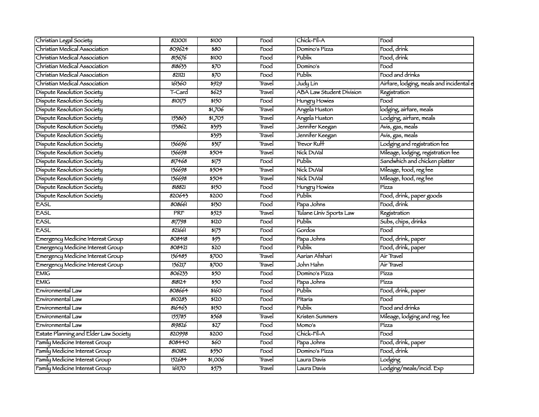| Christian Legal Society               | 821001 | \$100                      | Food                     | Chick-Fil-A                  | Food                                     |
|---------------------------------------|--------|----------------------------|--------------------------|------------------------------|------------------------------------------|
| Christian Medical Association         | 809624 | \$80                       | Food                     | Domino's Pizza               | Food, drink                              |
| Christian Medical Association         | 815676 | \$100                      | Food                     | Publix                       | Food, drink                              |
| Christian Medical Association         | 818633 | $\overline{570}$           | Food                     | Domino's                     | $\mathsf{Food}$                          |
| Christian Medical Association         | 821121 | $\overline{570}$           | Food                     | Publix                       | Food and drinks                          |
| Christian Medical Association         | 161360 | \$929                      | Travel                   | Judy Lin                     | Airfare, lodging, meals and incidental e |
| Dispute Resolution Society            | T-Card | \$625                      | Travel                   | ABA Law Student Division     | Registration                             |
| Dispute Resolution Society            | 810175 | \$150                      | Food                     | Hungry Howies                | $\overline{\mathrm{Food}}$               |
| Dispute Resolution Society            |        | \$1,706                    | Travel                   | Angela Huston                | lodging, airfare, meals                  |
| Dispute Resolution Society            | 153863 | 51,705                     | Travel                   | Angela Huston                | Lodging, airfare, meals                  |
| Dispute Resolution Society            | 153862 | 5393                       | Travel                   | Jennifer Keegan              | Avis, gas, meals                         |
| Dispute Resolution Society            |        | \$393                      | Travel                   | Jenni <del>f</del> er Keegan | Avis, gas, meals                         |
| Dispute Resolution Society            | 156696 | 5317                       | Travel                   | <b>Trevor Ruff</b>           | Lodging and registration fee             |
| Dispute Resolution Society            | 156698 | $550 +$                    | Travel                   | Nick DuVal                   | Mileage, lodging, registration fee       |
| Dispute Resolution Society            | 817468 | $\frac{1}{1}$              | Food                     | Publix                       | Sandwhich and chicken platter            |
| Dispute Resolution Society            | 156698 | $550 +$                    | Travel                   | Nick DuVal                   | Mileage, food, reg fee                   |
| Dispute Resolution Society            | 156698 | 5504                       | Travel                   | Nick DuVal                   | Mileage, food, reg fee                   |
| Dispute Resolution Society            | 818821 | \$150                      | Food                     | Hungry Howies                | Pízza                                    |
| Dispute Resolution Society            | 820643 | $\overline{$200}$          | Food                     | Publix                       | Food, drink, paper goods                 |
| <b>EASL</b>                           | 808661 | \$130                      | Food                     | Papa Johns                   | Food, drink                              |
| <b>EASL</b>                           | PRF    | 5525                       | Travel                   | Tulane Univ Sports Law       | Registration                             |
| EASL                                  | 817798 | \$120                      | Food                     | Publix                       | Subs, chips, drinks                      |
| <b>EASL</b>                           | 821661 | 3175                       | Food                     | Gordos                       | Food                                     |
| Emergency Medicine Interest Group     | 808418 | 593                        | Food                     | Papa Johns                   | Food, drink, paper                       |
| Emergency Medicine Interest Group     | 808421 | $\overline{520}$           | Food                     | Publix                       | Food, drink, paper                       |
| Emergency Medicine Interest Group     | 156485 | \$700                      | Travel                   | Aarian Afshari               | Air Travel                               |
| Emergency Medicine Interest Group     | 156217 | \$700                      | Travel                   | John Hahn                    | Air Travel                               |
| <b>EMIG</b>                           | 806233 | $\overline{550}$           | Food                     | Domino's Pizza               | Pízza                                    |
| <b>EMIG</b>                           | 818124 | $\overline{550}$           | Food                     | Papa Johns                   | Pízza                                    |
| Environmental Law                     | 808664 | 5160                       | $\overline{\text{Food}}$ | Publix                       | Food, drink, paper                       |
| Environmental Law                     | 810283 | \$120                      | Food                     | Pitaria                      | Food                                     |
| Environmental Law                     | 816463 | \$150                      | Food                     | Publix                       | Food and drinks                          |
| Environmental Law                     | 155785 | 3568                       | Travel                   | Kristen Summers              | Mileage, lodging and reg. fee            |
| Environmental Law                     | 819826 | $\overline{\frac{1}{227}}$ | Food                     | Momo's                       | Pízza                                    |
| Estate Planning and Elder Law Society | 820998 | \$200                      | Food                     | Chick-Fil-A                  | Food                                     |
| Family Medicine Interest Group        | 808440 | \$60                       | Food                     | Papa Johns                   | Food, drink, paper                       |
| Family Medicine Interest Group        | 810182 | 5550                       | Food                     | Domino's Pizza               | Food, drink                              |
| Family Medicine Interest Group        | 152684 | \$1,006                    | Travel                   | Laura Davis                  | Lodging                                  |
| Family Medicine Interest Group        | 161170 | 5575                       | Travel                   | Laura Davis                  | Lodging/meals/incid. Exp                 |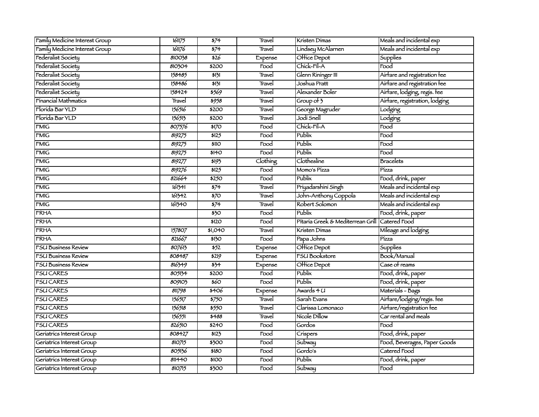| Family Medicine Interest Group | 16175  | $\frac{1}{574}$             | Travel   | Kristen Dimas                                  | Meals and incidental exp       |
|--------------------------------|--------|-----------------------------|----------|------------------------------------------------|--------------------------------|
| Family Medicine Interest Group | 161176 | $\frac{1}{574}$             | Travel   | Lindsey McAlarnen                              | Meals and incidental exp       |
| Federalist Society             | 810038 | $\overline{526}$            | Expense  | Office Depot                                   | Supplies                       |
| Federalist Society             | 810304 | \$200                       | Food     | Chick-Fil-A                                    | Food                           |
| Federalist Society             | 158485 | 5131                        | Travel   | Glenn Rininger III                             | Airfare and registration fee   |
| Federalist Society             | 158486 | 5131                        | Travel   | Joshua Pratt                                   | Airtare and registration fee   |
| Federalist Society             | 158424 | \$569                       | Travel   | Alexander Boler                                | Airfare, lodging, regis. fee   |
| Financial Mathmatics           | Travel | \$958                       | Travel   | Group of $\frac{1}{2}$                         | Airfare, registration, lodging |
| Florida Bar YLD                | 156516 | \$200                       | Travel   | George Magruder                                | Lodging                        |
| Florida Bar YLD                | 156513 | \$200                       | Travel   | Jodí Snell                                     | Lodging                        |
| <b>FMIG</b>                    | 807576 | 5170                        | Food     | Chick-Fil-A                                    | Food                           |
| <b>FMIG</b>                    | 819275 | \$125                       | Food     | Publix                                         | Food                           |
| <b>FMIG</b>                    | 819275 | <b>\$110</b>                | Food     | Publix                                         | Food                           |
| FMIG                           | 819275 | \$140                       | Food     | Publix                                         | Food                           |
| <b>FMIG</b>                    | 819277 | 5193                        | Clothing | Clothesline                                    | <b>Bracelets</b>               |
| <b>FMIG</b>                    | 819276 | 5125                        | Food     | Momo's Pizza                                   | Pízza                          |
| <b>FMIG</b>                    | 821664 | 5250                        | Food     | Publix                                         | Food, drink, paper             |
| <b>FMIG</b>                    | 161341 | $\frac{1}{574}$             | Travel   | Príyadarshini Singh                            | Meals and incidental exp       |
| <b>FMIG</b>                    | 161342 | 570                         | Travel   | John-Anthony Coppola                           | Meals and incidental exp       |
| <b>FMIG</b>                    | 161340 | $\sqrt{374}$                | Travel   | Robert Solomon                                 | Meals and incidental exp       |
| <b>FRHA</b>                    |        | $\overline{350}$            | Food     | Publix                                         | Food, drink, paper             |
| <b>FRHA</b>                    |        | \$120                       | Food     | Pitaria Greek & Mediterrean Grill Catered Food |                                |
| <b>FRHA</b>                    | 157807 | \$1,040                     | Travel   | Kristen Dimas                                  | Mileage and lodging            |
| <b>FRHA</b>                    | 821667 | $\overline{\frac{150}{20}}$ | Food     | Papa Johns                                     | Pízza                          |
| <b>FSU Business Review</b>     | 807613 | $\frac{1}{52}$              | Expense  | Office Depot                                   | Supplies                       |
| <b>FSU Business Review</b>     | 808487 | 5219                        | Expense  | <b>FSU Bookstore</b>                           | Book/Manual                    |
| <b>FSU Business Review</b>     | 816349 | $\frac{1}{5}$               | Expense  | Office Depot                                   | Case of reams                  |
| <b>FSUCARES</b>                | 805134 | \$200                       | Food     | Publix                                         | Food, drink, paper             |
| <b>FSU CARES</b>               | 809103 | $\overline{560}$            | Food     | Publix                                         | Food, drink, paper             |
| <b>FSU CARES</b>               | 811798 | \$406                       | Expense  | Awards 4 U                                     | Materials - Bags               |
| <b>FSUCARES</b>                | 156517 | $\frac{1}{5750}$            | Travel   | Sarah Evans                                    | Airfare/lodging/regis.fee      |
| <b>FSUCARES</b>                | 156518 | 5550                        | Travel   | Claríssa Lomonaco                              | Airfare/registration fee       |
| <b>FSUCARES</b>                | 156551 | \$488                       | Travel   | Nicole Dillow                                  | Car rental and meals           |
| <b>FSU CARES</b>               | 826510 | \$240                       | Food     | Gordos                                         | Food                           |
| Geriatrics Interest Group      | 808427 | 5123                        | Food     | Crispers                                       | Food, drink, paper             |
| Geriatrics Interest Group      | 810715 | \$300                       | Food     | <b>Subway</b>                                  | Food, Beverages, Paper Goods   |
| Geriatrics Interest Group      | 805136 | \$180                       | Food     | Gordo's                                        | Catered Food                   |
| Geriatrics Interest Group      | 811440 | \$100                       | Food     | Publix                                         | Food, drink, paper             |
| Geriatrics Interest Group      | 810715 | \$300                       | Food     | Subway                                         | Food                           |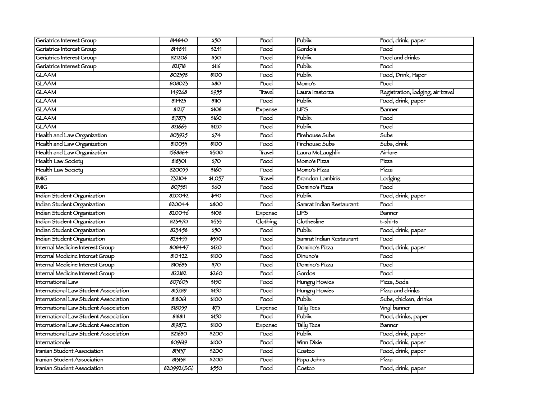| Geriatrics Interest Group             | 814840     | \$50                        | Food                       | Publix                   | Food, drink, paper                |
|---------------------------------------|------------|-----------------------------|----------------------------|--------------------------|-----------------------------------|
| Geriatrics Interest Group             | 814841     | \$241                       | Food                       | Gordo's                  | $\overline{\mathrm{Food}}$        |
| Geriatrics Interest Group             | 821206     | 550                         | Food                       | Publix                   | Food and drinks                   |
| Geriatrics Interest Group             | 821718     | \$116                       | Food                       | Publix                   | $\mathsf{Food}$                   |
| <b>GLAAM</b>                          | 802398     | \$100                       | Food                       | Publix                   | Food, Drink, Paper                |
| <b>GLAAM</b>                          | 808023     | \$80                        | Food                       | Momo's                   | Food                              |
| <b>GLAAM</b>                          | 149268     | $\frac{1}{5955}$            | Travel                     | Laura Irastorza          | Registration, lodging, air travel |
| <b>GLAAM</b>                          | 811423     | \$11O                       | $\overline{\mathrm{Food}}$ | Publix                   | Food, drink, paper                |
| <b>GLAAM</b>                          | 81217      | \$108                       | Expense                    | $\overline{UPS}$         | Banner                            |
| <b>GLAAM</b>                          | 817873     | 5160                        | $\overline{F}$ ood         | Publix                   | Food                              |
| <b>GLAAM</b>                          | 821663     | \$120                       | Food                       | Publix                   | Food                              |
| Health and Law Organization           | 803925     | $\frac{1}{574}$             | Food                       | Fírehouse Subs           | Subs                              |
| Health and Law Organization           | 810033     | \$100                       | Food                       | Fírehouse Subs           | Subs, drink                       |
| Health and Law Organization           | 1568864    | \$300                       | Travel                     | Laura McLaughlin         | Airfare                           |
| Health Law Society                    | 818301     | $\overline{570}$            | Food                       | Momo's Pízza             | Pízza                             |
| Health Law Society                    | 820055     | \$160                       | Food                       | Momo's Pizza             | Pízza                             |
| <b>IMIG</b>                           | 232104     | 51,057                      | Travel                     | <b>Brandon Lambiris</b>  | Lodging                           |
| <b>IMIG</b>                           | 807581     | 560                         | Food                       | Domino's Pizza           | Food                              |
| Indian Student Organization           | 820042     | \$40                        | Food                       | Publix                   | Food, drink, paper                |
| Indian Student Organization           | 820044     | \$800                       | Food                       | Samrat Indian Restaurant | Food                              |
| Indian Student Organization           | 820046     | \$108                       | Expense                    | <b>UPS</b>               | Banner                            |
| Indian Student Organization           | 823470     | \$333                       | Clothing                   | Clothesline              | t-shirts                          |
| Indian Student Organization           | 823458     | $\overline{550}$            | $\overline{F}$ ood         | Publix                   | Food, drink, paper                |
| Indian Student Organization           | 823455     | 5350                        | Food                       | Samrat Indían Restaurant | Food                              |
| Internal Medicine Interest Group      | 808447     | \$120                       | Food                       | Domino's Pizza           | Food, drink, paper                |
| Internal Medicine Interest Group      | 810422     | \$100                       | Food                       | Dinuno's                 | Food                              |
| Internal Medicine Interest Group      | 810683     | $\overline{570}$            | Food                       | Domino's Pizza           | Food                              |
| Internal Medicine Interest Group      | 822182     | $\frac{1}{260}$             | Food                       | Gordos                   | Food                              |
| International Law                     | 807603     | $\overline{\frac{150}{20}}$ | Food                       | Hungry Howies            | Pízza, Soda                       |
| International Law Student Association | 815289     | \$150                       | Food                       | Hungry Howies            | Pízza and drinks                  |
| International Law Student Association | 818061     | \$100                       | Food                       | Publix                   | Subs, chicken, drinks             |
| International Law Student Association | 818059     | $\frac{1}{575}$             | Expense                    | Tally Tees               | Vinyl banner                      |
| International Law Student Association | 818811     | $\overline{\frac{150}{20}}$ | Food                       | Publix                   | Food, drinks, paper               |
| International Law Student Association | 819872     | \$100                       | Expense                    | Tally Tees               | <b>Banner</b>                     |
| International Law Student Association | 821680     | \$200                       | $\overline{F}$ ood         | Publix                   | Food, drink, paper                |
| Internationole                        | 809619     | \$100                       | Food                       | Winn Dixie               | Food, drink, paper                |
| Iranian Student Association           | 813137     | \$200                       | Food                       | Costco                   | Food, drink, paper                |
| Iranian Student Association           | 813138     | \$200                       | Food                       | Papa Johns               | Pízza                             |
| <b>Iranian Student Association</b>    | 820992(SG) | 5550                        | Food                       | Costco                   | Food, drink, paper                |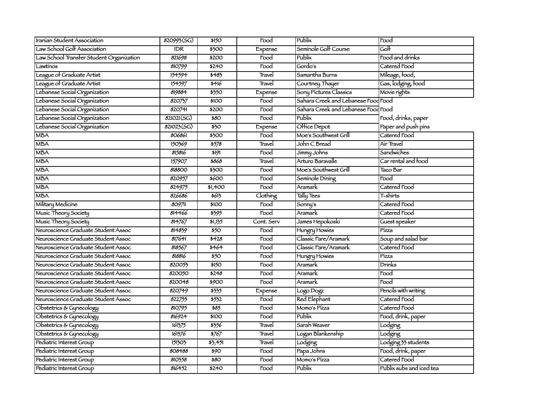| Iranian Student Association              | 820993(SG) | \$150            | Food       | Publix                              | Food                     |
|------------------------------------------|------------|------------------|------------|-------------------------------------|--------------------------|
| Law School Golf Association              | <b>IDR</b> | \$300            | Expense    | Seminole Golf Course                | Golf                     |
| Law School Transfer Student Organization | 821698     | \$200            | Food       | Publix                              | Food and drinks          |
| Lawtinos                                 | 810799     | \$240            | Food       | Gordo's                             | Catered Food             |
| League of Graduate Artist                | 154594     | \$483            | Travel     | Samantha Burns                      | Mileage, food,           |
| League of Graduate Artist                | 154597     | \$416            | Travel     | Courtney Thayer                     | Gas, lodging, food       |
| Lebanese Social Organization             | 819884     | \$350            | Expense    | Sony Pictures Classics              | Movie rights             |
| Lebanese Social Organization             | 820757     | \$100            | Food       | Sahara Creek and Lebanese Food Food |                          |
| Lebanese Social Organization             | 820741     | \$200            | Food       | Sahara Creek and Lebanese Food Food |                          |
| Lebanese Social Organization             | 821021(SG) | \$80             | Food       | Publix                              | Food, drinks, paper      |
| Lebanese Social Organization             | 821023(5G) | $\overline{350}$ | Expense    | Office Depot                        | Paper and push pins      |
| <b>MBA</b>                               | 806861     | \$300            | Food       | Moe's Southwest Grill               | Catered Food             |
| <b>MBA</b>                               | 150369     | 5578             | Travel     | John C Bread                        | Air Travel               |
| <b>MBA</b>                               | 815816     | 5191             | Food       | Jimmy Johns                         | Sandwiches               |
| <b>MBA</b>                               | 157907     | \$868            | Travel     | Arturo Baravalle                    | Car rental and food      |
| <b>MBA</b>                               | 818800     | \$300            | Food       | Moe's Southwest Grill               | Taco Bar                 |
| <b>MBA</b>                               | 820957     | \$600            | Food       | Seminole Dining                     | Food                     |
| <b>MBA</b>                               | 824975     | \$1,400          | Food       | Aramark                             | Catered Food             |
| <b>MBA</b>                               | 826686     | 5613             | Clothing   | Tally Tees                          | T-shirts                 |
| Military Medicine                        | 809711     | \$100            | Food       | Sonny's                             | Catered Food             |
| Music Theory Society                     | 814466     | 3395             | Food       | Aramark                             | Catered Food             |
| Music Theory Society                     | 814767     | 51,135           | Cont. Serv | James Hepokoski                     | Guest speaker            |
| Neuroscience Graduate Student Assoc      | 814839     | 550              | Food       | Hungry Howies                       | Pízza                    |
| Neuroscience Graduate Student Assoc      | 817641     | \$428            | Food       | Classic Fare/Aramark                | Soup and salad bar       |
| Neuroscience Graduate Student Assoc      | 818567     | \$464            | Food       | Classic Fare/Aramark                | Catered Food             |
| Neuroscience Graduate Student Assoc      | 818816     | \$50             | Food       | Hungry Howies                       | Pízza                    |
| Neuroscience Graduate Student Assoc      | 820053     | \$150            | Food       | Aramark                             | Drínks                   |
| Neuroscience Graduate Student Assoc      | 820050     | \$248            | Food       | Aramark                             | Food                     |
| Neuroscience Graduate Student Assoc      | 820048     | \$900            | Food       | Aramark                             | Food                     |
| Neuroscience Graduate Student Assoc      | 820749     | \$335            | Expense    | Logo Dogz                           | Pencils with writing     |
| Neuroscience Graduate Student Assoc      | 822755     | 5532             | Food       | <b>Red Elephant</b>                 | Catered Food             |
| Obstetrics & Gynecology                  | 810795     | 585              | Food       | Momo's Pizza                        | Catered Food             |
| Obstetrics & Gynecology                  | 816924     | \$100            | Food       | Publix                              | Food, drink, paper       |
| Obstetrics & Gynecology                  | 161375     | \$356            | Travel     | Sarah Weaver                        | Lodging                  |
| Obstetrics & Gynecology                  | 161376     | 5767             | Travel     | Logan Blankenship                   | Lodging                  |
| Pediatric Interest Group                 | 151303     | 53,451           | Travel     | Lodging                             | Lodging 33 students      |
| Pediatric Interest Group                 | 808488     | $\overline{$90}$ | Food       | Papa Johns                          | Food, drink, paper       |
| Pediatric Interest Group                 | 810358     | \$80             | Food       | Momo's Pízza                        | Catered Food             |
| Pediatric Interest Group                 | 816452     | \$240            | Food       | Publix                              | Publix subs and iced tea |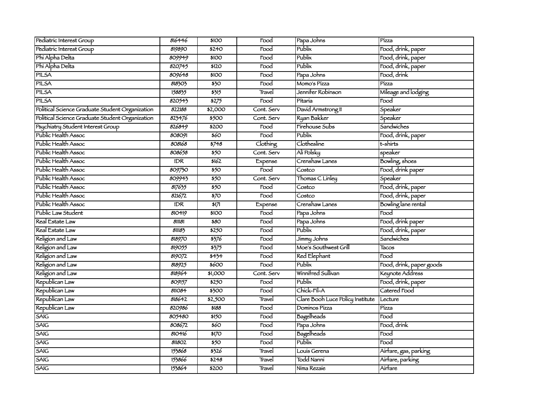| Pediatric Interest Group                        | 816446           | \$100                        | Food               | Papa Johns                       | Pízza                    |
|-------------------------------------------------|------------------|------------------------------|--------------------|----------------------------------|--------------------------|
| Pediatric Interest Group                        | 819890           | \$240                        | Food               | Publix                           | Food, drink, paper       |
| Phi Alpha Delta                                 | 809949           | \$100                        | Food               | Publix                           | Food, drink, paper       |
| Phi Alpha Delta                                 | 820745           | \$120                        | Food               | Publix                           | Food, drink, paper       |
| PILSA                                           | 809648           | \$100                        | Food               | Papa Johns                       | Food, drink              |
| PILSA                                           | 818303           | $\overline{350}$             | Food               | Momo's Pízza                     | Pízza                    |
| PILSA                                           | 158835           | 3315                         | Travel             | Jennifer Robinson                | Mileage and lodging      |
| PILSA                                           | 820543           | 5275                         | Food               | Pitaria                          | Food                     |
| Political Science Graduate Student Organization | 822188           | \$2,000                      | Cont. Serv         | David Armstrong II               | Speaker                  |
| Political Science Graduate Student Organization | 823476           | \$500                        | Cont. Serv         | Ryan Bakker                      | Speaker                  |
| Psychiatry Student Interest Group               | 826849           | \$200                        | Food               | Firehouse Subs                   | <b>Sandwiches</b>        |
| Public Health Assoc                             | 808091           | \$60                         | Food               | Publix                           | Food, drink, paper       |
| Public Health Assoc                             | 808168           | 5748                         | Clothing           | Clothesline                      | t-shirts                 |
| Public Health Assoc                             | 808658           | $\overline{550}$             | Cont. Serv         | Alí Polsky                       | speaker                  |
| Public Health Assoc                             | <b>IDR</b>       | 5162                         | Expense            | Crenshaw Lanes                   | <b>Bowling</b> , shoes   |
| Public Health Assoc                             | 809730           | 550                          | $\overline{r}$ ood | Costco                           | Food, drink paper        |
| Public Health Assoc                             | 809943           | \$50                         | Cont. Serv         | Thomas C Linley                  | Speaker                  |
| Public Health Assoc                             | 817635           | 550                          | Food               | Costco                           | Food, drink, paper       |
| Public Health Assoc                             | 821672           | $\overline{570}$             | Food               | Costco                           | Food, drink, paper       |
| Public Health Assoc                             | $\overline{IDR}$ | 517                          | Expense            | Crenshaw Lanes                   | Bowling lane rental      |
| Public Law Student                              | 810419           | \$100                        | Food               | Papa Johns                       | Food                     |
| Real Estate Law                                 | 811181           | \$80                         | Food               | Papa Johns                       | Food, drink paper        |
| Real Estate Law                                 | 811183           | \$250                        | Food               | Publix                           | Food, drink, paper       |
| Religion and Law                                | 818970           | 5376                         | Food               | Jímmy Johns                      | <b>Sandwiches</b>        |
| Religion and Law                                | 819055           | 3375                         | Food               | Moe's Southwest Grill            | Tacos                    |
| Religion and Law                                | 819072           | 3434                         | Food               | Red Elephant                     | Food                     |
| Religion and Law                                | 818925           | \$600                        | Food               | Publix                           | Food, drink, paper goods |
| Religion and Law                                | 818964           | \$1,000                      | Cont. Serv         | Winnifred Sullivan               | Keynote Address          |
| Republican Law                                  | 809157           | 5250                         | Food               | Publix                           | Food, drink, paper       |
| Republican Law                                  | 811084           | \$300                        | Food               | Chick-Fil-A                      | Catered Food             |
| Republican Law                                  | 818642           | \$2,500                      | Travel             | Clare Booh Luce Policy Institute | Lecture                  |
| Republican Law                                  | 820986           | 5188                         | Food               | Dominos Pizza                    | Pízza                    |
| <b>SAIG</b>                                     | 805480           | \$150                        | Food               | Bagelheads                       | Food                     |
| <b>SAIG</b>                                     | 808672           | $\overline{\frac{260}{560}}$ | Food               | Papa Johns                       | Food, drink              |
| <b>SAIG</b>                                     | 810416           | \$170                        | Food               | <b>Bagelheads</b>                | Food                     |
| <b>SAIG</b>                                     | 811802           | 550                          | Food               | Publix                           | Food                     |
| <b>SAIG</b>                                     | 153868           | \$326                        | Travel             | Louís Gerena                     | Airtare, gas, parking    |
| <b>SAIG</b>                                     | 153866           | \$248                        | Travel             | Todd Nanni                       | Airfare, parking         |
| SAIG                                            | 153864           | \$200                        | Travel             | Nima Rezaie                      | Airfare                  |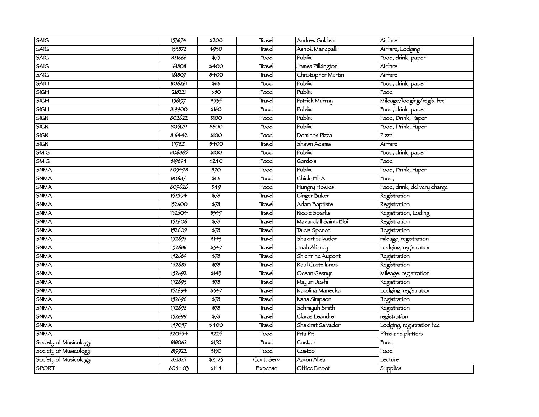| SAIG                  | 153874 | \$200            | Travel     | Andrew Golden        | Airfare                      |
|-----------------------|--------|------------------|------------|----------------------|------------------------------|
| <b>SAIG</b>           | 153872 | 5950             | Travel     | Ashok Manepalli      | Airfare, Lodging             |
| SAIG                  | 821666 | $\frac{1}{575}$  | Food       | Publix               | Food, drink, paper           |
| SAIG                  | 161808 | \$400            | Travel     | James Pilkington     | Airfare                      |
| <b>SAIG</b>           | 161807 | \$400            | Travel     | Christopher Martin   | Airfare                      |
| <b>SAIH</b>           | 806261 | \$88             | Food       | Publix               | Food, drink, paper           |
| SIGH                  | 218221 | \$80             | Food       | Publix               | Food                         |
| <b>SIGH</b>           | 156197 | 5555             | Travel     | Patrick Murray       | Mileage/lodging/regis. fee   |
| <b>SIGH</b>           | 819900 | \$160            | Food       | Publix               | Food, drink, paper           |
| <b>SIGN</b>           | 802622 | \$100            | Food       | Publix               | Food, Drink, Paper           |
| <b>SIGN</b>           | 805129 | 5800             | Food       | Publix               | Food, Drink, Paper           |
| <b>SIGN</b>           | 816442 | \$100            | Food       | Dominos Pizza        | Pízza                        |
| <b>SIGN</b>           | 157821 | \$400            | Travel     | Shawn Adams          | Airfare                      |
| <b>SMIG</b>           | 806865 | \$100            | Food       | Publix               | Food, drink, paper           |
| <b>SMIG</b>           | 819894 | \$240            | Food       | Gordo's              | Food                         |
| SNMA                  | 805478 | $\overline{570}$ | Food       | Publix               | Food, Drink, Paper           |
| SNMA                  | 806871 | \$118            | Food       | Chick-Fil-A          | Food,                        |
| SNMA                  | 809626 | $\overline{549}$ | Food       | Hungry Howies        | Food, drink, delivery charge |
| <b>SNMA</b>           | 152594 | 578              | Travel     | Ginger Baker         | Registration                 |
| <b>SNMA</b>           | 152600 | $\frac{1}{578}$  | Travel     | Adam Baptiste        | Registration                 |
| SNMA                  | 152604 | $\frac{1}{5}347$ | Travel     | Nicole Sparks        | Registration, Loding         |
| <b>SNMA</b>           | 152606 | $\sqrt{578}$     | Travel     | Makandall Saint-Eloi | Registration                 |
| SNMA                  | 152609 | 578              | Travel     | Taleía Spence        | Registration                 |
| <b>SNMA</b>           | 152695 | \$145            | Travel     | Shakirt salvador     | mileage, registration        |
| <b>SNMA</b>           | 152688 | 5347             | Travel     | Joah Aliancy         | Lodging, registration        |
| <b>SNMA</b>           | 152689 | $\frac{1}{578}$  | Travel     | Shiermine Aupont     | Registration                 |
| SNMA                  | 152685 | 578              | Travel     | Raul Castellanos     | Registration                 |
| SNMA                  | 152692 | $\frac{1}{11}$   | Travel     | Ocean Gesnyr         | Mileage, registration        |
| SNMA                  | 152693 | $\frac{1}{578}$  | Travel     | Mayuri Joshi         | Registration                 |
| <b>SNMA</b>           | 152694 | 3347             | Travel     | Karolina Manecka     | Lodging, registration        |
| <b>SNMA</b>           | 152696 | $\frac{1}{578}$  | Travel     | Ivana Simpson        | Registration                 |
| <b>SNMA</b>           | 152698 | $\frac{1}{578}$  | Travel     | Schmiyah Smith       | Registration                 |
| SNMA                  | 152699 | 578              | Travel     | Claras Leandre       | registration                 |
| SNMA                  | 157057 | \$400            | Travel     | Shakirat Salvador    | Lodging, registration fee    |
| SNMA                  | 820554 | \$225            | Food       | Pita Pit             | Pitas and platters           |
| Society of Musicology | 818062 | \$150            | Food       | Costco               | Food                         |
| Society of Musicology | 819922 | \$150            | Food       | Costco               | Food                         |
| Society of Musicology | 821823 | 52,125           | Cont. Serv | Aaron Allea          | Lecture                      |
| <b>SPORT</b>          | 804403 | 5144             | Expense    | Office Depot         | Supplies                     |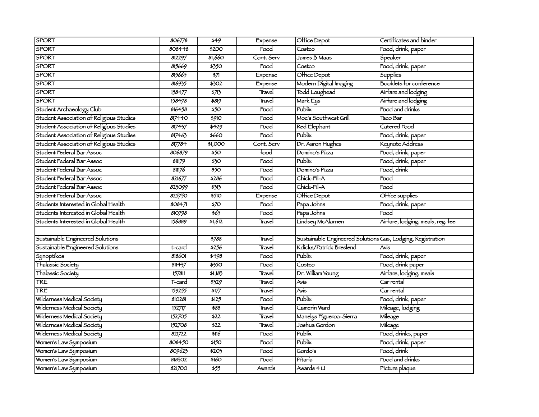| <b>SPORT</b>                             | 806778 | 549                      | Expense                    | Office Depot                                                | Certificates and binder           |
|------------------------------------------|--------|--------------------------|----------------------------|-------------------------------------------------------------|-----------------------------------|
| <b>SPORT</b>                             | 808448 | \$200                    | $\overline{\mathrm{Food}}$ | Costco                                                      | Food, drink, paper                |
| <b>SPORT</b>                             | 812297 | \$1,660                  | Cont. Serv                 | James B Maas                                                | Speaker                           |
| <b>SPORT</b>                             | 815669 | 5350                     | Food                       | Costco                                                      | Food, drink, paper                |
| <b>SPORT</b>                             | 815665 | $\overline{\frac{1}{2}}$ | Expense                    | Office Depot                                                | <b>Supplies</b>                   |
| <b>SPORT</b>                             | 816935 | \$302                    | Expense                    | Modern Digital Imaging                                      | <b>Booklets for conference</b>    |
| <b>SPORT</b>                             | 158477 | 5713                     | Travel                     | Todd Loughead                                               | Airfare and lodging               |
| <b>SPORT</b>                             | 158478 | 5819                     | Travel                     | Mark Eys                                                    | Airfare and lodging               |
| Student Archaeology Club                 | 816458 | $\overline{550}$         | Food                       | Publix                                                      | Food and drinks                   |
| Student Association of Religious Studies | 817440 | \$910                    | Food                       | Moe's Southwest Grill                                       | Taco Bar                          |
| Student Association of Religious Studies | 817437 | 5429                     | Food                       | <b>Red Elephant</b>                                         | Catered Food                      |
| Student Association of Religious Studies | 817463 | \$660                    | Food                       | Publix                                                      | Food, drink, paper                |
| Student Association of Religious Studies | 817784 | \$1,000                  | Cont. Serv                 | Dr. Aaron Hughes                                            | Keynote Address                   |
| Student Federal Bar Assoc                | 806879 | $\overline{550}$         | food                       | Domino's Pizza                                              | Food, drink, paper                |
| Student Federal Bar Assoc                | 81179  | $\overline{350}$         | Food                       | Publix                                                      | Food, drink, paper                |
| Student Federal Bar Assoc                | 811176 | $\overline{550}$         | Food                       | Domino's Pizza                                              | Food, drink                       |
| Student Federal Bar Assoc                | 821677 | \$286                    | Food                       | Chick-Fil-A                                                 | Food                              |
| Student Federal Bar Assoc                | 823099 | 3313                     | Food                       | Chick-Fil-A                                                 | Food                              |
| Student Federal Bar Assoc                | 825750 | $\overline{3510}$        | Expense                    | Office Depot                                                | Office supplies                   |
| Students Interested in Global Health     | 808471 | $\overline{570}$         | Food                       | Papa Johns                                                  | Food, drink, paper                |
| Students Interested in Global Health     | 810798 | 565                      | Food                       | Papa Johns                                                  | Food                              |
| Students Interested in Global Health     | 156889 | 51,612                   | Travel                     | Lindsey McAlarnen                                           | Airfare, lodging, meals, reg. fee |
|                                          |        |                          |                            |                                                             |                                   |
| Sustainable Engineered Solutions         |        | \$788                    | Travel                     | Sustainable Engineered Solutions Gas, Lodging, Registration |                                   |
| Sustainable Engineered Solutions         | t-card | \$256                    | Travel                     | Kdicks/Patrick Breslend                                     | Avis                              |
| Synoptikos                               | 818601 | 5498                     | Food                       | Publix                                                      | Food, drink, paper                |
| Thalassic Society                        | 811437 | \$350                    | Food                       | Costco                                                      | Food, drink paper                 |
| Thalassic Society                        | 157811 | 51,183                   | Travel                     | Dr. William Young                                           | Airfare, lodging, meals           |
| <b>TRE</b>                               | T-card | 5329                     | Travel                     | Avis                                                        | Car rental                        |
| <b>TRE</b>                               | 159255 | $\frac{1}{1}$            | Travel                     | Avis                                                        | Car rental                        |
| Wilderness Medical Society               | 810281 | 5125                     | Food                       | Publix                                                      | Food, drink, paper                |
| Wilderness Medical Society               | 152717 | \$88                     | Travel                     | Camerin Ward                                                | Mileage, lodging                  |
| Wilderness Medical Society               | 152705 | \$22                     | Travel                     | Manelys Fígueroa-Sierra                                     | Mileage                           |
| Wilderness Medical Society               | 152708 | 522                      | Travel                     | Joshua Gordon                                               | Mileage                           |
| Wilderness Medical Society               | 821722 | \$116                    | Food                       | Publix                                                      | Food, drinks, paper               |
| Women's Law Symposium                    | 808450 | \$150                    | $\overline{Food}$          | Publix                                                      | Food, drink, paper                |
| Women's Law Symposium                    | 809623 | \$203                    | Food                       | Gordo's                                                     | Food, drink                       |
| Women's Law Symposium                    | 818302 | \$160                    | Food                       | Pitaria                                                     | Food and drinks                   |
| Women's Law Symposium                    | 821700 | $\frac{1}{55}$           | Awards                     | Awards $4$ $U$                                              | Pícture plaque                    |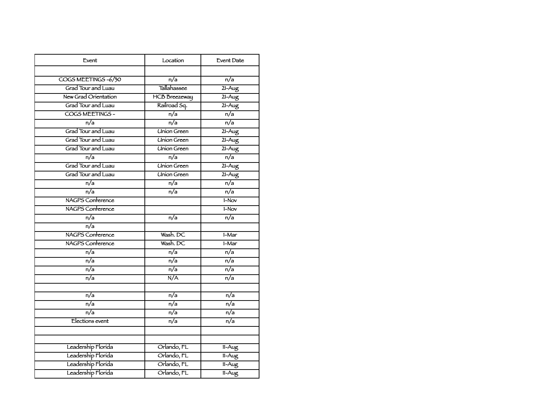| Event                   | Location             | <b>Event Date</b>            |
|-------------------------|----------------------|------------------------------|
|                         |                      |                              |
| COGS MEETINGS-6/30      | $\overline{n/a}$     | $\overline{n/a}$             |
| Grad Tour and Luau      | Tallahassee          | $21 - Aug$                   |
| New Grad Orientation    | <b>HCB</b> Breezeway | $21 - Aug$                   |
| Grad Tour and Luau      | Railroad Sq.         | $21 - Aug$                   |
| COGS MEETINGS -         | $\overline{n/a}$     | $\overline{n/a}$             |
| $\overline{n/a}$        | $\overline{n/a}$     | $\overline{n/a}$             |
| Grad Tour and Luau      | <b>Union Green</b>   | $21 - Aug$                   |
| Grad Tour and Luau      | <b>Union Green</b>   | $21 - Aug$                   |
| Grad Tour and Luau      | <b>Union Green</b>   | $21 - Aug$                   |
| n/a                     | $\overline{n/a}$     | $\overline{n/a}$             |
| Grad Tour and Luau      | <b>Union Green</b>   | $21 - Aug$                   |
| Grad Tour and Luau      | <b>Union Green</b>   | $21 - Aug$                   |
| n/a                     | $\overline{n/a}$     | $\overline{n/a}$             |
| $\overline{n/a}$        | n/a                  | $\overline{n/a}$             |
| NAGPS Conference        |                      | $1-Nov$                      |
| <b>NAGPS</b> Conference |                      | $1-Nov$                      |
| n/a                     | n/a                  | n/a                          |
| $\overline{n/a}$        |                      |                              |
| NAGPS Conference        | Wash, DC             | $1-Mar$                      |
| <b>NAGPS</b> Conference | Wash, DC             | $1-Mar$                      |
| n/a                     | n/a                  | n/a                          |
| n/a                     | n/a                  | n/a                          |
| $\overline{n/a}$        | $\overline{n/a}$     | $\overline{n/a}$             |
| $\overline{n/a}$        | N/A                  | $\overline{n/a}$             |
| $\overline{n/a}$        | n/a                  | n/a                          |
| n/a                     | n/a                  | n/a                          |
| $\overline{n/a}$        | $\overline{n/a}$     | $\overline{n/a}$             |
| Elections event         | $\overline{n/a}$     | $\overline{n/a}$             |
|                         |                      |                              |
|                         |                      |                              |
| Leadership Florida      | Orlando, FL          | $\overline{\mathsf{11-Aug}}$ |
| Leadership Florida      | Orlando, FL          | $11 - Aug$                   |
| Leadership Florida      | Orlando, FL          | $11 - Aug$                   |
| Leadership Florida      | Orlando, FL          | $11 - Aug$                   |
|                         |                      |                              |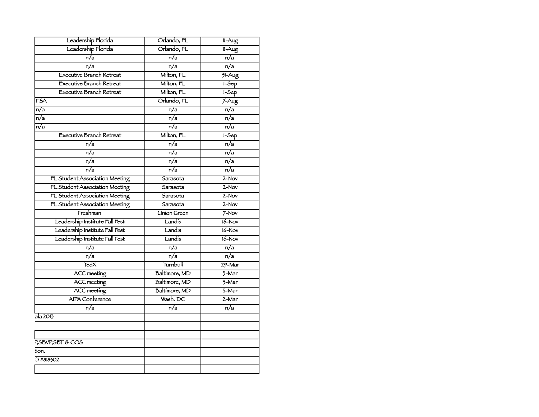| Leadership Florida              | Orlando, FL        | $11 - Aug$                 |
|---------------------------------|--------------------|----------------------------|
| Leadership Florida              | Orlando, FL        | $11-Aug$                   |
| $\overline{n/a}$                | n/a                | n/a                        |
| $\overline{n/a}$                | $\overline{n/a}$   | $\overline{n/a}$           |
| <b>Executive Branch Retreat</b> | Milton, FL         | $31 - Aug$                 |
| <b>Executive Branch Retreat</b> | Milton, FL         | $1-5ep$                    |
| <b>Executive Branch Retreat</b> | Milton, FL         | $1-5ep$                    |
| <b>FSA</b>                      | Orlando, FL        | $7 - Aug$                  |
| $\overline{n/a}$                | $\overline{n/a}$   | $\overline{n/a}$           |
| $\overline{n/a}$                | $\overline{n/a}$   | n/a                        |
| $\overline{n/a}$                | n/a                | n/a                        |
| <b>Executive Branch Retreat</b> | Milton, FL         | $1-Sep$                    |
| n/a                             | n/a                | n/a                        |
| $\overline{n/a}$                | $\overline{n/a}$   | $\overline{n/a}$           |
| $\overline{n/a}$                | n/a                | $\overline{n/a}$           |
| n/a                             | n/a                | n/a                        |
| FL Student Association Meeting  | Sarasota           | $2-Nov$                    |
| FL Student Association Meeting  | Sarasota           | $2-Nov$                    |
| FL Student Association Meeting  | Sarasota           | $2-Nov$                    |
| FL Student Association Meeting  | Sarasota           | $2-Nov$                    |
| Freshman                        | <b>Union Green</b> | $7-Nov$                    |
| Leadership Institute Fall Fest  | Landís             | $16-Nov$                   |
| Leadership Institute Fall Fest  | Landís             | $16-Nov$                   |
| Leadership Institute Fall Fest  | Landis             | $16-Nov$                   |
| n/a                             | n/a                | n/a                        |
| n/a                             | n/a                | n/a                        |
| <b>TedX</b>                     | Turnbull           | $29 - Mar$                 |
| <b>ACC</b> meeting              | Baltimore, MD      | $\frac{3 - \text{Mar}}{2}$ |
| <b>ACC</b> meeting              | Baltimore, MD      | $\frac{3 - \text{Mar}}{2}$ |
| <b>ACC</b> meeting              | Baltimore, MD      | $\overline{3}$ -Mar        |
| AIPA Conference                 | Wash. DC           | $2-Mar$                    |
| n/a                             | n/a                | n/a                        |
| ala 2013                        |                    |                            |
|                                 |                    |                            |
|                                 |                    |                            |
| P, SBVP, SBT & COS              |                    |                            |
| tion.                           |                    |                            |
| 3 #818302                       |                    |                            |
|                                 |                    |                            |
|                                 |                    |                            |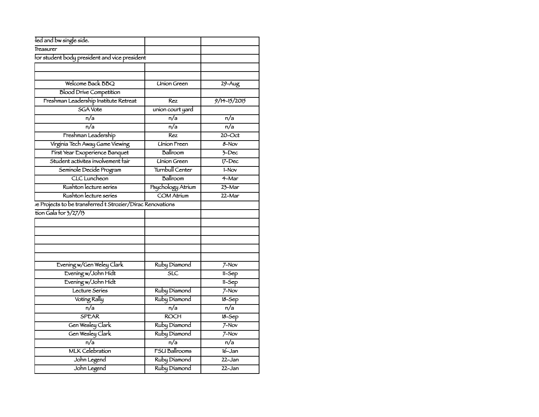| led and bw single side.                                    |                      |                  |
|------------------------------------------------------------|----------------------|------------------|
| Treasurer                                                  |                      |                  |
| for student body president and vice president              |                      |                  |
|                                                            |                      |                  |
|                                                            |                      |                  |
| Welcome Back BBQ                                           | <b>Union Green</b>   | $29 - Aug$       |
| <b>Blood Drive Competition</b>                             |                      |                  |
| Freshman Leadership Institute Retreat                      | Rez                  | $9/14 - 15/2015$ |
| <b>SGA Vote</b>                                            | union court yard     |                  |
| $\overline{n/a}$                                           | $\overline{n/a}$     | n/a              |
| n/a                                                        | n/a                  | n/a              |
| Freshman Leadership                                        | Rez                  | $20$ -Oct        |
| Virginia Tech Away Game Viewing                            | <b>Union Freen</b>   | 8-Nov            |
| First Year Exoperience Banquet                             | Ballroom             | $5$ -Dec         |
| Student activites involvement fair                         | <b>Union Green</b>   | $17 - Dec$       |
| Seminole Decide Program                                    | Turnbull Center      | 1-Nov            |
| <b>CLC</b> Luncheon                                        | Ballroom             | 4-Mar            |
| Rushton lecture series                                     | Psychology Atrium    | 23-Mar           |
| Rushton lecture series                                     | COM Atrium           | 22-Mar           |
| le Projects to be transferred t Strozier/Dirac Renovations |                      |                  |
| tion Gala for $3/27/15$                                    |                      |                  |
|                                                            |                      |                  |
|                                                            |                      |                  |
|                                                            |                      |                  |
|                                                            |                      |                  |
|                                                            |                      |                  |
| Evening w/Gen Weley Clark                                  | Ruby Diamond         | $7-Nov$          |
| Evening w/John Hidt                                        | 5LC                  | $11-Sep$         |
| Evening w/John Hidt                                        |                      | $11-5ep$         |
| Lecture Series                                             | Ruby Diamond         | $7-Nov$          |
| Voting Rally                                               | Ruby Diamond         | $18-5ep$         |
| n/a                                                        | n/a                  | $\overline{n/a}$ |
| <b>SPEAR</b>                                               | <b>ROCH</b>          | $18 - Sep$       |
| Gen Wesley Clark                                           | Ruby Diamond         | $7-Nov$          |
| Gen Wesley Clark                                           | Ruby Diamond         | $7-Nov$          |
| n/a                                                        | n/a                  | n/a              |
| <b>MLK Celebration</b>                                     | <b>FSU Ballrooms</b> | $16 - Jan$       |
| John Legend                                                | Ruby Diamond         | 22-Jan           |
| John Legend                                                | Ruby Diamond         | 22-Jan           |
|                                                            |                      |                  |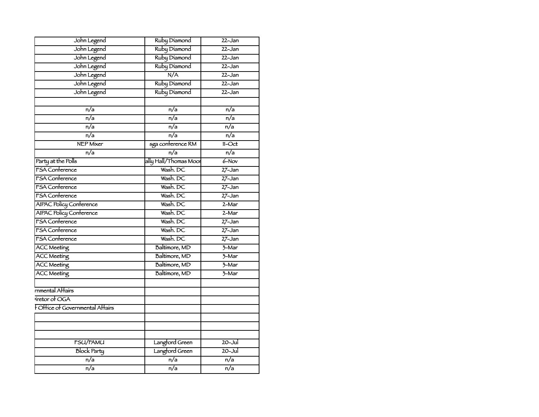| John Legend                    | Ruby Diamond          | $22 - Jan$          |
|--------------------------------|-----------------------|---------------------|
| John Legend                    | Ruby Diamond          | $22 - Jan$          |
| John Legend                    | Ruby Diamond          | 22-Jan              |
| John Legend                    | Ruby Diamond          | $22 - Jan$          |
| John Legend                    | N/A                   | $22 - Jan$          |
| John Legend                    | Ruby Diamond          | $22 - Jan$          |
| John Legend                    | Ruby Diamond          | $22 - Jan$          |
|                                |                       |                     |
| n/a                            | $\overline{n/a}$      | $\overline{n/a}$    |
| $\overline{n/a}$               | $\overline{n/a}$      | $\overline{n/a}$    |
| n/a                            | n/a                   | n/a                 |
| n/a                            | n/a                   | n/a                 |
| <b>NEP Mixer</b>               | sga conference RM     | $11 - Oct$          |
| $\overline{n/a}$               | $\overline{n/a}$      | $\overline{n/a}$    |
| Party at the Polls             | ally Hall/Thomas Moor | $6-Nov$             |
| FSA Conference                 | Wash. DC              | $27 - Jan$          |
| <b>FSA</b> Conference          | Wash. DC              | $27 - Jan$          |
| <b>FSA</b> Conference          | Wash. DC              | $27 - Jan$          |
| <b>FSA</b> Conference          | Wash. DC              | $27 - Jan$          |
| <b>AIPAC Policy Conference</b> | Wash. DC              | $2-Mar$             |
| <b>AIPAC Policy Conference</b> | Wash. DC              | 2-Mar               |
| <b>FSA</b> Conference          | Wash. DC              | $27 - Jan$          |
| <b>FSA</b> Conference          | Wash. DC              | $27 - Jan$          |
| <b>FSA</b> Conference          | Wash. DC              | $27 - Jan$          |
| <b>ACC Meeting</b>             | Baltimore, MD         | $\frac{1}{2}$ -Mar  |
| <b>ACC Meeting</b>             | Baltimore, MD         | $\overline{3}$ -Mar |
| <b>ACC Meeting</b>             | Baltimore, MD         | $\overline{3}$ -Mar |
| <b>ACC Meeting</b>             | Baltimore, MD         | $\overline{3}$ -Mar |
|                                |                       |                     |
| rnmental Affairs               |                       |                     |
| viretor of OGA                 |                       |                     |
| FOHice of Governmental Affairs |                       |                     |
|                                |                       |                     |
|                                |                       |                     |
|                                |                       |                     |
| <b>FSU/FAMU</b>                | Langford Green        | $20 -$ Jul          |
| <b>Block Party</b>             | Langford Green        | $20 -$ Jul          |
| $\overline{n/a}$               | $\overline{n/a}$      | n/a                 |
| $\overline{n/a}$               | n/a                   | $\overline{n/a}$    |
|                                |                       |                     |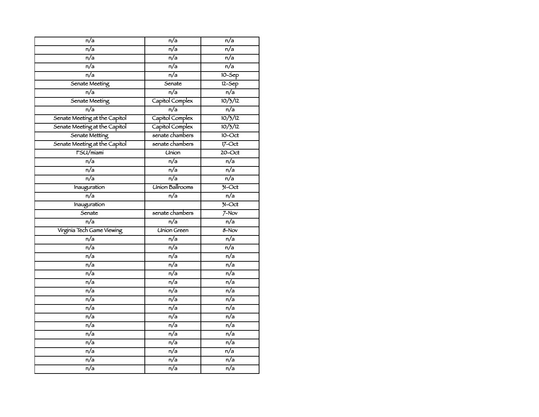| $\overline{n/a}$              | n/a                    | n/a                                    |
|-------------------------------|------------------------|----------------------------------------|
| n/a                           | n/a                    | n/a                                    |
| n/a                           | n/a                    | n/a                                    |
| n/a                           | $\overline{n/a}$       | $\overline{n/a}$                       |
| $\overline{n/a}$              | $\overline{n/a}$       | $10 - Sep$                             |
| Senate Meeting                | Senate                 | $12 - Sep$                             |
| n/a                           | n/a                    | n/a                                    |
| Senate Meeting                | Capitol Complex        | 10/3/12                                |
| $\overline{n/a}$              | $\overline{n/a}$       | $\overline{n/a}$                       |
| Senate Meeting at the Capitol | Capitol Complex        | 10/3/12                                |
| Senate Meeting at the Capitol | Capitol Complex        | 10/3/12                                |
| Senate Metting                | senate chambers        | $10$ -Oct                              |
| Senate Meeting at the Capitol | senate chambers        | $17$ -Oct                              |
| FSU/miami                     | <b>Union</b>           | $20$ -Oct                              |
| $\overline{n/a}$              | $\overline{n/a}$       | $\overline{n/a}$                       |
| n/a                           | n/a                    | n/a                                    |
| n/a                           | $\overline{n/a}$       | n/a                                    |
| Inauguration                  | <b>Union Ballrooms</b> | $71-Oct$                               |
| n/a                           | n/a                    | $\overline{n/a}$                       |
| Inauguration                  |                        | $\overline{\frac{31-\mathrm{Oct}}{2}}$ |
| Senate                        | senate chambers        | $7-Nov$                                |
| n/a                           | n/a                    | n/a                                    |
| Virginia Tech Game Viewing    | <b>Union Green</b>     | $8 - Nov$                              |
| n/a                           | $\overline{n/a}$       | $\overline{n/a}$                       |
| n/a                           | n/a                    | $\overline{n/a}$                       |
| n/a                           | n/a                    | n/a                                    |
| n/a                           | n/a                    | n/a                                    |
| $\overline{n/a}$              | $\overline{n/a}$       | $\overline{n/a}$                       |
| $\overline{n/a}$              | $\overline{n/a}$       | $\overline{n/a}$                       |
| n/a                           | $\overline{n/a}$       | $\overline{n/a}$                       |
| n/a                           | n/a                    | n/a                                    |
| n/a                           | n/a                    | n/a                                    |
| n/a                           | n/a                    | n/a                                    |
| n/a                           | $\overline{n/a}$       | $\overline{\mathsf{n}/\mathsf{a}}$     |
| $\overline{n/a}$              | $\overline{n/a}$       | $\overline{n/a}$                       |
| n/a                           | n/a                    | n/a                                    |
| n/a                           | n/a                    | n/a                                    |
| n/a                           | n/a                    | n/a                                    |
| $\overline{n/a}$              | $\overline{n/a}$       | $\overline{\mathsf{n}/\mathsf{a}}$     |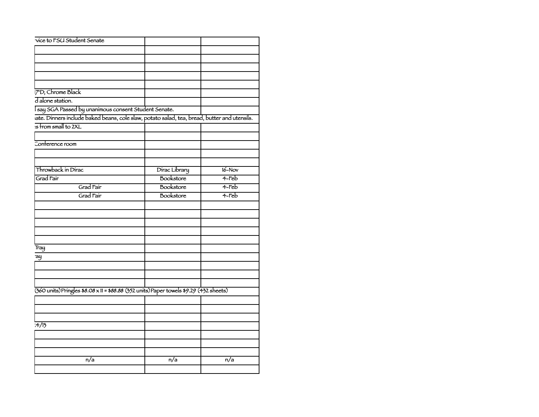| vice to FSU Student Senate                                                                   |                  |          |
|----------------------------------------------------------------------------------------------|------------------|----------|
|                                                                                              |                  |          |
|                                                                                              |                  |          |
|                                                                                              |                  |          |
|                                                                                              |                  |          |
|                                                                                              |                  |          |
|                                                                                              |                  |          |
| 7"D, Chrome Black                                                                            |                  |          |
| d alone station.                                                                             |                  |          |
| Isay SGA Passed by unanimous consent Student Senate.                                         |                  |          |
| iate. Dinners include baked beans, cole slaw, potato salad, tea, bread, butter and utensils. |                  |          |
| is from small to 2XL                                                                         |                  |          |
|                                                                                              |                  |          |
| Conference room                                                                              |                  |          |
|                                                                                              |                  |          |
| Throwback in Dirac                                                                           | Dirac Library    | $16-Nov$ |
| Grad Fair                                                                                    | Bookstore        | $4-Feb$  |
| Grad Fair                                                                                    | Bookstore        | $4$ -Feb |
| Grad Fair                                                                                    | Bookstore        | $4-Feb$  |
|                                                                                              |                  |          |
|                                                                                              |                  |          |
|                                                                                              |                  |          |
|                                                                                              |                  |          |
|                                                                                              |                  |          |
|                                                                                              |                  |          |
| Tray                                                                                         |                  |          |
| ay                                                                                           |                  |          |
|                                                                                              |                  |          |
|                                                                                              |                  |          |
|                                                                                              |                  |          |
| (360 units) Pringles \$8.08 x 11 = \$88.88 (352 units) Paper towels \$9.29 (432 sheets)      |                  |          |
|                                                                                              |                  |          |
|                                                                                              |                  |          |
|                                                                                              |                  |          |
| 7/13                                                                                         |                  |          |
|                                                                                              |                  |          |
|                                                                                              |                  |          |
|                                                                                              |                  |          |
|                                                                                              |                  |          |
| $\overline{n/a}$                                                                             | $\overline{n/a}$ | n/a      |
|                                                                                              |                  |          |
|                                                                                              |                  |          |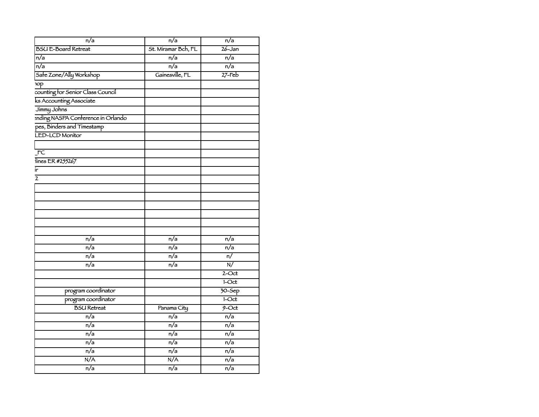| $\overline{n/a}$                   | $\overline{n/a}$    | n/a              |
|------------------------------------|---------------------|------------------|
| <b>BSU E-Board Retreat</b>         | St. Miramar Bch, FL | $26 - Jan$       |
| n/a                                | n/a                 | $\overline{n/a}$ |
| $\overline{n/a}$                   | $\overline{n/a}$    | $\overline{n/a}$ |
| Safe Zone/Ally Workshop            | Gainesville, FL     | $27$ -Feb        |
| op                                 |                     |                  |
| counting for Senior Class Council  |                     |                  |
| ks Accounting Associate            |                     |                  |
| Jimmy Johns                        |                     |                  |
| anding NASPA Conference in Orlando |                     |                  |
| pes, Binders and Timestamp         |                     |                  |
| LED-LCD Monitor                    |                     |                  |
| $\overline{FC}$                    |                     |                  |
| lines ER #255267                   |                     |                  |
| ir                                 |                     |                  |
| $\overline{2}$                     |                     |                  |
|                                    |                     |                  |
|                                    |                     |                  |
|                                    |                     |                  |
|                                    |                     |                  |
|                                    |                     |                  |
|                                    |                     |                  |
|                                    |                     | $\overline{n/a}$ |
| $\overline{n/a}$                   | $\overline{n/a}$    |                  |
| n/a                                | $\overline{n/a}$    | $\overline{n/a}$ |
| n/a                                | n/a                 | $\overline{n/}$  |
| n/a                                | n/a                 | $\overline{N}$   |
|                                    |                     | $2$ -Oct         |
|                                    |                     | $1-Cct$          |
| program coordinator                |                     | $70 - Sep$       |
| program coordinator                |                     | $1-Cct$          |
| <b>BSU</b> Retreat                 | Panama City         | $9$ -Oct         |
| $\overline{n/a}$                   | $\overline{n/a}$    | $\overline{n/a}$ |
| $\overline{n/a}$                   | $\overline{n/a}$    | $\overline{n/a}$ |
| n/a                                | n/a                 | $\overline{n/a}$ |
| n/a                                | n/a                 | n/a              |
| n/a                                | $\overline{n/a}$    | n/a              |
| N/A                                | N/A                 | $\overline{n/a}$ |
| n/a                                | $\overline{n/a}$    | n/a              |
|                                    |                     |                  |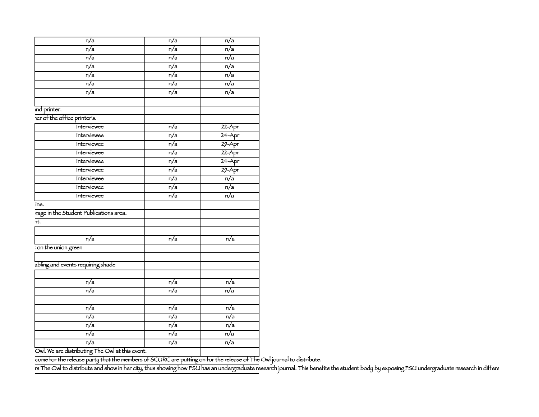| n/a                                    | $\overline{n/a}$ | $\overline{n/a}$ |
|----------------------------------------|------------------|------------------|
| n/a                                    | n/a              | n/a              |
| n/a                                    | n/a              | n/a              |
| n/a                                    | n/a              | n/a              |
| $\overline{n/a}$                       | $\overline{n/a}$ | $\overline{n/a}$ |
| n/a                                    | n/a              | n/a              |
| n/a                                    | n/a              | n/a              |
| ind printer.                           |                  |                  |
| Ter of the office printer's.           |                  |                  |
| Interviewee                            | n/a              | $22 - Apr$       |
| Interviewee                            | n/a              | $24 - Apr$       |
| Interviewee                            | n/a              | $29 - Apr$       |
| Interviewee                            | n/a              | $22 - Apr$       |
| Interviewee                            | n/a              | $24 - Apr$       |
| Interviewee                            | n/a              | $29 - Apr$       |
| Interviewee                            | n/a              | n/a              |
| Interviewee                            | n/a              | n/a              |
| Interviewee                            | $\overline{n/a}$ | $\overline{n/a}$ |
| ine.                                   |                  |                  |
| rage in the Student Publications area. |                  |                  |
| $\overline{nt}$ .                      |                  |                  |
| $\overline{n/a}$                       | $\overline{n/a}$ | $\overline{n/a}$ |
| : on the union green                   |                  |                  |
|                                        |                  |                  |
| abling and events requiring shade      |                  |                  |
| $\overline{n/a}$                       | $\overline{n/a}$ | $\overline{n/a}$ |
| n/a                                    | n/a              | n/a              |
|                                        |                  |                  |
| n/a                                    | n/a              | n/a              |
| n/a                                    | n/a              | $\overline{n/a}$ |
| n/a                                    | $\overline{n/a}$ | $\overline{n/a}$ |
| n/a                                    | n/a              | n/a              |
| n/a                                    | n/a              | n/a              |
| $\overline{\phantom{a}}$               |                  |                  |

Owl. We are distributing The Owl at this event.

The pizza with the release party that the members of SCURC are putting on for the release of The Owl journal to distribute.

rs The Owl to distribute and show in her city, thus showing how FSU has an undergraduate research journal. This benefits the student body by exposing FSU undergraduate research in differe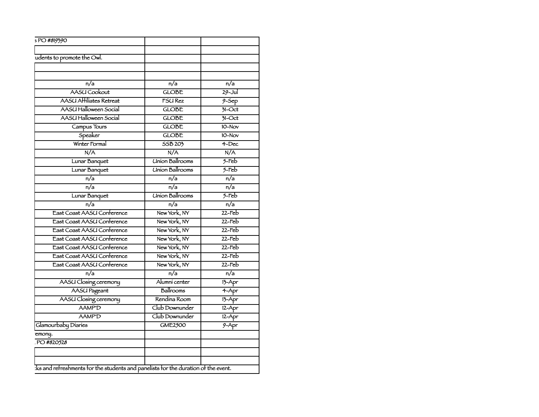| 5 PO #819390                    |                        |                  |
|---------------------------------|------------------------|------------------|
|                                 |                        |                  |
| udents to promote the Owl.      |                        |                  |
|                                 |                        |                  |
|                                 |                        |                  |
| n/a                             | n/a                    | n/a              |
| AASU Cookout                    | <b>GLOBE</b>           | $29 -$ Jul       |
| <b>AASU Affiliates Retreat</b>  | <b>FSURez</b>          | $9-$ Sep         |
| AASU Halloween Social           | <b>GLOBE</b>           | $71-Cct$         |
| AASU Halloween Social           | <b>GLOBE</b>           | $71-Oct$         |
| Campus Tours                    | <b>GLOBE</b>           | $10-Nov$         |
| Speaker                         | <b>GLOBE</b>           | $10-Nov$         |
| Winter Formal                   | 55B 203                | $4$ -Dec         |
| N/A                             | N/A                    | N/A              |
| Lunar Banquet                   | <b>Union Ballrooms</b> | $5$ -Feb         |
| Lunar Banquet                   | <b>Union Ballrooms</b> | $5$ -Feb         |
| n/a                             | n/a                    | n/a              |
| $\overline{n/a}$                | $\overline{n/a}$       | $\overline{n/a}$ |
| Lunar Banquet                   | <b>Union Ballrooms</b> | $5$ -Feb         |
| n/a                             | n/a                    | $\overline{n/a}$ |
| East Coast AASU Conference      | New York, NY           | $22$ -Feb        |
| East Coast AASU Conference      | New York, NY           | $22$ -Feb        |
| East Coast AASU Conference      | New York, NY           | $22$ -Feb        |
| East Coast AASU Conference      | New York, NY           | $22$ -Feb        |
| East Coast AASU Conference      | New York, NY           | $22$ -Feb        |
| East Coast AASU Conference      | New York, NY           | $22$ -Feb        |
| East Coast AASU Conference      | New York, NY           | $22$ -Feb        |
| n/a                             | $\overline{n/a}$       | $\overline{n/a}$ |
| AASU Closing ceremony           | Alumni center          |                  |
| <b>AASU</b> Pageant             | Ballrooms              | $13 - Apr$       |
|                                 | Rendina Room           | $4 - Apr$        |
| AASU Closing ceremony<br>AAMP'D | Club Downunder         | 13-Apr           |
|                                 |                        | $12 - Apr$       |
| AAMP'D                          | Club Downunder         | $12 - Apr$       |
| Glamourbaby Diaries             | <b>GME2500</b>         | $9 - Apr$        |
| emony.                          |                        |                  |
| PO #820528                      |                        |                  |
|                                 |                        |                  |
|                                 |                        |                  |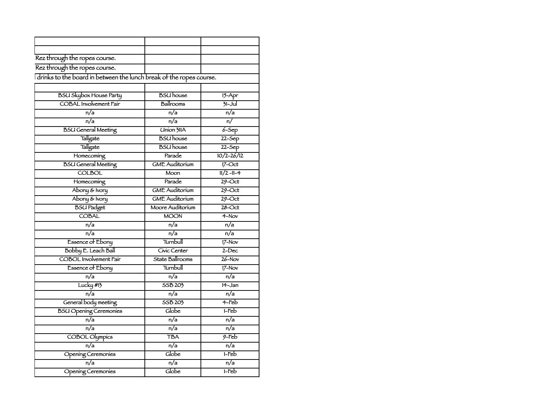| Rez through the ropes course.                                       |                       |                                    |
|---------------------------------------------------------------------|-----------------------|------------------------------------|
| Rez through the ropes course.                                       |                       |                                    |
| drinks to the board in between the lunch break of the ropes course. |                       |                                    |
|                                                                     |                       |                                    |
| <b>BSU Skybox House Party</b>                                       | <b>BSU</b> house      | $15 - Apr$                         |
| <b>COBAL</b> Involvement Fair                                       | Ballrooms             | $31 -$ Jul                         |
| n/a                                                                 | n/a                   | n/a                                |
| $\overline{n/a}$                                                    | $\overline{n/a}$      | $\overline{\mathsf{n}/\mathsf{n}}$ |
| <b>BSU General Meeting</b>                                          | <b>Union 311A</b>     | $6-5ep$                            |
| Tallgate                                                            | <b>BSU</b> house      | $22-5ep$                           |
| Tallgate                                                            | <b>BSU</b> house      | $22-Sep$                           |
| Homecoming                                                          | Parade                | $10/2 - 26/12$                     |
| <b>BSU</b> General Meeting                                          | <b>GME Auditorium</b> | $17$ -Oct                          |
| <b>COLBOL</b>                                                       | Moon                  | $11/2 - 11 - 4$                    |
| Homecoming                                                          | Parade                | $29$ -Oct                          |
| Abony & Ivory                                                       | <b>GME</b> Auditorium | $29$ -Oct                          |
| Abony & Ivory                                                       | <b>GME</b> Auditorium | $29$ -Oct                          |
| <b>BSU Padget</b>                                                   | Moore Auditorium      | $28$ -Oct                          |
| <b>COBAL</b>                                                        | <b>MOON</b>           | $4-Nov$                            |
| n/a                                                                 | n/a                   | n/a                                |
| n/a                                                                 | n/a                   | n/a                                |
| Essence of Ebony                                                    | Turnbull              | $17-Nov$                           |
| Bobby E. Leach Ball                                                 | Civic Center          | $2 - Dec$                          |
| <b>COBOL</b> Involvement Fair                                       | State Ballrooms       | $26 - Nov$                         |
| <b>Essence of Ebony</b>                                             | Turnbull              | $17-Nov$                           |
| n/a                                                                 | n/a                   | n/a                                |
| Lucky #13                                                           | SSB 203               | $14 - Jan$                         |
| $\overline{n/a}$                                                    | $\overline{n/a}$      | n/a                                |
| General body meeting                                                | 55B 203               | $4$ -Feb                           |
| <b>BSU Opening Ceremonies</b>                                       | Globe                 | $1-Feb$                            |
| n/a                                                                 | n/a                   | n/a                                |
| $\overline{n/a}$                                                    | n/a                   | $\overline{n/a}$                   |
| <b>COBOL Olympics</b>                                               | <b>TBA</b>            | $9$ -Feb                           |
| $\overline{n/a}$                                                    | $\overline{n/a}$      | n/a                                |
| Opening Ceremonies                                                  | Globe                 | $1-Feb$                            |
| n/a                                                                 | n/a                   | n/a                                |
| Opening Ceremonies                                                  | Globe                 | $1$ -Feb                           |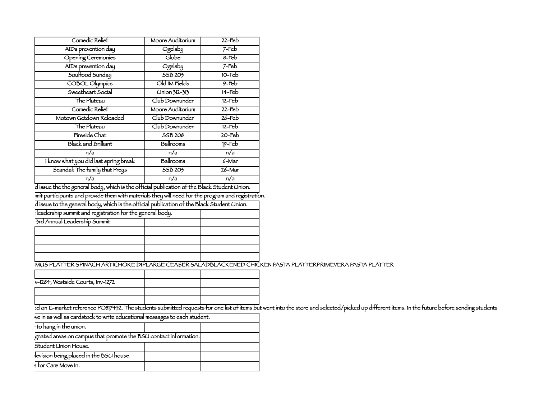| Comedic Relief                        | Moore Auditorium | $22$ -Feb |
|---------------------------------------|------------------|-----------|
| AIDs prevention day                   | Ogelsby          | $7$ -Feb  |
| <b>Opening Ceremonies</b>             | Globe            | $8$ -Feb  |
| AIDs prevention day                   | Ogelsby          | $7$ -Feb  |
| Soulfood Sunday                       | 55B 203          | $10$ -Feb |
| <b>COBOL Olympics</b>                 | Old IM Fields    | $9$ -Feb  |
| Sweetheart Social                     | Union 312-313    | $14$ -Feb |
| The Plateau                           | Club Downunder   | $12$ -Feb |
| Comedic Relief                        | Moore Auditorium | $22$ -Feb |
| Motown Getdown Reloaded               | Club Downunder   | $26$ -Feb |
| The Plateau                           | Club Downunder   | $12$ -Feb |
| Fíreside Chat                         | SSB 208          | $20$ -Feb |
| <b>Black and Brilliant</b>            | Ballrooms        | $19$ -Feb |
| n/a                                   | n/a              | n/a       |
| I know what you did last spring break | Ballrooms        | $6 - Mar$ |
| Scandal: The family that Preys        | SSB 203          | 26-Mar    |
| n/a                                   | n/a              | n/a       |
|                                       |                  |           |

d issue the the general body, which is the official publication of the Black Student Union. imit participants and provide them with materials they will need for the program and registration. d issue to the general body, which is the official publication of the Black Student Union.

Iteadership summit and registration for the general body.

| 3rd Annual Leadership Summit |  |
|------------------------------|--|
|                              |  |
|                              |  |
|                              |  |
|                              |  |

## MUS PLATTER SPINACH ARTICHOKE DIPLARGE CEASER SALADBLACKENED CHICKEN PASTA PLATTERPRIMEVERA PASTA PLATTER

| v-1284; Westside Courts, Inv-1272 |  |
|-----------------------------------|--|
|                                   |  |
|                                   |  |

E-market reference PO817452. The students submitted requests for one list of items but went into the store and selected/picked up different items. In the future before sending students

we in as well as cardstock to write educational messages to each student.

| to hang in the union.                                            |  |
|------------------------------------------------------------------|--|
| gnated areas on campus that promote the BSU contact information. |  |
| Student Union House.                                             |  |
| levision being placed in the BSU house.                          |  |
| s for Care Move In.                                              |  |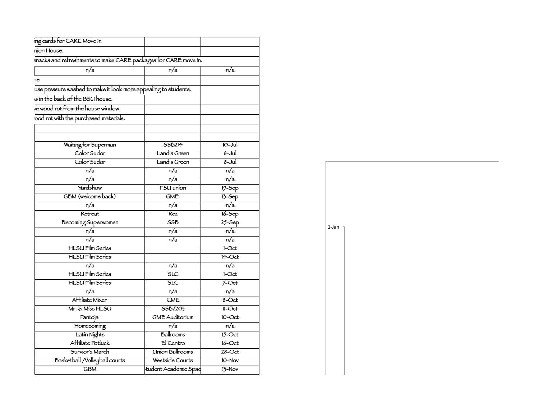| ing cards for CARE Move In                                      |                         |                  |
|-----------------------------------------------------------------|-------------------------|------------------|
| nion House.                                                     |                         |                  |
| snacks and refreshments to make CARE packages for CARE move in. |                         |                  |
| n/a                                                             | n/a                     | n/a              |
| ne.                                                             |                         |                  |
| use pressure washed to make it look more appealing to students. |                         |                  |
| is in the back of the BSU house.                                |                         |                  |
| ve wood rot from the house window.                              |                         |                  |
|                                                                 |                         |                  |
| ood rot with the purchased materials.                           |                         |                  |
|                                                                 |                         |                  |
|                                                                 |                         | $10 -$ Jul       |
| Waiting for Superman                                            | SSB214                  |                  |
| Color Sudor                                                     | Landis Green            | $8 -$ Jul        |
| Color Sudor                                                     | Landis Green            | 8-Jul            |
| n/a                                                             | $\overline{n/a}$        | n/a              |
| n/a                                                             | n/a                     | n/a              |
| Yardshow                                                        | <b>FSU</b> union        | $19-5ep$         |
| GBM (welcome back)                                              | GME                     | $75-5ep$         |
| n/a                                                             | $\overline{n/a}$        | $\overline{n/a}$ |
| Retreat                                                         | Rez                     | $16 - Sep$       |
| Becoming Superwomen                                             | <b>SSB</b>              | $25 -$ Sep       |
| $\overline{n/a}$                                                | $\overline{n/a}$        | $\overline{n/a}$ |
| n/a                                                             | $\overline{n/a}$        | $\overline{n/a}$ |
| <b>HLSU</b> Film Series                                         |                         | $1-Oct$          |
| <b>HLSU</b> Film Series                                         |                         | 14-Oct           |
| n/a                                                             | n/a                     | n/a              |
| <b>HLSU</b> Film Series                                         | $\overline{\text{SLC}}$ | $1-Cct$          |
| <b>HLSU</b> Film Series                                         | $\overline{\text{SLC}}$ | $7 - Oct$        |
| n/a                                                             | $\overline{n/a}$        | $\overline{n/a}$ |
| Affiliate Mixer                                                 | CME                     | $8 - Oct$        |
| Mr. & Miss HLSU                                                 | SSB/203                 | $11 - Oct$       |
| Pantoja                                                         | <b>GME Auditorium</b>   | 10-Oct           |
| Homecoming                                                      | $\overline{n/a}$        | $\overline{n/a}$ |
| Latin Nights                                                    | Ballrooms               | $15 - Oct$       |
| Affiliate Potluck                                               | El Centro               | $16$ -Oct        |
| Survior's March                                                 | <b>Union Ballrooms</b>  | $28$ -Oct        |
| Basketball / Volleyball courts                                  | Westside Courts         | 10-Nov           |
| <b>GBM</b>                                                      | tudent Academic Spac    | $13-Nov$         |
|                                                                 |                         |                  |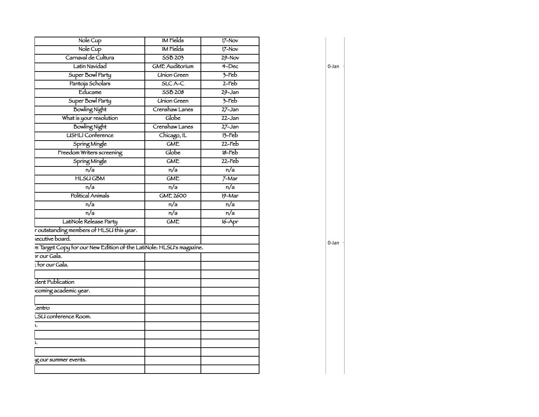| Nole Cup                                                            | <b>IM Fields</b>      | $17-Nov$         |
|---------------------------------------------------------------------|-----------------------|------------------|
| Nole Cup                                                            | <b>IM</b> Fields      | $17-Nov$         |
| Carnaval de Cultura                                                 | 55B 203               | $29 - Nov$       |
| Latin Navidad                                                       | <b>GME Auditorium</b> | $4 - Dec$        |
| Super Bowl Party                                                    | <b>Union Green</b>    | $7$ -Feb         |
| Pantoja Scholars                                                    | SLCA-C                | $2-Feb$          |
| Educame                                                             | <b>SSB 208</b>        | $29 - Jan$       |
| Super Bowl Party                                                    | <b>Union Green</b>    | $7-Feb$          |
| <b>Bowling Night</b>                                                | Crenshaw Lanes        | $27 - Jan$       |
| What is your resolution                                             | Globe                 | $22 - Jan$       |
| <b>Bowling Night</b>                                                | Crenshaw Lanes        | $27 - Jan$       |
| <b>USHLI Conference</b>                                             | Chicago, IL           | $13$ -Feb        |
| Spring Mingle                                                       | <b>GME</b>            | $22$ -Feb        |
| Freedom Writers screening                                           | Globe                 | $18$ -Feb        |
| Spring Mingle                                                       | <b>GME</b>            | $22$ -Feb        |
| n/a                                                                 | n/a                   | n/a              |
| <b>HLSUGBM</b>                                                      | <b>GME</b>            | $7-Mar$          |
| $\overline{n/a}$                                                    | n/a                   | $\overline{n/a}$ |
| Political Animals                                                   | <b>GME 2600</b>       | $19-Mar$         |
| $\overline{n/a}$                                                    | $\overline{n/a}$      | $\overline{n/a}$ |
| n/a                                                                 | n/a                   | n/a              |
| LatiNole Release Party                                              | <b>GME</b>            | $16 - Apr$       |
| r outstanding members of HLSU this year.                            |                       |                  |
| <i>secutive</i> board.                                              |                       |                  |
| m Target Copy for our New Edition of the LatiNole: HLSU's magazine. |                       |                  |
| or our Gala.                                                        |                       |                  |
| : for our Gala.                                                     |                       |                  |
|                                                                     |                       |                  |
| dent Publication                                                    |                       |                  |
| coming academic year.                                               |                       |                  |
|                                                                     |                       |                  |
| centro                                                              |                       |                  |
| LSU conference Room.                                                |                       |                  |
| 5.                                                                  |                       |                  |
|                                                                     |                       |                  |
| 5.                                                                  |                       |                  |
|                                                                     |                       |                  |
| ig our summer events.                                               |                       |                  |
|                                                                     |                       |                  |
|                                                                     |                       |                  |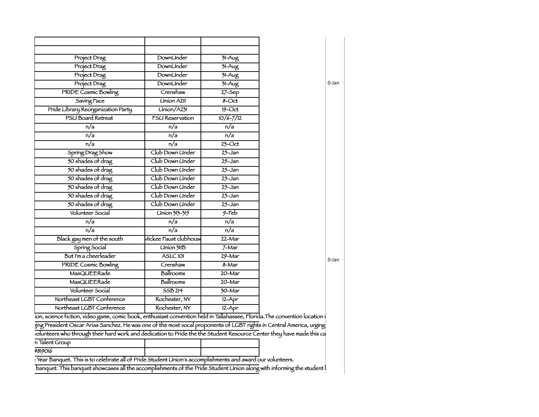| Project Drag                       | DownUnder              | $71 - Aug$           |
|------------------------------------|------------------------|----------------------|
| Project Drag                       | DownUnder              | $31 - Aug$           |
| Project Drag                       | DownUnder              | $31-Aug$             |
| Project Drag                       | <b>DownUnder</b>       | $31 - Aug$           |
| PRIDE Cosmic Bowling               | Crenshaw               | $27 - 5ep$           |
| Saving Face                        | <b>Union A211</b>      | $8 - Oct$            |
| Pride Library Reorganization Party | Union/A231             | $19 - Oct$           |
| PSU Board Retreat                  | <b>FSU Reservation</b> | $10/6 - 7/12$        |
| n/a                                | $\overline{n/a}$       | n/a                  |
| n/a                                | n/a                    | n/a                  |
| n/a                                | $\overline{n/a}$       | $23$ -Oct            |
| Spring Drag Show                   | Club Down Under        | $25 - Jan$           |
| 50 shades of drag                  | Club Down Under        | $25 - Jan$           |
| 50 shades of drag                  | Club Down Under        | $25 - Jan$           |
| 50 shades of drag                  | Club Down Under        | $25 - Jan$           |
| 50 shades of drag                  | Club Down Under        | $25 - Jan$           |
| 50 shades of drag                  | Club Down Under        | $25 - Jan$           |
| 50 shades of drag                  | Club Down Under        | $25 - Jan$           |
| Volunteer Social                   | Union 313-315          | $9$ -Feb             |
| n/a                                | n/a                    | n/a                  |
| n/a                                | n/a                    | n/a                  |
| Black gay men of the south         | Mickee Faust clubhouse | $22 - Mar$           |
| Spring Social                      | <b>Union 311B</b>      | $7-Mar$              |
| But I'm a cheerleader              | ASLC101                | 29-Mar               |
| <b>PRIDE Cosmic Bowling</b>        | Crenshaw               | $8 - \text{Mar}$     |
| <b>MasQUEERade</b>                 | Ballrooms              | $20 - Mar$           |
| MasQUEERade                        | Ballrooms              | $20 - Mar$           |
| Volunteer Social                   | 55B214                 | $\overline{30}$ -Mar |
| Northeast LGBT Conference          | Rochester, NY          | $12 - Apr$           |
| Northeast LGBT Conference          | Rochester, NY          | $12 - Apr$           |
|                                    |                        |                      |

0-Jan 

ion, science fiction, video game, comic book, enthusiast convention held in Tallahassee, Florida. The convention location i

ging President Oscar Arias Sanchez. He was one of the most vocal proponents of LGBT rights in Central America, urging volunteers who through their hard work and dedication to Pride the the Student Resource Center they have made this ca

n Talent Group

#819016

Pear Banquet. This is to celebrate all of Pride Student Union's accomplishments and award our volunteers. banquet. This banquet showcases all the accomplishments of the Pride Student Union along with informing the student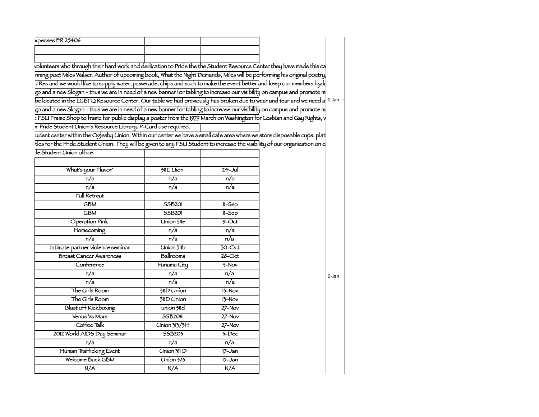| xpenses ER 25406 |  |
|------------------|--|
|                  |  |
|                  |  |

volunteers who through their hard work and dedication to Pride the the Student Resource Center they have made this ca nning poet Miles Walser. Author of upcoming book, What the Night Demands, Miles will be performing his original poetry I Res and we would like to supply water, powerade, chips and such to make the event better and keep our members hydr go and a new Slogan - thus we are in need of a new banner for tabling to increase our visibility on campus and promote m be located in the LGBTQ Resource Center. Our table we had previously has broken due to wear and tear and we need a 10-Jan the monotocomputation of the LGBTQ Resource Center. Our table we had previously has broken due to we go and a new Slogan - thus we are in need of a new banner for tabling to increase our visibility on campus and promote m > FSU Frame Shop to frame for public display a poster from the 1979 March on Washington for Lesbian and Gay Rights, y or Pride Student Union's Resource Library. P-Card use required.

> udent center within the Oglesby Union. Within our center we have a small care area where we store disposable cups, plat tles for the Pride Student Union. They will be given to any FSU Student to increase the visibility of our organization on c The Student Union office

| What's your Flavor"               | 311E Uion              | $24 -$ Jul          |
|-----------------------------------|------------------------|---------------------|
| n/a                               | n/a                    | n/a                 |
| n/a                               | $\overline{n/a}$       | n/a                 |
| <b>Fall Retreat</b>               |                        |                     |
| <b>GBM</b>                        | <b>SSB201</b>          | $11-Sep$            |
| <b>GBM</b>                        | <b>SSB201</b>          | $11-5ep$            |
| <b>Operation Pink</b>             | <b>Union 3lle</b>      | $9$ -Oct            |
| Homecoming                        | n/a                    | $\overline{n/a}$    |
| $\overline{n/a}$                  | n/a                    | n/a                 |
| Intimate partner violence seminar | <b>Union 311b</b>      | $\overline{30-Oct}$ |
| <b>Breast Cancer Awareness</b>    | Ballrooms              | $28 - Oct$          |
| Conference                        | Panama City            | $\frac{1}{2}$ -Nov  |
| n/a                               | $\overline{n/a}$       | n/a                 |
| n/a                               | n/a                    | n/a                 |
| The Girls Room                    | 311D Union             | $13-Nov$            |
| The Girls Room                    | 311D Union             | $13-Nov$            |
| <b>Blast off Kickboxing</b>       | union 311d             | $27 - Nov$          |
| Venus Vs Mars                     | <b>SSB208</b>          | $27 - Nov$          |
| Coffee Talk                       | Union 313/314          | $27-Nov$            |
| 2012 World AIDS Day Seminar       | <b>SSB203</b>          | $\overline{3-Dec}$  |
| n/a                               | n/a                    | n/a                 |
| Human Trafficking Event           | Union 311 D            | $17 - Jan$          |
| Welcome Back GBM                  | $\overline{Union 323}$ | $15 - Jan$          |
| N/A                               | N/A                    | N/A                 |
|                                   |                        |                     |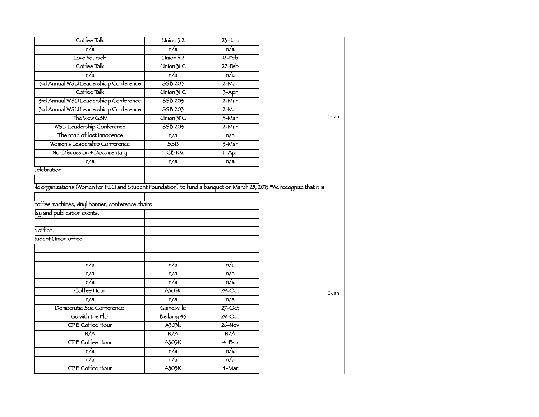| Coffee Talk                           | <b>Union 312</b>           | $23 - Jan$          |
|---------------------------------------|----------------------------|---------------------|
| n/a                                   | n/a                        | n/a                 |
| Love Yourself                         | Union 312                  | $12-Feb$            |
| Coffee Talk                           | <b>Union 31IC</b>          | $27$ -Feb           |
| $\overline{n/a}$                      | $\overline{n/a}$           | $\overline{n/a}$    |
| 3rd Annual WSU Leadershiop Conference | 55B 203                    | $2-Mar$             |
| Coffee Talk                           | <b>Union 31IC</b>          | $3-Apr$             |
| 3rd Annual WSU Leadershiop Conference | SSB 203                    | $2-Mar$             |
| 3rd Annual WSU Leadershiop Conference | SSB 203                    | $2-Mar$             |
| The View GBM                          | <b>Union 31IC</b>          | $5 - Mar$           |
| WSU Leadership Conference             | 55B 203                    | $2-Mar$             |
| The road of lost innocence            | n/a                        | n/a                 |
| Women's Leadership Conference         | 55B                        | $\overline{3}$ -Mar |
| No! Discussion + Documentary          | <b>HCB102</b>              | $11-Apr$            |
| n/a                                   | $\overline{n/a}$           | n/a                 |
| celbration                            |                            |                     |
| lay and publication events.           |                            |                     |
| 1 office.                             |                            |                     |
| tudent Union office.                  |                            |                     |
| n/a                                   |                            |                     |
|                                       | n/a                        | n/a                 |
| $\overline{n/a}$                      | $\overline{n/a}$           | $\overline{n/a}$    |
| $\overline{n/a}$                      | $\overline{n/a}$           | $\overline{n/a}$    |
| Coffee Hour                           | A303K                      | $29$ -Oct           |
| n/a                                   | n/a                        | n/a                 |
| Democratic Soc Conference             | Gainesville                | $27$ -Oct           |
| Go with the Flo                       |                            | $29$ -Oct           |
| CPE Coffee Hour                       | Bellamy 45<br><b>A303k</b> | $26 - Nov$          |
| N/A                                   | N/A                        | N/A                 |
|                                       | A303K                      | $4-Feb$             |
| CPE Coffee Hour                       |                            | n/a                 |
| n/a<br>$\overline{n/a}$               | n/a<br>$\overline{n/a}$    | $\overline{n/a}$    |
| CPE Coffee Hour                       | A303K                      | $4-Mar$             |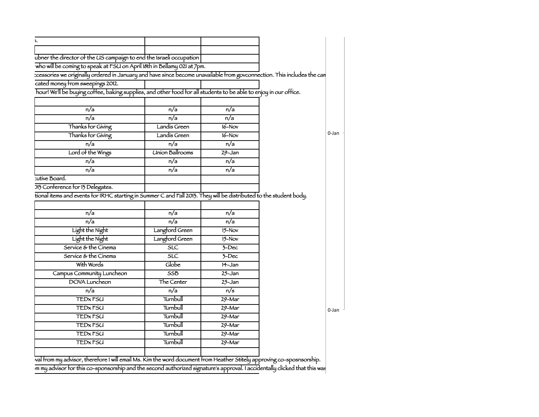| ubner the director of the US campaign to end the Israeli occupation                                                    |                         |                          |               |
|------------------------------------------------------------------------------------------------------------------------|-------------------------|--------------------------|---------------|
| who will be coming to speak at FSU on April 18th in Bellamy 021 at 7pm.                                                |                         |                          |               |
| cessories we originally ordered in January and have since become unavailable from govconnection. This includes the can |                         |                          |               |
| cated money from sweepings 2012.                                                                                       |                         |                          |               |
| hour! We'll be buying coffee, baking supplies, and other food for all students to be able to enjoy in our office.      |                         |                          |               |
|                                                                                                                        |                         |                          |               |
| n/a                                                                                                                    | n/a                     | n/a                      |               |
| n/a                                                                                                                    | n/a                     | $\overline{n/a}$         |               |
| Thanks for Giving                                                                                                      | Landis Green            | $16-Nov$                 |               |
| Thanks for Giving                                                                                                      | Landis Green            | $16-Nov$                 | 0-Jan         |
| n/a                                                                                                                    | n/a                     | n/a                      |               |
| Lord of the Wings                                                                                                      | <b>Union Ballrooms</b>  | $29 - Jan$               |               |
| $\overline{n/a}$                                                                                                       | n/a                     | $\overline{n/a}$         |               |
| n/a                                                                                                                    | n/a                     | $\overline{n/a}$         |               |
| tutive Board.                                                                                                          |                         |                          |               |
| 013 Conference for 13 Delegates.                                                                                       |                         |                          |               |
| tional items and events for IRHC starting in Summer C and Fall 2013. They will be distributed to the student body.     |                         |                          |               |
|                                                                                                                        |                         |                          |               |
| n/a                                                                                                                    | n/a                     | n/a                      |               |
| n/a                                                                                                                    | n/a                     | n/a                      |               |
| Light the Night                                                                                                        | Langford Green          | $15-Nov$                 |               |
| Light the Night                                                                                                        | Langford Green          | $15-Nov$                 |               |
| Service & the Cinema                                                                                                   | $\overline{\text{SLC}}$ | $7 - Dec$                |               |
| Service & the Cinema                                                                                                   | SLC                     | $7 - Dec$                |               |
| With Words                                                                                                             | Globe                   | $H - Jan$                |               |
| Campus Community Luncheon                                                                                              | $\overline{\text{SSB}}$ | $25 - Jan$               |               |
| <b>DOVA</b> Luncheon                                                                                                   | The Center              | $25 - Jan$               |               |
| n/a                                                                                                                    | n/a                     | n/s                      |               |
| <b>TED<sub>x</sub>FSU</b>                                                                                              | Turnbull                | $29 - Mar$               |               |
| <b>TED<sub>x</sub>FSU</b>                                                                                              | Turnbull                | $29 - Mar$               |               |
| <b>TED<sub>x</sub>FSU</b>                                                                                              | Turnbull                | $29 - Mar$               | $\vert$ 0-Jan |
| <b>TED<sub>x</sub>FSU</b>                                                                                              |                         |                          |               |
| <b>TED<sub>x</sub>FSU</b>                                                                                              |                         |                          |               |
|                                                                                                                        | Turnbull                | $29 - Mar$               |               |
| <b>TED<sub>x</sub>FSU</b>                                                                                              | Turnbull<br>Turnbull    | $29 - Mar$<br>$29 - Mar$ |               |

wal from my advisor, therefore I will email Ms. Kim the word document from Heather Stitely approving co-sposnsorship.  $\overline{m}$  my advisor for this co-sponsorship and the second authorized signature's approval. I accidentally clicked that this was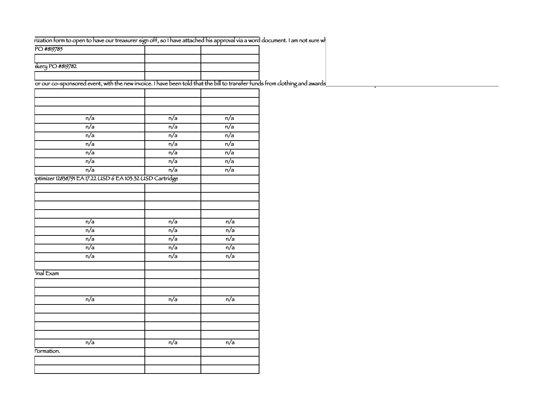## rization form to open to have our treasurer sign off, so I have attached his approval via a word document. I am not sure wh

| PO #819785      |  |
|-----------------|--|
|                 |  |
| Rery PO #819782 |  |
|                 |  |

This is the updated event, with the new invoice. I have been told that the bill to transfer funds from clothing and awards

| $\overline{n/a}$                                         | $\overline{n/a}$ | $\overline{n/a}$ |
|----------------------------------------------------------|------------------|------------------|
| n/a                                                      | n/a              | n/a              |
| n/a                                                      | n/a              | n/a              |
| n/a                                                      | n/a              | n/a              |
| $\overline{n/a}$                                         | $\overline{n/a}$ | $\overline{n/a}$ |
| n/a                                                      | n/a              | n/a              |
| n/a                                                      | n/a              | n/a              |
| ptimizer 12838791 EA 17.22 USD 6 EA 103.32 USD Cartridge |                  |                  |
|                                                          |                  |                  |
|                                                          |                  |                  |
|                                                          |                  |                  |
|                                                          |                  |                  |
| n/a                                                      | n/a              | n/a              |
| n/a                                                      | n/a              | n/a              |
| n/a                                                      | $\overline{n/a}$ | $\overline{n/a}$ |
| n/a                                                      | n/a              | n/a              |
| n/a                                                      | n/a              | n/a              |
|                                                          |                  |                  |
| inal Exam                                                |                  |                  |
|                                                          |                  |                  |
|                                                          |                  |                  |
| n/a                                                      | n/a              | n/a              |
|                                                          |                  |                  |
|                                                          |                  |                  |
|                                                          |                  |                  |
|                                                          |                  |                  |
| n/a                                                      | n/a              | n/a              |
| Formation.                                               |                  |                  |
|                                                          |                  |                  |
|                                                          |                  |                  |
|                                                          |                  |                  |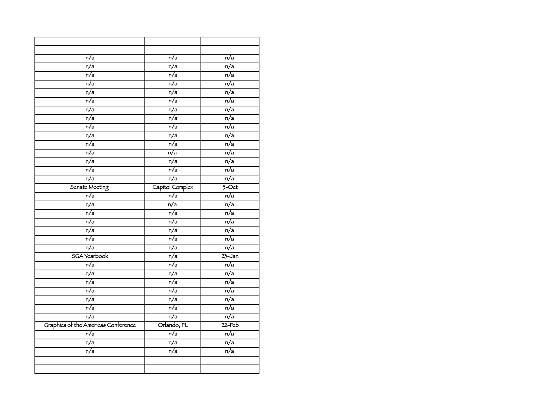| n/a                                 | n/a              | n/a                 |
|-------------------------------------|------------------|---------------------|
| $\overline{n/a}$                    | $\overline{n/a}$ | n/a                 |
| $\overline{n/a}$                    | $\overline{n/a}$ | $\overline{n/a}$    |
| n/a                                 | $\overline{n/a}$ | n/a                 |
| n/a                                 | n/a              | n/a                 |
| n/a                                 | $\overline{n/a}$ | $\overline{n/a}$    |
| $\overline{n/a}$                    | $\overline{n/a}$ | $\overline{n/a}$    |
| $\overline{n/a}$                    | $\overline{n/a}$ | n/a                 |
| $\overline{n/a}$                    | n/a              | $\overline{n/a}$    |
| $\overline{n/a}$                    | n/a              | n/a                 |
| $\overline{n/a}$                    | $\overline{n/a}$ | n/a                 |
| $\overline{n/a}$                    | $\overline{n/a}$ | $\overline{n/a}$    |
| $\overline{n/a}$                    | $\overline{n/a}$ | $\overline{n/a}$    |
| n/a                                 | n/a              | n/a                 |
| n/a                                 | $\overline{n/a}$ | $\overline{n/a}$    |
| Senate Meeting                      | Capitol Complex  | $\overline{3}$ -Oct |
| $\overline{n/a}$                    | $\overline{n/a}$ | $\overline{n/a}$    |
| $\overline{n/a}$                    | $\overline{n/a}$ | $\overline{n/a}$    |
| n/a                                 | n/a              | n/a                 |
| n/a                                 | n/a              | n/a                 |
| $\overline{n/a}$                    | $\overline{n/a}$ | $\overline{n/a}$    |
| $\overline{n/a}$                    | $\overline{n/a}$ | $\overline{n/a}$    |
| $\overline{n/a}$                    | $\overline{n/a}$ | $\overline{n/a}$    |
| <b>SGA</b> Yearbook                 | n/a              | $23 - Jan$          |
| n/a                                 | $\overline{n/a}$ | $\overline{n/a}$    |
| $\overline{n/a}$                    | $\overline{n/a}$ | $\overline{n/a}$    |
| $\overline{n/a}$                    | $\overline{n/a}$ | $\overline{n/a}$    |
| n/a                                 | n/a              | n/a                 |
| n/a                                 | n/a              | n/a                 |
| $\overline{n/a}$                    | n/a              | n/a                 |
| $\overline{n/a}$                    | $\overline{n/a}$ | $\overline{n/a}$    |
| Graphics of the Americas Conference | Orlando, FL      | $22$ -Feb           |
| n/a                                 | n/a              | n/a                 |
| n/a                                 | n/a              | n/a                 |
| n/a                                 | n/a              | n/a                 |
|                                     |                  |                     |
|                                     |                  |                     |
|                                     |                  |                     |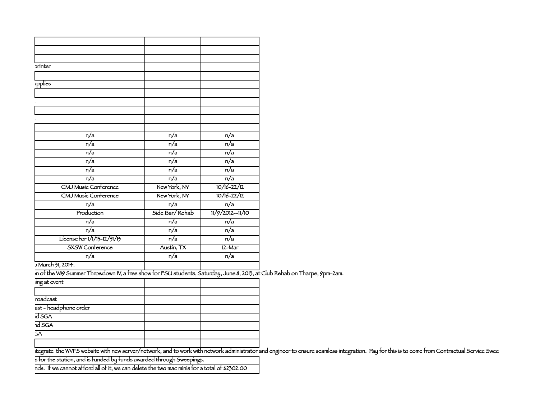| printer                     |                  |                    |
|-----------------------------|------------------|--------------------|
|                             |                  |                    |
| ipplies                     |                  |                    |
|                             |                  |                    |
|                             |                  |                    |
|                             |                  |                    |
|                             |                  |                    |
|                             |                  |                    |
| n/a                         | n/a              | n/a                |
| n/a                         | n/a              | n/a                |
| n/a                         | n/a              | n/a                |
| n/a                         | n/a              | n/a                |
| n/a                         | n/a              | n/a                |
| n/a                         | n/a              | n/a                |
| CMJ Music Conference        | New York, NY     | $10/16 - 22/12$    |
| CMJ Music Conference        | New York, NY     | $10/16 - 22/12$    |
| $\overline{n/a}$            | $\overline{n/a}$ | $\overline{n/a}$   |
| Production                  | Síde Bar/Rehab   | $11/9/2012--11/10$ |
| n/a                         | n/a              | n/a                |
| n/a                         | n/a              | n/a                |
| License for 1/1/13-12/31/13 | n/a              | $\overline{n/a}$   |
| <b>SXSW</b> Conference      | Austin, TX       | $12-Mar$           |
| n/a                         | n/a              | n/a                |
| D March 31, 2014.           |                  |                    |

In of the V89 Summer Throwdown IV, a free show for FSU students, Saturday, June 8, 2013, at Club Rehab on Tharpe, 9pm-2am.

| ing at event          |  |
|-----------------------|--|
|                       |  |
| roadcast              |  |
| ast - headphone order |  |
| id SGA                |  |
| $\overline{ndSGA}$    |  |
| 3A                    |  |
|                       |  |

tegrate the WVFS website with new server/network, and to work with network administrator and engineer to ensure seamless integration. Pay for this is to come from Contractual Service Swee

s for the station, and is funded by funds awarded through Sweepings.

nds. If we cannot afford all of it, we can delete the two mac minis for a total of \$2302.00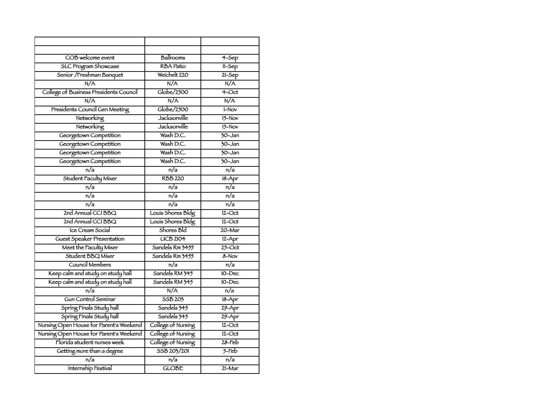| COB welcome event                       | Ballrooms          | $4-$ Sep             |
|-----------------------------------------|--------------------|----------------------|
| <b>SLC Program Showcase</b>             | <b>RBA</b> Patio   | $11-Sep$             |
| Senior / Freshman Banquet               | Weichelt 220       | $21 - 5ep$           |
| N/A                                     | N/A                | N/A                  |
| College of Business Presidents Council  | Globe/2500         | $4$ -Oct             |
| N/A                                     | N/A                | N/A                  |
| Presidents Council Gen Meeting          | Globe/2500         | $1-Nov$              |
| Networking                              | Jacksonville       | $15-Nov$             |
| Networking                              | Jacksonville       | $15-Nov$             |
| Georgetown Competition                  | Wash D.C.          | $70 - Jan$           |
| Georgetown Competition                  | Wash D.C.          | $\overline{30}$ -Jan |
| Georgetown Competition                  | Wash D.C.          | $\overline{30}$ -Jan |
| Georgetown Competition                  | Wash D.C.          | $\overline{30}$ -Jan |
| n/a                                     | $\overline{n/a}$   | n/a                  |
| Student Faculty Mixer                   | <b>RBB 220</b>     | $18 - Apr$           |
| n/a                                     | n/a                | $\overline{n/a}$     |
| n/a                                     | n/a                | $\overline{n/a}$     |
| n/a                                     | n/a                | $\overline{n/a}$     |
| 2nd Annual CCI BBQ                      | Louis Shores Bldg  | $12$ -Oct            |
| 2nd Annual CCI BBO                      | Louis Shores Bldg  | $12$ -Oct            |
| Ice Cream Social                        | Shores Bld         | 20-Mar               |
| Guest Speaker Presentation              | UCB2IO4            | $12 - Apr$           |
| Meet the Faculty Mixer                  | Sandels Rm 3455    | $25$ -Oct            |
| Student BBO Mixer                       | Sandels Rm 3455    | $8 - Nov$            |
| Council Members                         | n/a                | n/a                  |
| Keep calm and study on study hall       | Sandels RM 345     | 10-Dec               |
| Keep calm and study on study hall       | Sandels RM 345     | 10-Dec               |
| $\overline{n/a}$                        | N/A                | n/a                  |
| Gun Control Seminar                     | <b>SSB 203</b>     | $18 - Apr$           |
| Spring Finals Study hall                | Sandels 345        | $29 - Apr$           |
| Spring Finals Study hall                | Sandels 345        | $29 - Apr$           |
| Nursing Open House for Parent's Weekend | College of Nursing | $12$ -Oct            |
| Nursing Open House for Parent's Weekend | College of Nursing | $12$ -Oct            |
| Florida student nurses week             | College of Nursing | $28$ -Feb            |
| Getting more than a degree              | SSB 203/201        | $5$ -Feb             |
| $\overline{n/a}$                        | $\overline{n/a}$   | $\overline{n/a}$     |
| Internship Festival                     | <b>GLOBE</b>       | 21-Mar               |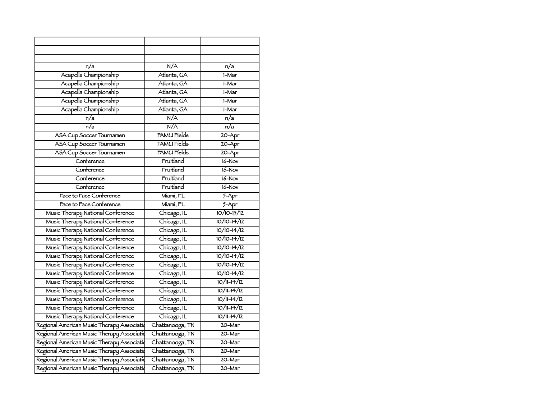| n/a                                        | N/A                | n/a              |
|--------------------------------------------|--------------------|------------------|
| Acapella Championship                      | Atlanta, GA        | $1-Mar$          |
| Acapella Championship                      | Atlanta, GA        | 1-Mar            |
| Acapella Championship                      | Atlanta, GA        | 1-Mar            |
| Acapella Championship                      | Atlanta, GA        | 1-Mar            |
| Acapella Championship                      | Atlanta, GA        | 1-Mar            |
| n/a                                        | N/A                | $\overline{n/a}$ |
| $\overline{n/a}$                           | N/A                | n/a              |
| ASA Cup Soccer Tournamen                   | <b>FAMU Fields</b> | $20 - Apr$       |
| ASA Cup Soccer Tournamen                   | FAMU Fíelds        | $20 - Apr$       |
| ASA Cup Soccer Tournamen                   | FAMU Fíelds        | $20 - Apr$       |
| Conference                                 | Fruitland          | $16 - Nov$       |
| Conference                                 | Fruitland          | $16-Nov$         |
| Conference                                 | Fruitland          | $16 - Nov$       |
| Conference                                 | Fruitland          | $16 - Nov$       |
| Face to Face Conference                    | Míamí, FL          | $5 - Apr$        |
| Face to Face Conference                    | Miami, FL          | $5 - Apr$        |
| Music Therapy National Conference          | Chicago, IL        | $10/10 - 15/12$  |
| Music Therapy National Conference          | Chicago, IL        | $10/10 - 14/12$  |
| Music Therapy National Conference          | Chicago, IL        | $10/10-14/12$    |
| Music Therapy National Conference          | Chicago, IL        | $10/10-14/12$    |
| Music Therapy National Conference          | Chicago, IL        | $10/10-14/12$    |
| Music Therapy National Conference          | Chicago, IL        | $10/10-14/12$    |
| Music Therapy National Conference          | Chicago, IL        | $10/10-14/12$    |
| Music Therapy National Conference          | Chicago, IL        | $10/10 - 14/12$  |
| Music Therapy National Conference          | Chicago, IL        | $10/11-14/12$    |
| Music Therapy National Conference          | Chicago, IL        | $10/11-14/12$    |
| Music Therapy National Conference          | Chicago, IL        | $10/11-14/12$    |
| Music Therapy National Conference          | Chicago, IL        | $10/11-14/12$    |
| Music Therapy National Conference          | Chicago, IL        | $10/11 - 14/12$  |
| Regional American Music Therapy Associatio | Chattanooga, TN    | $20 - Mar$       |
| Regional American Music Therapy Associatio | Chattanooga, TN    | 20-Mar           |
| Regional American Music Therapy Associatio | Chattanooga, TN    | 20-Mar           |
| Regional American Music Therapy Associatio | Chattanooga, TN    | 20-Mar           |
| Regional American Music Therapy Associatio | Chattanooga, TN    | 20-Mar           |
| Regional American Music Therapy Associatio | Chattanooga, TN    | 20-Mar           |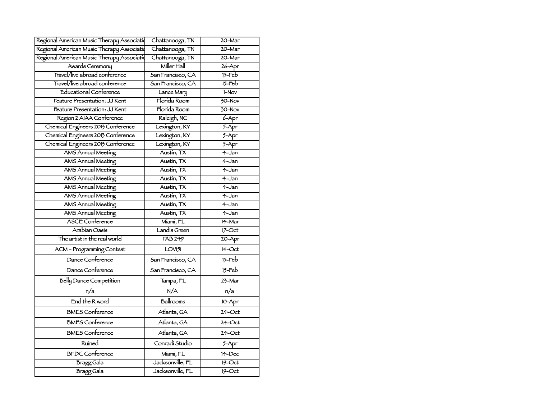| Regional American Music Therapy Associatio | Chattanooga, TN    | 20-Mar                |
|--------------------------------------------|--------------------|-----------------------|
| Regional American Music Therapy Associatio | Chattanooga, TN    | 20-Mar                |
| Regional American Music Therapy Associatio | Chattanooga, TN    | $20 - Mar$            |
| Awards Ceremony                            | Miller Hall        | $26 - Apr$            |
| Travel/live abroad conference              | San Francisco, CA  | $15$ -Feb             |
| Travel/live abroad conference              | San Francisco, CA  | $15$ -Feb             |
| <b>Educational Conference</b>              | Lance Mary         | $1-Nov$               |
| Feature Presentation: JJ Kent              | Florida Room       | 30-Nov                |
| Feature Presentation: JJ Kent              | Florida Room       | $\overline{30-$ Nov   |
| Region 2 AIAA Conference                   | Raleigh, NC        | $6 - Apr$             |
| Chemical Engineers 2013 Conference         | Lexington, KY      | $5 - Apr$             |
| Chemical Engineers 2013 Conference         | Lexington, KY      | $5 - Apr$             |
| Chemical Engineers 2013 Conference         | Lexington, KY      | $5 - Apr$             |
| <b>AMS Annual Meeting</b>                  | Austin, TX         | 4-Jan                 |
| <b>AMS Annual Meeting</b>                  | Austin, TX         | $4 - Jan$             |
| <b>AMS Annual Meeting</b>                  | Austin, TX         | 4-Jan                 |
| <b>AMS Annual Meeting</b>                  | Austin, TX         | 4-Jan                 |
| <b>AMS Annual Meeting</b>                  | Austin, TX         | 4-Jan                 |
| <b>AMS Annual Meeting</b>                  | Austin, TX         | 4-Jan                 |
| <b>AMS Annual Meeting</b>                  | Austin, TX         | $\overline{4}$ -Jan   |
| <b>AMS Annual Meeting</b>                  | Austin, TX         | 4-Jan                 |
| <b>ASCE</b> Conference                     | Miami, FL          | 14-Mar                |
| Arabian Oasis                              | Landis Green       | $17$ -Oct             |
| The artist in the real world               | <b>FAB 249</b>     | $20 - Apr$            |
| ACM - Programming Contest                  | LOV <sub>151</sub> | $14$ -Oct             |
| Dance Conference                           | San Francisco, CA  | $15$ - $\mathsf{Feb}$ |
| Dance Conference                           | San Francisco, CA  | $15$ -Feb             |
| Belly Dance Competition                    | Tampa, FL          | 23-Mar                |
| n/a                                        | N/A                | n/a                   |
| End the R word                             | Ballrooms          | 10-Apr                |
| <b>BMES</b> Conference                     | Atlanta, GA        | $24$ -Oct             |
| <b>BMES</b> Conference                     | Atlanta, GA        | $24$ -Oct             |
| <b>BMES</b> Conference                     | Atlanta, GA        | $24$ -Oct             |
| Ruined                                     | Conradi Studio     | 5-Apr                 |
| <b>BFDC</b> Conference                     | Miami, FL          | $14$ -Dec             |
| Bragg Gala                                 | Jacksonville, FL   | $19$ -Oct             |
| <b>Bragg Gala</b>                          | Jacksonville, FL   | $19 - Oct$            |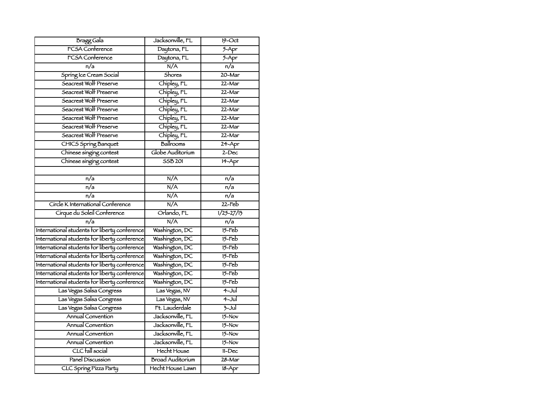| Bragg Gala                                    | Jacksonville, FL        | $19 - Oct$          |
|-----------------------------------------------|-------------------------|---------------------|
| <b>FCSA Conference</b>                        | Daytona, FL             | $5 - Apr$           |
| FCSA Conference                               | Daytona, FL             | $5 - Apr$           |
| n/a                                           | N/A                     | $\overline{n/a}$    |
| Spring Ice Cream Social                       | <b>Shores</b>           | 20-Mar              |
| Seacrest Wolf Preserve                        | Chipley, FL             | $22 - Mar$          |
| Seacrest Wolf Preserve                        | Chipley, FL             | 22-Mar              |
| Seacrest Wolf Preserve                        | Chipley, FL             | 22-Mar              |
| Seacrest Wolf Preserve                        | Chipley, FL             | 22-Mar              |
| Seacrest Wolf Preserve                        | Chipley, FL             | 22-Mar              |
| Seacrest Wolf Preserve                        | Chipley, FL             | $22 - Mar$          |
| Seacrest Wolf Preserve                        | Chipley, FL             | $22 - Mar$          |
| <b>CHICS Spring Banquet</b>                   | Ballrooms               | 24-Apr              |
| Chinese singing contest                       | Globe Auditorium        | $2 - Dec$           |
| Chinese singing contest                       | <b>SSB 201</b>          | 14-Apr              |
|                                               |                         |                     |
| n/a                                           | N/A                     | n/a                 |
| $\overline{n/a}$                              | N/A                     | $\overline{n/a}$    |
| $\overline{n/a}$                              | N/A                     | $\overline{n/a}$    |
| Circle K International Conference             | N/A                     | $22$ -Feb           |
| Cirque du Soleil Conference                   | Orlando, FL             | $1/25 - 27/15$      |
| n/a                                           | N/A                     | n/a                 |
| International students for liberty conference | Washington, DC          | $15 - \text{Feb}$   |
| International students for liberty conference | Washington, DC          | $15$ -Feb           |
| International students for liberty conference | Washington, DC          | $15$ -Feb           |
| International students for liberty conference | Washington, DC          | $15$ -Feb           |
| International students for liberty conference | Washington, DC          | $15$ -Feb           |
| International students for liberty conference | Washington, DC          | $15 -$ Feb          |
| International students for liberty conference | Washington, DC          | $15 -$ Feb          |
| Las Vegas Salsa Congress                      | Las Vegas, NV           | $4 -$ Jul           |
| Las Vegas Salsa Congress                      | Las Vegas, NV           | $4 -$ Jul           |
| Las Vegas Salsa Congress                      | Ft. Lauderdale          | $\overline{3}$ -Jul |
| Annual Convention                             | Jacksonville, FL        | $15-Nov$            |
| Annual Convention                             | Jacksonville, FL        | $15-Nov$            |
| <b>Annual Convention</b>                      | Jacksonville, FL        | $15-Nov$            |
| Annual Convention                             | Jacksonville, FL        | $15-Nov$            |
| CLC fall social                               | <b>Hecht House</b>      | $11 - Dec$          |
| Panel Discussion                              |                         |                     |
| CLC Spring Pizza Party                        | <b>Broad Auditorium</b> | $28 - Mar$          |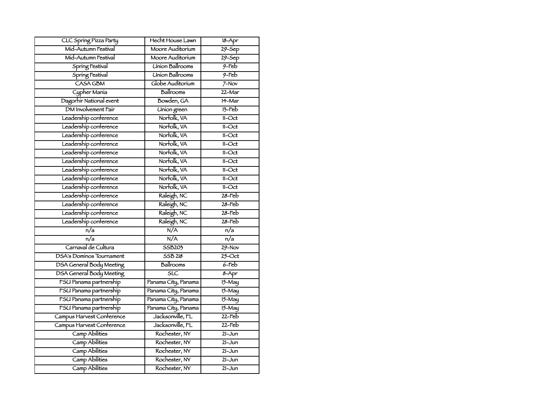| CLC Spring Pizza Party          | Hecht House Lawn        | $18 - Apr$           |
|---------------------------------|-------------------------|----------------------|
| Mid-Autumn Festival             | Moore Auditorium        | $29 - $ Sep          |
| Mid-Autumn Festival             | Moore Auditorium        | $29 - $ Sep          |
| Spring Festival                 | <b>Union Ballrooms</b>  | $9-Feb$              |
| Spring Festival                 | <b>Union Ballrooms</b>  | $9$ -Feb             |
| <b>CASA GBM</b>                 | Globe Auditorium        | $7-Nov$              |
| Cypher Mania                    | Ballrooms               | 22-Mar               |
| Dagorhir National event         | Bowden, GA              | $14 - \text{Mar}$    |
| DM Involvement Fair             | Union green             | $13 - Feb$           |
| Leadership conference           | Norfolk, VA             | $11 - \text{Oct}$    |
| Leadership conference           | Norfolk, VA             | $11 - Oct$           |
| Leadership conference           | Norfolk, VA             | $11 - Oct$           |
| Leadership conference           | Norfolk, VA             | $11 - Oct$           |
| Leadership conference           | Norfolk, VA             | $11 - Oct$           |
| Leadership conference           | Norfolk, VA             | $11 - Oct$           |
| Leadership conference           | Norfolk, VA             | $11 - Oct$           |
| Leadership conference           | Norfolk, VA             | $11 - Oct$           |
| Leadership conference           | Norfolk, VA             | $11 - Oct$           |
| Leadership conference           | Raleigh, NC             | $28 - \overline{56}$ |
| Leadership conference           | Raleigh, NC             | 28-Feb               |
| Leadership conference           | Raleigh, NC             | $28 - \text{Feb}$    |
| Leadership conference           | Raleigh, NC             | $28 - \text{Feb}$    |
| $\overline{n/a}$                | N/A                     | $\overline{n/a}$     |
| $\overline{n/a}$                | N/A                     | $\overline{n/a}$     |
| Carnaval de Cultura             | 55B203                  | $29 - Nov$           |
| <b>DSA's Dominos Tournament</b> | <b>SSB 218</b>          | $25$ -Oct            |
| DSA General Body Meeting        | Ballrooms               | $6$ -Feb             |
| <b>DSA General Body Meeting</b> | $\overline{\text{SLC}}$ | $8 - Apr$            |
| FSU Panama partnership          | Panama City, Panama     | $15 - May$           |
| FSU Panama partnership          | Panama City, Panama     | $15 - May$           |
| FSU Panama partnership          | Panama City, Panama     | $15 - May$           |
| FSU Panama partnership          | Panama City, Panama     | $15 - May$           |
| Campus Harvest Conference       | Jacksonville, FL        | $22$ -Feb            |
| Campus Harvest Conference       | Jacksonville, FL        | $22$ -Feb            |
| <b>Camp Abilities</b>           | Rochester, NY           | $21 - Jun$           |
| <b>Camp Abilities</b>           | Rochester, NY           | $21 - Jun$           |
| <b>Camp Abilities</b>           | Rochester, NY           | $21 - Jun$           |
| Camp Abilities                  | Rochester, NY           | $21 - Jun$           |
| Camp Abilities                  | Rochester, NY           | $21 - Jun$           |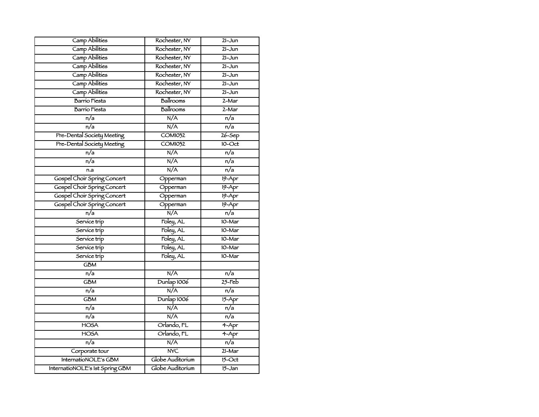| Camp Abilities                  | Rochester, NY           | $21 - Jun$          |
|---------------------------------|-------------------------|---------------------|
| Camp Abilities                  | Rochester, NY           | $21 - Jun$          |
| <b>Camp Abilities</b>           | Rochester, NY           | $21 - Jun$          |
| Camp Abilities                  | Rochester, NY           | $21 - Jun$          |
| Camp Abilities                  | Rochester, NY           | $21 - Jun$          |
| <b>Camp Abilities</b>           | Rochester, NY           | $21 - Jun$          |
| Camp Abilities                  | Rochester, NY           | $21 - Jun$          |
| <b>Barrío Fiesta</b>            | Ballrooms               | 2-Mar               |
| Barrio Fiesta                   | Ballrooms               | $2-Mar$             |
| $\overline{n/a}$                | N/A                     | $\overline{n/a}$    |
| $\overline{n/a}$                | N/A                     | n/a                 |
| Pre-Dental Society Meeting      | <b>COM1032</b>          | $26 - Sep$          |
| Pre-Dental Society Meeting      | <b>COM1032</b>          | $10 - Oct$          |
| $\overline{n/a}$                | N/A                     | $\overline{n/a}$    |
| n/a                             | N/A                     | $\overline{n/a}$    |
| n.a                             | N/A                     | $\overline{n/a}$    |
| Gospel Choir Spring Concert     | Opperman                | $19 - Apr$          |
| Gospel Choir Spring Concert     | Opperman                | $19 - Apr$          |
| Gospel Choir Spring Concert     | Opperman                | $19 - Apr$          |
| Gospel Choir Spring Concert     | Opperman                | $19 - Apr$          |
| n/a                             | N/A                     | n/a                 |
| Service trip                    | Foley, AL               | 10-Mar              |
| Service trip                    | Foley, AL               | 10-Mar              |
| Service trip                    | Foley, AL               | 10-Mar              |
| Service trip                    | Foley, AL               | 10-Mar              |
| Service trip                    | Foley, AL               | 10-Mar              |
| <b>GBM</b>                      |                         |                     |
| $\overline{n/a}$                | N/A                     | $\overline{n/a}$    |
| $\overline{\text{GBM}}$         | Dunlap 1006             | $25 - \overline{5}$ |
| n/a                             | N/A                     | n/a                 |
| <b>GBM</b>                      | Dunlap 1006             | $15 - Apr$          |
| n/a                             | N/A                     | n/a                 |
| $\overline{n/a}$                | N/A                     | $\overline{n/a}$    |
| <b>HOSA</b>                     | Orlando, FL             | $4 - Apr$           |
| <b>HOSA</b>                     | Orlando, FL             | $4 - Apr$           |
| n/a                             | N/A                     | n/a                 |
| Corporate tour                  | $\overline{\text{NVC}}$ | 21-Mar              |
| InternatioNOLE's GBM            | Globe Auditorium        | $15 - Oct$          |
| InternatioNOLE's 1st Spring GBM | Globe Auditorium        | $15 - Jan$          |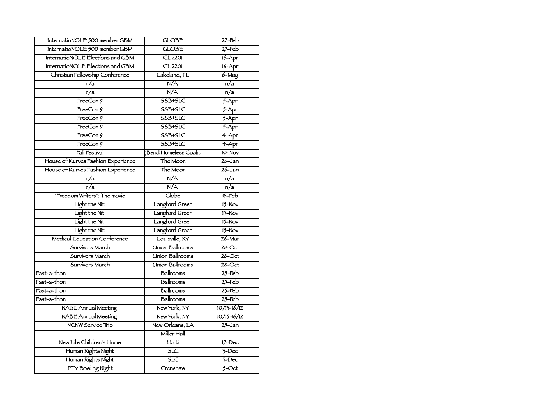| InternatioNOLE 500 member GBM      | <b>GLOBE</b>                         | $27$ -Feb          |
|------------------------------------|--------------------------------------|--------------------|
| InternatioNOLE 500 member GBM      | <b>GLOBE</b>                         | $27$ -Feb          |
| InternatioNOLE Elections and GBM   | $CL$ 2201                            | $16 - Apr$         |
| InternatioNOLE Elections and GBM   | $CL$ 2201                            | $16 - Apr$         |
| Christian Fellowship Conference    | Lakeland, FL                         | $6 - May$          |
| n/a                                | N/A                                  | n/a                |
| n/a                                | N/A                                  | n/a                |
| TrecCon9                           | SSB+SLC                              | $5 - Apr$          |
| TrecCon9                           | SSB+SLC                              | $5 - Apr$          |
| TrecCon9                           | SSB+SLC                              | $5 - Apr$          |
| TrecCon9                           | SSB+SLC                              | $5 - Apr$          |
| TreeCon9                           | SSB+SLC                              | $4 - Apr$          |
| TrecCon9                           | SSB+SLC                              | $4 - Apr$          |
| <b>Fall Festival</b>               | <b>Bend Homeless Coalit</b>          | $10-Nov$           |
| House of Kurves Fashion Experience | The Moon                             | $26 - Jan$         |
| House of Kurves Fashion Experience | The Moon                             | $26 - Jan$         |
| $\overline{n/a}$                   | N/A                                  | n/a                |
| $\overline{n/a}$                   | N/A                                  | $\overline{n/a}$   |
| "Freedom Writers": The movie       | Globe                                | $18 - \text{Feb}$  |
| Light the Nit                      | Langford Green                       | $15-Nov$           |
| Light the Nit                      | Langford Green                       | $15-Nov$           |
| Light the Nit                      | Langford Green                       | $15-Nov$           |
| Light the Nit                      | Langford Green                       | $15-Nov$           |
| Medical Education Conference       | Louisville, KY                       | $26 - \text{Mar}$  |
| Survivors March                    | <b>Union Ballrooms</b>               | $28 - Oct$         |
| Survivors March                    | <b><i><u>Union Ballrooms</u></i></b> | $28 - Oct$         |
| Survivors March                    | <b>Union Ballrooms</b>               | $28 - Oct$         |
| Fast-a-thon                        | Ballrooms                            | $25$ -Feb          |
| Fast-a-thon                        | Ballrooms                            | $25$ -Feb          |
| Fast-a-thon                        | Ballrooms                            | $25$ -Feb          |
| Fast-a-thon                        | Ballrooms                            | $25$ -Feb          |
| <b>NABE</b> Annual Meeting         | New York, NY                         | $10/13 - 16/12$    |
| <b>NABE Annual Meeting</b>         | New York, NY                         | $10/13 - 16/12$    |
| NCNW Service Trip                  | New Orleans, LA                      | $25 - Jan$         |
|                                    | Miller Hall                          |                    |
| New Life Children's Home           | Haiti                                | $17 - Dec$         |
| Human Rights Night                 | SLC                                  | $7$ -Dec           |
| Human Rights Night                 | $\overline{\text{SLC}}$              | $\overline{3-Dec}$ |
| PTY Bowling Night                  | Crenshaw                             | $5 - Oct$          |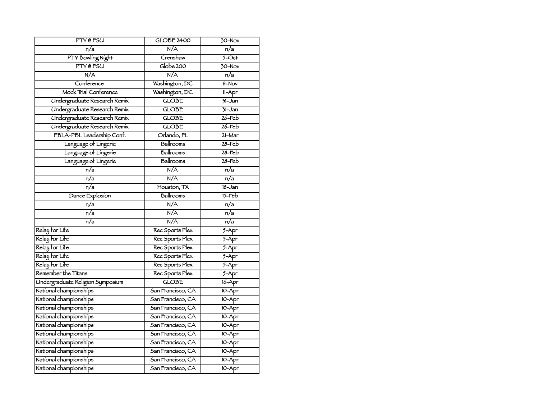| PTY @ FSU                           | <b>GLOBE 2400</b> | $30-Nov$            |
|-------------------------------------|-------------------|---------------------|
| n/a                                 | N/A               | n/a                 |
| PTY Bowling Night                   | Crenshaw          | $\overline{5-4}$    |
| <b>PTY</b> @ FSU                    | Globe 200         | $\overline{30-$ Nov |
| N/A                                 | N/A               | $\overline{n/a}$    |
| Conference                          | Washington, DC    | $8 - Nov$           |
| Mock Trial Conference               | Washington, DC    | $11-Apr$            |
| <b>Undergraduate Research Remix</b> | <b>GLOBE</b>      | $71 - Jan$          |
| <b>Undergraduate Research Remix</b> | <b>GLOBE</b>      | $31 - Jan$          |
| <b>Undergraduate Research Remix</b> | <b>GLOBE</b>      | $26$ -Feb           |
| Undergraduate Research Remix        | <b>GLOBE</b>      | $26$ -Feb           |
| FBLA-PBL Leadership Conf.           | Orlando, FL       | $21 - Mar$          |
| Language of Lingerie                | Ballrooms         | $28 - \text{Feb}$   |
| Language of Lingerie                | Ballrooms         | $28 - \text{Feb}$   |
| Language of Lingerie                | Ballrooms         | $28 - \text{Feb}$   |
| $\overline{n/a}$                    | N/A               | n/a                 |
| n/a                                 | N/A               | n/a                 |
| $\overline{n/a}$                    | Houston, TX       | $18 - Jan$          |
| Dance Explosion                     | Ballrooms         | $15 - \text{Fe}$    |
| $\overline{n/a}$                    | N/A               | $\overline{n/a}$    |
| n/a                                 | N/A               | n/a                 |
| n/a                                 | N/A               | n/a                 |
| Relay for Life                      | Rec Sports Plex   | $5 - Apr$           |
| Relay for Life                      | Rec Sports Plex   | $5 - Apr$           |
| Relay for Life                      | Rec Sports Plex   | $5 - Apr$           |
| Relay for Life                      | Rec Sports Plex   | $5 - Apr$           |
| Relay for Life                      | Rec Sports Plex   | $5 - Apr$           |
| Remember the Titans                 | Rec Sports Plex   | $5 -$ Apr           |
| Undergraduate Religion Symposium    | <b>GLOBE</b>      | $16 - Apr$          |
| National championships              | San Francisco, CA | 10-Apr              |
| National championships              | San Francisco, CA | $10-Apr$            |
| National championships              | San Francisco, CA | $10 - Apr$          |
| National championships              | San Francisco, CA | 10-Apr              |
| National championships              | San Francisco, CA | 10-Apr              |
| National championships              | San Francisco, CA | $10 - Apr$          |
| National championships              | San Francisco, CA | $10 - Apr$          |
| National championships              | San Francisco, CA | $10 - Apr$          |
| National championships              | San Francisco, CA | $10 - Apr$          |
| National championships              | San Francisco, CA | 10-Apr              |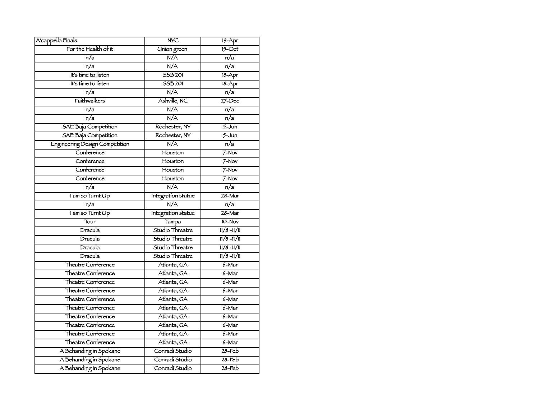| A'cappella Fínals              | <b>NYC</b>         | $19 - Apr$        |
|--------------------------------|--------------------|-------------------|
| For the Health of it           | <b>Union</b> green | $15$ -Oct         |
| n/a                            | N/A                | n/a               |
| $\overline{n/a}$               | N/A                | n/a               |
| It's time to listen            | 55B201             | $18 - Apr$        |
| It's time to listen            | <b>SSB 201</b>     | $18 - Apr$        |
| n/a                            | N/A                | n/a               |
| Faithwalkers                   | Ashville, NC       | $27 - Dec$        |
| n/a                            | N/A                | n/a               |
| n/a                            | N/A                | $\overline{n/a}$  |
| <b>SAE Baja Competition</b>    | Rochester, NY      | $5 - Jun$         |
| SAE Baja Competition           | Rochester, NY      | $5 - Jun$         |
| Engineering Design Competition | N/A                | $\overline{n/a}$  |
| Conference                     | Houston            | $7-Nov$           |
| Conference                     | Houston            | $7-Nov$           |
| Conference                     | Houston            | $7-Nov$           |
| Conference                     | Houston            | $7-Nov$           |
| $\overline{n/a}$               | N/A                | $\overline{n/a}$  |
| I am so Turnt Up               | Integration statue | $28 - Mar$        |
| n/a                            | N/A                | n/a               |
| I am so Turnt Up               | Integration statue | 28-Mar            |
| Tour                           | Tampa              | 10-Nov            |
| Dracula                        | Studio Threatre    | $11/8 - 11/11$    |
| Dracula                        | Studio Threatre    | $11/8 - 11/11$    |
| Dracula                        | Studio Threatre    | $11/8 - 11/11$    |
| Dracula                        | Studio Threatre    | $11/8 - 11/11$    |
| Theatre Conference             | Atlanta, GA        | $6 - \text{Mar}$  |
| Theatre Conference             | Atlanta, GA        | $6 - Mar$         |
| Theatre Conference             | Atlanta, GA        | 6-Mar             |
| Theatre Conference             | Atlanta, GA        | $6 - Mar$         |
| Theatre Conference             | Atlanta, GA        | $6 - Mar$         |
| Theatre Conference             | Atlanta, GA        | 6-Mar             |
| Theatre Conference             | Atlanta, GA        | $6 - Mar$         |
| Theatre Conference             | Atlanta, GA        | $6 - \text{Mar}$  |
| Theatre Conference             | Atlanta, GA        | $6 - Mar$         |
| Theatre Conference             | Atlanta, GA        | 6-Mar             |
| A Behanding in Spokane         | Conradi Studio     | $28 - \text{Feb}$ |
| A Behanding in Spokane         | Conradi Studio     | $28 - \text{Fe}$  |
| A Behanding in Spokane         | Conradi Studio     | $28 - \text{Feb}$ |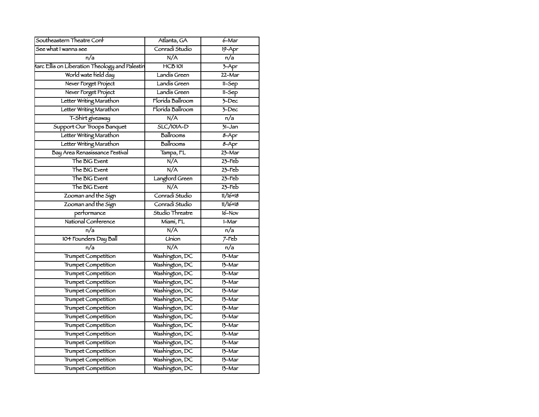| Southeastern Theatre Conf                      | Atlanta, GA      | $6 - \text{Mar}$ |
|------------------------------------------------|------------------|------------------|
| See what I wanna see                           | Conradi Studio   | $19 - Apr$       |
| n/a                                            | N/A              | $\overline{n/a}$ |
| Aarc Ellis on Liberation Theology and Palestin | $HCB$ 101        | $3-$ Apr         |
| World wate field day                           | Landis Green     | $22 - Mar$       |
| Never Forget Project                           | Landis Green     | $11-5ep$         |
| Never Forget Project                           | Landis Green     | $11-Sep$         |
| Letter Writing Marathon                        | Florida Ballroom | $7 - Dec$        |
| Letter Writing Marathon                        | Florída Ballroom | $7 - Dec$        |
| T-Shirt giveaway                               | N/A              | $\overline{n/a}$ |
| Support Our Troops Banquet                     | $SLC/101A-D$     | $71 - Jan$       |
| Letter Writing Marathon                        | Ballrooms        | $8 - Apr$        |
| Letter Writing Marathon                        | Ballrooms        | $8 - Apr$        |
| Bay Area Renasissance Festival                 | Tampa, FL        | $23-Mar$         |
| The BIG Event                                  | N/A              | $23$ -Feb        |
| The BIG Event                                  | N/A              | $23$ -Feb        |
| The BIG Event                                  | Langford Green   | $23$ -Feb        |
| The BIG Event                                  | N/A              | $23$ -Feb        |
| Zooman and the Sign                            | Conradí Studio   | $11/16 + 18$     |
| Zooman and the Sign                            | Conradi Studio   | $11/16 + 18$     |
| performance                                    | Studio Threatre  | $16 - Nov$       |
| National Conference                            | Miami, FL        | $1-Mar$          |
| $\overline{n/a}$                               | N/A              | $\overline{n/a}$ |
| 104 Founders Day Ball                          | <b>Union</b>     | $7$ -Feb         |
| n/a                                            | N/A              | $\overline{n/a}$ |
| <b>Trumpet Competition</b>                     | Washington, DC   | 13-Mar           |
| <b>Trumpet Competition</b>                     | Washington, DC   | 13-Mar           |
| <b>Trumpet Competition</b>                     | Washington, DC   | $13-Mar$         |
| <b>Trumpet Competition</b>                     | Washington, DC   | 13-Mar           |
| <b>Trumpet Competition</b>                     | Washington, DC   | 13-Mar           |
| Trumpet Competition                            | Washington, DC   | 13-Mar           |
| <b>Trumpet Competition</b>                     | Washington, DC   | 13-Mar           |
| Trumpet Competition                            | Washington, DC   | 13-Mar           |
| <b>Trumpet Competition</b>                     | Washington, DC   | $13-Mar$         |
| <b>Trumpet Competition</b>                     | Washington, DC   | 13-Mar           |
| Trumpet Competition                            | Washington, DC   | 13-Mar           |
| Trumpet Competition                            | Washington, DC   | $15-Mar$         |
| Trumpet Competition                            | Washington, DC   | 13-Mar           |
| Trumpet Competition                            | Washington, DC   | 13-Mar           |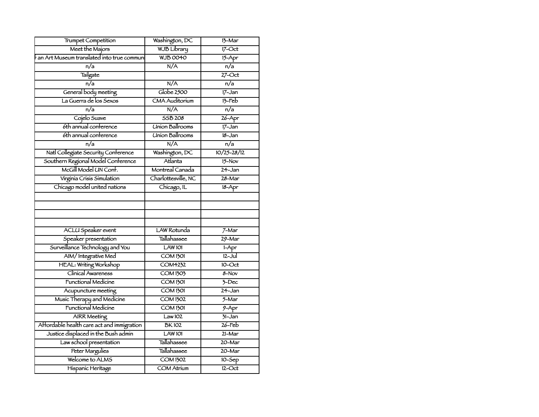| Meet the Majors<br><b>WJB Library</b><br>$17$ -Oct<br><b>WJB0040</b><br>an Art Museum translated into true commun<br>$15 - Apr$<br>N/A<br>$\overline{n/a}$<br>n/a<br>Tailgate<br>$27$ -Oct<br>$\overline{n/a}$<br>n/a<br>N/A<br>Globe 2500<br>General body meeting<br>$17 - Jan$<br>La Guerra de los Sexos<br><b>CMA Auditorium</b><br>$13 - Feb$<br>$\overline{n/a}$<br>$\overline{n/a}$<br>N/A<br>$26 - Apr$<br>Cojelo Suave<br>55B 208<br>6th annual conference<br><b>Union Ballrooms</b><br>$17 - Jan$<br><b>Union Ballrooms</b><br>6th annual conference<br>$18 - Jan$<br>N/A<br>n/a<br>n/a<br>Natl Collegiate Security Conference<br>Washington, DC<br>$10/25 - 28/12$<br>Southern Regional Model Conference<br>Atlanta<br>$15-Nov$<br>McGill Model UN Conf.<br>Montreal Canada<br>$24 - Jan$<br>Virginia Crisis Simulation<br>Charlottesville, NC<br>28-Mar<br>Chicago model united nations<br>Chicago, IL<br>$18 - Apr$<br><b>LAW Rotunda</b><br>ACLU Speaker event<br>$7-Mar$<br>Speaker presentation<br><b>Tallahassee</b><br>$29 - \text{Mar}$<br>Surveillance Technology and You<br>LAW 101<br>$1-Apr$<br>AIM/Integrative Med<br>$12 - Ju$<br><b>COM1301</b><br>HEAL: Writing Workshop<br><b>COM4232</b><br>$10$ -Oct<br>Clinical Awareness<br><b>COM1303</b><br>8-Nov<br><b>Functional Medicine</b><br><b>COM 1301</b><br>$\overline{3-Dec}$<br><b>COM 1301</b><br>$24 - Jan$<br>Acupuncture meeting<br>Music Therapy and Medicine<br><b>COM 1302</b><br>$5 - $ Mar<br>Functional Medicine<br><b>COM 1301</b><br>$9 - Apr$<br>Law102<br>$\overline{31}$ -Jan<br><b>AIRR</b> Meeting<br>$26$ -Feb<br>Affordable health care act and immigration<br><b>BK102</b><br>Justice displaced in the Bush admin<br>LAW1O1<br>$21 - \text{Mar}$<br>Tallahassee<br>Law school presentation<br>20-Mar<br><b>Peter Margulies</b><br><b>Tallahassee</b><br>$20 - \text{Mar}$<br>Welcome to ALMS<br><b>COM 1302</b><br>$10 - Sep$<br>$12 - Oct$<br>Hispanic Heritage<br><b>COM Atrium</b> | <b>Trumpet Competition</b> | Washington, DC | $13-Mar$ |
|----------------------------------------------------------------------------------------------------------------------------------------------------------------------------------------------------------------------------------------------------------------------------------------------------------------------------------------------------------------------------------------------------------------------------------------------------------------------------------------------------------------------------------------------------------------------------------------------------------------------------------------------------------------------------------------------------------------------------------------------------------------------------------------------------------------------------------------------------------------------------------------------------------------------------------------------------------------------------------------------------------------------------------------------------------------------------------------------------------------------------------------------------------------------------------------------------------------------------------------------------------------------------------------------------------------------------------------------------------------------------------------------------------------------------------------------------------------------------------------------------------------------------------------------------------------------------------------------------------------------------------------------------------------------------------------------------------------------------------------------------------------------------------------------------------------------------------------------------------------------------------------------------------------------------------------------------------------------------------------|----------------------------|----------------|----------|
|                                                                                                                                                                                                                                                                                                                                                                                                                                                                                                                                                                                                                                                                                                                                                                                                                                                                                                                                                                                                                                                                                                                                                                                                                                                                                                                                                                                                                                                                                                                                                                                                                                                                                                                                                                                                                                                                                                                                                                                        |                            |                |          |
|                                                                                                                                                                                                                                                                                                                                                                                                                                                                                                                                                                                                                                                                                                                                                                                                                                                                                                                                                                                                                                                                                                                                                                                                                                                                                                                                                                                                                                                                                                                                                                                                                                                                                                                                                                                                                                                                                                                                                                                        |                            |                |          |
|                                                                                                                                                                                                                                                                                                                                                                                                                                                                                                                                                                                                                                                                                                                                                                                                                                                                                                                                                                                                                                                                                                                                                                                                                                                                                                                                                                                                                                                                                                                                                                                                                                                                                                                                                                                                                                                                                                                                                                                        |                            |                |          |
|                                                                                                                                                                                                                                                                                                                                                                                                                                                                                                                                                                                                                                                                                                                                                                                                                                                                                                                                                                                                                                                                                                                                                                                                                                                                                                                                                                                                                                                                                                                                                                                                                                                                                                                                                                                                                                                                                                                                                                                        |                            |                |          |
|                                                                                                                                                                                                                                                                                                                                                                                                                                                                                                                                                                                                                                                                                                                                                                                                                                                                                                                                                                                                                                                                                                                                                                                                                                                                                                                                                                                                                                                                                                                                                                                                                                                                                                                                                                                                                                                                                                                                                                                        |                            |                |          |
|                                                                                                                                                                                                                                                                                                                                                                                                                                                                                                                                                                                                                                                                                                                                                                                                                                                                                                                                                                                                                                                                                                                                                                                                                                                                                                                                                                                                                                                                                                                                                                                                                                                                                                                                                                                                                                                                                                                                                                                        |                            |                |          |
|                                                                                                                                                                                                                                                                                                                                                                                                                                                                                                                                                                                                                                                                                                                                                                                                                                                                                                                                                                                                                                                                                                                                                                                                                                                                                                                                                                                                                                                                                                                                                                                                                                                                                                                                                                                                                                                                                                                                                                                        |                            |                |          |
|                                                                                                                                                                                                                                                                                                                                                                                                                                                                                                                                                                                                                                                                                                                                                                                                                                                                                                                                                                                                                                                                                                                                                                                                                                                                                                                                                                                                                                                                                                                                                                                                                                                                                                                                                                                                                                                                                                                                                                                        |                            |                |          |
|                                                                                                                                                                                                                                                                                                                                                                                                                                                                                                                                                                                                                                                                                                                                                                                                                                                                                                                                                                                                                                                                                                                                                                                                                                                                                                                                                                                                                                                                                                                                                                                                                                                                                                                                                                                                                                                                                                                                                                                        |                            |                |          |
|                                                                                                                                                                                                                                                                                                                                                                                                                                                                                                                                                                                                                                                                                                                                                                                                                                                                                                                                                                                                                                                                                                                                                                                                                                                                                                                                                                                                                                                                                                                                                                                                                                                                                                                                                                                                                                                                                                                                                                                        |                            |                |          |
|                                                                                                                                                                                                                                                                                                                                                                                                                                                                                                                                                                                                                                                                                                                                                                                                                                                                                                                                                                                                                                                                                                                                                                                                                                                                                                                                                                                                                                                                                                                                                                                                                                                                                                                                                                                                                                                                                                                                                                                        |                            |                |          |
|                                                                                                                                                                                                                                                                                                                                                                                                                                                                                                                                                                                                                                                                                                                                                                                                                                                                                                                                                                                                                                                                                                                                                                                                                                                                                                                                                                                                                                                                                                                                                                                                                                                                                                                                                                                                                                                                                                                                                                                        |                            |                |          |
|                                                                                                                                                                                                                                                                                                                                                                                                                                                                                                                                                                                                                                                                                                                                                                                                                                                                                                                                                                                                                                                                                                                                                                                                                                                                                                                                                                                                                                                                                                                                                                                                                                                                                                                                                                                                                                                                                                                                                                                        |                            |                |          |
|                                                                                                                                                                                                                                                                                                                                                                                                                                                                                                                                                                                                                                                                                                                                                                                                                                                                                                                                                                                                                                                                                                                                                                                                                                                                                                                                                                                                                                                                                                                                                                                                                                                                                                                                                                                                                                                                                                                                                                                        |                            |                |          |
|                                                                                                                                                                                                                                                                                                                                                                                                                                                                                                                                                                                                                                                                                                                                                                                                                                                                                                                                                                                                                                                                                                                                                                                                                                                                                                                                                                                                                                                                                                                                                                                                                                                                                                                                                                                                                                                                                                                                                                                        |                            |                |          |
|                                                                                                                                                                                                                                                                                                                                                                                                                                                                                                                                                                                                                                                                                                                                                                                                                                                                                                                                                                                                                                                                                                                                                                                                                                                                                                                                                                                                                                                                                                                                                                                                                                                                                                                                                                                                                                                                                                                                                                                        |                            |                |          |
|                                                                                                                                                                                                                                                                                                                                                                                                                                                                                                                                                                                                                                                                                                                                                                                                                                                                                                                                                                                                                                                                                                                                                                                                                                                                                                                                                                                                                                                                                                                                                                                                                                                                                                                                                                                                                                                                                                                                                                                        |                            |                |          |
|                                                                                                                                                                                                                                                                                                                                                                                                                                                                                                                                                                                                                                                                                                                                                                                                                                                                                                                                                                                                                                                                                                                                                                                                                                                                                                                                                                                                                                                                                                                                                                                                                                                                                                                                                                                                                                                                                                                                                                                        |                            |                |          |
|                                                                                                                                                                                                                                                                                                                                                                                                                                                                                                                                                                                                                                                                                                                                                                                                                                                                                                                                                                                                                                                                                                                                                                                                                                                                                                                                                                                                                                                                                                                                                                                                                                                                                                                                                                                                                                                                                                                                                                                        |                            |                |          |
|                                                                                                                                                                                                                                                                                                                                                                                                                                                                                                                                                                                                                                                                                                                                                                                                                                                                                                                                                                                                                                                                                                                                                                                                                                                                                                                                                                                                                                                                                                                                                                                                                                                                                                                                                                                                                                                                                                                                                                                        |                            |                |          |
|                                                                                                                                                                                                                                                                                                                                                                                                                                                                                                                                                                                                                                                                                                                                                                                                                                                                                                                                                                                                                                                                                                                                                                                                                                                                                                                                                                                                                                                                                                                                                                                                                                                                                                                                                                                                                                                                                                                                                                                        |                            |                |          |
|                                                                                                                                                                                                                                                                                                                                                                                                                                                                                                                                                                                                                                                                                                                                                                                                                                                                                                                                                                                                                                                                                                                                                                                                                                                                                                                                                                                                                                                                                                                                                                                                                                                                                                                                                                                                                                                                                                                                                                                        |                            |                |          |
|                                                                                                                                                                                                                                                                                                                                                                                                                                                                                                                                                                                                                                                                                                                                                                                                                                                                                                                                                                                                                                                                                                                                                                                                                                                                                                                                                                                                                                                                                                                                                                                                                                                                                                                                                                                                                                                                                                                                                                                        |                            |                |          |
|                                                                                                                                                                                                                                                                                                                                                                                                                                                                                                                                                                                                                                                                                                                                                                                                                                                                                                                                                                                                                                                                                                                                                                                                                                                                                                                                                                                                                                                                                                                                                                                                                                                                                                                                                                                                                                                                                                                                                                                        |                            |                |          |
|                                                                                                                                                                                                                                                                                                                                                                                                                                                                                                                                                                                                                                                                                                                                                                                                                                                                                                                                                                                                                                                                                                                                                                                                                                                                                                                                                                                                                                                                                                                                                                                                                                                                                                                                                                                                                                                                                                                                                                                        |                            |                |          |
|                                                                                                                                                                                                                                                                                                                                                                                                                                                                                                                                                                                                                                                                                                                                                                                                                                                                                                                                                                                                                                                                                                                                                                                                                                                                                                                                                                                                                                                                                                                                                                                                                                                                                                                                                                                                                                                                                                                                                                                        |                            |                |          |
|                                                                                                                                                                                                                                                                                                                                                                                                                                                                                                                                                                                                                                                                                                                                                                                                                                                                                                                                                                                                                                                                                                                                                                                                                                                                                                                                                                                                                                                                                                                                                                                                                                                                                                                                                                                                                                                                                                                                                                                        |                            |                |          |
|                                                                                                                                                                                                                                                                                                                                                                                                                                                                                                                                                                                                                                                                                                                                                                                                                                                                                                                                                                                                                                                                                                                                                                                                                                                                                                                                                                                                                                                                                                                                                                                                                                                                                                                                                                                                                                                                                                                                                                                        |                            |                |          |
|                                                                                                                                                                                                                                                                                                                                                                                                                                                                                                                                                                                                                                                                                                                                                                                                                                                                                                                                                                                                                                                                                                                                                                                                                                                                                                                                                                                                                                                                                                                                                                                                                                                                                                                                                                                                                                                                                                                                                                                        |                            |                |          |
|                                                                                                                                                                                                                                                                                                                                                                                                                                                                                                                                                                                                                                                                                                                                                                                                                                                                                                                                                                                                                                                                                                                                                                                                                                                                                                                                                                                                                                                                                                                                                                                                                                                                                                                                                                                                                                                                                                                                                                                        |                            |                |          |
|                                                                                                                                                                                                                                                                                                                                                                                                                                                                                                                                                                                                                                                                                                                                                                                                                                                                                                                                                                                                                                                                                                                                                                                                                                                                                                                                                                                                                                                                                                                                                                                                                                                                                                                                                                                                                                                                                                                                                                                        |                            |                |          |
|                                                                                                                                                                                                                                                                                                                                                                                                                                                                                                                                                                                                                                                                                                                                                                                                                                                                                                                                                                                                                                                                                                                                                                                                                                                                                                                                                                                                                                                                                                                                                                                                                                                                                                                                                                                                                                                                                                                                                                                        |                            |                |          |
|                                                                                                                                                                                                                                                                                                                                                                                                                                                                                                                                                                                                                                                                                                                                                                                                                                                                                                                                                                                                                                                                                                                                                                                                                                                                                                                                                                                                                                                                                                                                                                                                                                                                                                                                                                                                                                                                                                                                                                                        |                            |                |          |
|                                                                                                                                                                                                                                                                                                                                                                                                                                                                                                                                                                                                                                                                                                                                                                                                                                                                                                                                                                                                                                                                                                                                                                                                                                                                                                                                                                                                                                                                                                                                                                                                                                                                                                                                                                                                                                                                                                                                                                                        |                            |                |          |
|                                                                                                                                                                                                                                                                                                                                                                                                                                                                                                                                                                                                                                                                                                                                                                                                                                                                                                                                                                                                                                                                                                                                                                                                                                                                                                                                                                                                                                                                                                                                                                                                                                                                                                                                                                                                                                                                                                                                                                                        |                            |                |          |
|                                                                                                                                                                                                                                                                                                                                                                                                                                                                                                                                                                                                                                                                                                                                                                                                                                                                                                                                                                                                                                                                                                                                                                                                                                                                                                                                                                                                                                                                                                                                                                                                                                                                                                                                                                                                                                                                                                                                                                                        |                            |                |          |
|                                                                                                                                                                                                                                                                                                                                                                                                                                                                                                                                                                                                                                                                                                                                                                                                                                                                                                                                                                                                                                                                                                                                                                                                                                                                                                                                                                                                                                                                                                                                                                                                                                                                                                                                                                                                                                                                                                                                                                                        |                            |                |          |
|                                                                                                                                                                                                                                                                                                                                                                                                                                                                                                                                                                                                                                                                                                                                                                                                                                                                                                                                                                                                                                                                                                                                                                                                                                                                                                                                                                                                                                                                                                                                                                                                                                                                                                                                                                                                                                                                                                                                                                                        |                            |                |          |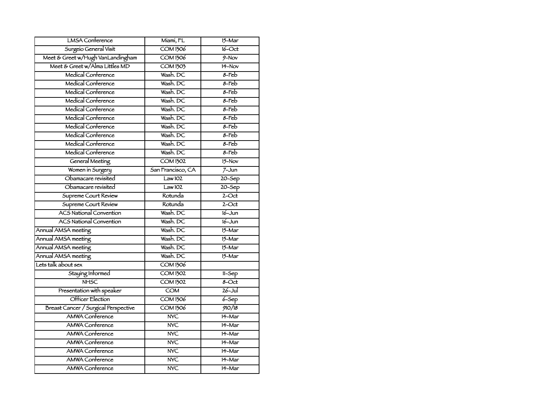| <b>LMSA</b> Conference               | Miami, FL               | $15 - \text{Mar}$        |
|--------------------------------------|-------------------------|--------------------------|
| Surgeio General Visit                | <b>COM 1306</b>         | $16$ -Oct                |
| Meet & Greet w/Hugh VanLandingham    | <b>COM 1306</b>         | $\frac{9 - N}{\text{V}}$ |
| Meet & Greet w/Alma Littles MD       | $\overline{COM1303}$    | $H-Nov$                  |
| Medical Conference                   | Wash. DC                | $8-Feb$                  |
| Medical Conference                   | Wash. DC                | $8$ -Feb                 |
| Medical Conference                   | Wash. DC                | $8-Feb$                  |
| Medical Conference                   | Wash. DC                | $8 - \text{Feb}$         |
| Medical Conference                   | Wash, DC                | $8-Feb$                  |
| Medical Conference                   | Wash. DC                | $8$ -Feb                 |
| Medical Conference                   | Wash. DC                | $8-Feb$                  |
| Medical Conference                   | Wash. DC                | $8-Feb$                  |
| Medical Conference                   | Wash. DC                | $8 - \text{Feb}$         |
| Medical Conference                   | Wash. DC                | $8$ -Feb                 |
| <b>General Meeting</b>               | <b>COM 1302</b>         | $15-Nov$                 |
| Women in Surgery                     | San Francisco, CA       | $7 - Jun$                |
| Obamacare revisited                  | Law102                  | $20 - Sep$               |
| Obamacare revisited                  | Law102                  | $20 - $ Sep              |
| Supreme Court Review                 | Rotunda                 | $2$ -Oct                 |
| Supreme Court Review                 | Rotunda                 | $2$ -Oct                 |
| <b>ACS National Convention</b>       | Wash, DC                | $16 - Jun$               |
| <b>ACS National Convention</b>       | Wash. DC                | $16 - Jun$               |
| Annual AMSA meeting                  | Wash. DC                | $15 - \text{Mar}$        |
| Annual AMSA meeting                  | Wash, DC                | $15 - \text{Mar}$        |
| Annual AMSA meeting                  | Wash. DC                | $15 - \text{Mar}$        |
| Annual AMSA meeting                  | Wash, DC                | $15 - \text{Mar}$        |
| Lets talk about sex                  | <b>COM 1306</b>         |                          |
| Staying Informed                     | $\overline{COM1302}$    | $11-5ep$                 |
| <b>NHSC</b>                          | $\overline{COM1302}$    | $8 - Oct$                |
| Presentation with speaker            | <b>COM</b>              | $26 -$ Jul               |
| Officer Election                     | <b>COM1306</b>          | $6 - Sep$                |
| Breast Cancer / Surgical Perspective | <b>COM 1306</b>         | 910/18                   |
| <b>AMWA Conference</b>               | $\overline{\text{NVC}}$ | $14 - \text{Mar}$        |
| <b>AMWA Conference</b>               | $\overline{\text{NVC}}$ | 14-Mar                   |
| <b>AMWA Conference</b>               | <b>NYC</b>              | 14-Mar                   |
| <b>AMWA Conference</b>               | N <sub>Y</sub>          | 14-Mar                   |
| <b>AMWA Conference</b>               | N <sub>Y</sub>          | 14-Mar                   |
| <b>AMWA Conference</b>               | N <sub>Y</sub>          | 14-Mar                   |
| <b>AMWA Conference</b>               | <b>NYC</b>              | 14-Mar                   |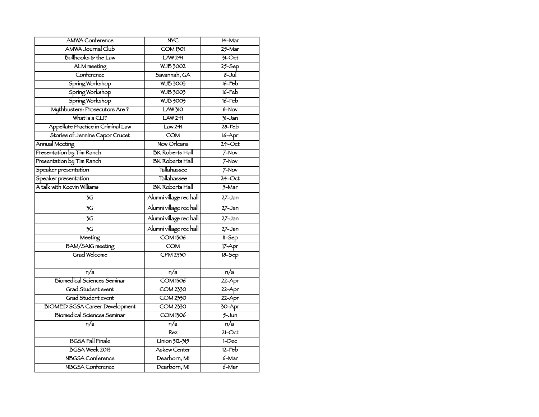| <b>AMWA Conference</b>                | <b>NYC</b>              | 14-Mar              |
|---------------------------------------|-------------------------|---------------------|
| AMWA Journal Club                     | <b>COM 1301</b>         | 25-Mar              |
| Bullhooks & the Law                   | LAW 241                 | $71-Ort$            |
| ALM meeting                           | <b>WJB 3002</b>         | $25 -$ Sep          |
| Conference                            | Savannah, GA            | $8 -$ Jul           |
| Spring Workshop                       | <b>WJB 3003</b>         | $16$ -Feb           |
| Spring Workshop                       | <b>WJB 3003</b>         | $16$ -Feb           |
| Spring Workshop                       | <b>WJB 3003</b>         | $16$ -Feb           |
| Mythbusters: Prosecutors Are?         | <b>LAW 310</b>          | $8 - Nov$           |
| What is a $CLI$ ?                     | LAW241                  | $31 - Jan$          |
| Appellate Practice in Criminal Law    | Law241                  | $28$ -Feb           |
| Stories of Jennine Capor Crucet       | $\overline{COM}$        | $16 - Apr$          |
| Annual Meeting                        | New Orleans             | $24$ -Oct           |
| Presentation by Tim Ranch             | <b>BK Roberts Hall</b>  | $7-Nov$             |
| Presentation by Tim Ranch             | <b>BK Roberts Hall</b>  | $7-Nov$             |
| Speaker presentation                  | Tallahassee             | $7 - Nov$           |
| Speaker presentation                  | Tallahassee             | $24$ -Oct           |
| A talk with Keevin Williams           | <b>BK Roberts Hall</b>  | $5 - Mar$           |
| 3G                                    | Alumní village rec hall | 27-Jan              |
| 3G                                    | Alumni village rec hall | 27-Jan              |
| 3G                                    | Alumni village rechall  | $27 - Jan$          |
| 3G                                    | Alumni village rechall  | 27-Jan              |
| Meeting                               | <b>COM 1306</b>         | $11-5ep$            |
| <b>BAM/SAIG</b> meeting               | $\overline{\text{COM}}$ | $17 - Apr$          |
| Grad Welcome                          | <b>CPM 2330</b>         | $18 - Sep$          |
|                                       |                         |                     |
| $\overline{n/a}$                      | $\overline{n/a}$        | $\overline{n/a}$    |
| <b>Biomedical Sciences Seminar</b>    | <b>COM 1306</b>         | $22 - Apr$          |
| Grad Student event                    | $\overline{COM2330}$    | $22 - Apr$          |
| Grad Student event                    | <b>COM 2330</b>         | $22 - Apr$          |
| <b>BIOMED SGSA Career Development</b> | <b>COM 2330</b>         | $\overline{30-$ Apr |
| Biomedical Sciences Seminar           | <b>COM 1306</b>         | $5 - Jun$           |
| n/a                                   | $\overline{n/a}$        | $\overline{n/a}$    |
|                                       | Rez                     | $21$ -Oct           |
| <b>BGSA Fall Finale</b>               | Union 312-315           | $1 - Dec$           |
| BGSA Week 2013                        | Askew Center            | $12-Feb$            |
| <b>NBGSA</b> Conference               | Dearborn, MI            | $6 - Mar$           |
| <b>NBGSA</b> Conference               | Dearborn, MI            | $6 - Mar$           |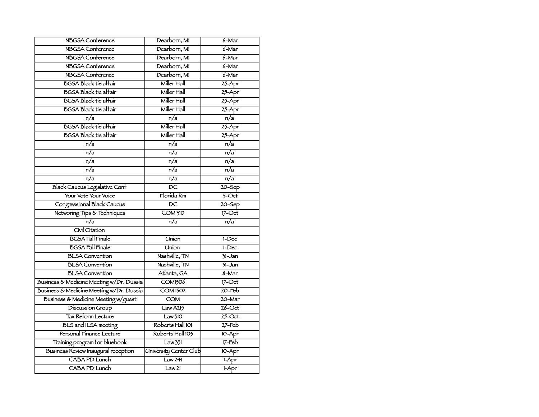| <b>NBGSA</b> Conference                  | Dearborn, MI                  | $6 -$ Mar           |
|------------------------------------------|-------------------------------|---------------------|
| NBGSA Conference                         | Dearborn, MI                  | $6 -$ Mar           |
| <b>NBGSA</b> Conference                  | Dearborn, MI                  | 6-Mar               |
| <b>NBGSA</b> Conference                  | Dearborn, MI                  | $6 -$ Mar           |
| <b>NBGSA</b> Conference                  | Dearborn, MI                  | 6-Mar               |
| <b>BGSA Black tie affair</b>             | Miller Hall                   | $25 - Apr$          |
| <b>BGSA Black tie affair</b>             | Miller Hall                   | $25 - Apr$          |
| <b>BGSA Black tie affair</b>             | Miller Hall                   | $25 - Apr$          |
| <b>BGSA Black tie affair</b>             | Miller Hall                   | $25 - Apr$          |
| n/a                                      | $\overline{n/a}$              | n/a                 |
| <b>BGSA Black tie affair</b>             | Miller Hall                   | $25 - Apr$          |
| <b>BGSA Black tie affair</b>             | Miller Hall                   | $25 - Apr$          |
| $\overline{n/a}$                         | $\overline{n/a}$              | $\overline{n/a}$    |
| $\overline{n/a}$                         | $\overline{n/a}$              | $\overline{n/a}$    |
| n/a                                      | $\overline{n/a}$              | $\overline{n/a}$    |
| n/a                                      | n/a                           | n/a                 |
| n/a                                      | $\overline{n/a}$              | n/a                 |
| <b>Black Caucus Legislative Conf</b>     | $\overline{DC}$               | $20 - $ Sep         |
| Your Vote Your Voice                     | Florida Rm                    | $\overline{3}$ -Oct |
| Congressional Black Caucus               | $\overline{DC}$               | $20 - 5ep$          |
| Networing Tips & Techniques              | COM310                        | $17$ -Oct           |
| n/a                                      | n/a                           | $\overline{n/a}$    |
| Civil Citation                           |                               |                     |
| <b>BGSA Fall Finale</b>                  | Union                         | $1-Dec$             |
| <b>BGSA Fall Finale</b>                  | <b>Union</b>                  | $1-Dec$             |
| <b>BLSA</b> Convention                   | Nashville, TN                 | $71 - Jan$          |
| <b>BLSA</b> Convention                   | Nashville, TN                 | $71 - Jan$          |
| <b>BLSA</b> Convention                   | Atlanta, GA                   | $8 - $ Mar          |
| Business & Medicine Meeting w/Dr. Dussia | <b>COM1306</b>                | $17 - \mathrm{Oct}$ |
| Business & Medicine Meeting w/Dr. Dussia | <b>COM 1302</b>               | $20$ -Feb           |
| Business & Medicine Meeting w/guest      | COM                           | 20-Mar              |
| <b>Discussion Group</b>                  | Law A215                      | $26$ -Oct           |
| Tax Reform Lecture                       | Law310                        | $25$ -Oct           |
| <b>BLS</b> and ILSA meeting              | Roberts Hall 101              | $27$ -Feb           |
| Personal Fínance Lecture                 | Roberts Hall 103              | $10 - Apr$          |
| Training program for bluebook            | Law 331                       | $17$ -Feb           |
| Business Review Inaugural reception      | <b>University Center Club</b> | $10 - Apr$          |
| CABA PD Lunch                            | Law <sub>241</sub>            | $1-Apr$             |
| CABA PD Lunch                            | Law <sub>21</sub>             | $1-Apr$             |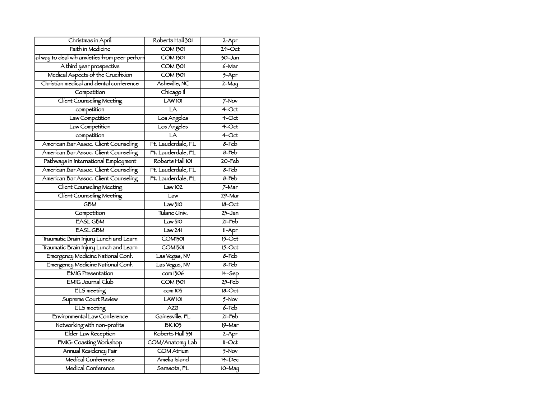| Christmas in April                             | Roberts Hall 301            | $2 - Apr$          |
|------------------------------------------------|-----------------------------|--------------------|
| Faith in Medicine                              | COM1301                     | $24$ -Oct          |
| al way to deal wih anxieties from peer perform | <b>COM 1301</b>             | 30-Jan             |
| A third year prospective                       | <b>COM 1301</b>             | $6 - \text{Mar}$   |
| Medical Aspects of the Crucifixion             | $\overline{COM1301}$        | $\overline{3-$ Apr |
| Christian medical and dental conference        | Asheville, NC               | $2-May$            |
| Competition                                    | Chicago Il                  |                    |
| Client Counseling Meeting                      | LAW <sub>101</sub>          | $7-Nov$            |
| competition                                    | LA                          | $4$ -Oct           |
| Law Competition                                | Los Angeles                 | $4$ -Oct           |
| Law Competition                                | Los Angeles                 | $4$ -Oct           |
| competition                                    | LA                          | 4-Oct              |
| American Bar Assoc. Client Counseling          | Ft. Lauderdale, FL          | $8$ -Feb           |
| American Bar Assoc. Client Counseling          | Ft. Lauderdale, FL          | $8$ -Feb           |
| Pathways in International Employment           | Roberts Hall 101            | $20$ -Feb          |
| American Bar Assoc. Client Counseling          | Ft. Lauderdale, FL          | $8$ -Feb           |
| American Bar Assoc. Client Counseling          | Ft. Lauderdale, FL          | $8-Feb$            |
| Client Counseling Meeting                      | Law 102                     | $7-Mar$            |
| Client Counseling Meeting                      | Law                         | $29 - \text{Mar}$  |
| <b>GBM</b>                                     | Law 310                     | $18-Cct$           |
| Competition                                    | Tulane Univ.                | $23 - Jan$         |
| <b>EASL GBM</b>                                | Law 310                     | $21$ -Feb          |
| <b>EASL GBM</b>                                | Law 241                     | $11 - Apr$         |
| Traumatic Brain Injury Lunch and Learn         | COM <sub>1301</sub>         | $15$ -Oct          |
| Traumatic Brain Injury Lunch and Learn         | COM <sub>1301</sub>         | $15 - Oct$         |
| Emergency Medicine National Conf.              | Las Vegas, NV               | 8-Feb              |
| Emergency Medicine National Conf.              | Las Vegas, NV               | $8$ -Feb           |
| <b>EMIG Presentation</b>                       | com1306                     | $H-Sep$            |
| <b>EMIG Journal Club</b>                       | <b>COM 1301</b>             | $25$ -Feb          |
| ELS meeting                                    | $\overline{\text{com}}$ 103 | $18-Cct$           |
| Supreme Court Review                           | LAW <sub>101</sub>          | $5-Nov$            |
| <b>ELS</b> meeting                             | A221                        | $6$ -Feb           |
| Environmental Law Conference                   | Gainesville, FL             | $21$ -Feb          |
| Networking with non-profits                    | <b>BK103</b>                | $19 - \text{Mar}$  |
| Elder Law Reception                            | Roberts Hall 331            | $2-Apr$            |
| FMIG: Coasting Workshop                        | COM/Anatomy Lab             | $11 - Oct$         |
| Annual Residency Fair                          | <b>COM Atrium</b>           | 5-Nov              |
| Medical Conference                             | Amelía Island               | $14$ -Dec          |
| Medical Conference                             | Sarasota, FL                | $10-May$           |
|                                                |                             |                    |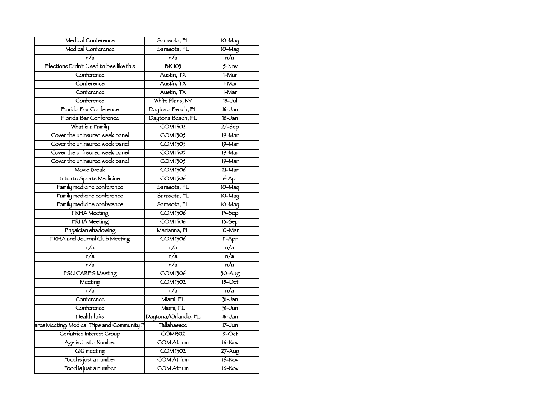| Medical Conference                          | Sarasota, FL         | $10-May$                     |
|---------------------------------------------|----------------------|------------------------------|
| Medical Conference                          | Sarasota, FL         | $10-May$                     |
| n/a                                         | n/a                  | n/a                          |
| Elections Didn't Used to bee like this      | <b>BK103</b>         | $5-Nov$                      |
| Conference                                  | Austin, TX           | $1-Mar$                      |
| Conference                                  | Austin, TX           | 1-Mar                        |
| Conference                                  | Austin, TX           | 1-Mar                        |
| Conference                                  | White Plans, NY      | $18 -$ Jul                   |
| Florida Bar Conference                      | Daytona Beach, FL    | $18 - Jan$                   |
| Florida Bar Conference                      | Daytona Beach, FL    | $18 - Jan$                   |
| What is a Family                            | <b>COM 1302</b>      | $27 - 5ep$                   |
| Cover the uninsured week panel              | <b>COM1305</b>       | $19 - Mar$                   |
| Cover the uninsured week panel              | <b>COM1305</b>       | $19 - \text{Mar}$            |
| Cover the uninsured week panel              | <b>COM1305</b>       | $19 - \text{Mar}$            |
| Cover the uninsured week panel              | <b>COM 1305</b>      | $19 - \text{Mar}$            |
| Movie Break                                 | <b>COM 1306</b>      | 21-Mar                       |
| Intro to Sports Medicine                    | <b>COM 1306</b>      | $6 - Apr$                    |
| Family medicine conference                  | Sarasota, FL         | $10-May$                     |
| Family medicine conference                  | Sarasota, FL         | $10-May$                     |
| Family medicine conference                  | Sarasota, FL         | $10-May$                     |
| <b>FRHA</b> Meeting                         | <b>COM 1306</b>      | $13-5ep$                     |
| <b>FRHA</b> Meeting                         | <b>COM 1306</b>      | $13-Sep$                     |
| Physician shadowing                         | Marianna, FL         | $10-Mar$                     |
| FRHA and Journal Club Meeting               | <b>COM 1306</b>      | $11-Apr$                     |
| n/a                                         | n/a                  | n/a                          |
| n/a                                         | n/a                  | n/a                          |
| n/a                                         | $\overline{n/a}$     | $\overline{n/a}$             |
| <b>FSU CARES Meeting</b>                    | <b>COM 1306</b>      | $\frac{30 - \text{Aug}}{20}$ |
| Meeting                                     | $\overline{COM1302}$ | $18 - Oct$                   |
| n/a                                         | $\overline{n/a}$     | $\overline{n/a}$             |
| Conference                                  | Miami, FL            | $31 - Jan$                   |
| Conference                                  | Miami, FL            | $\overline{31}$ -Jan         |
| Health fairs                                | Daytona/Orlando, FL  | $18 - Jan$                   |
| ares Meeting: Medical Trips and Community P | <b>Tallahassee</b>   | $17 - Jun$                   |
| Geriatrics Interest Group                   | <b>COM1302</b>       | $9 - Oct$                    |
| Age is Just a Number                        | <b>COM Atrium</b>    | $16 - Nov$                   |
| GIG meeting                                 | <b>COM1302</b>       | $27 - Aug$                   |
| Food is just a number                       | <b>COM Atrium</b>    | $16 - Nov$                   |
| Food is just a number                       | <b>COM Atrium</b>    | $16 - Nov$                   |
|                                             |                      |                              |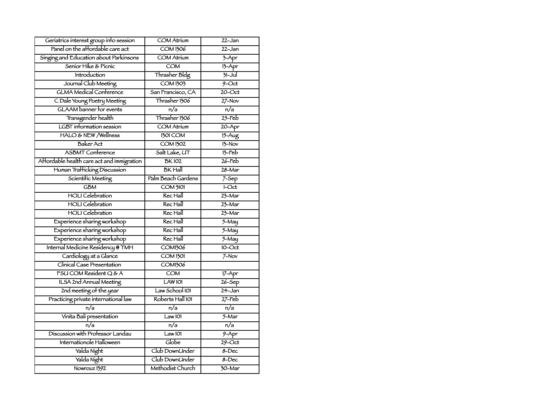| Geriatrics interest group into session     | <b>COM Atrium</b>       | $22 - Jan$           |
|--------------------------------------------|-------------------------|----------------------|
| Panel on the affordable care act           | <b>COM 1306</b>         | $22 - Jan$           |
| Singing and Education about Parkinsons     | <b>COM Atrium</b>       | $\overline{3}$ -Apr  |
| Senior Hike & Picnic                       | $\overline{COM}$        | $13 - Apr$           |
| Introduction                               | Thrasher Bldg           | $31 -$ Jul           |
| Journal Club Meeting                       | <b>COM1303</b>          | $9-Oct$              |
| <b>GLMA Medical Conference</b>             | San Francisco, CA       | $20$ -Oct            |
| C Dale Young Poetry Meeting                | Thrasher 1306           | $27-Nov$             |
| <b>GLAAM</b> banner for events             | $\overline{n/a}$        | $\overline{n/a}$     |
| Transgender health                         | Thrasher 1306           | $25$ -Feb            |
| <b>LGBT</b> information session            | <b>COM Atrium</b>       | $20 - Apr$           |
| HALO & NEW /Wellness                       | <b>1301 COM</b>         | $15 - Aug$           |
| <b>Baker Act</b>                           | <b>COM 1302</b>         | $13-Nov$             |
| <b>ASBMT</b> Conference                    | Salt Lake, UT           | $13$ -Feb            |
| Affordable health care act and immigration | <b>BK102</b>            | $26$ -Feb            |
| Human Trafficking Discussion               | <b>BK</b> Hall          | $28 - Mar$           |
| Scientific Meeting                         | Palm Beach Gardens      | $7 -$ Sep            |
| <b>GBM</b>                                 | $COM$ $3101$            | $1-Cct$              |
| <b>HOLI</b> Celebration                    | Rec Hall                | $23 - Mar$           |
| <b>HOLI</b> Celebration                    | Rec Hall                | $23 - Mar$           |
| <b>HOLI</b> Celebration                    | Rec Hall                | $23$ -Mar            |
| Experience sharing workshop                | Rec Hall                | $5 - May$            |
| Experience sharing workshop                | Rec Hall                | $5 - May$            |
| Experience sharing workshop                | Rec Hall                | $\overline{5-$ May   |
| Internal Medicine Residency @ TMH          | <b>COM1306</b>          | $10 - Oct$           |
| Cardiology at a Glance                     | <b>COM 1301</b>         | $7-Nov$              |
| Clinical Case Presentation                 | <b>COM1306</b>          |                      |
| FSU COM Resident Q & A                     | $\overline{\text{COM}}$ | $17 - Apr$           |
| <b>ILSA 2nd Annual Meeting</b>             | LAW 101                 | $26 - 5ep$           |
| 2nd meeting of the year                    | Law School 101          | $24 - Jan$           |
| Practicing private international law       | Roberts Hall 101        | $27$ -Feb            |
| $\overline{n/a}$                           | n/a                     | $\overline{n/a}$     |
| Vinita Bali presentation                   | Law101                  | $5 - \text{Mar}$     |
| $\overline{n/a}$                           | $\overline{n/a}$        | $\overline{n/a}$     |
| Discussion with Professor Landau           | Law101                  | $9 - Apr$            |
| Internationole Halloween                   | Globe                   | $29$ -Oct            |
| Yalda Night                                | Club DownUnder          | $8 - Dec$            |
| Yalda Night                                | Club DownUnder          | 8-Dec                |
| Nowrouz 1392                               | Methodist Church        | $\overline{30}$ -Mar |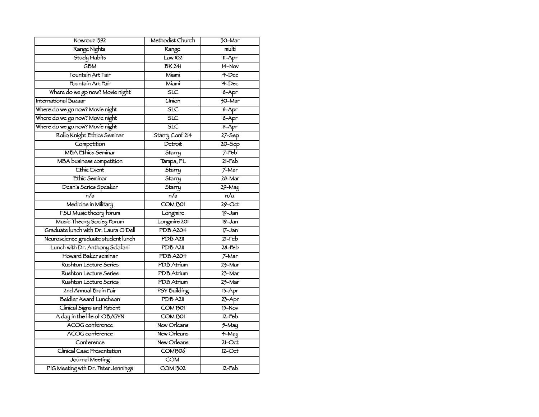| Nowrouz 1392                         | Methodist Church        | $30 - \text{Mar}$    |
|--------------------------------------|-------------------------|----------------------|
| Range Nights                         | Range                   | multi                |
| Study Habits                         | Law 102                 | 11-Apr               |
| <b>GBM</b>                           | <b>BK 241</b>           | $H-Nov$              |
| Fountain Art Fair                    | Míamí                   | $4$ -Dec             |
| Fountain Art Fair                    | Míamí                   | $4$ -Dec             |
| Where do we go now? Movie night      | $\overline{\text{SLC}}$ | $8 - Apr$            |
| International Bazaar                 | <b>Union</b>            | $\overline{30}$ -Mar |
| Where do we go now? Movie night      | $\overline{\text{SLC}}$ | $8 - Apr$            |
| Where do we go now? Movie night      | SLC                     | $8 - Apr$            |
| Where do we go now? Movie night      | $\overline{\text{SLC}}$ | $8 - Apr$            |
| Rollo Knight Ethics Seminar          | Starry Conf 214         | $27 - 5ep$           |
| Competition                          | Detroit                 | $20 - $ Sep          |
| <b>MBA Ethics Seminar</b>            | Starry                  | $7$ -Feb             |
| MBA business competition             | Tampa, FL               | $21$ -Feb            |
| Ethic Event                          | Starry                  | $7-Mar$              |
| Ethic Seminar                        | Starry                  | $28 - Mar$           |
| Dean's Series Speaker                | Starry                  | $29 - May$           |
| $n/\overline{a}$                     | n/a                     | n/a                  |
| Medicine in Military                 | <b>COM 1301</b>         | $29$ -Oct            |
| FSU Music theory forum               | Longmire                | $19 - Jan$           |
| Music Theory Sociey Forum            | Longmire 201            | $19 - Jan$           |
| Graduate lunch with Dr. Laura O'Dell | PDB A204                | $17 - Jan$           |
| Neuroscience graduate student lunch  | PDB A2II                | $21 - \text{Fe}b$    |
| Lunch with Dr. Anthony Sclafani      | PDB A211                | 28-Feb               |
| Howard Baker seminar                 | <b>PDB A204</b>         | $7-Mar$              |
| Rushton Lecture Series               | PDB Atrium              | $23 - Mar$           |
| Rushton Lecture Series               | PDB Atrium              | $23 - Mar$           |
| Rushton Lecture Series               | <b>PDB</b> Atrium       | 23-Mar               |
| 2nd Annual Brain Fair                | <b>PSY Building</b>     | $13 - Apr$           |
| Beidler Award Luncheon               | PDB A2II                | $23 - Apr$           |
| Clinical Signs and Patient           | COM1501                 | $15-Nov$             |
| A day in the life of OB/GYN          | <b>COM 1301</b>         | $12$ -Feb            |
| ACOG conference                      | New Orleans             | $\overline{5-$ May   |
| <b>ACOG</b> conference               | New Orleans             | $4-May$              |
| Conference                           | New Orleans             | $21$ -Oct            |
| Clínical Case Presentation           | <b>COM1306</b>          | $12$ -Oct            |
| Journal Meeting                      | $\overline{COM}$        |                      |
| PIG Meeting wth Dr. Peter Jennings   | $\overline{COM1302}$    | $12$ -Feb            |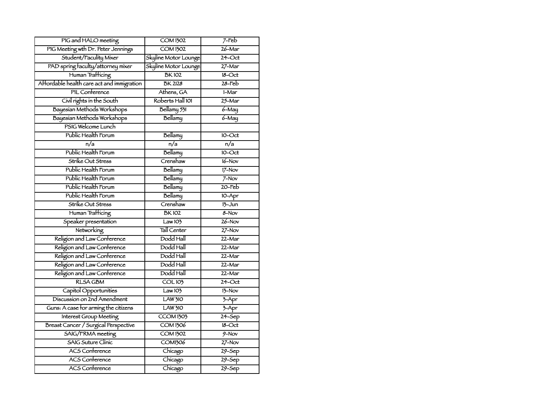| PIG and HALO meeting                       | <b>COM 1302</b>       | $7$ -Feb                 |
|--------------------------------------------|-----------------------|--------------------------|
| PIG Meeting wth Dr. Peter Jennings         | <b>COM1302</b>        | $26 - Mar$               |
| Student/Faculity Mixer                     | Skyline Motor Lounge  | 24-Oct                   |
| PAD spring faculty/attorney mixer          | Skyline Motor Lounge  | $27 - Mar$               |
| Human Trafficing                           | <b>BK102</b>          | $18 - Oct$               |
| Affordable health care act and immigration | <b>BK 2128</b>        | $28$ -Feb                |
| PIL Conference                             | Athens, GA            | 1-Mar                    |
| Civil rights in the South                  | Roberts Hall 101      | $25 - Mar$               |
| Bayesian Methods Workshops                 | Bellamy 531           | $6 - May$                |
| Bayesian Methods Workshops                 | Bellamy               | $6 - May$                |
| PSIG Welcome Lunch                         |                       |                          |
| Public Health Forum                        | Bellamy               | $10$ -Oct                |
| n/a                                        | $\overline{n/a}$      | n/a                      |
| Public Health Forum                        | Bellamy               | $IO-Oct$                 |
| Strike Out Stress                          | Crenshaw              | $16 - Nov$               |
| Public Health Forum                        | Bellamy               | $17-Nov$                 |
| Public Health Forum                        | Bellamy               | $7-Nov$                  |
| Public Health Forum                        | Bellamy               | $20$ -Feb                |
| Public Health Forum                        | Bellamy               | $10 - Apr$               |
| Strike Out Stress                          | Crenshaw              | $13 - Jun$               |
| Human Trafficing                           | <b>BK102</b>          | 8-Nov                    |
| Speaker presentation                       | Law103                | $26 - Nov$               |
| Networking                                 | Tall Center           | $27 - Nov$               |
| Religion and Law Conference                | Dodd Hall             | 22-Mar                   |
| Religion and Law Conference                | Dodd Hall             | 22-Mar                   |
| Religion and Law Conference                | Dodd Hall             | 22-Mar                   |
| Religion and Law Conference                | Dodd Hall             | 22-Mar                   |
| Religion and Law Conference                | Dodd Hall             | 22-Mar                   |
| <b>RLSA GBM</b>                            | COL103                | $24$ -Oct                |
| Capitol Opportunities                      | Law103                | $13-Nov$                 |
| Discussion on 2nd Amendment                | <b>LAW 310</b>        | $7 - Apr$                |
| Guns: A case for arming the citizens       | <b>LAW 310</b>        | $7 - Apr$                |
| Interest Group Meeting                     | $\overline{CCOM1303}$ | $24 - Sep$               |
| Breast Cancer / Surgical Perspective       | <b>COM 1306</b>       | $18 - Oct$               |
| SAIG/FRMA meeting                          | <b>COM1302</b>        | $\frac{9 - N}{\text{V}}$ |
| <b>SAIG Suture Clinic</b>                  | <b>COM1306</b>        | $27 - Nov$               |
| <b>ACS Conference</b>                      | Chicago               | $29 - $ Sep              |
| <b>ACS Conference</b>                      | Chicago               | $29 - $ Sep              |
| <b>ACS Conference</b>                      | Chicago               | $29 - $ Sep              |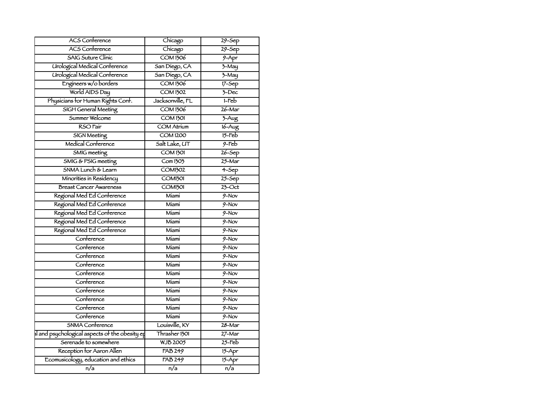| <b>ACS Conference</b>                          | Chicago             | $29 - 5ep$               |
|------------------------------------------------|---------------------|--------------------------|
| <b>ACS Conference</b>                          | Chicago             | $29 - 5ep$               |
| <b>SAIG Suture Clinic</b>                      | <b>COM 1306</b>     | $9 - Apr$                |
| Urological Medical Conference                  | San Diego, CA       | $\overline{3}$ -May      |
| Urological Medical Conference                  | San Diego, CA       | $\overline{3}$ -May      |
| Engineers w/o borders                          | <b>COM1306</b>      | $17 - Sep$               |
| World AIDS Day                                 | <b>COM1302</b>      | $7 - Dec$                |
| Physicians for Human Rights Conf.              | Jacksonville, FL    | $I$ -Feb                 |
| <b>SIGH General Meeting</b>                    | <b>COM 1306</b>     | $26 - \text{Mar}$        |
| Summer Welcome                                 | <b>COM 1301</b>     | $\frac{1}{2}$ -Aug       |
| RSO Fair                                       | <b>COM Atrium</b>   | $16 - Aug$               |
| <b>SIGN Meeting</b>                            | COMI200             | $15$ -Feb                |
| Medical Conference                             | Salt Lake, UT       | $9-Feb$                  |
| <b>SMIG</b> meeting                            | <b>COM1301</b>      | $26 - 5ep$               |
| SMIG & PSIG meeting                            | Com 1303            | $25 - \text{Mar}$        |
| SNMA Lunch & Learn                             | <b>COM1302</b>      | $4-5ep$                  |
| Minorities in Residency                        | COM <sub>1301</sub> | $25 - Sep$               |
| <b>Breast Cancer Awareness</b>                 | COM <sub>1301</sub> | $23$ -Oct                |
| Regional Med Ed Conference                     | Míamí               | $9-Nov$                  |
| Regional Med Ed Conference                     | Míamí               | $9-Nov$                  |
| Regional Med Ed Conference                     | Míamí               | $9-Nov$                  |
| Regional Med Ed Conference                     | Míamí               | $9-Nov$                  |
| Regional Med Ed Conference                     | Míamí               | $\frac{9 - N}{\text{V}}$ |
| Conference                                     | Míamí               | $\frac{9 - N}{\text{V}}$ |
| Conference                                     | Míamí               | $\frac{9 - N}{\text{V}}$ |
| Conference                                     | Míamí               | $9-Nov$                  |
| Conference                                     | Míamí               | $\frac{9 - N}{\alpha}$   |
| Conference                                     | Míamí               | $\frac{9 - N}{\text{V}}$ |
| Conference                                     | Míamí               | $\frac{9 - N}{\text{V}}$ |
| Conference                                     | Miami               | $9-Nov$                  |
| Conference                                     | Míamí               | $9-Nov$                  |
| Conference                                     | Míamí               | $\frac{9 - N}{\alpha}$   |
| Conference                                     | Míamí               | $\frac{9 - N}{\text{V}}$ |
| SNMA Conference                                | Louisville, KY      | $28 - Mar$               |
| al and psychological aspects of the obesity ep | Thrasher 1301       | $27 - Mar$               |
| Serenade to somewhere                          | <b>WJB 2005</b>     | $25$ -Feb                |
| Reception for Aaron Allen                      | <b>FAB 249</b>      | $15 - Apr$               |
| Ecomusicology, education and ethics            | <b>FAB 249</b>      | $15 - Apr$               |
| $\overline{n/a}$                               | $\overline{n/a}$    | $\overline{n/a}$         |
|                                                |                     |                          |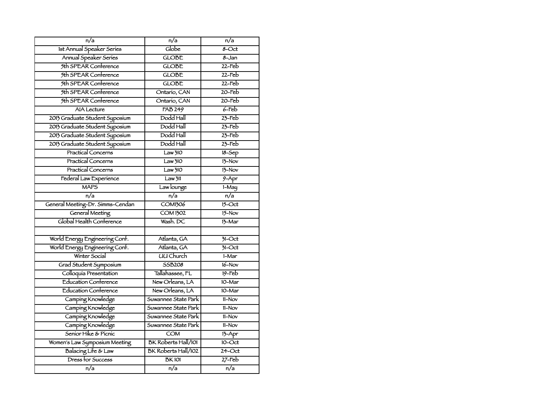| n/a                              | $\overline{n/a}$           | $\overline{n/a}$ |
|----------------------------------|----------------------------|------------------|
| Ist Annual Speaker Series        | Globe                      | $8 - Oct$        |
| Annual Speaker Series            | <b>GLOBE</b>               | $8 - Jan$        |
| 5th SPEAR Conference             | <b>GLOBE</b>               | $22$ -Feb        |
| 5th SPEAR Conference             | <b>GLOBE</b>               | $22$ -Feb        |
| 5th SPEAR Conference             | <b>GLOBE</b>               | $22$ -Feb        |
| 5th SPEAR Conference             | Ontario, CAN               | $20$ -Feb        |
| 5th SPEAR Conference             | Ontario, CAN               | $20$ -Feb        |
| <b>AIA Lecture</b>               | <b>FAB 249</b>             | $6$ -Feb         |
| 2013 Graduate Student Syposium   | Dodd Hall                  | $23$ -Feb        |
| 2013 Graduate Student Syposium   | Dodd Hall                  | $23$ -Feb        |
| 2013 Graduate Student Syposium   | Dodd Hall                  | $23$ -Feb        |
| 2013 Graduate Student Syposium   | Dodd Hall                  | $23$ -Feb        |
| <b>Practical Concerns</b>        | Law3IO                     | $18 - Sep$       |
| <b>Practical Concerns</b>        | Law310                     | $13-Nov$         |
| <b>Practical Concerns</b>        | Law <sub>310</sub>         | $13-Nov$         |
| Federal Law Experience           | Law <sub>311</sub>         | $9 - Apr$        |
| <b>MAPS</b>                      | Law lounge                 | $1-May$          |
| $\overline{n/a}$                 | n/a                        | n/a              |
| General Meeting-Dr. Simms-Cendan | <b>COM1306</b>             | $15 - Oct$       |
| General Meeting                  | <b>COM 1302</b>            | $15-Nov$         |
| Global Health Conference         | Wash. DC                   | 13-Mar           |
|                                  |                            |                  |
| World Energy Engineering Conf.   | Atlanta, GA                | $51$ -Oct        |
| World Energy Engineering Conf.   | Atlanta, GA                | $31-Cct$         |
| Winter Social                    | <b>UU Church</b>           | 1-Mar            |
| Grad Student Symposium           | <b>SSB208</b>              | $16 - Nov$       |
| Colloquía Presentation           | Tallahassee, FL            | $19$ -Feb        |
| <b>Education Conference</b>      | New Orleans, LA            | $10-Mar$         |
| <b>Education Conference</b>      | New Orleans, LA            | 10-Mar           |
| Camping Knowledge                | Suwannee State Park        | 11-Nov           |
| Camping Knowledge                | Suwannee State Park        | 11-Nov           |
| Camping Knowledge                | Suwannee State Park        | 11-Nov           |
| Camping Knowledge                | Suwannee State Park        | 11-Nov           |
| Senior Hike & Picnic             | <b>COM</b>                 | $13 - Apr$       |
| Women's Law Symposium Meeting    | <b>BK Roberts Hall/101</b> | $10$ -Oct        |
| Balacing Life & Law              | <b>BK Roberts Hall/102</b> | $24$ -Oct        |
| Dress for Success                | <b>BK101</b>               | $27$ -Feb        |
| n/a                              | n/a                        | n/a              |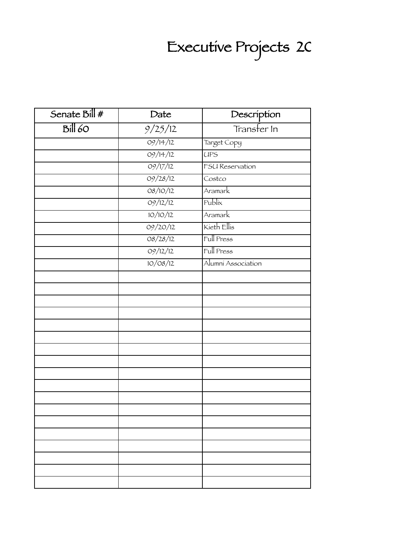# Executive Projects 20

| Senate Bill #     | Date     | Description        |
|-------------------|----------|--------------------|
| Bil <sub>60</sub> | 9/25/12  | Transfer In        |
|                   | 09/14/12 | Target Copy        |
|                   | 09/14/12 | <b>UPS</b>         |
|                   | 09/17/12 | FSU Reservation    |
|                   | 09/28/12 | Costco             |
|                   | 08/10/12 | Aramark            |
|                   | 09/12/12 | Publix             |
|                   | 10/10/12 | Aramark            |
|                   | 09/20/12 | Kieth Ellis        |
|                   | 08/28/12 | Full Press         |
|                   | 09/12/12 | Full Press         |
|                   | 10/08/12 | Alumní Association |
|                   |          |                    |
|                   |          |                    |
|                   |          |                    |
|                   |          |                    |
|                   |          |                    |
|                   |          |                    |
|                   |          |                    |
|                   |          |                    |
|                   |          |                    |
|                   |          |                    |
|                   |          |                    |
|                   |          |                    |
|                   |          |                    |
|                   |          |                    |
|                   |          |                    |
|                   |          |                    |
|                   |          |                    |
|                   |          |                    |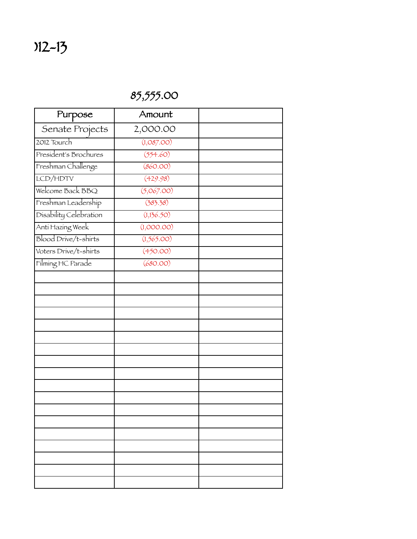### 85,555.00

| Purpose                     | Amount     |  |
|-----------------------------|------------|--|
| Senate Projects             | 2,000.00   |  |
| 2012 Tourch                 | (1,087.00) |  |
| President's Brochures       | (554.60)   |  |
| Freshman Challenge          | (860.00)   |  |
| LCD/HDTV                    | (429.98)   |  |
| Welcome Back BBQ            | (5,067.00) |  |
| Freshman Leadership         | (383.38)   |  |
| Disability Celebration      | (1,136.50) |  |
| Anti Hazing Week            | (1,000.00) |  |
| <b>Blood Drive/t-shirts</b> | (1,565.00) |  |
| Voters Drive/t-shirts       | (450.00)   |  |
| Filming HC Parade           | (680.00)   |  |
|                             |            |  |
|                             |            |  |
|                             |            |  |
|                             |            |  |
|                             |            |  |
|                             |            |  |
|                             |            |  |
|                             |            |  |
|                             |            |  |
|                             |            |  |
|                             |            |  |
|                             |            |  |
|                             |            |  |
|                             |            |  |
|                             |            |  |
|                             |            |  |
|                             |            |  |
|                             |            |  |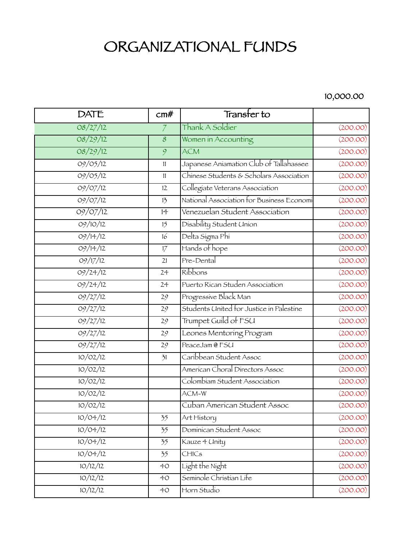## ORGANIZATIONAL FUNDS

#### 10,000.00

| <b>DATE</b>           | cm#            | Transter to                               |          |
|-----------------------|----------------|-------------------------------------------|----------|
| 08/27/12              | $\overline{7}$ | Thank A Soldier                           | (200.00) |
| 08/29/12              | $\mathcal S$   | Women in Accounting                       | (200.00) |
| 08/29/12              | 9              | <b>ACM</b>                                | (200.00) |
| 09/05/12              | 11             | Japanese Aniamation Club of Tallahassee   | (200.00) |
| 09/05/12              | 11             | Chinese Students & Scholars Association   | (200.00) |
| 09/07/12              | 12             | Collegiate Veterans Association           | (200.00) |
| 09/07/12              | 13             | National Association for Business Economi | (200.00) |
| 09/07/12              | 14             | Venezuelan Student Association            | (200.00) |
| 09/10/12              | 15             | Disability Student Union                  | (200.00) |
| 09/14/12              | 16             | Delta Sigma Phi                           | (200.00) |
| 09/14/12              | 17             | Hands of hope                             | (200.00) |
| $\frac{1}{09}{17/12}$ | 21             | Pre-Dental                                | (200.00) |
| 09/24/12              | 24             | Ríbbons                                   | (200.00) |
| 09/24/12              | 24             | Puerto Rican Studen Association           | (200.00) |
| 09/27/12              | 29             | Progressive Black Man                     | (200.00) |
| 09/27/12              | 29             | Students United for Justice in Palestine  | (200.00) |
| 09/27/12              | 29             | Trumpet Guild of FSU                      | (200.00) |
| 09/27/12              | 29             | Leones Mentoring Program<br>(200.00)      |          |
| 09/27/12              | 29             | (200.00)<br>PeaceJam @ FSU                |          |
| 10/02/12              | 31             | Caribbean Student Assoc                   | (200.00) |
| 10/02/12              |                | American Choral Directors Assoc           | (200.00) |
| 10/02/12              |                | Colombiam Student Association             | (200.00) |
| 10/02/12              |                | ACM-W                                     | (200.00) |
| 10/02/12              |                | Cuban American Student Assoc              | (200.00) |
| 10/04/12              | 35             | Art History                               | (200.00) |
| 10/04/12              | 35             | Dominican Student Assoc                   | (200.00) |
| 10/04/12              | 35             | Kauze 4 Unity                             | (200.00) |
| 10/04/12              | 35             | CHICs                                     | (200.00) |
| 10/12/12              | 40             | Light the Night                           | (200.00) |
| 10/12/12              | 40             | Seminole Christian Life                   | (200.00) |
| 10/12/12              | 40             | Horn Studio                               | (200.00) |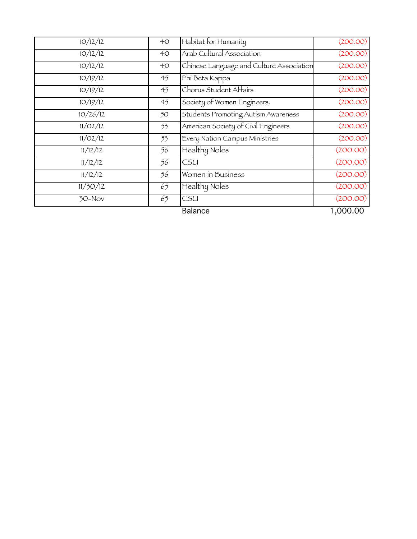| $\frac{10}{12}$ | 40 <sup>°</sup> | Habitat for Humanity                     | (200.00) |
|-----------------|-----------------|------------------------------------------|----------|
| 10/12/12        | 40 <sup>°</sup> | Arab Cultural Association                | (200.00) |
| 10/12/12        | 40 <sup>°</sup> | Chinese Language and Culture Association | (200.00) |
| 10/19/12        | 45              | Phi Beta Kappa                           | (200.00) |
| 10/19/12        | 45              | Chorus Student Affairs                   | (200.00) |
| 10/19/12        | 45              | Society of Women Engineers.              | (200.00) |
| 10/26/12        | 50              | Students Promoting Autism Awareness      | (200.00) |
| 11/02/12        | 53              | American Society of Civil Engineers      | (200.00) |
| 11/02/12        | 53              | Every Nation Campus Ministries           | (200.00) |
| 11/12/12        | 56              | Healthy Noles                            | (200.00) |
| 11/12/12        | 56              | CSU                                      | (200.00) |
| 11/12/12        | 56              | Women in Business                        | (200.00) |
| 11/30/12        | 65              | Healthy Noles                            | (200.00) |
| $30 - Nov$      | 65              | CSU                                      | (200.00) |
|                 |                 | <b>Balance</b>                           | 1,000.00 |
|                 |                 |                                          |          |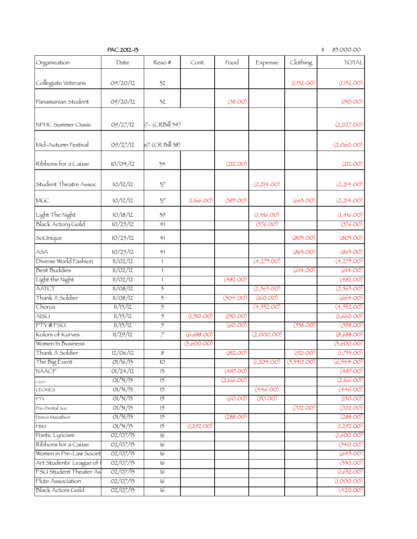| PAC 2012-13 |  |
|-------------|--|
|-------------|--|

 $$85,000.00$ 

| Organization                     | Date                 | Reso#                    | Cont.      | Food       | Expense     | Clothing                  | <b>TOTAL</b>         |
|----------------------------------|----------------------|--------------------------|------------|------------|-------------|---------------------------|----------------------|
| Collegiate Veterans              | 09/20/12             | 32                       |            |            |             | (1,132.00)                | (1,132.00)           |
| Panamanian Student               | 09/20/12             | 32                       |            | (58.00)    |             |                           | (130.00)             |
| NPHC Summer Oasis                | 09/27/12             | $7 - (CRBill 54)$        |            |            |             |                           | (2,027.00)           |
| Míd-Autumn Festíval              | 09/27/12             | $67$ (CR Bill 58)        |            |            |             |                           | (2,060.00)           |
| Ribbons for a Cause              | 10/04/12             | 34                       |            | (212.00)   |             |                           | (212.00)             |
| Student Theatre Assoc            | 10/12/12             | 37                       |            |            | (2,214.00)  |                           | (2,214.00)           |
| MGC                              | 10/12/12             | 37                       | (1,166.00) | (385.00)   |             | (663.00)                  | (2,214.00)           |
| Light The Night                  | 10/18/12             | 39                       |            |            | (1,416.00)  |                           | (1,416.00)           |
| Black Actory Guild               | 10/25/12             | 41                       |            |            | (576.00)    |                           | (576.00)             |
| SoUnique                         | 10/25/12             | $+1$                     |            |            |             | (803.00)                  | (803.00)             |
| ASA                              | 10/25/12             | 41                       |            |            |             | (863.00)                  | (863.00)             |
| Diverse World Fashion            | 11/02/12             | $\mathbf{1}$             |            |            | (4,275.00)  |                           | (4,275.00)           |
| <b>Best Buddies</b>              | 11/02/12             | 1                        |            |            |             | (614.00)                  | (614.00)             |
| Light the Night                  | 11/02/12             | 1                        |            | (482.00)   |             |                           | (482.00)             |
| <b>AATCT</b>                     | 11/08/12             | 3                        |            |            | (2,565.00)  |                           | (2,565.00)           |
| Thank A Soldier                  | 11/08/12             | $\overline{\mathcal{F}}$ |            | (504.00)   | (160.00)    |                           | (664.00)             |
| Chorus                           | 11/15/12             | $\mathfrak{H}$           |            |            | (4, 532.00) |                           | (4, 532.00)          |
| <b>AISU</b>                      | 11/15/12             | $\overline{5}$           | (1,510.00) | (150.00)   |             |                           | (1,660.00)           |
| PTY@FSU                          | 11/15/12             | $\overline{5}$           |            | (60.00)    |             | (538.00)                  | (598.00)             |
| Kolors of Kurves                 | 11/29/12             | $\overline{7}$           | (6,688.00) |            | (2,000.00)  |                           | (8,688.00)           |
| Women In Business                |                      |                          | (3,600.00) |            |             |                           | (3,600.00)           |
| Thank A Soldier                  | 12/06/12             | $\overline{\mathcal{S}}$ |            | (812.00)   |             | (921.00)                  | (1,733.00)           |
| The Big Event                    | 01/16/13             | 10                       |            |            |             | $(1,204.00)$ $(5,340.00)$ | (6, 544.00)          |
| <b>NAACP</b>                     | 01/24/12             | $\overline{13}$          |            | (487.00)   |             |                           | (487.00)             |
| CSSA                             | 01/31/13             | 15                       |            | (2,166.00) |             |                           | (2,166.00)           |
| <b>LEONES</b>                    | 01/31/13             | $\overline{15}$          |            |            | (446.00)    |                           | (446.00)             |
| <b>PTY</b>                       | 01/31/13<br>01/31/13 | 15<br>$\overline{15}$    |            | (60.00)    | (90.00)     | (702.00)                  | (150.00)<br>(702.00) |
| Pre-Dental Soc<br>Dance Marathon | 01/31/13             | $\overline{15}$          |            | (288.00)   |             |                           | (288.00)             |
| PBM                              | 01/31/13             | 15                       | (1,292.00) |            |             |                           | (1,292.00)           |
| Poetic Lyricism                  | O2/O7/I3             | 16                       |            |            |             |                           | (1,600.00)           |
| Ribbons for a Cause              | O2/O7/I3             | 16                       |            |            |             |                           | (540.00)             |
| Women in Pre-Law Societ          | 02/07/13             | $\overline{16}$          |            |            |             |                           | (645.00)             |
| Art Students' League of I        | 02/07/13             | 16                       |            |            |             |                           | (330.00)             |
| FSU Student Theater As           | 02/07/13             | 16                       |            |            |             |                           | (1,632.00)           |
| Flute Association                | 02/07/13             | 16                       |            |            |             |                           | (1,000.00)           |
| <b>Black Actors Guild</b>        | 02/07/13             | 16                       |            |            |             |                           | (420.00)             |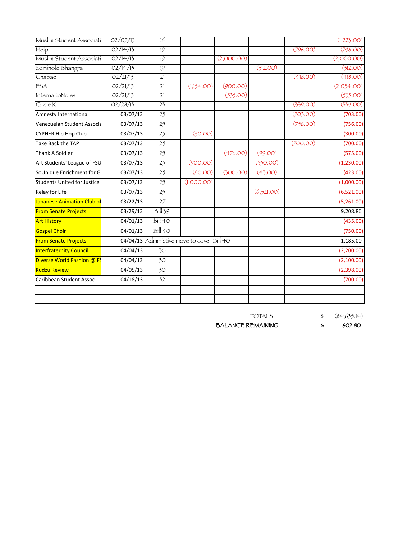| Muslim Student Associati           | O2/O7/I3              | $\overline{16}$ |                                            |            |            |          | (1,223.00) |
|------------------------------------|-----------------------|-----------------|--------------------------------------------|------------|------------|----------|------------|
| Help                               | 02/14/13              | 19              |                                            |            |            | (796.00) | (796.00)   |
| Muslim Student Associati           | 02/14/13              | 19              |                                            | (2,000.00) |            |          | (2,000.00) |
| Seminole Bhangra                   | 02/14/13              | 19              |                                            |            | (312.00)   |          | (312.00)   |
| Chabad                             | O2/21/13              | 21              |                                            |            |            | (418.00) | (418.00)   |
| <b>FSA</b>                         | O2/21/13              | 21              | (1,154.00)                                 | (900.00)   |            |          | (2,054.00) |
| InternatioNoles                    | O2/21/13              | $\overline{21}$ |                                            | (535.00)   |            |          | (535.00)   |
| Círcle K                           | O2/28/13              | $\overline{23}$ |                                            |            |            | (339.00) | (339.00)   |
| Amnesty International              | 03/07/13              | 25              |                                            |            |            | (703.00) | (703.00)   |
| Venezuelan Student Associa         | 03/07/13              | 25              |                                            |            |            | (756.00) | (756.00)   |
| CYPHER Hip Hop Club                | 03/07/13              | 25              | (30.00)                                    |            |            |          | (300.00)   |
| Take Back the TAP                  | 03/07/13              | 25              |                                            |            |            | (700.00) | (700.00)   |
| Thank A Soldier                    | $\overline{03}/07/13$ | 25              |                                            | (476.00)   | (99.00)    |          | (575.00)   |
| Art Students' League of FSU        | 03/07/13              | 25              | (900.00)                                   |            | (330.00)   |          | (1,230.00) |
| SoUnique Enrichment for G          | 03/07/13              | 25              | (80.00)                                    | (300.00)   | (43.00)    |          | (423.00)   |
| <b>Students United for Justice</b> | 03/07/13              | 25              | (1,000.00)                                 |            |            |          | (1,000.00) |
| Relay for Life                     | 03/07/13              | $\overline{25}$ |                                            |            | (6,521.00) |          | (6,521.00) |
| <b>Japanese Animation Club of</b>  | 03/22/13              | 27              |                                            |            |            |          | (5,261.00) |
| <b>From Senate Projects</b>        | 03/29/13              | Bill39          |                                            |            |            |          | 9,208.86   |
| <b>Art History</b>                 | 04/01/13              | $b$ ill 40      |                                            |            |            |          | (435.00)   |
| <b>Gospel Choir</b>                | 04/01/13              | Bill40          |                                            |            |            |          | (750.00)   |
| <b>From Senate Projects</b>        |                       |                 | 04/04/13 Administive move to cover Bill 40 |            |            |          | 1,185.00   |
| <b>Interfraternity Council</b>     | 04/04/13              | 30 <sub>o</sub> |                                            |            |            |          | (2,200.00) |
| Diverse World Fashion @ FS         | 04/04/13              | 30 <sub>o</sub> |                                            |            |            |          | (2,100.00) |
| <b>Kudzu Review</b>                | 04/05/13              | 30              |                                            |            |            |          | (2,398.00) |
| Caribbean Student Assoc            | $\frac{04}{18}$       | 32              |                                            |            |            |          | (700.00)   |
|                                    |                       |                 |                                            |            |            |          |            |
|                                    |                       |                 |                                            |            |            |          |            |
|                                    |                       |                 |                                            |            |            |          |            |

TOTALS \$ (84,635.14)

BALANCE REMAINING  $\qquad \qquad$  \$ 602.80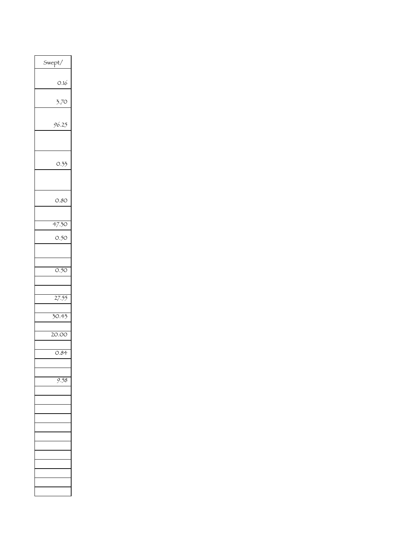| vept/ |
|-------|
|       |
| 0.16  |
|       |
| 3.70  |
|       |
| 96.25 |
|       |
|       |
| 0.33  |
|       |
|       |
|       |
| 0.80  |
|       |
| 47.30 |
| 0.50  |
|       |
|       |
| 0.50  |
|       |
|       |
|       |
| 27.55 |
|       |
| 30.43 |
|       |
| 20.00 |
|       |
| 0.84  |
|       |
|       |
|       |
|       |
|       |
|       |
|       |
|       |
|       |
|       |
|       |
|       |
|       |
|       |
|       |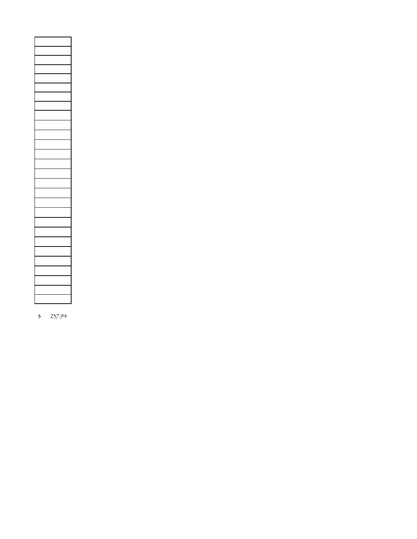\$ 237.94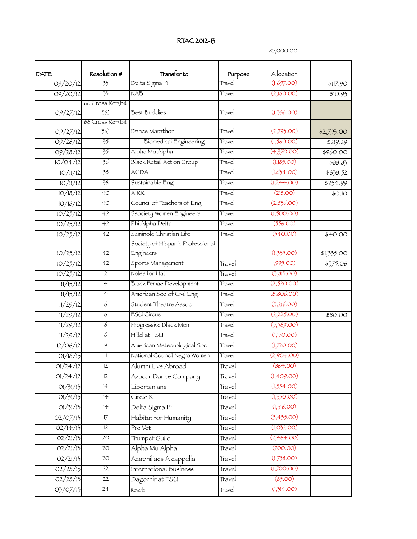#### RTAC 2012-13

85,000.00

|                  |                                 | Transfer to                      |                   |                          |            |
|------------------|---------------------------------|----------------------------------|-------------------|--------------------------|------------|
| DATE<br>09/20/12 | Resolution #<br>$\overline{33}$ | Delta Sigma Pi                   | Purpose<br>Travel | Allocation<br>(1,697.00) | \$117.90   |
| O9/2O/12         | $\overline{33}$                 | <b>NAB</b>                       | Travel            | (2,160.00)               |            |
|                  | 66 Cross Ret (bill              |                                  |                   |                          | \$10.95    |
| 09/27/12         | 36)                             | <b>Best Buddies</b>              | Travel            | (1,366.00)               |            |
| 09/27/12         | 66 Cross Ret(bill<br>36)        | Dance Marathon                   | Travel            | (2,793.00)               | \$2,793.00 |
| 09/28/12         | $\overline{35}$                 | <b>Biomedical Engineering</b>    | Travel            | (1,560.00)               | \$219.29   |
| 09/28/12         | $\overline{35}$                 | Alpha Mu Alpha                   | Travel            | (4,370.00)               | \$960.00   |
| 10/04/12         | 36                              | <b>Black Retail Action Group</b> | Travel            | (1,185.00)               | \$88.83    |
| 10/11/12         | $\overline{38}$                 | <b>ACDA</b>                      | Travel            | (1,634.00)               | \$638.52   |
| 10/11/12         | $\overline{38}$                 | Sustainable Eng                  | Travel            | (1,244.00)               | \$254.99   |
| 10/18/12         | 40                              | <b>AIRR</b>                      | Travel            | (218.00)                 | \$0.10     |
| 10/18/12         | 40                              | Council of Teachers of Eng       | Travel            | (2,836.00)               |            |
| 10/25/12         | 42                              | Ssociety Women Engineers         | Travel            | (1,500.00)               |            |
| 10/25/12         | 42                              | Phí Alpha Delta                  | Travel            | (556.00)                 |            |
| 10/25/12         | 42                              | Seminole Christian Life          | Travel            | (540.00)                 | \$40.00    |
|                  |                                 | Society of Hispanic Professional |                   |                          |            |
| 10/25/12         | 42                              | Engineers                        |                   | (1,335.00)               | \$1,335.00 |
| 10/25/12         | 42                              | Sports Management                | Travel            | (995.00)                 | \$375.06   |
| 10/25/12         | $\overline{2}$                  | Noles for Hati                   | Travel            | (3,813.00)               |            |
| 11/15/12         | $\overline{4}$                  | Black Femae Development          | Travel            | (2,520.00)               |            |
| 11/15/12         | $\overline{4}$                  | American Soc of Civil Eng        | Travel            | (8,806.00)               |            |
| 11/29/12         | $\overline{6}$                  | Student Theatre Assoc            | Travel            | (3,216.00)               |            |
| 11/29/12         | 6                               | FSU Círcus                       | Travel            | (2,225.00)               | \$80.00    |
| 11/29/12         | 6                               | Progressive Black Men            | Travel            | (5,569.00)               |            |
| 11/29/12         | 6                               | Hillel at FSU                    | Travel            | (1,170.00)               |            |
| 12/06/12         | $\overline{9}$                  | American Meteorological Soc      | Travel            | (1,720.00)               |            |
| 01/16/13         | $\overline{\mathbb{1}}$         | National Council Negro Women     | Travel            | (2,904.00)               |            |
| 01/24/12         | IZ                              | Alumní Líve Abroad               | Travel            | (864.00)                 |            |
| 01/24/12         | 12                              | Azucar Dance Company             | Travel            | (1,409.00)               |            |
| 01/31/13         | $\overline{14}$                 | Libertanians                     | Travel            | (1,554.00)               |            |
| 01/31/13         | 14                              | Círcle K                         | Travel            | (1,350.00)               |            |
| 01/31/13         | $\overline{14}$                 | Delta Sigma Pi                   | Travel            | (1,316.00)               |            |
| O2/O7/13         | $\overline{17}$                 | Habitat for Humanity             | Travel            | (3,435.00)               |            |
| 02/14/13         | 18                              | Pre Vet                          | Travel            | (1,032.00)               |            |
| O2/21/13         | 20                              | Trumpet Guild                    | Travel            | (2, 484.00)              |            |
| 02/21/13         | 20                              | Alpha Mu Alpha                   | Travel            | (700.00)                 |            |
| O2/21/15         | $\overline{20}$                 | Acaphiliacs A cappella           | Travel            | (1,758.00)               |            |
| 02/28/15         | 22                              | International Business           | Travel            | (1,700.00)               |            |
| O2/28/15         | 22                              | Dagorhir at FSU                  | Travel            | (85.00)                  |            |
| 03/07/13         | 24                              | Reverb                           | Travel            | (1,314.00)               |            |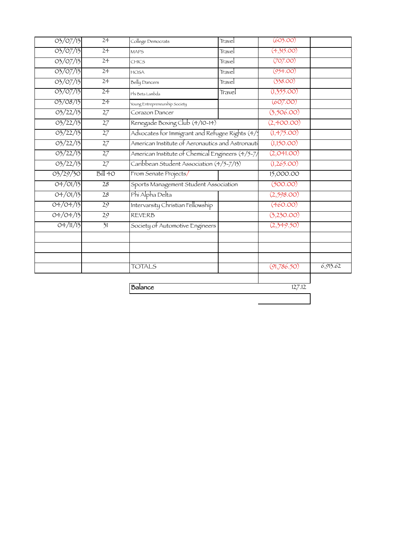| 03/07/13 | $\overline{24}$ | College Democrats                                | Travel     | (603.00)    |          |
|----------|-----------------|--------------------------------------------------|------------|-------------|----------|
| 03/07/13 | 24              | <b>MAPS</b>                                      | Travel     | (4,315.00)  |          |
| 03/07/13 | 24              | CHICS                                            | Travel     | (707.00)    |          |
| 03/07/13 | 24              | <b>HOSA</b>                                      | Travel     | (954.00)    |          |
| 03/07/13 | 24              | Belly Dancers                                    | Travel     | (338.00)    |          |
| 03/07/13 | $\overline{24}$ | Phi Beta Lambda                                  | Travel     | (1,355.00)  |          |
| 03/08/13 | 24              | Young Entrepreneurship Society                   |            | (607.00)    |          |
| 03/22/13 | 27              | Corazon Dancer                                   |            | (3,506.00)  |          |
| 03/22/13 | 27              | Renegade Boxing Club (4/10-14)                   |            | (2,400.00)  |          |
| 03/22/13 | 27              | Advocates for Immigrant and Refugee Rights (4/5  |            | (1,475.00)  |          |
| 03/22/13 | $\overline{27}$ | American Institute of Aeronautics and Astronauti | (1,150.00) |             |          |
| 03/22/13 | $\overline{27}$ | American Institute of Chemical Engineers (4/5-7/ | (2,041.00) |             |          |
| 03/22/13 | $\overline{27}$ | Caribbean Student Association (4/5-7/13)         | (1,265.00) |             |          |
| 03/29/30 | Bill40          | From Senate Projects/                            |            | 15,000.00   |          |
| 04/01/13 | 28              | Sports Management Student Association            | (500.00)   |             |          |
| 04/01/13 | 28              | Phi Alpha Delta                                  |            | (2,598.00)  |          |
| 04/04/13 | 29              | Intervarsity Christian Fellowship                |            | (460.00)    |          |
| 04/04/13 | $\overline{29}$ | <b>REVERB</b>                                    |            | (3,230.00)  |          |
| O4/11/13 | $\overline{2}1$ | Society of Automotive Engineers                  |            | (2,349.50)  |          |
|          |                 |                                                  |            |             |          |
|          |                 | <b>TOTALS</b>                                    |            | (91,786.50) | 6,913.62 |
|          |                 |                                                  |            |             |          |

**Balance** 127.12